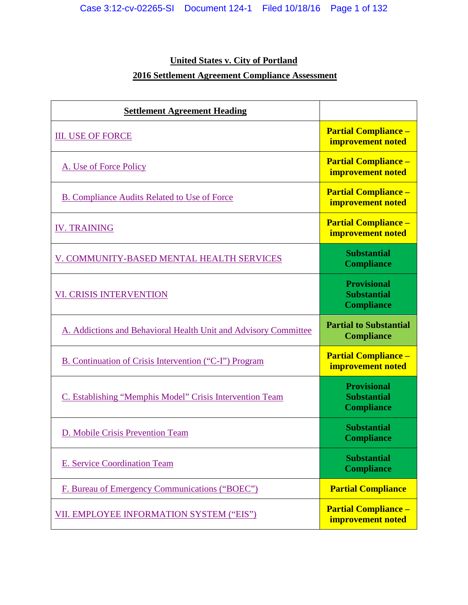## **United States v. City of Portland**

# **2016 Settlement Agreement Compliance Assessment**

| <b>Settlement Agreement Heading</b>                             |                                                               |
|-----------------------------------------------------------------|---------------------------------------------------------------|
| <b>III. USE OF FORCE</b>                                        | <b>Partial Compliance -</b><br>improvement noted              |
| A. Use of Force Policy                                          | <b>Partial Compliance -</b><br>improvement noted              |
| <b>B. Compliance Audits Related to Use of Force</b>             | <b>Partial Compliance -</b><br>improvement noted              |
| <b>IV. TRAINING</b>                                             | <b>Partial Compliance -</b><br>improvement noted              |
| V. COMMUNITY-BASED MENTAL HEALTH SERVICES                       | <b>Substantial</b><br><b>Compliance</b>                       |
| <b>VI. CRISIS INTERVENTION</b>                                  | <b>Provisional</b><br><b>Substantial</b><br><b>Compliance</b> |
| A. Addictions and Behavioral Health Unit and Advisory Committee | <b>Partial to Substantial</b><br><b>Compliance</b>            |
| B. Continuation of Crisis Intervention ("C-I") Program          | <b>Partial Compliance -</b><br>improvement noted              |
| C. Establishing "Memphis Model" Crisis Intervention Team        | <b>Provisional</b><br><b>Substantial</b><br><b>Compliance</b> |
| D. Mobile Crisis Prevention Team                                | <b>Substantial</b><br><b>Compliance</b>                       |
| <b>E. Service Coordination Team</b>                             | <b>Substantial</b><br><b>Compliance</b>                       |
| F. Bureau of Emergency Communications ("BOEC")                  | <b>Partial Compliance</b>                                     |
| VII. EMPLOYEE INFORMATION SYSTEM ("EIS")                        | <b>Partial Compliance -</b><br>improvement noted              |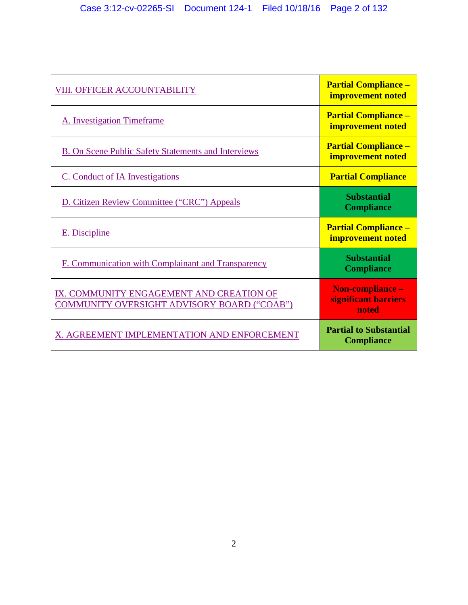<span id="page-1-0"></span>

| VIII. OFFICER ACCOUNTABILITY                                                            | <b>Partial Compliance -</b><br>improvement noted   |
|-----------------------------------------------------------------------------------------|----------------------------------------------------|
| A. Investigation Timeframe                                                              | <b>Partial Compliance -</b><br>improvement noted   |
| B. On Scene Public Safety Statements and Interviews                                     | <b>Partial Compliance -</b><br>improvement noted   |
| C. Conduct of IA Investigations                                                         | <b>Partial Compliance</b>                          |
| D. Citizen Review Committee ("CRC") Appeals                                             | <b>Substantial</b><br><b>Compliance</b>            |
| E. Discipline                                                                           | <b>Partial Compliance -</b><br>improvement noted   |
| F. Communication with Complainant and Transparency                                      | <b>Substantial</b><br><b>Compliance</b>            |
| IX. COMMUNITY ENGAGEMENT AND CREATION OF<br>COMMUNITY OVERSIGHT ADVISORY BOARD ("COAB") | Non-compliance -<br>significant barriers<br>noted  |
| X. AGREEMENT IMPLEMENTATION AND ENFORCEMENT                                             | <b>Partial to Substantial</b><br><b>Compliance</b> |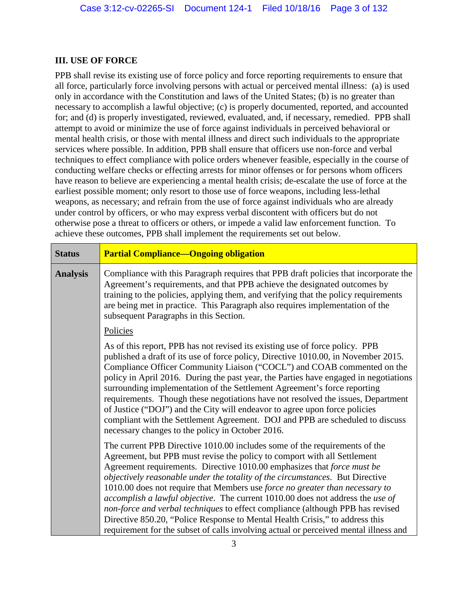#### **III. USE OF FORCE**

PPB shall revise its existing use of force policy and force reporting requirements to ensure that all force, particularly force involving persons with actual or perceived mental illness: (a) is used only in accordance with the Constitution and laws of the United States; (b) is no greater than necessary to accomplish a lawful objective; (c) is properly documented, reported, and accounted for; and (d) is properly investigated, reviewed, evaluated, and, if necessary, remedied. PPB shall attempt to avoid or minimize the use of force against individuals in perceived behavioral or mental health crisis, or those with mental illness and direct such individuals to the appropriate services where possible. In addition, PPB shall ensure that officers use non-force and verbal techniques to effect compliance with police orders whenever feasible, especially in the course of conducting welfare checks or effecting arrests for minor offenses or for persons whom officers have reason to believe are experiencing a mental health crisis; de-escalate the use of force at the earliest possible moment; only resort to those use of force weapons, including less-lethal weapons, as necessary; and refrain from the use of force against individuals who are already under control by officers, or who may express verbal discontent with officers but do not otherwise pose a threat to officers or others, or impede a valid law enforcement function. To achieve these outcomes, PPB shall implement the requirements set out below.

| <b>Status</b>   | <b>Partial Compliance-Ongoing obligation</b>                                                                                                                                                                                                                                                                                                                                                                                                                                                                                                                                                                                                                                                                                                   |  |
|-----------------|------------------------------------------------------------------------------------------------------------------------------------------------------------------------------------------------------------------------------------------------------------------------------------------------------------------------------------------------------------------------------------------------------------------------------------------------------------------------------------------------------------------------------------------------------------------------------------------------------------------------------------------------------------------------------------------------------------------------------------------------|--|
| <b>Analysis</b> | Compliance with this Paragraph requires that PPB draft policies that incorporate the<br>Agreement's requirements, and that PPB achieve the designated outcomes by<br>training to the policies, applying them, and verifying that the policy requirements<br>are being met in practice. This Paragraph also requires implementation of the<br>subsequent Paragraphs in this Section.                                                                                                                                                                                                                                                                                                                                                            |  |
|                 | Policies                                                                                                                                                                                                                                                                                                                                                                                                                                                                                                                                                                                                                                                                                                                                       |  |
|                 | As of this report, PPB has not revised its existing use of force policy. PPB<br>published a draft of its use of force policy, Directive 1010.00, in November 2015.<br>Compliance Officer Community Liaison ("COCL") and COAB commented on the<br>policy in April 2016. During the past year, the Parties have engaged in negotiations<br>surrounding implementation of the Settlement Agreement's force reporting<br>requirements. Though these negotiations have not resolved the issues, Department<br>of Justice ("DOJ") and the City will endeavor to agree upon force policies<br>compliant with the Settlement Agreement. DOJ and PPB are scheduled to discuss<br>necessary changes to the policy in October 2016.                       |  |
|                 | The current PPB Directive 1010.00 includes some of the requirements of the<br>Agreement, but PPB must revise the policy to comport with all Settlement<br>Agreement requirements. Directive 1010.00 emphasizes that force must be<br>objectively reasonable under the totality of the circumstances. But Directive<br>1010.00 does not require that Members use force no greater than necessary to<br>accomplish a lawful objective. The current 1010.00 does not address the use of<br>non-force and verbal techniques to effect compliance (although PPB has revised<br>Directive 850.20, "Police Response to Mental Health Crisis," to address this<br>requirement for the subset of calls involving actual or perceived mental illness and |  |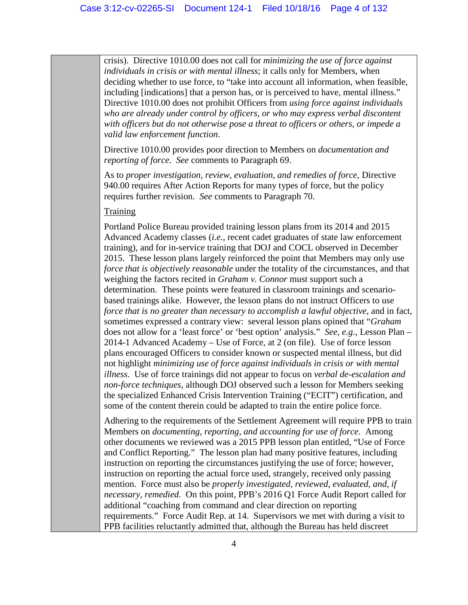crisis). Directive 1010.00 does not call for *minimizing the use of force against individuals in crisis or with mental illness*; it calls only for Members, when deciding whether to use force, to "take into account all information, when feasible, including [indications] that a person has, or is perceived to have, mental illness." Directive 1010.00 does not prohibit Officers from *using force against individuals who are already under control by officers, or who may express verbal discontent with officers but do not otherwise pose a threat to officers or others, or impede a valid law enforcement function*.

Directive 1010.00 provides poor direction to Members on *documentation and reporting of force*. *See* comments to Paragraph 69.

As to *proper investigation, review, evaluation, and remedies of force*, Directive 940.00 requires After Action Reports for many types of force, but the policy requires further revision. *See* comments to Paragraph 70.

#### Training

Portland Police Bureau provided training lesson plans from its 2014 and 2015 Advanced Academy classes (*i.e.*, recent cadet graduates of state law enforcement training), and for in-service training that DOJ and COCL observed in December 2015. These lesson plans largely reinforced the point that Members may only use *force that is objectively reasonable* under the totality of the circumstances, and that weighing the factors recited in *Graham v. Connor* must support such a determination. These points were featured in classroom trainings and scenariobased trainings alike. However, the lesson plans do not instruct Officers to use *force that is no greater than necessary to accomplish a lawful objective*, and in fact, sometimes expressed a contrary view: several lesson plans opined that "*Graham* does not allow for a 'least force' or 'best option' analysis." *See, e.g.*, Lesson Plan – 2014-1 Advanced Academy – Use of Force, at 2 (on file). Use of force lesson plans encouraged Officers to consider known or suspected mental illness, but did not highlight *minimizing use of force against individuals in crisis or with mental illness*. Use of force trainings did not appear to focus on *verbal de-escalation and non-force techniques*, although DOJ observed such a lesson for Members seeking the specialized Enhanced Crisis Intervention Training ("ECIT") certification, and some of the content therein could be adapted to train the entire police force.

Adhering to the requirements of the Settlement Agreement will require PPB to train Members on *documenting, reporting, and accounting for use of force*. Among other documents we reviewed was a 2015 PPB lesson plan entitled, "Use of Force and Conflict Reporting." The lesson plan had many positive features, including instruction on reporting the circumstances justifying the use of force; however, instruction on reporting the actual force used, strangely, received only passing mention. Force must also be *properly investigated, reviewed, evaluated, and, if necessary, remedied*. On this point, PPB's 2016 Q1 Force Audit Report called for additional "coaching from command and clear direction on reporting requirements." Force Audit Rep. at 14. Supervisors we met with during a visit to PPB facilities reluctantly admitted that, although the Bureau has held discreet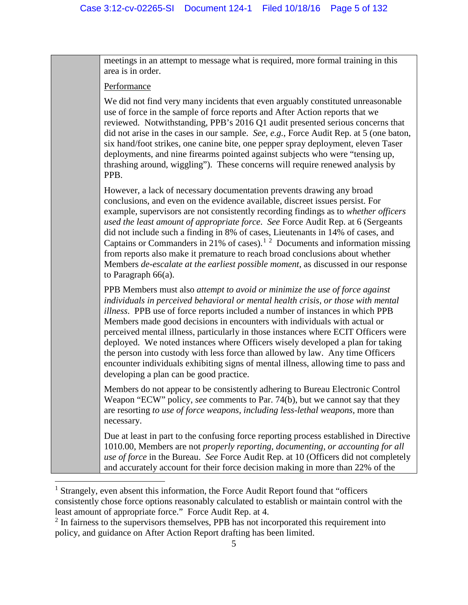meetings in an attempt to message what is required, more formal training in this area is in order.

#### Performance

 $\overline{a}$ 

We did not find very many incidents that even arguably constituted unreasonable use of force in the sample of force reports and After Action reports that we reviewed. Notwithstanding, PPB's 2016 Q1 audit presented serious concerns that did not arise in the cases in our sample. *See, e.g.*, Force Audit Rep. at 5 (one baton, six hand/foot strikes, one canine bite, one pepper spray deployment, eleven Taser deployments, and nine firearms pointed against subjects who were "tensing up, thrashing around, wiggling"). These concerns will require renewed analysis by PPB.

However, a lack of necessary documentation prevents drawing any broad conclusions, and even on the evidence available, discreet issues persist. For example, supervisors are not consistently recording findings as to *whether officers used the least amount of appropriate force*. *See* Force Audit Rep. at 6 (Sergeants did not include such a finding in 8% of cases, Lieutenants in 14% of cases, and Captains or Commanders in 2[1](#page-4-0)% of cases).<sup>1[2](#page-4-1)</sup> Documents and information missing from reports also make it premature to reach broad conclusions about whether Members *de-escalate at the earliest possible moment*, as discussed in our response to Paragraph 66(a).

PPB Members must also *attempt to avoid or minimize the use of force against individuals in perceived behavioral or mental health crisis, or those with mental illness*. PPB use of force reports included a number of instances in which PPB Members made good decisions in encounters with individuals with actual or perceived mental illness, particularly in those instances where ECIT Officers were deployed. We noted instances where Officers wisely developed a plan for taking the person into custody with less force than allowed by law. Any time Officers encounter individuals exhibiting signs of mental illness, allowing time to pass and developing a plan can be good practice.

Members do not appear to be consistently adhering to Bureau Electronic Control Weapon "ECW" policy, *see* comments to Par. 74(b), but we cannot say that they are resorting *to use of force weapons, including less-lethal weapons,* more than necessary.

Due at least in part to the confusing force reporting process established in Directive 1010.00, Members are not *properly reporting, documenting, or accounting for all use of force* in the Bureau. *See* Force Audit Rep. at 10 (Officers did not completely and accurately account for their force decision making in more than 22% of the

<span id="page-4-0"></span><sup>&</sup>lt;sup>1</sup> Strangely, even absent this information, the Force Audit Report found that "officers" consistently chose force options reasonably calculated to establish or maintain control with the least amount of appropriate force." Force Audit Rep. at 4.

<span id="page-4-1"></span><sup>&</sup>lt;sup>2</sup> In fairness to the supervisors themselves, PPB has not incorporated this requirement into policy, and guidance on After Action Report drafting has been limited.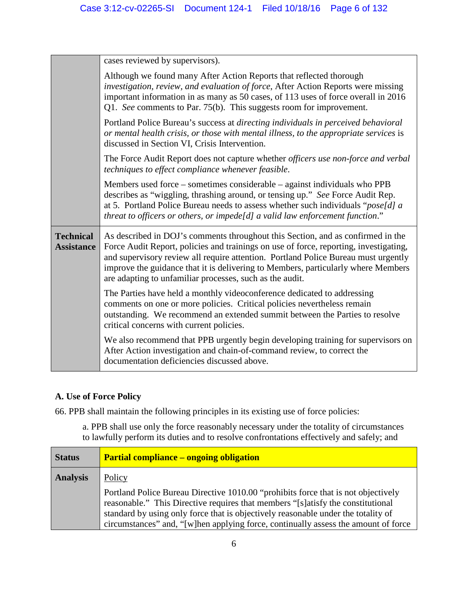|                                                                                                                                                                                                                                                                                                                                      | cases reviewed by supervisors).                                                                                                                                                                                                                                                                                                                                                                                 |  |
|--------------------------------------------------------------------------------------------------------------------------------------------------------------------------------------------------------------------------------------------------------------------------------------------------------------------------------------|-----------------------------------------------------------------------------------------------------------------------------------------------------------------------------------------------------------------------------------------------------------------------------------------------------------------------------------------------------------------------------------------------------------------|--|
|                                                                                                                                                                                                                                                                                                                                      | Although we found many After Action Reports that reflected thorough<br>investigation, review, and evaluation of force, After Action Reports were missing<br>important information in as many as 50 cases, of 113 uses of force overall in 2016<br>Q1. See comments to Par. 75(b). This suggests room for improvement.                                                                                           |  |
| Portland Police Bureau's success at directing individuals in perceived behavioral<br>or mental health crisis, or those with mental illness, to the appropriate services is<br>discussed in Section VI, Crisis Intervention.                                                                                                          |                                                                                                                                                                                                                                                                                                                                                                                                                 |  |
| The Force Audit Report does not capture whether <i>officers use non-force and verbal</i><br>techniques to effect compliance whenever feasible.                                                                                                                                                                                       |                                                                                                                                                                                                                                                                                                                                                                                                                 |  |
| Members used force – sometimes considerable – against individuals who PPB<br>describes as "wiggling, thrashing around, or tensing up." See Force Audit Rep.<br>at 5. Portland Police Bureau needs to assess whether such individuals " $poseld$ ] a<br>threat to officers or others, or impede[d] a valid law enforcement function." |                                                                                                                                                                                                                                                                                                                                                                                                                 |  |
| <b>Technical</b><br><b>Assistance</b>                                                                                                                                                                                                                                                                                                | As described in DOJ's comments throughout this Section, and as confirmed in the<br>Force Audit Report, policies and trainings on use of force, reporting, investigating,<br>and supervisory review all require attention. Portland Police Bureau must urgently<br>improve the guidance that it is delivering to Members, particularly where Members<br>are adapting to unfamiliar processes, such as the audit. |  |
|                                                                                                                                                                                                                                                                                                                                      | The Parties have held a monthly videoconference dedicated to addressing<br>comments on one or more policies. Critical policies nevertheless remain<br>outstanding. We recommend an extended summit between the Parties to resolve<br>critical concerns with current policies.                                                                                                                                   |  |
|                                                                                                                                                                                                                                                                                                                                      | We also recommend that PPB urgently begin developing training for supervisors on<br>After Action investigation and chain-of-command review, to correct the<br>documentation deficiencies discussed above.                                                                                                                                                                                                       |  |

# <span id="page-5-0"></span>**A. Use of Force Policy**

66. PPB shall maintain the following principles in its existing use of force policies:

a. PPB shall use only the force reasonably necessary under the totality of circumstances to lawfully perform its duties and to resolve confrontations effectively and safely; and

| <b>Status</b>   | <b>Partial compliance – ongoing obligation</b>                                                                                                                                                                                                                                                                                                  |  |
|-----------------|-------------------------------------------------------------------------------------------------------------------------------------------------------------------------------------------------------------------------------------------------------------------------------------------------------------------------------------------------|--|
| <b>Analysis</b> | Policy                                                                                                                                                                                                                                                                                                                                          |  |
|                 | Portland Police Bureau Directive 1010.00 "prohibits force that is not objectively<br>reasonable." This Directive requires that members "[s]atisfy the constitutional<br>standard by using only force that is objectively reasonable under the totality of<br>circumstances" and, "[w]hen applying force, continually assess the amount of force |  |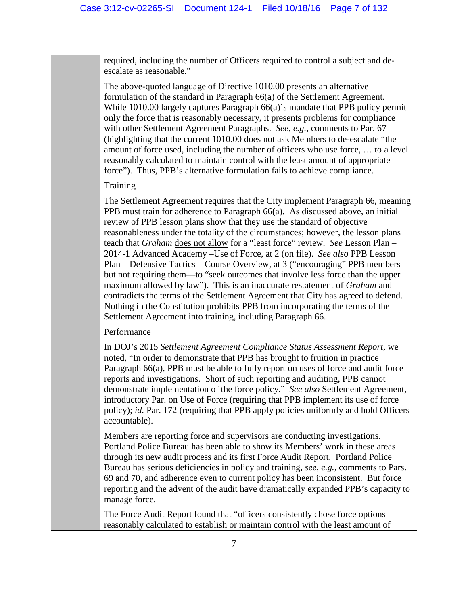required, including the number of Officers required to control a subject and deescalate as reasonable."

The above-quoted language of Directive 1010.00 presents an alternative formulation of the standard in Paragraph 66(a) of the Settlement Agreement. While 1010.00 largely captures Paragraph 66(a)'s mandate that PPB policy permit only the force that is reasonably necessary, it presents problems for compliance with other Settlement Agreement Paragraphs. *See, e.g.*, comments to Par. 67 (highlighting that the current 1010.00 does not ask Members to de-escalate "the amount of force used, including the number of officers who use force, … to a level reasonably calculated to maintain control with the least amount of appropriate force"). Thus, PPB's alternative formulation fails to achieve compliance.

#### **Training**

The Settlement Agreement requires that the City implement Paragraph 66, meaning PPB must train for adherence to Paragraph 66(a). As discussed above, an initial review of PPB lesson plans show that they use the standard of objective reasonableness under the totality of the circumstances; however, the lesson plans teach that *Graham* does not allow for a "least force" review. *See* Lesson Plan – 2014-1 Advanced Academy –Use of Force, at 2 (on file). *See also* PPB Lesson Plan – Defensive Tactics – Course Overview, at 3 ("encouraging" PPB members – but not requiring them—to "seek outcomes that involve less force than the upper maximum allowed by law"). This is an inaccurate restatement of *Graham* and contradicts the terms of the Settlement Agreement that City has agreed to defend. Nothing in the Constitution prohibits PPB from incorporating the terms of the Settlement Agreement into training, including Paragraph 66.

#### Performance

In DOJ's 2015 *Settlement Agreement Compliance Status Assessment Report*, we noted, "In order to demonstrate that PPB has brought to fruition in practice Paragraph 66(a), PPB must be able to fully report on uses of force and audit force reports and investigations. Short of such reporting and auditing, PPB cannot demonstrate implementation of the force policy." *See also* Settlement Agreement, introductory Par. on Use of Force (requiring that PPB implement its use of force policy); *id.* Par. 172 (requiring that PPB apply policies uniformly and hold Officers accountable).

Members are reporting force and supervisors are conducting investigations. Portland Police Bureau has been able to show its Members' work in these areas through its new audit process and its first Force Audit Report. Portland Police Bureau has serious deficiencies in policy and training, *see, e.g.*, comments to Pars. 69 and 70, and adherence even to current policy has been inconsistent. But force reporting and the advent of the audit have dramatically expanded PPB's capacity to manage force.

The Force Audit Report found that "officers consistently chose force options reasonably calculated to establish or maintain control with the least amount of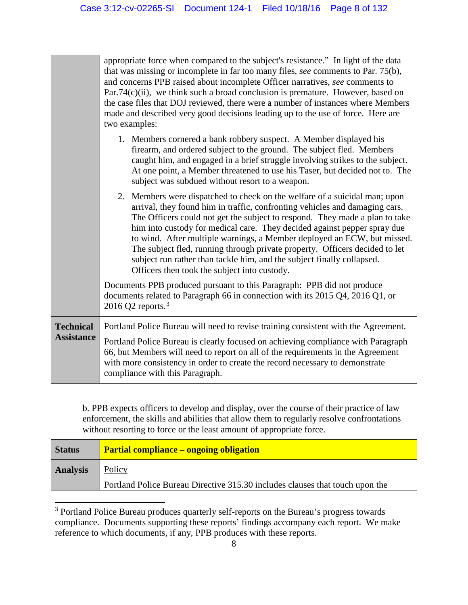|                                       | appropriate force when compared to the subject's resistance." In light of the data<br>that was missing or incomplete in far too many files, see comments to Par. 75(b),<br>and concerns PPB raised about incomplete Officer narratives, see comments to<br>$Par.74(c)(ii)$ , we think such a broad conclusion is premature. However, based on<br>the case files that DOJ reviewed, there were a number of instances where Members<br>made and described very good decisions leading up to the use of force. Here are<br>two examples:                                                                    |  |
|---------------------------------------|----------------------------------------------------------------------------------------------------------------------------------------------------------------------------------------------------------------------------------------------------------------------------------------------------------------------------------------------------------------------------------------------------------------------------------------------------------------------------------------------------------------------------------------------------------------------------------------------------------|--|
|                                       | 1. Members cornered a bank robbery suspect. A Member displayed his<br>firearm, and ordered subject to the ground. The subject fled. Members<br>caught him, and engaged in a brief struggle involving strikes to the subject.<br>At one point, a Member threatened to use his Taser, but decided not to. The<br>subject was subdued without resort to a weapon.                                                                                                                                                                                                                                           |  |
|                                       | 2. Members were dispatched to check on the welfare of a suicidal man; upon<br>arrival, they found him in traffic, confronting vehicles and damaging cars.<br>The Officers could not get the subject to respond. They made a plan to take<br>him into custody for medical care. They decided against pepper spray due<br>to wind. After multiple warnings, a Member deployed an ECW, but missed.<br>The subject fled, running through private property. Officers decided to let<br>subject run rather than tackle him, and the subject finally collapsed.<br>Officers then took the subject into custody. |  |
|                                       | Documents PPB produced pursuant to this Paragraph: PPB did not produce<br>documents related to Paragraph 66 in connection with its 2015 Q4, 2016 Q1, or<br>2016 Q2 reports. $3$                                                                                                                                                                                                                                                                                                                                                                                                                          |  |
| <b>Technical</b><br><b>Assistance</b> | Portland Police Bureau will need to revise training consistent with the Agreement.<br>Portland Police Bureau is clearly focused on achieving compliance with Paragraph<br>66, but Members will need to report on all of the requirements in the Agreement<br>with more consistency in order to create the record necessary to demonstrate<br>compliance with this Paragraph.                                                                                                                                                                                                                             |  |

b. PPB expects officers to develop and display, over the course of their practice of law enforcement, the skills and abilities that allow them to regularly resolve confrontations without resorting to force or the least amount of appropriate force.

| <b>Status</b>   | <b>Partial compliance – ongoing obligation</b>                               |  |
|-----------------|------------------------------------------------------------------------------|--|
| <b>Analysis</b> | Policy                                                                       |  |
|                 | Portland Police Bureau Directive 315.30 includes clauses that touch upon the |  |

<span id="page-7-0"></span><sup>&</sup>lt;sup>3</sup> Portland Police Bureau produces quarterly self-reports on the Bureau's progress towards compliance. Documents supporting these reports' findings accompany each report. We make reference to which documents, if any, PPB produces with these reports.

l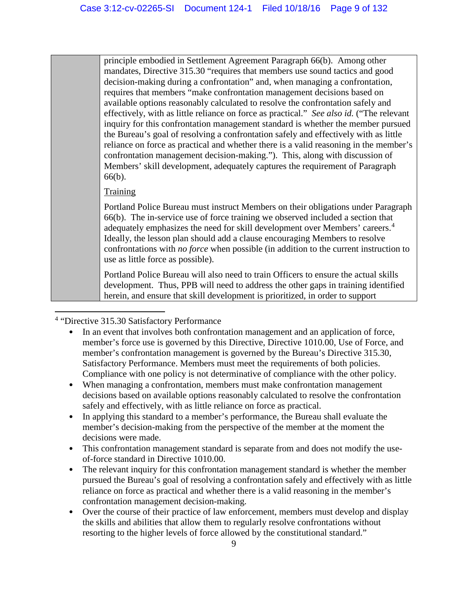principle embodied in Settlement Agreement Paragraph 66(b). Among other mandates, Directive 315.30 "requires that members use sound tactics and good decision-making during a confrontation" and, when managing a confrontation, requires that members "make confrontation management decisions based on available options reasonably calculated to resolve the confrontation safely and effectively, with as little reliance on force as practical." *See also id.* ("The relevant inquiry for this confrontation management standard is whether the member pursued the Bureau's goal of resolving a confrontation safely and effectively with as little reliance on force as practical and whether there is a valid reasoning in the member's confrontation management decision-making."). This, along with discussion of Members' skill development, adequately captures the requirement of Paragraph 66(b).

## **Training**

Portland Police Bureau must instruct Members on their obligations under Paragraph 66(b). The in-service use of force training we observed included a section that adequately emphasizes the need for skill development over Members' careers.<sup>[4](#page-8-0)</sup> Ideally, the lesson plan should add a clause encouraging Members to resolve confrontations with *no force* when possible (in addition to the current instruction to use as little force as possible).

Portland Police Bureau will also need to train Officers to ensure the actual skills development. Thus, PPB will need to address the other gaps in training identified herein, and ensure that skill development is prioritized, in order to support

<span id="page-8-0"></span> $\overline{\phantom{a}}$ <sup>4</sup> "Directive 315.30 Satisfactory Performance

- In an event that involves both confrontation management and an application of force, member's force use is governed by this Directive, Directive 1010.00, Use of Force, and member's confrontation management is governed by the Bureau's Directive 315.30, Satisfactory Performance. Members must meet the requirements of both policies. Compliance with one policy is not determinative of compliance with the other policy.
- When managing a confrontation, members must make confrontation management decisions based on available options reasonably calculated to resolve the confrontation safely and effectively, with as little reliance on force as practical.
- In applying this standard to a member's performance, the Bureau shall evaluate the member's decision-making from the perspective of the member at the moment the decisions were made.
- This confrontation management standard is separate from and does not modify the useof-force standard in Directive 1010.00.
- The relevant inquiry for this confrontation management standard is whether the member pursued the Bureau's goal of resolving a confrontation safely and effectively with as little reliance on force as practical and whether there is a valid reasoning in the member's confrontation management decision-making.
- Over the course of their practice of law enforcement, members must develop and display the skills and abilities that allow them to regularly resolve confrontations without resorting to the higher levels of force allowed by the constitutional standard."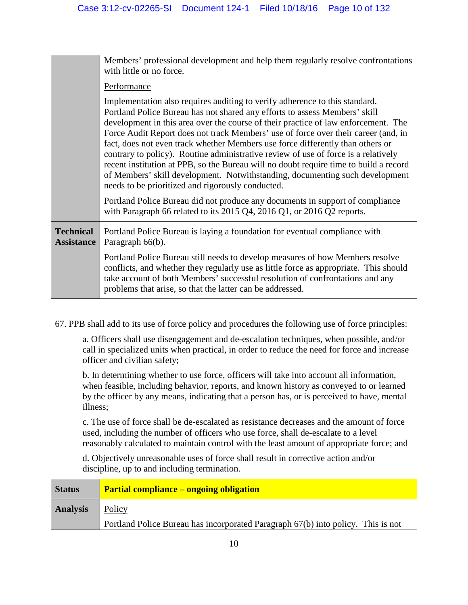|                                       | Members' professional development and help them regularly resolve confrontations<br>with little or no force.                                                                                                                                                                                                                                                                                                                                                                                                                                                                                                                                                                                                                                |  |
|---------------------------------------|---------------------------------------------------------------------------------------------------------------------------------------------------------------------------------------------------------------------------------------------------------------------------------------------------------------------------------------------------------------------------------------------------------------------------------------------------------------------------------------------------------------------------------------------------------------------------------------------------------------------------------------------------------------------------------------------------------------------------------------------|--|
|                                       | Performance                                                                                                                                                                                                                                                                                                                                                                                                                                                                                                                                                                                                                                                                                                                                 |  |
|                                       | Implementation also requires auditing to verify adherence to this standard.<br>Portland Police Bureau has not shared any efforts to assess Members' skill<br>development in this area over the course of their practice of law enforcement. The<br>Force Audit Report does not track Members' use of force over their career (and, in<br>fact, does not even track whether Members use force differently than others or<br>contrary to policy). Routine administrative review of use of force is a relatively<br>recent institution at PPB, so the Bureau will no doubt require time to build a record<br>of Members' skill development. Notwithstanding, documenting such development<br>needs to be prioritized and rigorously conducted. |  |
|                                       | Portland Police Bureau did not produce any documents in support of compliance<br>with Paragraph 66 related to its 2015 Q4, 2016 Q1, or 2016 Q2 reports.                                                                                                                                                                                                                                                                                                                                                                                                                                                                                                                                                                                     |  |
| <b>Technical</b><br><b>Assistance</b> | Portland Police Bureau is laying a foundation for eventual compliance with<br>Paragraph 66(b).                                                                                                                                                                                                                                                                                                                                                                                                                                                                                                                                                                                                                                              |  |
|                                       | Portland Police Bureau still needs to develop measures of how Members resolve<br>conflicts, and whether they regularly use as little force as appropriate. This should<br>take account of both Members' successful resolution of confrontations and any<br>problems that arise, so that the latter can be addressed.                                                                                                                                                                                                                                                                                                                                                                                                                        |  |

67. PPB shall add to its use of force policy and procedures the following use of force principles:

a. Officers shall use disengagement and de-escalation techniques, when possible, and/or call in specialized units when practical, in order to reduce the need for force and increase officer and civilian safety;

b. In determining whether to use force, officers will take into account all information, when feasible, including behavior, reports, and known history as conveyed to or learned by the officer by any means, indicating that a person has, or is perceived to have, mental illness;

c. The use of force shall be de-escalated as resistance decreases and the amount of force used, including the number of officers who use force, shall de-escalate to a level reasonably calculated to maintain control with the least amount of appropriate force; and

d. Objectively unreasonable uses of force shall result in corrective action and/or discipline, up to and including termination.

| <b>Status</b>   | <b>Partial compliance – ongoing obligation</b>                                   |  |
|-----------------|----------------------------------------------------------------------------------|--|
| <b>Analysis</b> | Policy                                                                           |  |
|                 | Portland Police Bureau has incorporated Paragraph 67(b) into policy. This is not |  |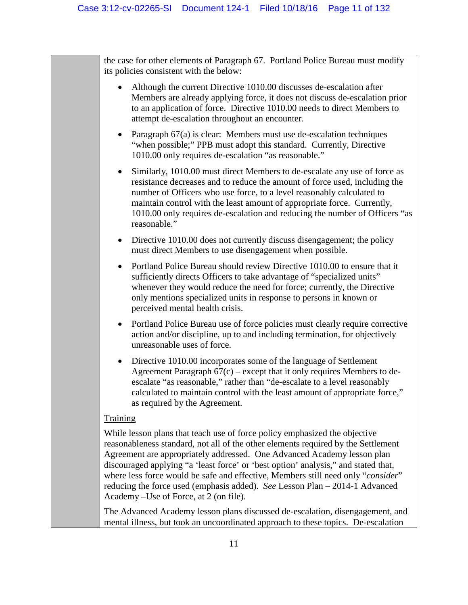the case for other elements of Paragraph 67. Portland Police Bureau must modify its policies consistent with the below:

- Although the current Directive 1010.00 discusses de-escalation after Members are already applying force, it does not discuss de-escalation prior to an application of force. Directive 1010.00 needs to direct Members to attempt de-escalation throughout an encounter.
- Paragraph 67(a) is clear: Members must use de-escalation techniques "when possible;" PPB must adopt this standard. Currently, Directive 1010.00 only requires de-escalation "as reasonable."
- Similarly, 1010.00 must direct Members to de-escalate any use of force as resistance decreases and to reduce the amount of force used, including the number of Officers who use force, to a level reasonably calculated to maintain control with the least amount of appropriate force. Currently, 1010.00 only requires de-escalation and reducing the number of Officers "as reasonable."
- Directive 1010.00 does not currently discuss disengagement; the policy must direct Members to use disengagement when possible.
- Portland Police Bureau should review Directive 1010.00 to ensure that it sufficiently directs Officers to take advantage of "specialized units" whenever they would reduce the need for force; currently, the Directive only mentions specialized units in response to persons in known or perceived mental health crisis.
- Portland Police Bureau use of force policies must clearly require corrective action and/or discipline, up to and including termination, for objectively unreasonable uses of force.
- Directive 1010.00 incorporates some of the language of Settlement Agreement Paragraph  $67(c)$  – except that it only requires Members to deescalate "as reasonable," rather than "de-escalate to a level reasonably calculated to maintain control with the least amount of appropriate force," as required by the Agreement.

## **Training**

While lesson plans that teach use of force policy emphasized the objective reasonableness standard, not all of the other elements required by the Settlement Agreement are appropriately addressed. One Advanced Academy lesson plan discouraged applying "a 'least force' or 'best option' analysis," and stated that, where less force would be safe and effective, Members still need only "*consider*" reducing the force used (emphasis added). *See* Lesson Plan – 2014-1 Advanced Academy –Use of Force, at 2 (on file).

The Advanced Academy lesson plans discussed de-escalation, disengagement, and mental illness, but took an uncoordinated approach to these topics. De-escalation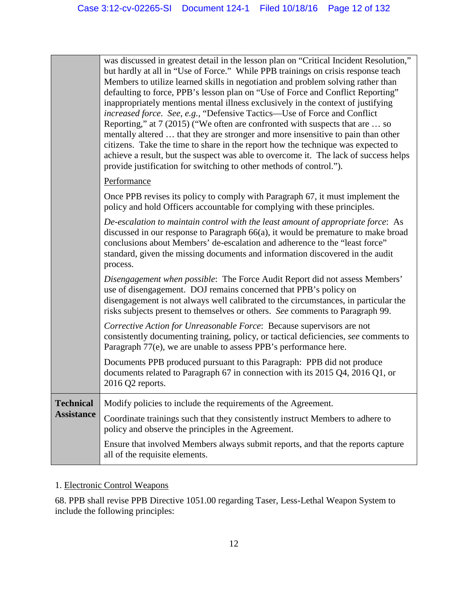|                   | was discussed in greatest detail in the lesson plan on "Critical Incident Resolution,"<br>but hardly at all in "Use of Force." While PPB trainings on crisis response teach<br>Members to utilize learned skills in negotiation and problem solving rather than<br>defaulting to force, PPB's lesson plan on "Use of Force and Conflict Reporting"<br>inappropriately mentions mental illness exclusively in the context of justifying<br>increased force. See, e.g., "Defensive Tactics-Use of Force and Conflict<br>Reporting," at 7 (2015) ("We often are confronted with suspects that are  so<br>mentally altered  that they are stronger and more insensitive to pain than other<br>citizens. Take the time to share in the report how the technique was expected to<br>achieve a result, but the suspect was able to overcome it. The lack of success helps<br>provide justification for switching to other methods of control."). |
|-------------------|-------------------------------------------------------------------------------------------------------------------------------------------------------------------------------------------------------------------------------------------------------------------------------------------------------------------------------------------------------------------------------------------------------------------------------------------------------------------------------------------------------------------------------------------------------------------------------------------------------------------------------------------------------------------------------------------------------------------------------------------------------------------------------------------------------------------------------------------------------------------------------------------------------------------------------------------|
|                   | Performance                                                                                                                                                                                                                                                                                                                                                                                                                                                                                                                                                                                                                                                                                                                                                                                                                                                                                                                               |
|                   | Once PPB revises its policy to comply with Paragraph 67, it must implement the<br>policy and hold Officers accountable for complying with these principles.                                                                                                                                                                                                                                                                                                                                                                                                                                                                                                                                                                                                                                                                                                                                                                               |
|                   | De-escalation to maintain control with the least amount of appropriate force: As<br>discussed in our response to Paragraph $66(a)$ , it would be premature to make broad<br>conclusions about Members' de-escalation and adherence to the "least force"<br>standard, given the missing documents and information discovered in the audit<br>process.                                                                                                                                                                                                                                                                                                                                                                                                                                                                                                                                                                                      |
|                   | Disengagement when possible: The Force Audit Report did not assess Members'<br>use of disengagement. DOJ remains concerned that PPB's policy on<br>disengagement is not always well calibrated to the circumstances, in particular the<br>risks subjects present to themselves or others. See comments to Paragraph 99.                                                                                                                                                                                                                                                                                                                                                                                                                                                                                                                                                                                                                   |
|                   | Corrective Action for Unreasonable Force: Because supervisors are not<br>consistently documenting training, policy, or tactical deficiencies, see comments to<br>Paragraph 77(e), we are unable to assess PPB's performance here.                                                                                                                                                                                                                                                                                                                                                                                                                                                                                                                                                                                                                                                                                                         |
|                   | Documents PPB produced pursuant to this Paragraph: PPB did not produce<br>documents related to Paragraph 67 in connection with its 2015 Q4, 2016 Q1, or<br>2016 Q2 reports.                                                                                                                                                                                                                                                                                                                                                                                                                                                                                                                                                                                                                                                                                                                                                               |
| <b>Technical</b>  | Modify policies to include the requirements of the Agreement.                                                                                                                                                                                                                                                                                                                                                                                                                                                                                                                                                                                                                                                                                                                                                                                                                                                                             |
| <b>Assistance</b> | Coordinate trainings such that they consistently instruct Members to adhere to<br>policy and observe the principles in the Agreement.                                                                                                                                                                                                                                                                                                                                                                                                                                                                                                                                                                                                                                                                                                                                                                                                     |
|                   | Ensure that involved Members always submit reports, and that the reports capture<br>all of the requisite elements.                                                                                                                                                                                                                                                                                                                                                                                                                                                                                                                                                                                                                                                                                                                                                                                                                        |

## 1. Electronic Control Weapons

68. PPB shall revise PPB Directive 1051.00 regarding Taser, Less-Lethal Weapon System to include the following principles: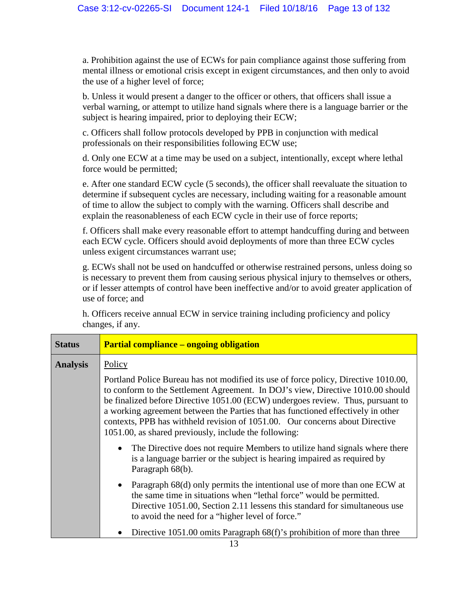a. Prohibition against the use of ECWs for pain compliance against those suffering from mental illness or emotional crisis except in exigent circumstances, and then only to avoid the use of a higher level of force;

b. Unless it would present a danger to the officer or others, that officers shall issue a verbal warning, or attempt to utilize hand signals where there is a language barrier or the subject is hearing impaired, prior to deploying their ECW;

c. Officers shall follow protocols developed by PPB in conjunction with medical professionals on their responsibilities following ECW use;

d. Only one ECW at a time may be used on a subject, intentionally, except where lethal force would be permitted;

e. After one standard ECW cycle (5 seconds), the officer shall reevaluate the situation to determine if subsequent cycles are necessary, including waiting for a reasonable amount of time to allow the subject to comply with the warning. Officers shall describe and explain the reasonableness of each ECW cycle in their use of force reports;

f. Officers shall make every reasonable effort to attempt handcuffing during and between each ECW cycle. Officers should avoid deployments of more than three ECW cycles unless exigent circumstances warrant use;

g. ECWs shall not be used on handcuffed or otherwise restrained persons, unless doing so is necessary to prevent them from causing serious physical injury to themselves or others, or if lesser attempts of control have been ineffective and/or to avoid greater application of use of force; and

h. Officers receive annual ECW in service training including proficiency and policy changes, if any.

| <b>Status</b>   | <b>Partial compliance – ongoing obligation</b>                                                                                                                                                                                                                                                                                                                                                                                                                                                                                                                                                                                                               |  |
|-----------------|--------------------------------------------------------------------------------------------------------------------------------------------------------------------------------------------------------------------------------------------------------------------------------------------------------------------------------------------------------------------------------------------------------------------------------------------------------------------------------------------------------------------------------------------------------------------------------------------------------------------------------------------------------------|--|
| <b>Analysis</b> | Policy                                                                                                                                                                                                                                                                                                                                                                                                                                                                                                                                                                                                                                                       |  |
|                 | Portland Police Bureau has not modified its use of force policy, Directive 1010.00,<br>to conform to the Settlement Agreement. In DOJ's view, Directive 1010.00 should<br>be finalized before Directive 1051.00 (ECW) undergoes review. Thus, pursuant to<br>a working agreement between the Parties that has functioned effectively in other<br>contexts, PPB has withheld revision of 1051.00. Our concerns about Directive<br>1051.00, as shared previously, include the following:<br>The Directive does not require Members to utilize hand signals where there<br>$\bullet$<br>is a language barrier or the subject is hearing impaired as required by |  |
|                 | Paragraph 68(b).                                                                                                                                                                                                                                                                                                                                                                                                                                                                                                                                                                                                                                             |  |
|                 | • Paragraph $68(d)$ only permits the intentional use of more than one ECW at<br>the same time in situations when "lethal force" would be permitted.<br>Directive 1051.00, Section 2.11 lessens this standard for simultaneous use<br>to avoid the need for a "higher level of force."                                                                                                                                                                                                                                                                                                                                                                        |  |
|                 | Directive 1051.00 omits Paragraph 68(f)'s prohibition of more than three                                                                                                                                                                                                                                                                                                                                                                                                                                                                                                                                                                                     |  |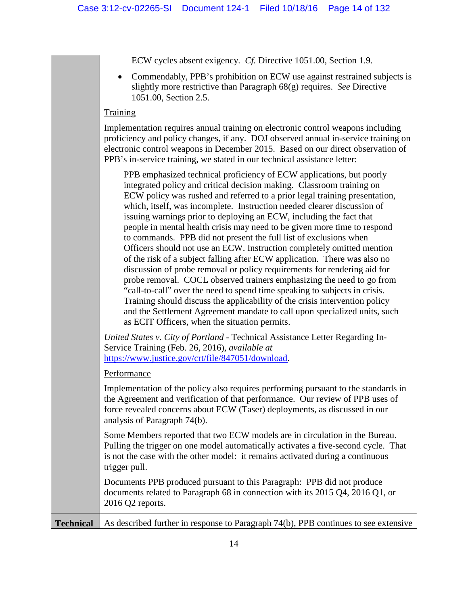|  | ECW cycles absent exigency. Cf. Directive 1051.00, Section 1.9. |
|--|-----------------------------------------------------------------|
|  |                                                                 |

• Commendably, PPB's prohibition on ECW use against restrained subjects is slightly more restrictive than Paragraph 68(g) requires. *See* Directive 1051.00, Section 2.5.

#### **Training**

Implementation requires annual training on electronic control weapons including proficiency and policy changes, if any. DOJ observed annual in-service training on electronic control weapons in December 2015. Based on our direct observation of PPB's in-service training, we stated in our technical assistance letter:

PPB emphasized technical proficiency of ECW applications, but poorly integrated policy and critical decision making. Classroom training on ECW policy was rushed and referred to a prior legal training presentation, which, itself, was incomplete. Instruction needed clearer discussion of issuing warnings prior to deploying an ECW, including the fact that people in mental health crisis may need to be given more time to respond to commands. PPB did not present the full list of exclusions when Officers should not use an ECW. Instruction completely omitted mention of the risk of a subject falling after ECW application. There was also no discussion of probe removal or policy requirements for rendering aid for probe removal. COCL observed trainers emphasizing the need to go from "call-to-call" over the need to spend time speaking to subjects in crisis. Training should discuss the applicability of the crisis intervention policy and the Settlement Agreement mandate to call upon specialized units, such as ECIT Officers, when the situation permits.

*United States v. City of Portland* - Technical Assistance Letter Regarding In-Service Training (Feb. 26, 2016), *available at*  [https://www.justice.gov/crt/file/847051/download.](https://www.justice.gov/crt/file/847051/download)

## **Performance**

Implementation of the policy also requires performing pursuant to the standards in the Agreement and verification of that performance. Our review of PPB uses of force revealed concerns about ECW (Taser) deployments, as discussed in our analysis of Paragraph 74(b).

Some Members reported that two ECW models are in circulation in the Bureau. Pulling the trigger on one model automatically activates a five-second cycle. That is not the case with the other model: it remains activated during a continuous trigger pull.

Documents PPB produced pursuant to this Paragraph: PPB did not produce documents related to Paragraph 68 in connection with its 2015 Q4, 2016 Q1, or 2016 Q2 reports.

**Technical** As described further in response to Paragraph 74(b), PPB continues to see extensive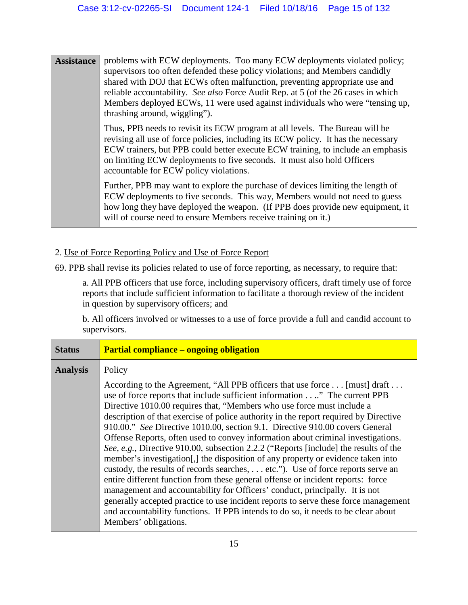**Assistance** problems with ECW deployments. Too many ECW deployments violated policy; supervisors too often defended these policy violations; and Members candidly shared with DOJ that ECWs often malfunction, preventing appropriate use and reliable accountability. *See also* Force Audit Rep. at 5 (of the 26 cases in which Members deployed ECWs, 11 were used against individuals who were "tensing up, thrashing around, wiggling"). Thus, PPB needs to revisit its ECW program at all levels. The Bureau will be revising all use of force policies, including its ECW policy. It has the necessary ECW trainers, but PPB could better execute ECW training, to include an emphasis on limiting ECW deployments to five seconds. It must also hold Officers accountable for ECW policy violations. Further, PPB may want to explore the purchase of devices limiting the length of ECW deployments to five seconds. This way, Members would not need to guess how long they have deployed the weapon. (If PPB does provide new equipment, it

## 2. Use of Force Reporting Policy and Use of Force Report

69. PPB shall revise its policies related to use of force reporting, as necessary, to require that:

will of course need to ensure Members receive training on it.)

a. All PPB officers that use force, including supervisory officers, draft timely use of force reports that include sufficient information to facilitate a thorough review of the incident in question by supervisory officers; and

b. All officers involved or witnesses to a use of force provide a full and candid account to supervisors.

| <b>Status</b>   | <b>Partial compliance – ongoing obligation</b>                                                                                                                                                                                                                                                                                                                                                                                                                                                                                                                                                                                                                                                                                                                                                                                                                                                                                                                                                                                                                                                                                      |
|-----------------|-------------------------------------------------------------------------------------------------------------------------------------------------------------------------------------------------------------------------------------------------------------------------------------------------------------------------------------------------------------------------------------------------------------------------------------------------------------------------------------------------------------------------------------------------------------------------------------------------------------------------------------------------------------------------------------------------------------------------------------------------------------------------------------------------------------------------------------------------------------------------------------------------------------------------------------------------------------------------------------------------------------------------------------------------------------------------------------------------------------------------------------|
| <b>Analysis</b> | Policy                                                                                                                                                                                                                                                                                                                                                                                                                                                                                                                                                                                                                                                                                                                                                                                                                                                                                                                                                                                                                                                                                                                              |
|                 | According to the Agreement, "All PPB officers that use force [must] draft<br>use of force reports that include sufficient information." The current PPB<br>Directive 1010.00 requires that, "Members who use force must include a<br>description of that exercise of police authority in the report required by Directive<br>910.00." See Directive 1010.00, section 9.1. Directive 910.00 covers General<br>Offense Reports, often used to convey information about criminal investigations.<br>See, e.g., Directive 910.00, subsection 2.2.2 ("Reports [include] the results of the<br>member's investigation. I the disposition of any property or evidence taken into<br>custody, the results of records searches, etc."). Use of force reports serve an<br>entire different function from these general offense or incident reports: force<br>management and accountability for Officers' conduct, principally. It is not<br>generally accepted practice to use incident reports to serve these force management<br>and accountability functions. If PPB intends to do so, it needs to be clear about<br>Members' obligations. |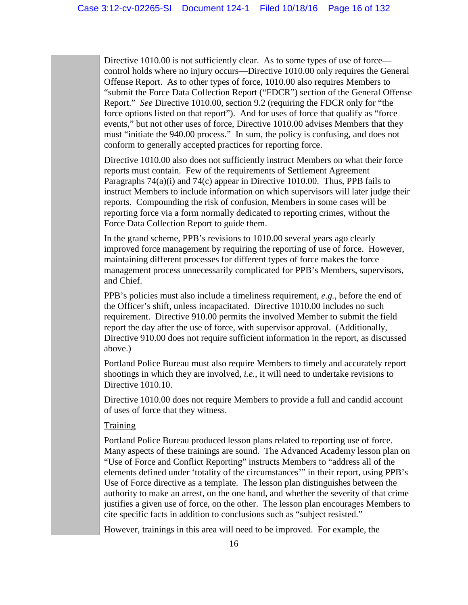Directive 1010.00 is not sufficiently clear. As to some types of use of force control holds where no injury occurs—Directive 1010.00 only requires the General Offense Report. As to other types of force, 1010.00 also requires Members to "submit the Force Data Collection Report ("FDCR") section of the General Offense Report." *See* Directive 1010.00, section 9.2 (requiring the FDCR only for "the force options listed on that report"). And for uses of force that qualify as "force events," but not other uses of force, Directive 1010.00 advises Members that they must "initiate the 940.00 process." In sum, the policy is confusing, and does not conform to generally accepted practices for reporting force.

Directive 1010.00 also does not sufficiently instruct Members on what their force reports must contain. Few of the requirements of Settlement Agreement Paragraphs  $74(a)(i)$  and  $74(c)$  appear in Directive 1010.00. Thus, PPB fails to instruct Members to include information on which supervisors will later judge their reports. Compounding the risk of confusion, Members in some cases will be reporting force via a form normally dedicated to reporting crimes, without the Force Data Collection Report to guide them.

In the grand scheme, PPB's revisions to 1010.00 several years ago clearly improved force management by requiring the reporting of use of force. However, maintaining different processes for different types of force makes the force management process unnecessarily complicated for PPB's Members, supervisors, and Chief.

PPB's policies must also include a timeliness requirement, *e.g.*, before the end of the Officer's shift, unless incapacitated. Directive 1010.00 includes no such requirement. Directive 910.00 permits the involved Member to submit the field report the day after the use of force, with supervisor approval. (Additionally, Directive 910.00 does not require sufficient information in the report, as discussed above.)

Portland Police Bureau must also require Members to timely and accurately report shootings in which they are involved, *i.e.*, it will need to undertake revisions to Directive 1010.10.

Directive 1010.00 does not require Members to provide a full and candid account of uses of force that they witness.

## **Training**

Portland Police Bureau produced lesson plans related to reporting use of force. Many aspects of these trainings are sound. The Advanced Academy lesson plan on "Use of Force and Conflict Reporting" instructs Members to "address all of the elements defined under 'totality of the circumstances'" in their report, using PPB's Use of Force directive as a template. The lesson plan distinguishes between the authority to make an arrest, on the one hand, and whether the severity of that crime justifies a given use of force, on the other. The lesson plan encourages Members to cite specific facts in addition to conclusions such as "subject resisted."

However, trainings in this area will need to be improved. For example, the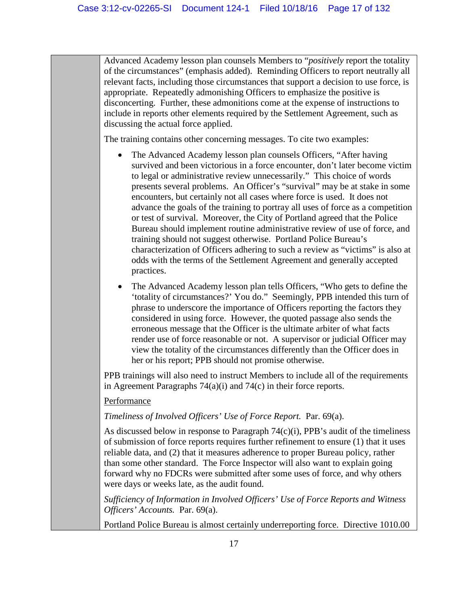Advanced Academy lesson plan counsels Members to "*positively* report the totality of the circumstances" (emphasis added). Reminding Officers to report neutrally all relevant facts, including those circumstances that support a decision to use force, is appropriate. Repeatedly admonishing Officers to emphasize the positive is disconcerting. Further, these admonitions come at the expense of instructions to include in reports other elements required by the Settlement Agreement, such as discussing the actual force applied.

The training contains other concerning messages. To cite two examples:

- The Advanced Academy lesson plan counsels Officers, "After having survived and been victorious in a force encounter, don't later become victim to legal or administrative review unnecessarily." This choice of words presents several problems. An Officer's "survival" may be at stake in some encounters, but certainly not all cases where force is used. It does not advance the goals of the training to portray all uses of force as a competition or test of survival. Moreover, the City of Portland agreed that the Police Bureau should implement routine administrative review of use of force, and training should not suggest otherwise. Portland Police Bureau's characterization of Officers adhering to such a review as "victims" is also at odds with the terms of the Settlement Agreement and generally accepted practices.
- The Advanced Academy lesson plan tells Officers, "Who gets to define the 'totality of circumstances?' You do." Seemingly, PPB intended this turn of phrase to underscore the importance of Officers reporting the factors they considered in using force. However, the quoted passage also sends the erroneous message that the Officer is the ultimate arbiter of what facts render use of force reasonable or not. A supervisor or judicial Officer may view the totality of the circumstances differently than the Officer does in her or his report; PPB should not promise otherwise.

PPB trainings will also need to instruct Members to include all of the requirements in Agreement Paragraphs 74(a)(i) and 74(c) in their force reports.

## Performance

*Timeliness of Involved Officers' Use of Force Report.* Par. 69(a).

As discussed below in response to Paragraph  $74(c)(i)$ , PPB's audit of the timeliness of submission of force reports requires further refinement to ensure (1) that it uses reliable data, and (2) that it measures adherence to proper Bureau policy, rather than some other standard. The Force Inspector will also want to explain going forward why no FDCRs were submitted after some uses of force, and why others were days or weeks late, as the audit found.

*Sufficiency of Information in Involved Officers' Use of Force Reports and Witness Officers' Accounts.* Par. 69(a).

Portland Police Bureau is almost certainly underreporting force. Directive 1010.00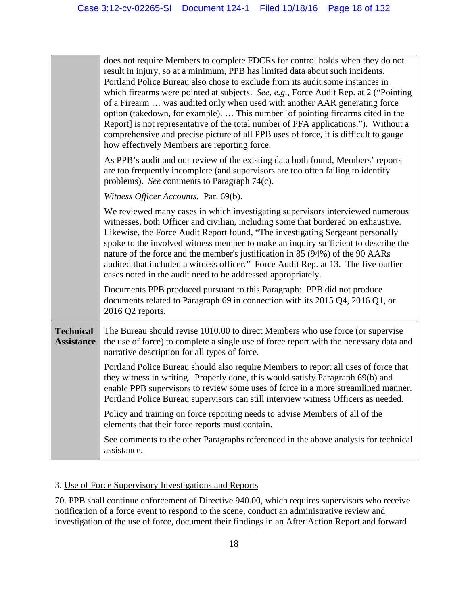|                                       | does not require Members to complete FDCRs for control holds when they do not<br>result in injury, so at a minimum, PPB has limited data about such incidents.<br>Portland Police Bureau also chose to exclude from its audit some instances in<br>which firearms were pointed at subjects. See, e.g., Force Audit Rep. at 2 ("Pointing<br>of a Firearm  was audited only when used with another AAR generating force<br>option (takedown, for example).  This number [of pointing firearms cited in the<br>Report] is not representative of the total number of PFA applications."). Without a<br>comprehensive and precise picture of all PPB uses of force, it is difficult to gauge<br>how effectively Members are reporting force. |
|---------------------------------------|-----------------------------------------------------------------------------------------------------------------------------------------------------------------------------------------------------------------------------------------------------------------------------------------------------------------------------------------------------------------------------------------------------------------------------------------------------------------------------------------------------------------------------------------------------------------------------------------------------------------------------------------------------------------------------------------------------------------------------------------|
|                                       | As PPB's audit and our review of the existing data both found, Members' reports<br>are too frequently incomplete (and supervisors are too often failing to identify<br>problems). See comments to Paragraph 74(c).                                                                                                                                                                                                                                                                                                                                                                                                                                                                                                                      |
|                                       | Witness Officer Accounts. Par. 69(b).                                                                                                                                                                                                                                                                                                                                                                                                                                                                                                                                                                                                                                                                                                   |
|                                       | We reviewed many cases in which investigating supervisors interviewed numerous<br>witnesses, both Officer and civilian, including some that bordered on exhaustive.<br>Likewise, the Force Audit Report found, "The investigating Sergeant personally<br>spoke to the involved witness member to make an inquiry sufficient to describe the<br>nature of the force and the member's justification in 85 (94%) of the 90 AARs<br>audited that included a witness officer." Force Audit Rep. at 13. The five outlier<br>cases noted in the audit need to be addressed appropriately.                                                                                                                                                      |
|                                       | Documents PPB produced pursuant to this Paragraph: PPB did not produce<br>documents related to Paragraph 69 in connection with its 2015 Q4, 2016 Q1, or<br>2016 Q2 reports.                                                                                                                                                                                                                                                                                                                                                                                                                                                                                                                                                             |
| <b>Technical</b><br><b>Assistance</b> | The Bureau should revise 1010.00 to direct Members who use force (or supervise<br>the use of force) to complete a single use of force report with the necessary data and<br>narrative description for all types of force.                                                                                                                                                                                                                                                                                                                                                                                                                                                                                                               |
|                                       | Portland Police Bureau should also require Members to report all uses of force that<br>they witness in writing. Properly done, this would satisfy Paragraph 69(b) and<br>enable PPB supervisors to review some uses of force in a more streamlined manner.<br>Portland Police Bureau supervisors can still interview witness Officers as needed.                                                                                                                                                                                                                                                                                                                                                                                        |
|                                       | Policy and training on force reporting needs to advise Members of all of the<br>elements that their force reports must contain.                                                                                                                                                                                                                                                                                                                                                                                                                                                                                                                                                                                                         |
|                                       | See comments to the other Paragraphs referenced in the above analysis for technical<br>assistance.                                                                                                                                                                                                                                                                                                                                                                                                                                                                                                                                                                                                                                      |

## 3. Use of Force Supervisory Investigations and Reports

70. PPB shall continue enforcement of Directive 940.00, which requires supervisors who receive notification of a force event to respond to the scene, conduct an administrative review and investigation of the use of force, document their findings in an After Action Report and forward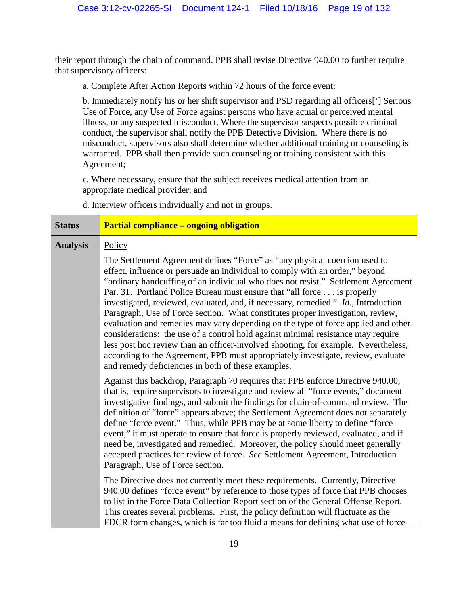their report through the chain of command. PPB shall revise Directive 940.00 to further require that supervisory officers:

a. Complete After Action Reports within 72 hours of the force event;

b. Immediately notify his or her shift supervisor and PSD regarding all officers['] Serious Use of Force, any Use of Force against persons who have actual or perceived mental illness, or any suspected misconduct. Where the supervisor suspects possible criminal conduct, the supervisor shall notify the PPB Detective Division. Where there is no misconduct, supervisors also shall determine whether additional training or counseling is warranted. PPB shall then provide such counseling or training consistent with this Agreement;

c. Where necessary, ensure that the subject receives medical attention from an appropriate medical provider; and

d. Interview officers individually and not in groups.

| <b>Status</b>   | <b>Partial compliance - ongoing obligation</b>                                                                                                                                                                                                                                                                                                                                                                                                                                                                                                                                                                                                                                                                                                 |
|-----------------|------------------------------------------------------------------------------------------------------------------------------------------------------------------------------------------------------------------------------------------------------------------------------------------------------------------------------------------------------------------------------------------------------------------------------------------------------------------------------------------------------------------------------------------------------------------------------------------------------------------------------------------------------------------------------------------------------------------------------------------------|
| <b>Analysis</b> | Policy<br>The Settlement Agreement defines "Force" as "any physical coercion used to<br>effect, influence or persuade an individual to comply with an order," beyond                                                                                                                                                                                                                                                                                                                                                                                                                                                                                                                                                                           |
|                 | "ordinary handcuffing of an individual who does not resist." Settlement Agreement<br>Par. 31. Portland Police Bureau must ensure that "all force is properly<br>investigated, reviewed, evaluated, and, if necessary, remedied." Id., Introduction<br>Paragraph, Use of Force section. What constitutes proper investigation, review,<br>evaluation and remedies may vary depending on the type of force applied and other<br>considerations: the use of a control hold against minimal resistance may require<br>less post hoc review than an officer-involved shooting, for example. Nevertheless,<br>according to the Agreement, PPB must appropriately investigate, review, evaluate<br>and remedy deficiencies in both of these examples. |
|                 | Against this backdrop, Paragraph 70 requires that PPB enforce Directive 940.00,<br>that is, require supervisors to investigate and review all "force events," document<br>investigative findings, and submit the findings for chain-of-command review. The<br>definition of "force" appears above; the Settlement Agreement does not separately<br>define "force event." Thus, while PPB may be at some liberty to define "force<br>event," it must operate to ensure that force is properly reviewed, evaluated, and if<br>need be, investigated and remedied. Moreover, the policy should meet generally<br>accepted practices for review of force. See Settlement Agreement, Introduction<br>Paragraph, Use of Force section.               |
|                 | The Directive does not currently meet these requirements. Currently, Directive<br>940.00 defines "force event" by reference to those types of force that PPB chooses<br>to list in the Force Data Collection Report section of the General Offense Report.<br>This creates several problems. First, the policy definition will fluctuate as the<br>FDCR form changes, which is far too fluid a means for defining what use of force                                                                                                                                                                                                                                                                                                            |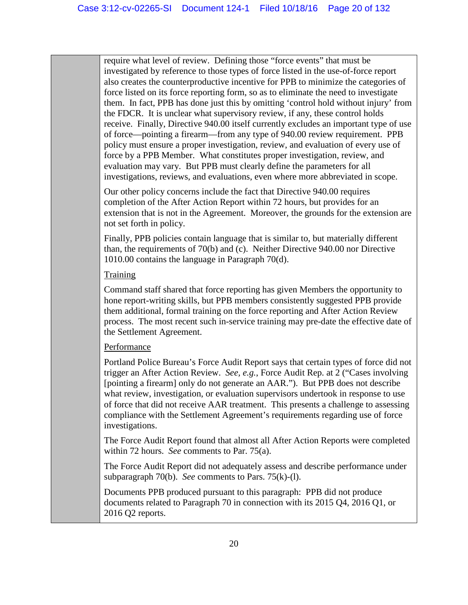require what level of review. Defining those "force events" that must be investigated by reference to those types of force listed in the use-of-force report also creates the counterproductive incentive for PPB to minimize the categories of force listed on its force reporting form, so as to eliminate the need to investigate them. In fact, PPB has done just this by omitting 'control hold without injury' from the FDCR. It is unclear what supervisory review, if any, these control holds receive. Finally, Directive 940.00 itself currently excludes an important type of use of force—pointing a firearm—from any type of 940.00 review requirement. PPB policy must ensure a proper investigation, review, and evaluation of every use of force by a PPB Member. What constitutes proper investigation, review, and evaluation may vary. But PPB must clearly define the parameters for all investigations, reviews, and evaluations, even where more abbreviated in scope.

Our other policy concerns include the fact that Directive 940.00 requires completion of the After Action Report within 72 hours, but provides for an extension that is not in the Agreement. Moreover, the grounds for the extension are not set forth in policy.

Finally, PPB policies contain language that is similar to, but materially different than, the requirements of 70(b) and (c). Neither Directive 940.00 nor Directive 1010.00 contains the language in Paragraph 70(d).

## **Training**

Command staff shared that force reporting has given Members the opportunity to hone report-writing skills, but PPB members consistently suggested PPB provide them additional, formal training on the force reporting and After Action Review process. The most recent such in-service training may pre-date the effective date of the Settlement Agreement.

## Performance

Portland Police Bureau's Force Audit Report says that certain types of force did not trigger an After Action Review. *See, e.g.*, Force Audit Rep. at 2 ("Cases involving [pointing a firearm] only do not generate an AAR."). But PPB does not describe what review, investigation, or evaluation supervisors undertook in response to use of force that did not receive AAR treatment. This presents a challenge to assessing compliance with the Settlement Agreement's requirements regarding use of force investigations.

The Force Audit Report found that almost all After Action Reports were completed within 72 hours. *See* comments to Par. 75(a).

The Force Audit Report did not adequately assess and describe performance under subparagraph 70(b). *See* comments to Pars. 75(k)-(l).

Documents PPB produced pursuant to this paragraph: PPB did not produce documents related to Paragraph 70 in connection with its 2015 Q4, 2016 Q1, or 2016 Q2 reports.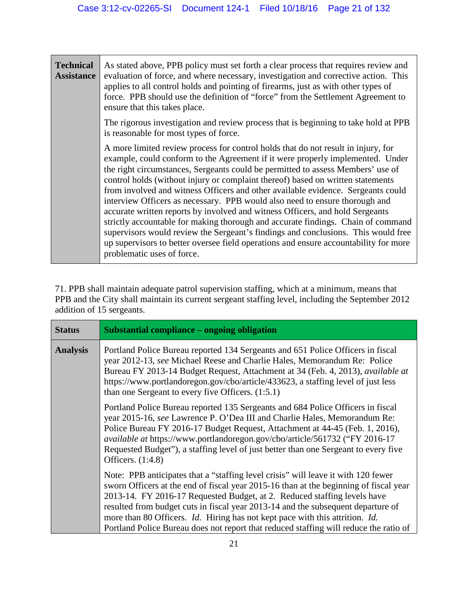| <b>Technical</b><br><b>Assistance</b> | As stated above, PPB policy must set forth a clear process that requires review and<br>evaluation of force, and where necessary, investigation and corrective action. This<br>applies to all control holds and pointing of firearms, just as with other types of<br>force. PPB should use the definition of "force" from the Settlement Agreement to<br>ensure that this takes place.                                                                                                                                                                                                                                                                                                                                                                                                                                                                                                        |
|---------------------------------------|----------------------------------------------------------------------------------------------------------------------------------------------------------------------------------------------------------------------------------------------------------------------------------------------------------------------------------------------------------------------------------------------------------------------------------------------------------------------------------------------------------------------------------------------------------------------------------------------------------------------------------------------------------------------------------------------------------------------------------------------------------------------------------------------------------------------------------------------------------------------------------------------|
|                                       | The rigorous investigation and review process that is beginning to take hold at PPB<br>is reasonable for most types of force.                                                                                                                                                                                                                                                                                                                                                                                                                                                                                                                                                                                                                                                                                                                                                                |
|                                       | A more limited review process for control holds that do not result in injury, for<br>example, could conform to the Agreement if it were properly implemented. Under<br>the right circumstances, Sergeants could be permitted to assess Members' use of<br>control holds (without injury or complaint thereof) based on written statements<br>from involved and witness Officers and other available evidence. Sergeants could<br>interview Officers as necessary. PPB would also need to ensure thorough and<br>accurate written reports by involved and witness Officers, and hold Sergeants<br>strictly accountable for making thorough and accurate findings. Chain of command<br>supervisors would review the Sergeant's findings and conclusions. This would free<br>up supervisors to better oversee field operations and ensure accountability for more<br>problematic uses of force. |

71. PPB shall maintain adequate patrol supervision staffing, which at a minimum, means that PPB and the City shall maintain its current sergeant staffing level, including the September 2012 addition of 15 sergeants.

| <b>Status</b>   | Substantial compliance – ongoing obligation                                                                                                                                                                                                                                                                                                                                                                                                                                                                                       |
|-----------------|-----------------------------------------------------------------------------------------------------------------------------------------------------------------------------------------------------------------------------------------------------------------------------------------------------------------------------------------------------------------------------------------------------------------------------------------------------------------------------------------------------------------------------------|
| <b>Analysis</b> | Portland Police Bureau reported 134 Sergeants and 651 Police Officers in fiscal<br>year 2012-13, see Michael Reese and Charlie Hales, Memorandum Re: Police<br>Bureau FY 2013-14 Budget Request, Attachment at 34 (Feb. 4, 2013), available at<br>https://www.portlandoregon.gov/cbo/article/433623, a staffing level of just less<br>than one Sergeant to every five Officers. $(1:5.1)$                                                                                                                                         |
|                 | Portland Police Bureau reported 135 Sergeants and 684 Police Officers in fiscal<br>year 2015-16, see Lawrence P. O'Dea III and Charlie Hales, Memorandum Re:<br>Police Bureau FY 2016-17 Budget Request, Attachment at 44-45 (Feb. 1, 2016),<br><i>available at https://www.portlandoregon.gov/cbo/article/561732 ("FY 2016-17</i><br>Requested Budget"), a staffing level of just better than one Sergeant to every five<br>Officers. $(1:4.8)$                                                                                  |
|                 | Note: PPB anticipates that a "staffing level crisis" will leave it with 120 fewer<br>sworn Officers at the end of fiscal year 2015-16 than at the beginning of fiscal year<br>2013-14. FY 2016-17 Requested Budget, at 2. Reduced staffing levels have<br>resulted from budget cuts in fiscal year 2013-14 and the subsequent departure of<br>more than 80 Officers. <i>Id.</i> Hiring has not kept pace with this attrition. <i>Id.</i><br>Portland Police Bureau does not report that reduced staffing will reduce the ratio of |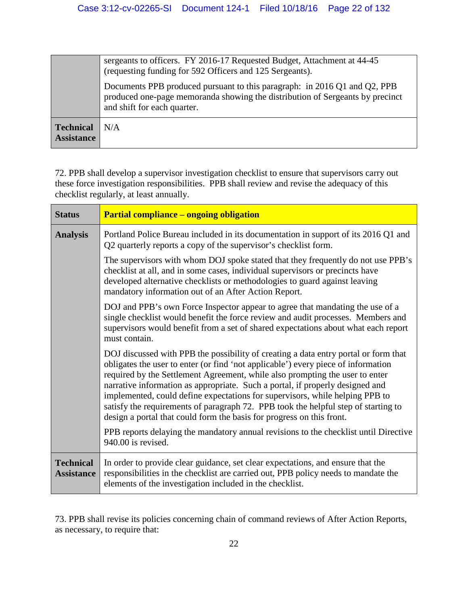|                                       | sergeants to officers. FY 2016-17 Requested Budget, Attachment at 44-45<br>(requesting funding for 592 Officers and 125 Sergeants).                                                       |
|---------------------------------------|-------------------------------------------------------------------------------------------------------------------------------------------------------------------------------------------|
|                                       | Documents PPB produced pursuant to this paragraph: in 2016 Q1 and Q2, PPB<br>produced one-page memoranda showing the distribution of Sergeants by precinct<br>and shift for each quarter. |
| <b>Technical</b><br><b>Assistance</b> | N/A                                                                                                                                                                                       |

72. PPB shall develop a supervisor investigation checklist to ensure that supervisors carry out these force investigation responsibilities. PPB shall review and revise the adequacy of this checklist regularly, at least annually.

| <b>Status</b>                         | <b>Partial compliance – ongoing obligation</b>                                                                                                                                                                                                                                                                                                                                                                                                                                                                                                                                           |
|---------------------------------------|------------------------------------------------------------------------------------------------------------------------------------------------------------------------------------------------------------------------------------------------------------------------------------------------------------------------------------------------------------------------------------------------------------------------------------------------------------------------------------------------------------------------------------------------------------------------------------------|
| <b>Analysis</b>                       | Portland Police Bureau included in its documentation in support of its 2016 Q1 and<br>Q2 quarterly reports a copy of the supervisor's checklist form.                                                                                                                                                                                                                                                                                                                                                                                                                                    |
|                                       | The supervisors with whom DOJ spoke stated that they frequently do not use PPB's<br>checklist at all, and in some cases, individual supervisors or precincts have<br>developed alternative checklists or methodologies to guard against leaving<br>mandatory information out of an After Action Report.                                                                                                                                                                                                                                                                                  |
|                                       | DOJ and PPB's own Force Inspector appear to agree that mandating the use of a<br>single checklist would benefit the force review and audit processes. Members and<br>supervisors would benefit from a set of shared expectations about what each report<br>must contain.                                                                                                                                                                                                                                                                                                                 |
|                                       | DOJ discussed with PPB the possibility of creating a data entry portal or form that<br>obligates the user to enter (or find 'not applicable') every piece of information<br>required by the Settlement Agreement, while also prompting the user to enter<br>narrative information as appropriate. Such a portal, if properly designed and<br>implemented, could define expectations for supervisors, while helping PPB to<br>satisfy the requirements of paragraph 72. PPB took the helpful step of starting to<br>design a portal that could form the basis for progress on this front. |
|                                       | PPB reports delaying the mandatory annual revisions to the checklist until Directive<br>940.00 is revised.                                                                                                                                                                                                                                                                                                                                                                                                                                                                               |
| <b>Technical</b><br><b>Assistance</b> | In order to provide clear guidance, set clear expectations, and ensure that the<br>responsibilities in the checklist are carried out, PPB policy needs to mandate the<br>elements of the investigation included in the checklist.                                                                                                                                                                                                                                                                                                                                                        |

73. PPB shall revise its policies concerning chain of command reviews of After Action Reports, as necessary, to require that: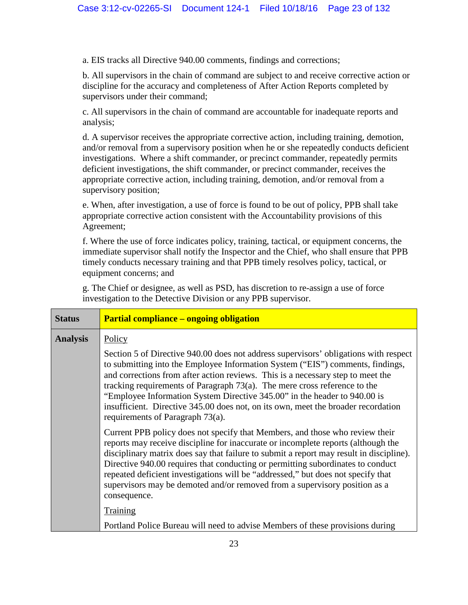a. EIS tracks all Directive 940.00 comments, findings and corrections;

b. All supervisors in the chain of command are subject to and receive corrective action or discipline for the accuracy and completeness of After Action Reports completed by supervisors under their command;

c. All supervisors in the chain of command are accountable for inadequate reports and analysis;

d. A supervisor receives the appropriate corrective action, including training, demotion, and/or removal from a supervisory position when he or she repeatedly conducts deficient investigations. Where a shift commander, or precinct commander, repeatedly permits deficient investigations, the shift commander, or precinct commander, receives the appropriate corrective action, including training, demotion, and/or removal from a supervisory position;

e. When, after investigation, a use of force is found to be out of policy, PPB shall take appropriate corrective action consistent with the Accountability provisions of this Agreement;

f. Where the use of force indicates policy, training, tactical, or equipment concerns, the immediate supervisor shall notify the Inspector and the Chief, who shall ensure that PPB timely conducts necessary training and that PPB timely resolves policy, tactical, or equipment concerns; and

g. The Chief or designee, as well as PSD, has discretion to re-assign a use of force investigation to the Detective Division or any PPB supervisor.

| <b>Partial compliance – ongoing obligation</b>                                                                                                                                                                                                                                                                                                                                                                                                                                                                                                  |
|-------------------------------------------------------------------------------------------------------------------------------------------------------------------------------------------------------------------------------------------------------------------------------------------------------------------------------------------------------------------------------------------------------------------------------------------------------------------------------------------------------------------------------------------------|
| Policy                                                                                                                                                                                                                                                                                                                                                                                                                                                                                                                                          |
| Section 5 of Directive 940.00 does not address supervisors' obligations with respect<br>to submitting into the Employee Information System ("EIS") comments, findings,<br>and corrections from after action reviews. This is a necessary step to meet the<br>tracking requirements of Paragraph $73(a)$ . The mere cross reference to the<br>"Employee Information System Directive 345.00" in the header to 940.00 is<br>insufficient. Directive 345.00 does not, on its own, meet the broader recordation<br>requirements of Paragraph 73(a). |
| Current PPB policy does not specify that Members, and those who review their<br>reports may receive discipline for inaccurate or incomplete reports (although the<br>disciplinary matrix does say that failure to submit a report may result in discipline).<br>Directive 940.00 requires that conducting or permitting subordinates to conduct<br>repeated deficient investigations will be "addressed," but does not specify that<br>supervisors may be demoted and/or removed from a supervisory position as a<br>consequence.               |
| Training<br>Portland Police Bureau will need to advise Members of these provisions during                                                                                                                                                                                                                                                                                                                                                                                                                                                       |
|                                                                                                                                                                                                                                                                                                                                                                                                                                                                                                                                                 |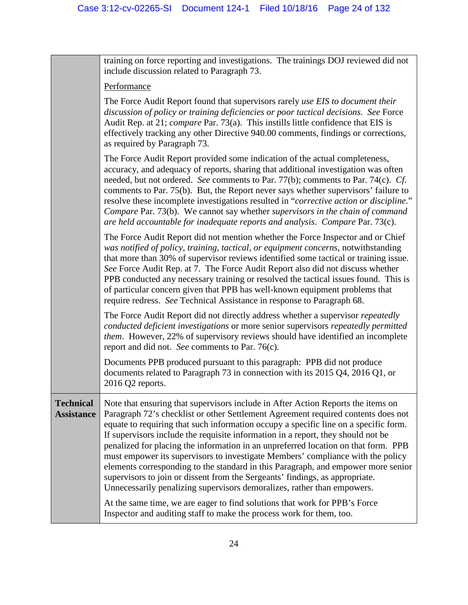training on force reporting and investigations. The trainings DOJ reviewed did not include discussion related to Paragraph 73. Performance

The Force Audit Report found that supervisors rarely *use EIS to document their discussion of policy or training deficiencies or poor tactical decisions*. *See* Force Audit Rep. at 21; *compare* Par. 73(a). This instills little confidence that EIS is effectively tracking any other Directive 940.00 comments, findings or corrections, as required by Paragraph 73.

The Force Audit Report provided some indication of the actual completeness, accuracy, and adequacy of reports, sharing that additional investigation was often needed, but not ordered. *See* comments to Par. 77(b); comments to Par. 74(c). *Cf.* comments to Par. 75(b). But, the Report never says whether supervisors' failure to resolve these incomplete investigations resulted in "*corrective action or discipline*." *Compare* Par. 73(b). We cannot say whether *supervisors in the chain of command are held accountable for inadequate reports and analysis*. *Compare* Par. 73(c).

The Force Audit Report did not mention whether the Force Inspector and or Chief *was notified of policy, training, tactical, or equipment concerns*, notwithstanding that more than 30% of supervisor reviews identified some tactical or training issue. *See* Force Audit Rep. at 7. The Force Audit Report also did not discuss whether PPB conducted any necessary training or resolved the tactical issues found. This is of particular concern given that PPB has well-known equipment problems that require redress. *See* Technical Assistance in response to Paragraph 68.

The Force Audit Report did not directly address whether a supervisor *repeatedly conducted deficient investigations* or more senior supervisors *repeatedly permitted them*. However, 22% of supervisory reviews should have identified an incomplete report and did not. *See* comments to Par. 76(c).

Documents PPB produced pursuant to this paragraph: PPB did not produce documents related to Paragraph 73 in connection with its 2015 Q4, 2016 Q1, or 2016 Q2 reports.

**Technical Assistance** Note that ensuring that supervisors include in After Action Reports the items on Paragraph 72's checklist or other Settlement Agreement required contents does not equate to requiring that such information occupy a specific line on a specific form. If supervisors include the requisite information in a report, they should not be penalized for placing the information in an unpreferred location on that form. PPB must empower its supervisors to investigate Members' compliance with the policy elements corresponding to the standard in this Paragraph, and empower more senior supervisors to join or dissent from the Sergeants' findings, as appropriate. Unnecessarily penalizing supervisors demoralizes, rather than empowers.

> At the same time, we are eager to find solutions that work for PPB's Force Inspector and auditing staff to make the process work for them, too.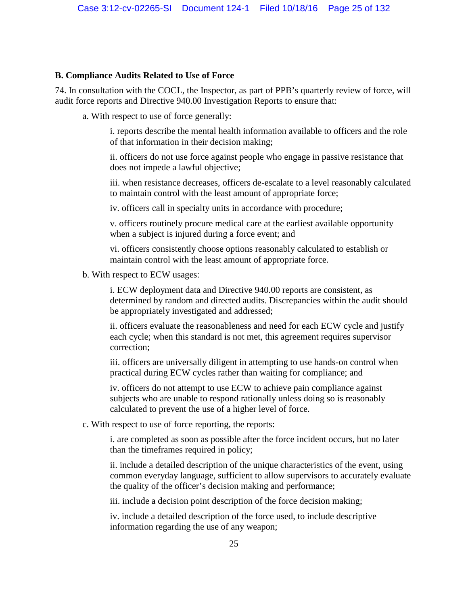#### <span id="page-24-0"></span>**B. Compliance Audits Related to Use of Force**

74. In consultation with the COCL, the Inspector, as part of PPB's quarterly review of force, will audit force reports and Directive 940.00 Investigation Reports to ensure that:

a. With respect to use of force generally:

i. reports describe the mental health information available to officers and the role of that information in their decision making;

ii. officers do not use force against people who engage in passive resistance that does not impede a lawful objective;

iii. when resistance decreases, officers de-escalate to a level reasonably calculated to maintain control with the least amount of appropriate force;

iv. officers call in specialty units in accordance with procedure;

v. officers routinely procure medical care at the earliest available opportunity when a subject is injured during a force event; and

vi. officers consistently choose options reasonably calculated to establish or maintain control with the least amount of appropriate force.

b. With respect to ECW usages:

i. ECW deployment data and Directive 940.00 reports are consistent, as determined by random and directed audits. Discrepancies within the audit should be appropriately investigated and addressed;

ii. officers evaluate the reasonableness and need for each ECW cycle and justify each cycle; when this standard is not met, this agreement requires supervisor correction;

iii. officers are universally diligent in attempting to use hands-on control when practical during ECW cycles rather than waiting for compliance; and

iv. officers do not attempt to use ECW to achieve pain compliance against subjects who are unable to respond rationally unless doing so is reasonably calculated to prevent the use of a higher level of force.

c. With respect to use of force reporting, the reports:

i. are completed as soon as possible after the force incident occurs, but no later than the timeframes required in policy;

ii. include a detailed description of the unique characteristics of the event, using common everyday language, sufficient to allow supervisors to accurately evaluate the quality of the officer's decision making and performance;

iii. include a decision point description of the force decision making;

iv. include a detailed description of the force used, to include descriptive information regarding the use of any weapon;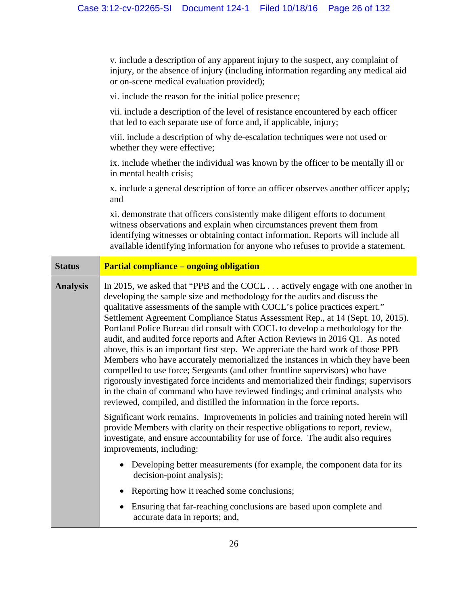v. include a description of any apparent injury to the suspect, any complaint of injury, or the absence of injury (including information regarding any medical aid or on-scene medical evaluation provided);

vi. include the reason for the initial police presence;

vii. include a description of the level of resistance encountered by each officer that led to each separate use of force and, if applicable, injury;

viii. include a description of why de-escalation techniques were not used or whether they were effective;

ix. include whether the individual was known by the officer to be mentally ill or in mental health crisis;

x. include a general description of force an officer observes another officer apply; and

xi. demonstrate that officers consistently make diligent efforts to document witness observations and explain when circumstances prevent them from identifying witnesses or obtaining contact information. Reports will include all available identifying information for anyone who refuses to provide a statement.

| <b>Status</b>   | <b>Partial compliance – ongoing obligation</b>                                                                                                                                                                                                                                                                                                                                                                                                                                                                                                                                                                                                                                                                                                                                                                                                                                                                                                                                                                    |
|-----------------|-------------------------------------------------------------------------------------------------------------------------------------------------------------------------------------------------------------------------------------------------------------------------------------------------------------------------------------------------------------------------------------------------------------------------------------------------------------------------------------------------------------------------------------------------------------------------------------------------------------------------------------------------------------------------------------------------------------------------------------------------------------------------------------------------------------------------------------------------------------------------------------------------------------------------------------------------------------------------------------------------------------------|
| <b>Analysis</b> | In 2015, we asked that "PPB and the COCL $\ldots$ actively engage with one another in<br>developing the sample size and methodology for the audits and discuss the<br>qualitative assessments of the sample with COCL's police practices expert."<br>Settlement Agreement Compliance Status Assessment Rep., at 14 (Sept. 10, 2015).<br>Portland Police Bureau did consult with COCL to develop a methodology for the<br>audit, and audited force reports and After Action Reviews in 2016 Q1. As noted<br>above, this is an important first step. We appreciate the hard work of those PPB<br>Members who have accurately memorialized the instances in which they have been<br>compelled to use force; Sergeants (and other frontline supervisors) who have<br>rigorously investigated force incidents and memorialized their findings; supervisors<br>in the chain of command who have reviewed findings; and criminal analysts who<br>reviewed, compiled, and distilled the information in the force reports. |
|                 | Significant work remains. Improvements in policies and training noted herein will<br>provide Members with clarity on their respective obligations to report, review,<br>investigate, and ensure accountability for use of force. The audit also requires<br>improvements, including:                                                                                                                                                                                                                                                                                                                                                                                                                                                                                                                                                                                                                                                                                                                              |
|                 | • Developing better measurements (for example, the component data for its<br>decision-point analysis);                                                                                                                                                                                                                                                                                                                                                                                                                                                                                                                                                                                                                                                                                                                                                                                                                                                                                                            |
|                 | Reporting how it reached some conclusions;                                                                                                                                                                                                                                                                                                                                                                                                                                                                                                                                                                                                                                                                                                                                                                                                                                                                                                                                                                        |
|                 | Ensuring that far-reaching conclusions are based upon complete and<br>accurate data in reports; and,                                                                                                                                                                                                                                                                                                                                                                                                                                                                                                                                                                                                                                                                                                                                                                                                                                                                                                              |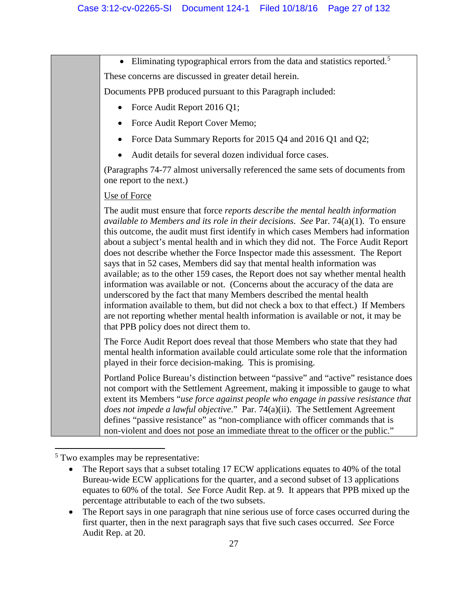• Eliminating typographical errors from the data and statistics reported.<sup>[5](#page-26-0)</sup>

These concerns are discussed in greater detail herein.

Documents PPB produced pursuant to this Paragraph included:

- Force Audit Report 2016 Q1;
- Force Audit Report Cover Memo;
- Force Data Summary Reports for 2015 Q4 and 2016 Q1 and Q2;
- Audit details for several dozen individual force cases.

(Paragraphs 74-77 almost universally referenced the same sets of documents from one report to the next.)

## Use of Force

The audit must ensure that force *reports describe the mental health information available to Members and its role in their decisions*. *See* Par. 74(a)(1). To ensure this outcome, the audit must first identify in which cases Members had information about a subject's mental health and in which they did not. The Force Audit Report does not describe whether the Force Inspector made this assessment. The Report says that in 52 cases, Members did say that mental health information was available; as to the other 159 cases, the Report does not say whether mental health information was available or not. (Concerns about the accuracy of the data are underscored by the fact that many Members described the mental health information available to them, but did not check a box to that effect.) If Members are not reporting whether mental health information is available or not, it may be that PPB policy does not direct them to.

The Force Audit Report does reveal that those Members who state that they had mental health information available could articulate some role that the information played in their force decision-making. This is promising.

Portland Police Bureau's distinction between "passive" and "active" resistance does not comport with the Settlement Agreement, making it impossible to gauge to what extent its Members "*use force against people who engage in passive resistance that does not impede a lawful objective*." Par. 74(a)(ii). The Settlement Agreement defines "passive resistance" as "non-compliance with officer commands that is non-violent and does not pose an immediate threat to the officer or the public."

<span id="page-26-0"></span> $\overline{\phantom{a}}$ <sup>5</sup> Two examples may be representative:

• The Report says that a subset totaling 17 ECW applications equates to 40% of the total Bureau-wide ECW applications for the quarter, and a second subset of 13 applications equates to 60% of the total. *See* Force Audit Rep. at 9. It appears that PPB mixed up the percentage attributable to each of the two subsets.

<sup>•</sup> The Report says in one paragraph that nine serious use of force cases occurred during the first quarter, then in the next paragraph says that five such cases occurred. *See* Force Audit Rep. at 20.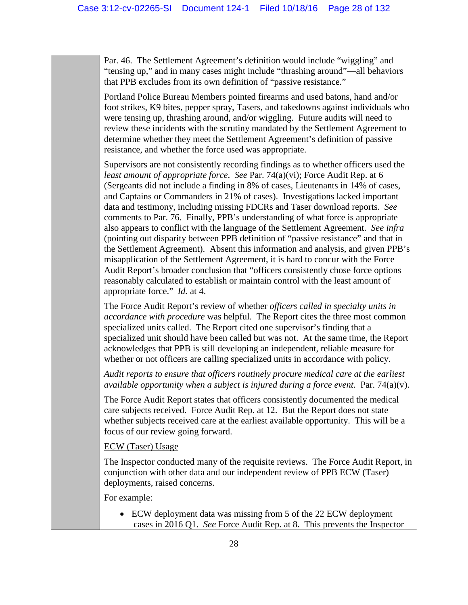Par. 46. The Settlement Agreement's definition would include "wiggling" and "tensing up," and in many cases might include "thrashing around"—all behaviors that PPB excludes from its own definition of "passive resistance."

Portland Police Bureau Members pointed firearms and used batons, hand and/or foot strikes, K9 bites, pepper spray, Tasers, and takedowns against individuals who were tensing up, thrashing around, and/or wiggling. Future audits will need to review these incidents with the scrutiny mandated by the Settlement Agreement to determine whether they meet the Settlement Agreement's definition of passive resistance, and whether the force used was appropriate.

Supervisors are not consistently recording findings as to whether officers used the *least amount of appropriate force*. *See* Par. 74(a)(vi); Force Audit Rep. at 6 (Sergeants did not include a finding in 8% of cases, Lieutenants in 14% of cases, and Captains or Commanders in 21% of cases). Investigations lacked important data and testimony, including missing FDCRs and Taser download reports. *See* comments to Par. 76. Finally, PPB's understanding of what force is appropriate also appears to conflict with the language of the Settlement Agreement. *See infra* (pointing out disparity between PPB definition of "passive resistance" and that in the Settlement Agreement). Absent this information and analysis, and given PPB's misapplication of the Settlement Agreement, it is hard to concur with the Force Audit Report's broader conclusion that "officers consistently chose force options reasonably calculated to establish or maintain control with the least amount of appropriate force." *Id.* at 4.

The Force Audit Report's review of whether *officers called in specialty units in accordance with procedure* was helpful. The Report cites the three most common specialized units called. The Report cited one supervisor's finding that a specialized unit should have been called but was not. At the same time, the Report acknowledges that PPB is still developing an independent, reliable measure for whether or not officers are calling specialized units in accordance with policy.

*Audit reports to ensure that officers routinely procure medical care at the earliest available opportunity when a subject is injured during a force event.* Par.  $74(a)(v)$ .

The Force Audit Report states that officers consistently documented the medical care subjects received. Force Audit Rep. at 12. But the Report does not state whether subjects received care at the earliest available opportunity. This will be a focus of our review going forward.

#### ECW (Taser) Usage

The Inspector conducted many of the requisite reviews. The Force Audit Report, in conjunction with other data and our independent review of PPB ECW (Taser) deployments, raised concerns.

For example:

• ECW deployment data was missing from 5 of the 22 ECW deployment cases in 2016 Q1. *See* Force Audit Rep. at 8. This prevents the Inspector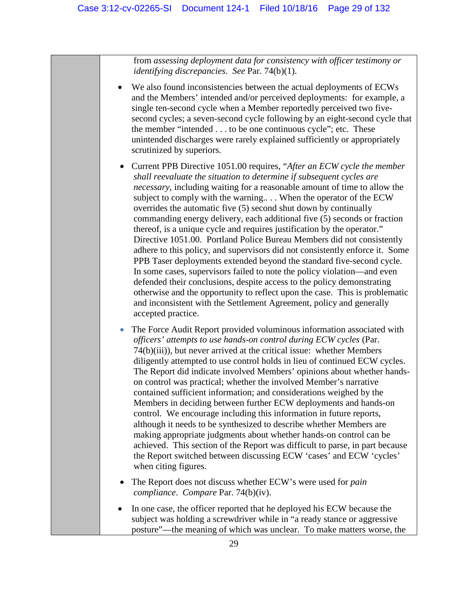from *assessing deployment data for consistency with officer testimony or identifying discrepancies*. *See* Par. 74(b)(1).

- We also found inconsistencies between the actual deployments of ECWs and the Members' intended and/or perceived deployments: for example, a single ten-second cycle when a Member reportedly perceived two fivesecond cycles; a seven-second cycle following by an eight-second cycle that the member "intended . . . to be one continuous cycle"; etc. These unintended discharges were rarely explained sufficiently or appropriately scrutinized by superiors.
	- Current PPB Directive 1051.00 requires, "*After an ECW cycle the member shall reevaluate the situation to determine if subsequent cycles are necessary*, including waiting for a reasonable amount of time to allow the subject to comply with the warning.. . . When the operator of the ECW overrides the automatic five (5) second shut down by continually commanding energy delivery, each additional five (5) seconds or fraction thereof, is a unique cycle and requires justification by the operator." Directive 1051.00. Portland Police Bureau Members did not consistently adhere to this policy, and supervisors did not consistently enforce it. Some PPB Taser deployments extended beyond the standard five-second cycle. In some cases, supervisors failed to note the policy violation—and even defended their conclusions, despite access to the policy demonstrating otherwise and the opportunity to reflect upon the case. This is problematic and inconsistent with the Settlement Agreement, policy and generally accepted practice.
	- The Force Audit Report provided voluminous information associated with *officers' attempts to use hands-on control during ECW cycles* (Par. 74(b)(iii)), but never arrived at the critical issue: whether Members diligently attempted to use control holds in lieu of continued ECW cycles. The Report did indicate involved Members' opinions about whether handson control was practical; whether the involved Member's narrative contained sufficient information; and considerations weighed by the Members in deciding between further ECW deployments and hands-on control. We encourage including this information in future reports, although it needs to be synthesized to describe whether Members are making appropriate judgments about whether hands-on control can be achieved. This section of the Report was difficult to parse, in part because the Report switched between discussing ECW 'cases' and ECW 'cycles' when citing figures.
	- The Report does not discuss whether ECW's were used for *pain compliance*. *Compare* Par. 74(b)(iv).
- In one case, the officer reported that he deployed his ECW because the subject was holding a screwdriver while in "a ready stance or aggressive posture"—the meaning of which was unclear. To make matters worse, the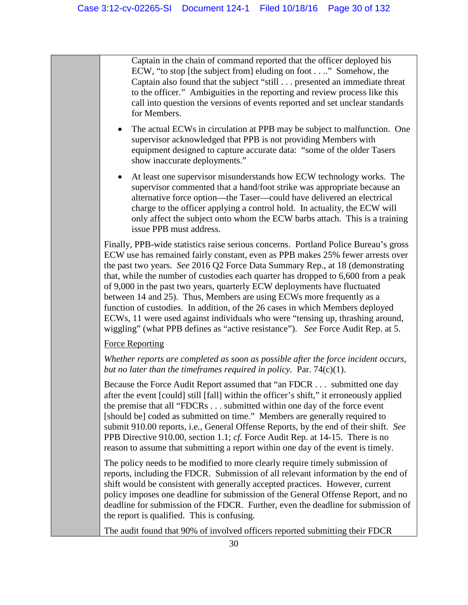Captain in the chain of command reported that the officer deployed his ECW, "to stop [the subject from] eluding on foot . . .." Somehow, the Captain also found that the subject "still . . . presented an immediate threat to the officer." Ambiguities in the reporting and review process like this call into question the versions of events reported and set unclear standards for Members.

- The actual ECWs in circulation at PPB may be subject to malfunction. One supervisor acknowledged that PPB is not providing Members with equipment designed to capture accurate data: "some of the older Tasers show inaccurate deployments."
- At least one supervisor misunderstands how ECW technology works. The supervisor commented that a hand/foot strike was appropriate because an alternative force option—the Taser—could have delivered an electrical charge to the officer applying a control hold. In actuality, the ECW will only affect the subject onto whom the ECW barbs attach. This is a training issue PPB must address.

Finally, PPB-wide statistics raise serious concerns. Portland Police Bureau's gross ECW use has remained fairly constant, even as PPB makes 25% fewer arrests over the past two years. *See* 2016 Q2 Force Data Summary Rep., at 18 (demonstrating that, while the number of custodies each quarter has dropped to 6,600 from a peak of 9,000 in the past two years, quarterly ECW deployments have fluctuated between 14 and 25). Thus, Members are using ECWs more frequently as a function of custodies. In addition, of the 26 cases in which Members deployed ECWs, 11 were used against individuals who were "tensing up, thrashing around, wiggling" (what PPB defines as "active resistance"). *See* Force Audit Rep. at 5.

#### Force Reporting

*Whether reports are completed as soon as possible after the force incident occurs, but no later than the timeframes required in policy.* Par. 74(c)(1).

Because the Force Audit Report assumed that "an FDCR . . . submitted one day after the event [could] still [fall] within the officer's shift," it erroneously applied the premise that all "FDCRs . . . submitted within one day of the force event [should be] coded as submitted on time." Members are generally required to submit 910.00 reports, i.e., General Offense Reports, by the end of their shift. *See*  PPB Directive 910.00, section 1.1; *cf.* Force Audit Rep. at 14-15. There is no reason to assume that submitting a report within one day of the event is timely.

The policy needs to be modified to more clearly require timely submission of reports, including the FDCR. Submission of all relevant information by the end of shift would be consistent with generally accepted practices. However, current policy imposes one deadline for submission of the General Offense Report, and no deadline for submission of the FDCR. Further, even the deadline for submission of the report is qualified. This is confusing.

The audit found that 90% of involved officers reported submitting their FDCR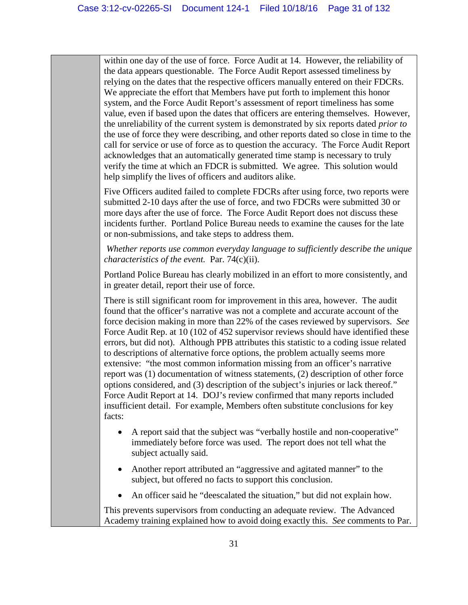within one day of the use of force. Force Audit at 14. However, the reliability of the data appears questionable. The Force Audit Report assessed timeliness by relying on the dates that the respective officers manually entered on their FDCRs. We appreciate the effort that Members have put forth to implement this honor system, and the Force Audit Report's assessment of report timeliness has some value, even if based upon the dates that officers are entering themselves. However, the unreliability of the current system is demonstrated by six reports dated *prior to*  the use of force they were describing, and other reports dated so close in time to the call for service or use of force as to question the accuracy. The Force Audit Report acknowledges that an automatically generated time stamp is necessary to truly verify the time at which an FDCR is submitted. We agree. This solution would help simplify the lives of officers and auditors alike.

Five Officers audited failed to complete FDCRs after using force, two reports were submitted 2-10 days after the use of force, and two FDCRs were submitted 30 or more days after the use of force. The Force Audit Report does not discuss these incidents further. Portland Police Bureau needs to examine the causes for the late or non-submissions, and take steps to address them.

*Whether reports use common everyday language to sufficiently describe the unique characteristics of the event.* Par. 74(c)(ii).

Portland Police Bureau has clearly mobilized in an effort to more consistently, and in greater detail, report their use of force.

There is still significant room for improvement in this area, however. The audit found that the officer's narrative was not a complete and accurate account of the force decision making in more than 22% of the cases reviewed by supervisors. *See* Force Audit Rep. at 10 (102 of 452 supervisor reviews should have identified these errors, but did not). Although PPB attributes this statistic to a coding issue related to descriptions of alternative force options, the problem actually seems more extensive: "the most common information missing from an officer's narrative report was (1) documentation of witness statements, (2) description of other force options considered, and (3) description of the subject's injuries or lack thereof." Force Audit Report at 14. DOJ's review confirmed that many reports included insufficient detail. For example, Members often substitute conclusions for key facts:

- A report said that the subject was "verbally hostile and non-cooperative" immediately before force was used. The report does not tell what the subject actually said.
- Another report attributed an "aggressive and agitated manner" to the subject, but offered no facts to support this conclusion.
- An officer said he "deescalated the situation," but did not explain how.

This prevents supervisors from conducting an adequate review. The Advanced Academy training explained how to avoid doing exactly this. *See* comments to Par.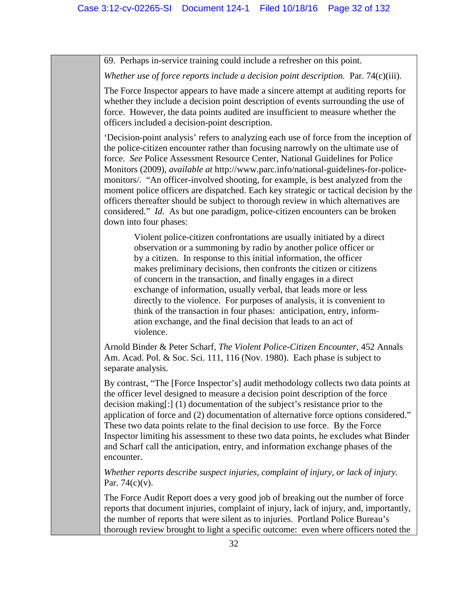69. Perhaps in-service training could include a refresher on this point.

*Whether use of force reports include a decision point description.* Par. 74(c)(iii).

The Force Inspector appears to have made a sincere attempt at auditing reports for whether they include a decision point description of events surrounding the use of force. However, the data points audited are insufficient to measure whether the officers included a decision-point description.

'Decision-point analysis' refers to analyzing each use of force from the inception of the police-citizen encounter rather than focusing narrowly on the ultimate use of force. *See* Police Assessment Resource Center, National Guidelines for Police Monitors (2009), *available at* http://www.parc.info/national-guidelines-for-policemonitors/. "An officer-involved shooting, for example, is best analyzed from the moment police officers are dispatched. Each key strategic or tactical decision by the officers thereafter should be subject to thorough review in which alternatives are considered." *Id.* As but one paradigm, police-citizen encounters can be broken down into four phases:

Violent police-citizen confrontations are usually initiated by a direct observation or a summoning by radio by another police officer or by a citizen. In response to this initial information, the officer makes preliminary decisions, then confronts the citizen or citizens of concern in the transaction, and finally engages in a direct exchange of information, usually verbal, that leads more or less directly to the violence. For purposes of analysis, it is convenient to think of the transaction in four phases: anticipation, entry, information exchange, and the final decision that leads to an act of violence.

Arnold Binder & Peter Scharf, *The Violent Police-Citizen Encounter*, 452 Annals Am. Acad. Pol. & Soc. Sci. 111, 116 (Nov. 1980). Each phase is subject to separate analysis.

By contrast, "The [Force Inspector's] audit methodology collects two data points at the officer level designed to measure a decision point description of the force decision making[:] (1) documentation of the subject's resistance prior to the application of force and (2) documentation of alternative force options considered." These two data points relate to the final decision to use force. By the Force Inspector limiting his assessment to these two data points, he excludes what Binder and Scharf call the anticipation, entry, and information exchange phases of the encounter.

*Whether reports describe suspect injuries, complaint of injury, or lack of injury.* Par.  $74(c)(v)$ .

The Force Audit Report does a very good job of breaking out the number of force reports that document injuries, complaint of injury, lack of injury, and, importantly, the number of reports that were silent as to injuries. Portland Police Bureau's thorough review brought to light a specific outcome: even where officers noted the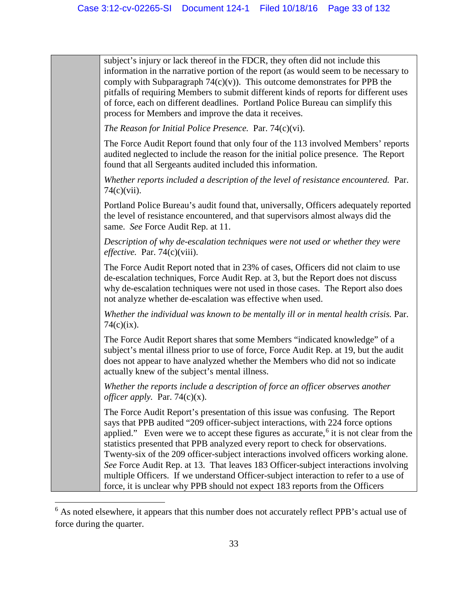| subject's injury or lack thereof in the FDCR, they often did not include this<br>information in the narrative portion of the report (as would seem to be necessary to<br>comply with Subparagraph $74(c)(v)$ ). This outcome demonstrates for PPB the<br>pitfalls of requiring Members to submit different kinds of reports for different uses<br>of force, each on different deadlines. Portland Police Bureau can simplify this<br>process for Members and improve the data it receives.                                                                                                                                                                                                                   |
|--------------------------------------------------------------------------------------------------------------------------------------------------------------------------------------------------------------------------------------------------------------------------------------------------------------------------------------------------------------------------------------------------------------------------------------------------------------------------------------------------------------------------------------------------------------------------------------------------------------------------------------------------------------------------------------------------------------|
| The Reason for Initial Police Presence. Par. $74(c)(vi)$ .                                                                                                                                                                                                                                                                                                                                                                                                                                                                                                                                                                                                                                                   |
| The Force Audit Report found that only four of the 113 involved Members' reports<br>audited neglected to include the reason for the initial police presence. The Report<br>found that all Sergeants audited included this information.                                                                                                                                                                                                                                                                                                                                                                                                                                                                       |
| Whether reports included a description of the level of resistance encountered. Par.<br>$74(c)(vii)$ .                                                                                                                                                                                                                                                                                                                                                                                                                                                                                                                                                                                                        |
| Portland Police Bureau's audit found that, universally, Officers adequately reported<br>the level of resistance encountered, and that supervisors almost always did the<br>same. See Force Audit Rep. at 11.                                                                                                                                                                                                                                                                                                                                                                                                                                                                                                 |
| Description of why de-escalation techniques were not used or whether they were<br><i>effective.</i> Par. $74(c)(viii)$ .                                                                                                                                                                                                                                                                                                                                                                                                                                                                                                                                                                                     |
| The Force Audit Report noted that in 23% of cases, Officers did not claim to use<br>de-escalation techniques, Force Audit Rep. at 3, but the Report does not discuss<br>why de-escalation techniques were not used in those cases. The Report also does<br>not analyze whether de-escalation was effective when used.                                                                                                                                                                                                                                                                                                                                                                                        |
| Whether the individual was known to be mentally ill or in mental health crisis. Par.<br>$74(c)(ix)$ .                                                                                                                                                                                                                                                                                                                                                                                                                                                                                                                                                                                                        |
| The Force Audit Report shares that some Members "indicated knowledge" of a<br>subject's mental illness prior to use of force, Force Audit Rep. at 19, but the audit<br>does not appear to have analyzed whether the Members who did not so indicate<br>actually knew of the subject's mental illness.                                                                                                                                                                                                                                                                                                                                                                                                        |
| Whether the reports include a description of force an officer observes another<br><i>officer apply.</i> Par. 74 $(c)(x)$ .                                                                                                                                                                                                                                                                                                                                                                                                                                                                                                                                                                                   |
| The Force Audit Report's presentation of this issue was confusing. The Report<br>says that PPB audited "209 officer-subject interactions, with 224 force options<br>applied." Even were we to accept these figures as accurate, <sup>6</sup> it is not clear from the<br>statistics presented that PPB analyzed every report to check for observations.<br>Twenty-six of the 209 officer-subject interactions involved officers working alone.<br>See Force Audit Rep. at 13. That leaves 183 Officer-subject interactions involving<br>multiple Officers. If we understand Officer-subject interaction to refer to a use of<br>force, it is unclear why PPB should not expect 183 reports from the Officers |

 $\overline{\phantom{a}}$ 

<span id="page-32-0"></span><sup>&</sup>lt;sup>6</sup> As noted elsewhere, it appears that this number does not accurately reflect PPB's actual use of force during the quarter.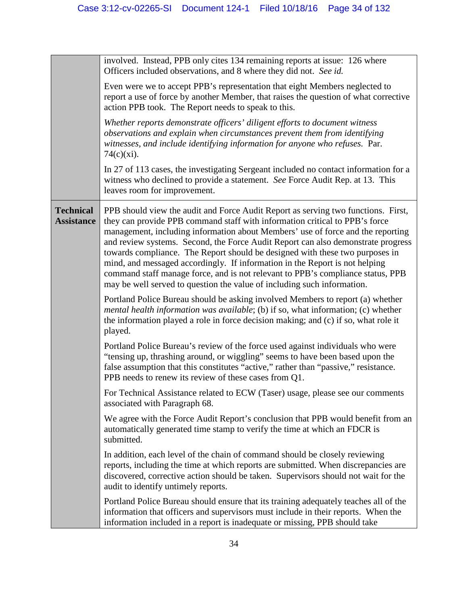|                                       | involved. Instead, PPB only cites 134 remaining reports at issue: 126 where<br>Officers included observations, and 8 where they did not. See id.                                                                                                                                                                                                                                                                                                                                                                                                                                                                                                                     |
|---------------------------------------|----------------------------------------------------------------------------------------------------------------------------------------------------------------------------------------------------------------------------------------------------------------------------------------------------------------------------------------------------------------------------------------------------------------------------------------------------------------------------------------------------------------------------------------------------------------------------------------------------------------------------------------------------------------------|
|                                       | Even were we to accept PPB's representation that eight Members neglected to<br>report a use of force by another Member, that raises the question of what corrective<br>action PPB took. The Report needs to speak to this.                                                                                                                                                                                                                                                                                                                                                                                                                                           |
|                                       | Whether reports demonstrate officers' diligent efforts to document witness<br>observations and explain when circumstances prevent them from identifying<br>witnesses, and include identifying information for anyone who refuses. Par.<br>$74(c)(xi)$ .                                                                                                                                                                                                                                                                                                                                                                                                              |
|                                       | In 27 of 113 cases, the investigating Sergeant included no contact information for a<br>witness who declined to provide a statement. See Force Audit Rep. at 13. This<br>leaves room for improvement.                                                                                                                                                                                                                                                                                                                                                                                                                                                                |
| <b>Technical</b><br><b>Assistance</b> | PPB should view the audit and Force Audit Report as serving two functions. First,<br>they can provide PPB command staff with information critical to PPB's force<br>management, including information about Members' use of force and the reporting<br>and review systems. Second, the Force Audit Report can also demonstrate progress<br>towards compliance. The Report should be designed with these two purposes in<br>mind, and messaged accordingly. If information in the Report is not helping<br>command staff manage force, and is not relevant to PPB's compliance status, PPB<br>may be well served to question the value of including such information. |
|                                       | Portland Police Bureau should be asking involved Members to report (a) whether<br>mental health information was available; (b) if so, what information; (c) whether<br>the information played a role in force decision making; and (c) if so, what role it<br>played.                                                                                                                                                                                                                                                                                                                                                                                                |
|                                       | Portland Police Bureau's review of the force used against individuals who were<br>"tensing up, thrashing around, or wiggling" seems to have been based upon the<br>false assumption that this constitutes "active," rather than "passive," resistance.<br>PPB needs to renew its review of these cases from Q1.                                                                                                                                                                                                                                                                                                                                                      |
|                                       | For Technical Assistance related to ECW (Taser) usage, please see our comments<br>associated with Paragraph 68.                                                                                                                                                                                                                                                                                                                                                                                                                                                                                                                                                      |
|                                       | We agree with the Force Audit Report's conclusion that PPB would benefit from an<br>automatically generated time stamp to verify the time at which an FDCR is<br>submitted.                                                                                                                                                                                                                                                                                                                                                                                                                                                                                          |
|                                       | In addition, each level of the chain of command should be closely reviewing<br>reports, including the time at which reports are submitted. When discrepancies are<br>discovered, corrective action should be taken. Supervisors should not wait for the<br>audit to identify untimely reports.                                                                                                                                                                                                                                                                                                                                                                       |
|                                       | Portland Police Bureau should ensure that its training adequately teaches all of the<br>information that officers and supervisors must include in their reports. When the<br>information included in a report is inadequate or missing, PPB should take                                                                                                                                                                                                                                                                                                                                                                                                              |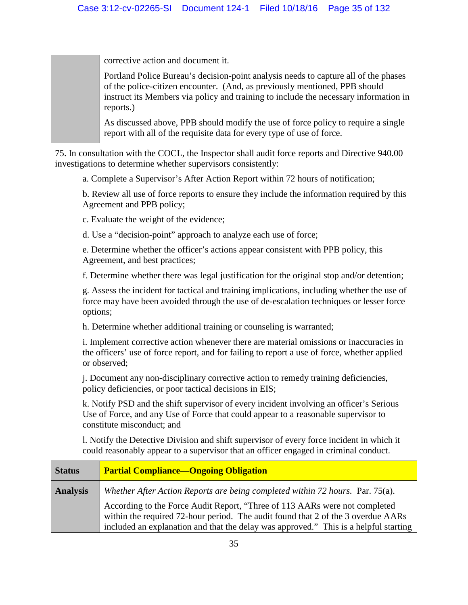corrective action and document it.

Portland Police Bureau's decision-point analysis needs to capture all of the phases of the police-citizen encounter. (And, as previously mentioned, PPB should instruct its Members via policy and training to include the necessary information in reports.)

As discussed above, PPB should modify the use of force policy to require a single report with all of the requisite data for every type of use of force.

75. In consultation with the COCL, the Inspector shall audit force reports and Directive 940.00 investigations to determine whether supervisors consistently:

a. Complete a Supervisor's After Action Report within 72 hours of notification;

b. Review all use of force reports to ensure they include the information required by this Agreement and PPB policy;

c. Evaluate the weight of the evidence;

d. Use a "decision-point" approach to analyze each use of force;

e. Determine whether the officer's actions appear consistent with PPB policy, this Agreement, and best practices;

f. Determine whether there was legal justification for the original stop and/or detention;

g. Assess the incident for tactical and training implications, including whether the use of force may have been avoided through the use of de-escalation techniques or lesser force options;

h. Determine whether additional training or counseling is warranted;

i. Implement corrective action whenever there are material omissions or inaccuracies in the officers' use of force report, and for failing to report a use of force, whether applied or observed;

j. Document any non-disciplinary corrective action to remedy training deficiencies, policy deficiencies, or poor tactical decisions in EIS;

k. Notify PSD and the shift supervisor of every incident involving an officer's Serious Use of Force, and any Use of Force that could appear to a reasonable supervisor to constitute misconduct; and

l. Notify the Detective Division and shift supervisor of every force incident in which it could reasonably appear to a supervisor that an officer engaged in criminal conduct.

| <b>Status</b>   | <b>Partial Compliance—Ongoing Obligation</b>                                                                                                                   |
|-----------------|----------------------------------------------------------------------------------------------------------------------------------------------------------------|
| <b>Analysis</b> | Whether After Action Reports are being completed within 72 hours. Par. 75(a).                                                                                  |
|                 | According to the Force Audit Report, "Three of 113 AARs were not completed<br>within the required 72-hour period. The audit found that 2 of the 3 overdue AARs |
|                 | included an explanation and that the delay was approved." This is a helpful starting                                                                           |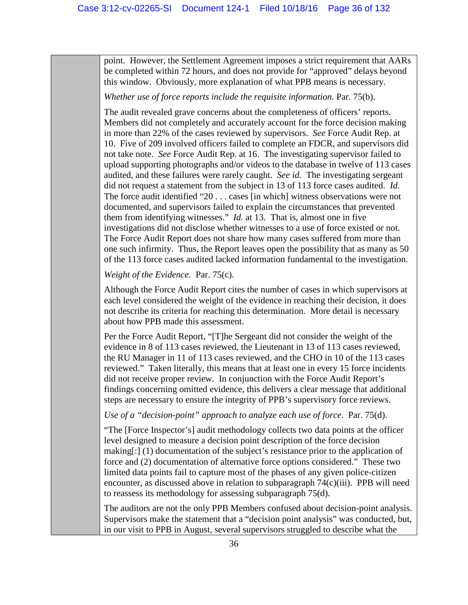point. However, the Settlement Agreement imposes a strict requirement that AARs be completed within 72 hours, and does not provide for "approved" delays beyond this window. Obviously, more explanation of what PPB means is necessary.

Whether use of force reports include the requisite information. Par. 75(b).

The audit revealed grave concerns about the completeness of officers' reports. Members did not completely and accurately account for the force decision making in more than 22% of the cases reviewed by supervisors. *See* Force Audit Rep. at 10. Five of 209 involved officers failed to complete an FDCR, and supervisors did not take note. *See* Force Audit Rep. at 16. The investigating supervisor failed to upload supporting photographs and/or videos to the database in twelve of 113 cases audited, and these failures were rarely caught. *See id.* The investigating sergeant did not request a statement from the subject in 13 of 113 force cases audited. *Id.* The force audit identified "20 . . . cases [in which] witness observations were not documented, and supervisors failed to explain the circumstances that prevented them from identifying witnesses." *Id.* at 13. That is, almost one in five investigations did not disclose whether witnesses to a use of force existed or not. The Force Audit Report does not share how many cases suffered from more than one such infirmity. Thus, the Report leaves open the possibility that as many as 50 of the 113 force cases audited lacked information fundamental to the investigation.

*Weight of the Evidence.* Par. 75(c).

Although the Force Audit Report cites the number of cases in which supervisors at each level considered the weight of the evidence in reaching their decision, it does not describe its criteria for reaching this determination. More detail is necessary about how PPB made this assessment.

Per the Force Audit Report, "[T]he Sergeant did not consider the weight of the evidence in 8 of 113 cases reviewed, the Lieutenant in 13 of 113 cases reviewed, the RU Manager in 11 of 113 cases reviewed, and the CHO in 10 of the 113 cases reviewed." Taken literally, this means that at least one in every 15 force incidents did not receive proper review. In conjunction with the Force Audit Report's findings concerning omitted evidence, this delivers a clear message that additional steps are necessary to ensure the integrity of PPB's supervisory force reviews.

*Use of a "decision-point" approach to analyze each use of force*. Par. 75(d).

"The [Force Inspector's] audit methodology collects two data points at the officer level designed to measure a decision point description of the force decision making[:] (1) documentation of the subject's resistance prior to the application of force and (2) documentation of alternative force options considered." These two limited data points fail to capture most of the phases of any given police-citizen encounter, as discussed above in relation to subparagraph  $74(c)(iii)$ . PPB will need to reassess its methodology for assessing subparagraph 75(d).

The auditors are not the only PPB Members confused about decision-point analysis. Supervisors make the statement that a "decision point analysis" was conducted, but, in our visit to PPB in August, several supervisors struggled to describe what the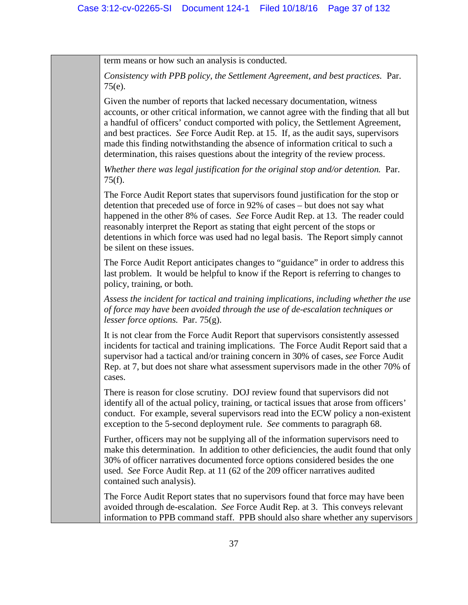term means or how such an analysis is conducted.

*Consistency with PPB policy, the Settlement Agreement, and best practices.* Par. 75(e).

Given the number of reports that lacked necessary documentation, witness accounts, or other critical information, we cannot agree with the finding that all but a handful of officers' conduct comported with policy, the Settlement Agreement, and best practices. *See* Force Audit Rep. at 15. If, as the audit says, supervisors made this finding notwithstanding the absence of information critical to such a determination, this raises questions about the integrity of the review process.

*Whether there was legal justification for the original stop and/or detention.* Par. 75(f).

The Force Audit Report states that supervisors found justification for the stop or detention that preceded use of force in 92% of cases – but does not say what happened in the other 8% of cases. *See* Force Audit Rep. at 13. The reader could reasonably interpret the Report as stating that eight percent of the stops or detentions in which force was used had no legal basis. The Report simply cannot be silent on these issues.

The Force Audit Report anticipates changes to "guidance" in order to address this last problem. It would be helpful to know if the Report is referring to changes to policy, training, or both.

*Assess the incident for tactical and training implications, including whether the use of force may have been avoided through the use of de-escalation techniques or lesser force options.* Par. 75(g).

It is not clear from the Force Audit Report that supervisors consistently assessed incidents for tactical and training implications. The Force Audit Report said that a supervisor had a tactical and/or training concern in 30% of cases, *see* Force Audit Rep. at 7, but does not share what assessment supervisors made in the other 70% of cases.

There is reason for close scrutiny. DOJ review found that supervisors did not identify all of the actual policy, training, or tactical issues that arose from officers' conduct. For example, several supervisors read into the ECW policy a non-existent exception to the 5-second deployment rule. *See* comments to paragraph 68.

Further, officers may not be supplying all of the information supervisors need to make this determination. In addition to other deficiencies, the audit found that only 30% of officer narratives documented force options considered besides the one used. *See* Force Audit Rep. at 11 (62 of the 209 officer narratives audited contained such analysis).

The Force Audit Report states that no supervisors found that force may have been avoided through de-escalation. *See* Force Audit Rep. at 3. This conveys relevant information to PPB command staff. PPB should also share whether any supervisors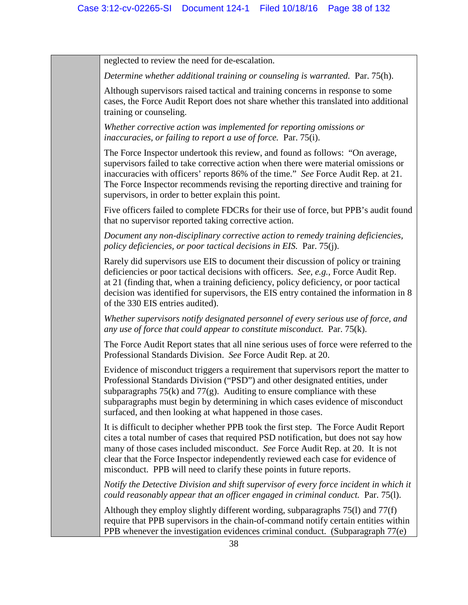neglected to review the need for de-escalation.

*Determine whether additional training or counseling is warranted.* Par. 75(h).

Although supervisors raised tactical and training concerns in response to some cases, the Force Audit Report does not share whether this translated into additional training or counseling.

*Whether corrective action was implemented for reporting omissions or inaccuracies, or failing to report a use of force.* Par. 75(i).

The Force Inspector undertook this review, and found as follows: "On average, supervisors failed to take corrective action when there were material omissions or inaccuracies with officers' reports 86% of the time." *See* Force Audit Rep. at 21. The Force Inspector recommends revising the reporting directive and training for supervisors, in order to better explain this point.

Five officers failed to complete FDCRs for their use of force, but PPB's audit found that no supervisor reported taking corrective action.

*Document any non-disciplinary corrective action to remedy training deficiencies, policy deficiencies, or poor tactical decisions in EIS.* Par. 75(j).

Rarely did supervisors use EIS to document their discussion of policy or training deficiencies or poor tactical decisions with officers. *See, e.g.*, Force Audit Rep. at 21 (finding that, when a training deficiency, policy deficiency, or poor tactical decision was identified for supervisors, the EIS entry contained the information in 8 of the 330 EIS entries audited).

*Whether supervisors notify designated personnel of every serious use of force, and any use of force that could appear to constitute misconduct.* Par. 75(k).

The Force Audit Report states that all nine serious uses of force were referred to the Professional Standards Division. *See* Force Audit Rep. at 20.

Evidence of misconduct triggers a requirement that supervisors report the matter to Professional Standards Division ("PSD") and other designated entities, under subparagraphs  $75(k)$  and  $77(g)$ . Auditing to ensure compliance with these subparagraphs must begin by determining in which cases evidence of misconduct surfaced, and then looking at what happened in those cases.

It is difficult to decipher whether PPB took the first step. The Force Audit Report cites a total number of cases that required PSD notification, but does not say how many of those cases included misconduct. *See* Force Audit Rep. at 20. It is not clear that the Force Inspector independently reviewed each case for evidence of misconduct. PPB will need to clarify these points in future reports.

*Notify the Detective Division and shift supervisor of every force incident in which it could reasonably appear that an officer engaged in criminal conduct.* Par. 75(l).

Although they employ slightly different wording, subparagraphs 75(l) and 77(f) require that PPB supervisors in the chain-of-command notify certain entities within PPB whenever the investigation evidences criminal conduct. (Subparagraph 77(e)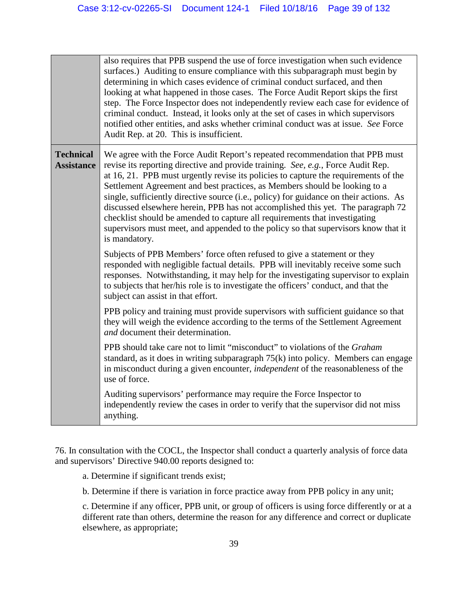|                                       | also requires that PPB suspend the use of force investigation when such evidence<br>surfaces.) Auditing to ensure compliance with this subparagraph must begin by<br>determining in which cases evidence of criminal conduct surfaced, and then<br>looking at what happened in those cases. The Force Audit Report skips the first<br>step. The Force Inspector does not independently review each case for evidence of<br>criminal conduct. Instead, it looks only at the set of cases in which supervisors<br>notified other entities, and asks whether criminal conduct was at issue. See Force<br>Audit Rep. at 20. This is insufficient.                                                           |
|---------------------------------------|---------------------------------------------------------------------------------------------------------------------------------------------------------------------------------------------------------------------------------------------------------------------------------------------------------------------------------------------------------------------------------------------------------------------------------------------------------------------------------------------------------------------------------------------------------------------------------------------------------------------------------------------------------------------------------------------------------|
| <b>Technical</b><br><b>Assistance</b> | We agree with the Force Audit Report's repeated recommendation that PPB must<br>revise its reporting directive and provide training. See, e.g., Force Audit Rep.<br>at 16, 21. PPB must urgently revise its policies to capture the requirements of the<br>Settlement Agreement and best practices, as Members should be looking to a<br>single, sufficiently directive source (i.e., policy) for guidance on their actions. As<br>discussed elsewhere herein, PPB has not accomplished this yet. The paragraph 72<br>checklist should be amended to capture all requirements that investigating<br>supervisors must meet, and appended to the policy so that supervisors know that it<br>is mandatory. |
|                                       | Subjects of PPB Members' force often refused to give a statement or they<br>responded with negligible factual details. PPB will inevitably receive some such<br>responses. Notwithstanding, it may help for the investigating supervisor to explain<br>to subjects that her/his role is to investigate the officers' conduct, and that the<br>subject can assist in that effort.                                                                                                                                                                                                                                                                                                                        |
|                                       | PPB policy and training must provide supervisors with sufficient guidance so that<br>they will weigh the evidence according to the terms of the Settlement Agreement<br>and document their determination.                                                                                                                                                                                                                                                                                                                                                                                                                                                                                               |
|                                       | PPB should take care not to limit "misconduct" to violations of the Graham<br>standard, as it does in writing subparagraph $75(k)$ into policy. Members can engage<br>in misconduct during a given encounter, <i>independent</i> of the reasonableness of the<br>use of force.                                                                                                                                                                                                                                                                                                                                                                                                                          |
|                                       | Auditing supervisors' performance may require the Force Inspector to<br>independently review the cases in order to verify that the supervisor did not miss<br>anything.                                                                                                                                                                                                                                                                                                                                                                                                                                                                                                                                 |

76. In consultation with the COCL, the Inspector shall conduct a quarterly analysis of force data and supervisors' Directive 940.00 reports designed to:

a. Determine if significant trends exist;

b. Determine if there is variation in force practice away from PPB policy in any unit;

c. Determine if any officer, PPB unit, or group of officers is using force differently or at a different rate than others, determine the reason for any difference and correct or duplicate elsewhere, as appropriate;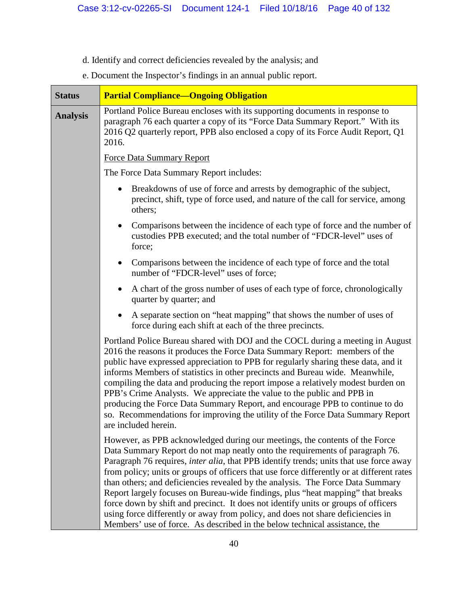# d. Identify and correct deficiencies revealed by the analysis; and

e. Document the Inspector's findings in an annual public report.

| <b>Status</b>   | <b>Partial Compliance—Ongoing Obligation</b>                                                                                                                                                                                                                                                                                                                                                                                                                                                                                                                                                                                                                                                                                                                                           |
|-----------------|----------------------------------------------------------------------------------------------------------------------------------------------------------------------------------------------------------------------------------------------------------------------------------------------------------------------------------------------------------------------------------------------------------------------------------------------------------------------------------------------------------------------------------------------------------------------------------------------------------------------------------------------------------------------------------------------------------------------------------------------------------------------------------------|
| <b>Analysis</b> | Portland Police Bureau encloses with its supporting documents in response to<br>paragraph 76 each quarter a copy of its "Force Data Summary Report." With its<br>2016 Q2 quarterly report, PPB also enclosed a copy of its Force Audit Report, Q1<br>2016.                                                                                                                                                                                                                                                                                                                                                                                                                                                                                                                             |
|                 | <b>Force Data Summary Report</b>                                                                                                                                                                                                                                                                                                                                                                                                                                                                                                                                                                                                                                                                                                                                                       |
|                 | The Force Data Summary Report includes:                                                                                                                                                                                                                                                                                                                                                                                                                                                                                                                                                                                                                                                                                                                                                |
|                 | Breakdowns of use of force and arrests by demographic of the subject,<br>precinct, shift, type of force used, and nature of the call for service, among<br>others;                                                                                                                                                                                                                                                                                                                                                                                                                                                                                                                                                                                                                     |
|                 | Comparisons between the incidence of each type of force and the number of<br>$\bullet$<br>custodies PPB executed; and the total number of "FDCR-level" uses of<br>force;                                                                                                                                                                                                                                                                                                                                                                                                                                                                                                                                                                                                               |
|                 | Comparisons between the incidence of each type of force and the total<br>$\bullet$<br>number of "FDCR-level" uses of force;                                                                                                                                                                                                                                                                                                                                                                                                                                                                                                                                                                                                                                                            |
|                 | A chart of the gross number of uses of each type of force, chronologically<br>$\bullet$<br>quarter by quarter; and                                                                                                                                                                                                                                                                                                                                                                                                                                                                                                                                                                                                                                                                     |
|                 | A separate section on "heat mapping" that shows the number of uses of<br>force during each shift at each of the three precincts.                                                                                                                                                                                                                                                                                                                                                                                                                                                                                                                                                                                                                                                       |
|                 | Portland Police Bureau shared with DOJ and the COCL during a meeting in August<br>2016 the reasons it produces the Force Data Summary Report: members of the<br>public have expressed appreciation to PPB for regularly sharing these data, and it<br>informs Members of statistics in other precincts and Bureau wide. Meanwhile,<br>compiling the data and producing the report impose a relatively modest burden on<br>PPB's Crime Analysts. We appreciate the value to the public and PPB in<br>producing the Force Data Summary Report, and encourage PPB to continue to do<br>so. Recommendations for improving the utility of the Force Data Summary Report<br>are included herein.                                                                                             |
|                 | However, as PPB acknowledged during our meetings, the contents of the Force<br>Data Summary Report do not map neatly onto the requirements of paragraph 76.<br>Paragraph 76 requires, <i>inter alia</i> , that PPB identify trends; units that use force away<br>from policy; units or groups of officers that use force differently or at different rates<br>than others; and deficiencies revealed by the analysis. The Force Data Summary<br>Report largely focuses on Bureau-wide findings, plus "heat mapping" that breaks<br>force down by shift and precinct. It does not identify units or groups of officers<br>using force differently or away from policy, and does not share deficiencies in<br>Members' use of force. As described in the below technical assistance, the |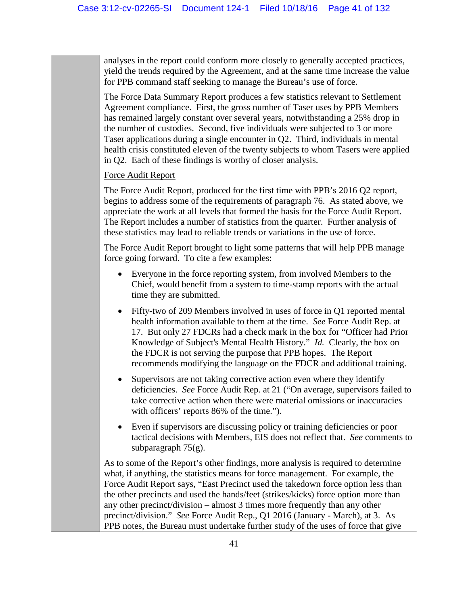analyses in the report could conform more closely to generally accepted practices, yield the trends required by the Agreement, and at the same time increase the value for PPB command staff seeking to manage the Bureau's use of force.

The Force Data Summary Report produces a few statistics relevant to Settlement Agreement compliance. First, the gross number of Taser uses by PPB Members has remained largely constant over several years, notwithstanding a 25% drop in the number of custodies. Second, five individuals were subjected to 3 or more Taser applications during a single encounter in Q2. Third, individuals in mental health crisis constituted eleven of the twenty subjects to whom Tasers were applied in Q2. Each of these findings is worthy of closer analysis.

Force Audit Report

The Force Audit Report, produced for the first time with PPB's 2016 Q2 report, begins to address some of the requirements of paragraph 76. As stated above, we appreciate the work at all levels that formed the basis for the Force Audit Report. The Report includes a number of statistics from the quarter. Further analysis of these statistics may lead to reliable trends or variations in the use of force.

The Force Audit Report brought to light some patterns that will help PPB manage force going forward. To cite a few examples:

- Everyone in the force reporting system, from involved Members to the Chief, would benefit from a system to time-stamp reports with the actual time they are submitted.
- Fifty-two of 209 Members involved in uses of force in Q1 reported mental health information available to them at the time. *See* Force Audit Rep. at 17. But only 27 FDCRs had a check mark in the box for "Officer had Prior Knowledge of Subject's Mental Health History." *Id.* Clearly, the box on the FDCR is not serving the purpose that PPB hopes. The Report recommends modifying the language on the FDCR and additional training.
- Supervisors are not taking corrective action even where they identify deficiencies. *See* Force Audit Rep. at 21 ("On average, supervisors failed to take corrective action when there were material omissions or inaccuracies with officers' reports 86% of the time.").
- Even if supervisors are discussing policy or training deficiencies or poor tactical decisions with Members, EIS does not reflect that. *See* comments to subparagraph 75(g).

As to some of the Report's other findings, more analysis is required to determine what, if anything, the statistics means for force management. For example, the Force Audit Report says, "East Precinct used the takedown force option less than the other precincts and used the hands/feet (strikes/kicks) force option more than any other precinct/division – almost 3 times more frequently than any other precinct/division." *See* Force Audit Rep., Q1 2016 (January - March), at 3. As PPB notes, the Bureau must undertake further study of the uses of force that give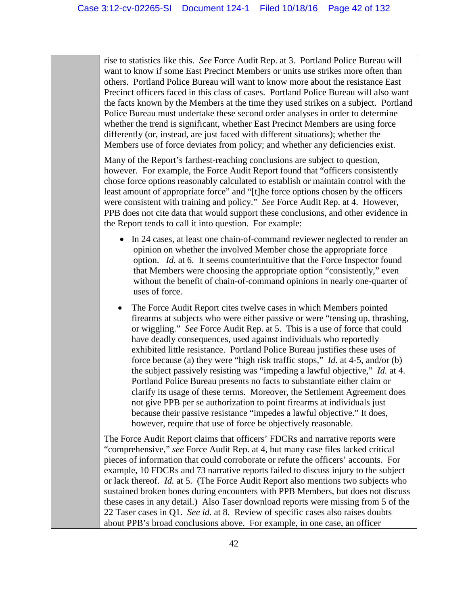rise to statistics like this. *See* Force Audit Rep. at 3. Portland Police Bureau will want to know if some East Precinct Members or units use strikes more often than others. Portland Police Bureau will want to know more about the resistance East Precinct officers faced in this class of cases. Portland Police Bureau will also want the facts known by the Members at the time they used strikes on a subject. Portland Police Bureau must undertake these second order analyses in order to determine whether the trend is significant, whether East Precinct Members are using force differently (or, instead, are just faced with different situations); whether the Members use of force deviates from policy; and whether any deficiencies exist.

Many of the Report's farthest-reaching conclusions are subject to question, however. For example, the Force Audit Report found that "officers consistently chose force options reasonably calculated to establish or maintain control with the least amount of appropriate force" and "[t]he force options chosen by the officers were consistent with training and policy." *See* Force Audit Rep. at 4. However, PPB does not cite data that would support these conclusions, and other evidence in the Report tends to call it into question. For example:

- In 24 cases, at least one chain-of-command reviewer neglected to render an opinion on whether the involved Member chose the appropriate force option. *Id.* at 6. It seems counterintuitive that the Force Inspector found that Members were choosing the appropriate option "consistently," even without the benefit of chain-of-command opinions in nearly one-quarter of uses of force.
- The Force Audit Report cites twelve cases in which Members pointed firearms at subjects who were either passive or were "tensing up, thrashing, or wiggling." *See* Force Audit Rep. at 5. This is a use of force that could have deadly consequences, used against individuals who reportedly exhibited little resistance. Portland Police Bureau justifies these uses of force because (a) they were "high risk traffic stops," *Id.* at 4-5, and/or (b) the subject passively resisting was "impeding a lawful objective," *Id.* at 4. Portland Police Bureau presents no facts to substantiate either claim or clarify its usage of these terms. Moreover, the Settlement Agreement does not give PPB per se authorization to point firearms at individuals just because their passive resistance "impedes a lawful objective." It does, however, require that use of force be objectively reasonable.

The Force Audit Report claims that officers' FDCRs and narrative reports were "comprehensive," *see* Force Audit Rep. at 4, but many case files lacked critical pieces of information that could corroborate or refute the officers' accounts. For example, 10 FDCRs and 73 narrative reports failed to discuss injury to the subject or lack thereof. *Id.* at 5. (The Force Audit Report also mentions two subjects who sustained broken bones during encounters with PPB Members, but does not discuss these cases in any detail.) Also Taser download reports were missing from 5 of the 22 Taser cases in Q1. *See id.* at 8. Review of specific cases also raises doubts about PPB's broad conclusions above. For example, in one case, an officer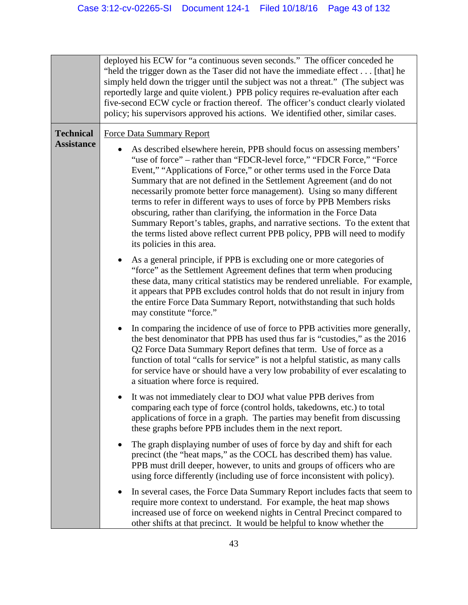|                                       | deployed his ECW for "a continuous seven seconds." The officer conceded he<br>"held the trigger down as the Taser did not have the immediate effect [that] he<br>simply held down the trigger until the subject was not a threat." (The subject was<br>reportedly large and quite violent.) PPB policy requires re-evaluation after each<br>five-second ECW cycle or fraction thereof. The officer's conduct clearly violated<br>policy; his supervisors approved his actions. We identified other, similar cases.                                                                                                                                                                                                                                         |
|---------------------------------------|------------------------------------------------------------------------------------------------------------------------------------------------------------------------------------------------------------------------------------------------------------------------------------------------------------------------------------------------------------------------------------------------------------------------------------------------------------------------------------------------------------------------------------------------------------------------------------------------------------------------------------------------------------------------------------------------------------------------------------------------------------|
| <b>Technical</b><br><b>Assistance</b> | <b>Force Data Summary Report</b><br>As described elsewhere herein, PPB should focus on assessing members'<br>"use of force" – rather than "FDCR-level force," "FDCR Force," "Force<br>Event," "Applications of Force," or other terms used in the Force Data<br>Summary that are not defined in the Settlement Agreement (and do not<br>necessarily promote better force management). Using so many different<br>terms to refer in different ways to uses of force by PPB Members risks<br>obscuring, rather than clarifying, the information in the Force Data<br>Summary Report's tables, graphs, and narrative sections. To the extent that<br>the terms listed above reflect current PPB policy, PPB will need to modify<br>its policies in this area. |
|                                       | As a general principle, if PPB is excluding one or more categories of<br>"force" as the Settlement Agreement defines that term when producing<br>these data, many critical statistics may be rendered unreliable. For example,<br>it appears that PPB excludes control holds that do not result in injury from<br>the entire Force Data Summary Report, notwithstanding that such holds<br>may constitute "force."                                                                                                                                                                                                                                                                                                                                         |
|                                       | In comparing the incidence of use of force to PPB activities more generally,<br>$\bullet$<br>the best denominator that PPB has used thus far is "custodies," as the 2016<br>Q2 Force Data Summary Report defines that term. Use of force as a<br>function of total "calls for service" is not a helpful statistic, as many calls<br>for service have or should have a very low probability of ever escalating to<br>a situation where force is required.                                                                                                                                                                                                                                                                                                   |
|                                       | It was not immediately clear to DOJ what value PPB derives from<br>comparing each type of force (control holds, takedowns, etc.) to total<br>applications of force in a graph. The parties may benefit from discussing<br>these graphs before PPB includes them in the next report.                                                                                                                                                                                                                                                                                                                                                                                                                                                                        |
|                                       | The graph displaying number of uses of force by day and shift for each<br>precinct (the "heat maps," as the COCL has described them) has value.<br>PPB must drill deeper, however, to units and groups of officers who are<br>using force differently (including use of force inconsistent with policy).                                                                                                                                                                                                                                                                                                                                                                                                                                                   |
|                                       | In several cases, the Force Data Summary Report includes facts that seem to<br>require more context to understand. For example, the heat map shows<br>increased use of force on weekend nights in Central Precinct compared to<br>other shifts at that precinct. It would be helpful to know whether the                                                                                                                                                                                                                                                                                                                                                                                                                                                   |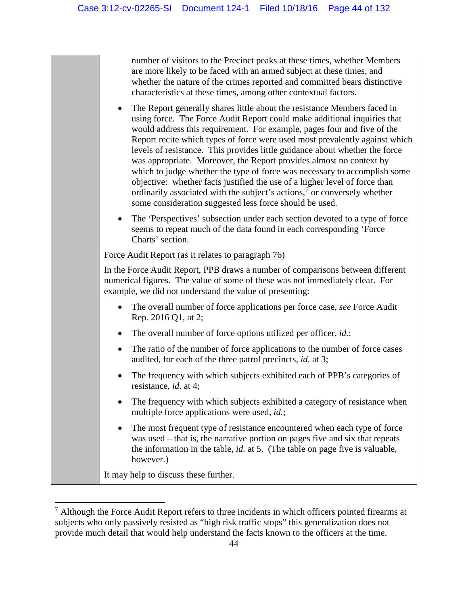number of visitors to the Precinct peaks at these times, whether Members are more likely to be faced with an armed subject at these times, and whether the nature of the crimes reported and committed bears distinctive characteristics at these times, among other contextual factors.

- The Report generally shares little about the resistance Members faced in using force. The Force Audit Report could make additional inquiries that would address this requirement. For example, pages four and five of the Report recite which types of force were used most prevalently against which levels of resistance. This provides little guidance about whether the force was appropriate. Moreover, the Report provides almost no context by which to judge whether the type of force was necessary to accomplish some objective: whether facts justified the use of a higher level of force than ordinarily associated with the subject's actions,<sup>[7](#page-43-0)</sup> or conversely whether some consideration suggested less force should be used.
- The 'Perspectives' subsection under each section devoted to a type of force seems to repeat much of the data found in each corresponding 'Force Charts' section.

#### Force Audit Report (as it relates to paragraph 76)

In the Force Audit Report, PPB draws a number of comparisons between different numerical figures. The value of some of these was not immediately clear. For example, we did not understand the value of presenting:

- The overall number of force applications per force case, *see* Force Audit Rep. 2016 Q1, at 2;
- The overall number of force options utilized per officer, *id.*;
- The ratio of the number of force applications to the number of force cases audited, for each of the three patrol precincts, *id.* at 3;
- The frequency with which subjects exhibited each of PPB's categories of resistance, *id.* at 4;
- The frequency with which subjects exhibited a category of resistance when multiple force applications were used, *id.*;
- The most frequent type of resistance encountered when each type of force was used – that is, the narrative portion on pages five and six that repeats the information in the table, *id.* at 5. (The table on page five is valuable, however.)

It may help to discuss these further.

l

<span id="page-43-0"></span> $<sup>7</sup>$  Although the Force Audit Report refers to three incidents in which officers pointed firearms at</sup> subjects who only passively resisted as "high risk traffic stops" this generalization does not provide much detail that would help understand the facts known to the officers at the time.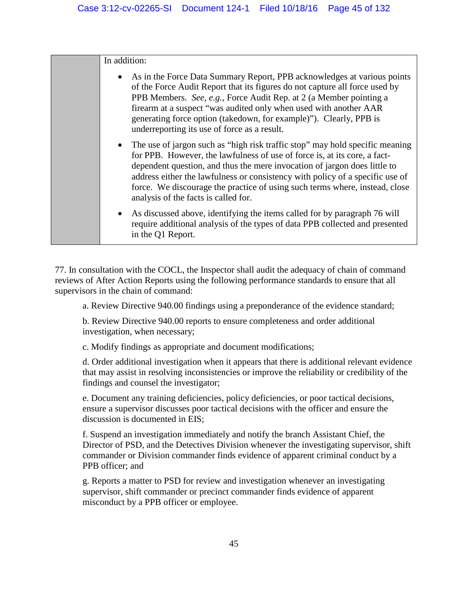| In addition:                                                                                                                                                                                                                                                                                                                                                                                                                                     |
|--------------------------------------------------------------------------------------------------------------------------------------------------------------------------------------------------------------------------------------------------------------------------------------------------------------------------------------------------------------------------------------------------------------------------------------------------|
| As in the Force Data Summary Report, PPB acknowledges at various points<br>$\bullet$<br>of the Force Audit Report that its figures do not capture all force used by<br>PPB Members. See, e.g., Force Audit Rep. at 2 (a Member pointing a<br>firearm at a suspect "was audited only when used with another AAR<br>generating force option (takedown, for example)"). Clearly, PPB is<br>underreporting its use of force as a result.             |
| • The use of jargon such as "high risk traffic stop" may hold specific meaning<br>for PPB. However, the lawfulness of use of force is, at its core, a fact-<br>dependent question, and thus the mere invocation of jargon does little to<br>address either the lawfulness or consistency with policy of a specific use of<br>force. We discourage the practice of using such terms where, instead, close<br>analysis of the facts is called for. |
| As discussed above, identifying the items called for by paragraph 76 will<br>$\bullet$<br>require additional analysis of the types of data PPB collected and presented<br>in the Q1 Report.                                                                                                                                                                                                                                                      |

77. In consultation with the COCL, the Inspector shall audit the adequacy of chain of command reviews of After Action Reports using the following performance standards to ensure that all supervisors in the chain of command:

a. Review Directive 940.00 findings using a preponderance of the evidence standard;

b. Review Directive 940.00 reports to ensure completeness and order additional investigation, when necessary;

c. Modify findings as appropriate and document modifications;

d. Order additional investigation when it appears that there is additional relevant evidence that may assist in resolving inconsistencies or improve the reliability or credibility of the findings and counsel the investigator;

e. Document any training deficiencies, policy deficiencies, or poor tactical decisions, ensure a supervisor discusses poor tactical decisions with the officer and ensure the discussion is documented in EIS;

f. Suspend an investigation immediately and notify the branch Assistant Chief, the Director of PSD, and the Detectives Division whenever the investigating supervisor, shift commander or Division commander finds evidence of apparent criminal conduct by a PPB officer; and

g. Reports a matter to PSD for review and investigation whenever an investigating supervisor, shift commander or precinct commander finds evidence of apparent misconduct by a PPB officer or employee.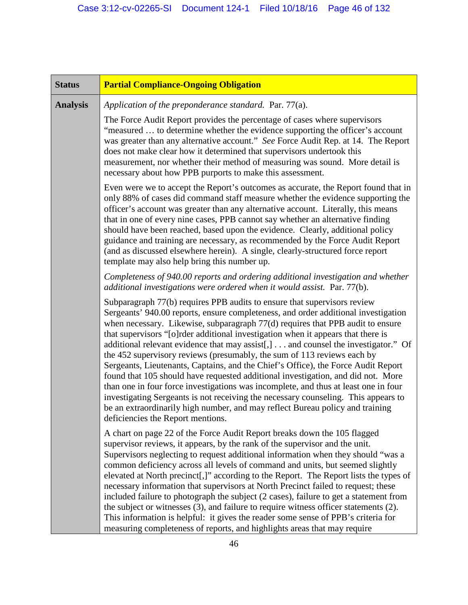| <b>Status</b>   | <b>Partial Compliance-Ongoing Obligation</b>                                                                                                                                                                                                                                                                                                                                                                                                                                                                                                                                                                                                                                                                                                                                                                                                                                                                                                                                     |
|-----------------|----------------------------------------------------------------------------------------------------------------------------------------------------------------------------------------------------------------------------------------------------------------------------------------------------------------------------------------------------------------------------------------------------------------------------------------------------------------------------------------------------------------------------------------------------------------------------------------------------------------------------------------------------------------------------------------------------------------------------------------------------------------------------------------------------------------------------------------------------------------------------------------------------------------------------------------------------------------------------------|
| <b>Analysis</b> | Application of the preponderance standard. Par. 77(a).                                                                                                                                                                                                                                                                                                                                                                                                                                                                                                                                                                                                                                                                                                                                                                                                                                                                                                                           |
|                 | The Force Audit Report provides the percentage of cases where supervisors<br>"measured  to determine whether the evidence supporting the officer's account<br>was greater than any alternative account." See Force Audit Rep. at 14. The Report<br>does not make clear how it determined that supervisors undertook this<br>measurement, nor whether their method of measuring was sound. More detail is<br>necessary about how PPB purports to make this assessment.                                                                                                                                                                                                                                                                                                                                                                                                                                                                                                            |
|                 | Even were we to accept the Report's outcomes as accurate, the Report found that in<br>only 88% of cases did command staff measure whether the evidence supporting the<br>officer's account was greater than any alternative account. Literally, this means<br>that in one of every nine cases, PPB cannot say whether an alternative finding<br>should have been reached, based upon the evidence. Clearly, additional policy<br>guidance and training are necessary, as recommended by the Force Audit Report<br>(and as discussed elsewhere herein). A single, clearly-structured force report<br>template may also help bring this number up.                                                                                                                                                                                                                                                                                                                                 |
|                 | Completeness of 940.00 reports and ordering additional investigation and whether<br>additional investigations were ordered when it would assist. Par. 77(b).                                                                                                                                                                                                                                                                                                                                                                                                                                                                                                                                                                                                                                                                                                                                                                                                                     |
|                 | Subparagraph 77(b) requires PPB audits to ensure that supervisors review<br>Sergeants' 940.00 reports, ensure completeness, and order additional investigation<br>when necessary. Likewise, subparagraph 77(d) requires that PPB audit to ensure<br>that supervisors "[o]rder additional investigation when it appears that there is<br>additional relevant evidence that may assist[,] and counsel the investigator." Of<br>the 452 supervisory reviews (presumably, the sum of 113 reviews each by<br>Sergeants, Lieutenants, Captains, and the Chief's Office), the Force Audit Report<br>found that 105 should have requested additional investigation, and did not. More<br>than one in four force investigations was incomplete, and thus at least one in four<br>investigating Sergeants is not receiving the necessary counseling. This appears to<br>be an extraordinarily high number, and may reflect Bureau policy and training<br>deficiencies the Report mentions. |
|                 | A chart on page 22 of the Force Audit Report breaks down the 105 flagged<br>supervisor reviews, it appears, by the rank of the supervisor and the unit.<br>Supervisors neglecting to request additional information when they should "was a<br>common deficiency across all levels of command and units, but seemed slightly<br>elevated at North precinct[,]" according to the Report. The Report lists the types of<br>necessary information that supervisors at North Precinct failed to request; these<br>included failure to photograph the subject (2 cases), failure to get a statement from<br>the subject or witnesses (3), and failure to require witness officer statements (2).<br>This information is helpful: it gives the reader some sense of PPB's criteria for<br>measuring completeness of reports, and highlights areas that may require                                                                                                                     |
|                 |                                                                                                                                                                                                                                                                                                                                                                                                                                                                                                                                                                                                                                                                                                                                                                                                                                                                                                                                                                                  |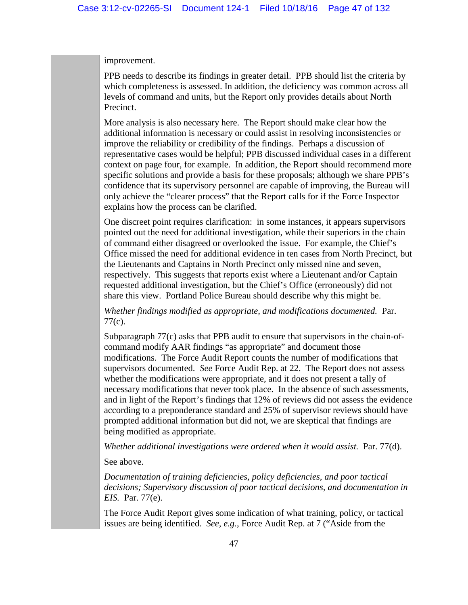#### improvement.

PPB needs to describe its findings in greater detail. PPB should list the criteria by which completeness is assessed. In addition, the deficiency was common across all levels of command and units, but the Report only provides details about North Precinct.

More analysis is also necessary here. The Report should make clear how the additional information is necessary or could assist in resolving inconsistencies or improve the reliability or credibility of the findings. Perhaps a discussion of representative cases would be helpful; PPB discussed individual cases in a different context on page four, for example. In addition, the Report should recommend more specific solutions and provide a basis for these proposals; although we share PPB's confidence that its supervisory personnel are capable of improving, the Bureau will only achieve the "clearer process" that the Report calls for if the Force Inspector explains how the process can be clarified.

One discreet point requires clarification: in some instances, it appears supervisors pointed out the need for additional investigation, while their superiors in the chain of command either disagreed or overlooked the issue. For example, the Chief's Office missed the need for additional evidence in ten cases from North Precinct, but the Lieutenants and Captains in North Precinct only missed nine and seven, respectively. This suggests that reports exist where a Lieutenant and/or Captain requested additional investigation, but the Chief's Office (erroneously) did not share this view. Portland Police Bureau should describe why this might be.

*Whether findings modified as appropriate, and modifications documented.* Par. 77(c).

Subparagraph 77(c) asks that PPB audit to ensure that supervisors in the chain-ofcommand modify AAR findings "as appropriate" and document those modifications. The Force Audit Report counts the number of modifications that supervisors documented. *See* Force Audit Rep. at 22. The Report does not assess whether the modifications were appropriate, and it does not present a tally of necessary modifications that never took place. In the absence of such assessments, and in light of the Report's findings that 12% of reviews did not assess the evidence according to a preponderance standard and 25% of supervisor reviews should have prompted additional information but did not, we are skeptical that findings are being modified as appropriate.

*Whether additional investigations were ordered when it would assist.* Par. 77(d).

See above.

*Documentation of training deficiencies, policy deficiencies, and poor tactical decisions; Supervisory discussion of poor tactical decisions, and documentation in EIS.* Par. 77(e).

The Force Audit Report gives some indication of what training, policy, or tactical issues are being identified. *See, e.g.*, Force Audit Rep. at 7 ("Aside from the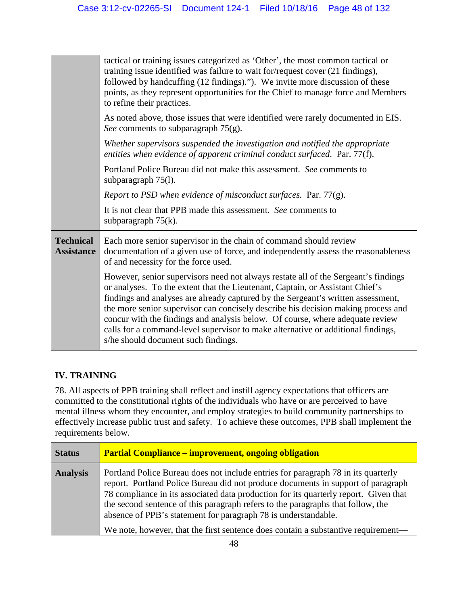|                                       | tactical or training issues categorized as 'Other', the most common tactical or<br>training issue identified was failure to wait for/request cover (21 findings),<br>followed by handcuffing (12 findings)."). We invite more discussion of these<br>points, as they represent opportunities for the Chief to manage force and Members<br>to refine their practices.                                                                                                                                                                                     |
|---------------------------------------|----------------------------------------------------------------------------------------------------------------------------------------------------------------------------------------------------------------------------------------------------------------------------------------------------------------------------------------------------------------------------------------------------------------------------------------------------------------------------------------------------------------------------------------------------------|
|                                       | As noted above, those issues that were identified were rarely documented in EIS.<br>See comments to subparagraph 75(g).                                                                                                                                                                                                                                                                                                                                                                                                                                  |
|                                       | Whether supervisors suspended the investigation and notified the appropriate<br>entities when evidence of apparent criminal conduct surfaced. Par. 77(f).                                                                                                                                                                                                                                                                                                                                                                                                |
|                                       | Portland Police Bureau did not make this assessment. See comments to<br>subparagraph 75(1).                                                                                                                                                                                                                                                                                                                                                                                                                                                              |
|                                       | Report to PSD when evidence of misconduct surfaces. Par. 77(g).                                                                                                                                                                                                                                                                                                                                                                                                                                                                                          |
|                                       | It is not clear that PPB made this assessment. See comments to<br>subparagraph $75(k)$ .                                                                                                                                                                                                                                                                                                                                                                                                                                                                 |
| <b>Technical</b><br><b>Assistance</b> | Each more senior supervisor in the chain of command should review<br>documentation of a given use of force, and independently assess the reasonableness<br>of and necessity for the force used.                                                                                                                                                                                                                                                                                                                                                          |
|                                       | However, senior supervisors need not always restate all of the Sergeant's findings<br>or analyses. To the extent that the Lieutenant, Captain, or Assistant Chief's<br>findings and analyses are already captured by the Sergeant's written assessment,<br>the more senior supervisor can concisely describe his decision making process and<br>concur with the findings and analysis below. Of course, where adequate review<br>calls for a command-level supervisor to make alternative or additional findings,<br>s/he should document such findings. |

## **IV. TRAINING**

78. All aspects of PPB training shall reflect and instill agency expectations that officers are committed to the constitutional rights of the individuals who have or are perceived to have mental illness whom they encounter, and employ strategies to build community partnerships to effectively increase public trust and safety. To achieve these outcomes, PPB shall implement the requirements below.

| <b>Status</b>   | <b>Partial Compliance – improvement, ongoing obligation</b>                                                                                                                                                                                                                                                                                                                                                                                                                                             |
|-----------------|---------------------------------------------------------------------------------------------------------------------------------------------------------------------------------------------------------------------------------------------------------------------------------------------------------------------------------------------------------------------------------------------------------------------------------------------------------------------------------------------------------|
| <b>Analysis</b> | Portland Police Bureau does not include entries for paragraph 78 in its quarterly<br>report. Portland Police Bureau did not produce documents in support of paragraph<br>78 compliance in its associated data production for its quarterly report. Given that<br>the second sentence of this paragraph refers to the paragraphs that follow, the<br>absence of PPB's statement for paragraph 78 is understandable.<br>We note, however, that the first sentence does contain a substantive requirement— |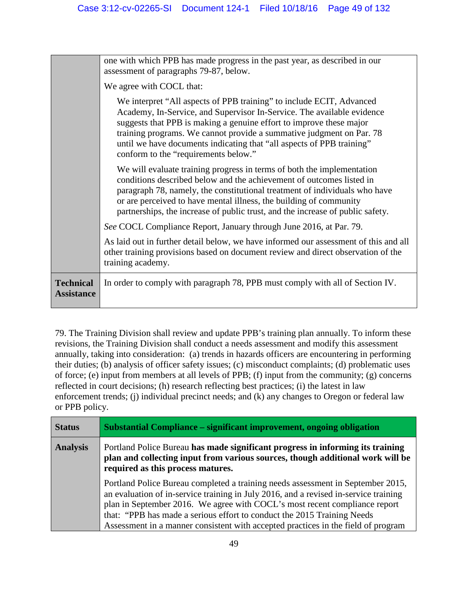| one with which PPB has made progress in the past year, as described in our                                                                                                                                                                                                                                                                                                           |
|--------------------------------------------------------------------------------------------------------------------------------------------------------------------------------------------------------------------------------------------------------------------------------------------------------------------------------------------------------------------------------------|
|                                                                                                                                                                                                                                                                                                                                                                                      |
| We interpret "All aspects of PPB training" to include ECIT, Advanced<br>Academy, In-Service, and Supervisor In-Service. The available evidence<br>suggests that PPB is making a genuine effort to improve these major<br>training programs. We cannot provide a summative judgment on Par. 78<br>until we have documents indicating that "all aspects of PPB training"               |
| We will evaluate training progress in terms of both the implementation<br>conditions described below and the achievement of outcomes listed in<br>paragraph 78, namely, the constitutional treatment of individuals who have<br>or are perceived to have mental illness, the building of community<br>partnerships, the increase of public trust, and the increase of public safety. |
| See COCL Compliance Report, January through June 2016, at Par. 79.                                                                                                                                                                                                                                                                                                                   |
| As laid out in further detail below, we have informed our assessment of this and all<br>other training provisions based on document review and direct observation of the                                                                                                                                                                                                             |
| In order to comply with paragraph 78, PPB must comply with all of Section IV.                                                                                                                                                                                                                                                                                                        |
|                                                                                                                                                                                                                                                                                                                                                                                      |

79. The Training Division shall review and update PPB's training plan annually. To inform these revisions, the Training Division shall conduct a needs assessment and modify this assessment annually, taking into consideration: (a) trends in hazards officers are encountering in performing their duties; (b) analysis of officer safety issues; (c) misconduct complaints; (d) problematic uses of force; (e) input from members at all levels of PPB; (f) input from the community; (g) concerns reflected in court decisions; (h) research reflecting best practices; (i) the latest in law enforcement trends; (j) individual precinct needs; and (k) any changes to Oregon or federal law or PPB policy.

| <b>Status</b>   | Substantial Compliance – significant improvement, ongoing obligation                                                                                                                                                                                                                                                                                                                                                  |
|-----------------|-----------------------------------------------------------------------------------------------------------------------------------------------------------------------------------------------------------------------------------------------------------------------------------------------------------------------------------------------------------------------------------------------------------------------|
| <b>Analysis</b> | Portland Police Bureau has made significant progress in informing its training<br>plan and collecting input from various sources, though additional work will be<br>required as this process matures.                                                                                                                                                                                                                 |
|                 | Portland Police Bureau completed a training needs assessment in September 2015,<br>an evaluation of in-service training in July 2016, and a revised in-service training<br>plan in September 2016. We agree with COCL's most recent compliance report<br>that: "PPB has made a serious effort to conduct the 2015 Training Needs<br>Assessment in a manner consistent with accepted practices in the field of program |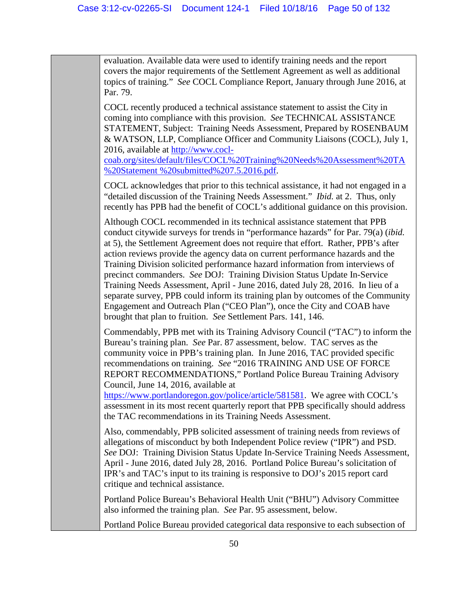evaluation. Available data were used to identify training needs and the report covers the major requirements of the Settlement Agreement as well as additional topics of training." *See* COCL Compliance Report, January through June 2016, at Par. 79.

COCL recently produced a technical assistance statement to assist the City in coming into compliance with this provision. *See* TECHNICAL ASSISTANCE STATEMENT, Subject: Training Needs Assessment, Prepared by ROSENBAUM & WATSON, LLP, Compliance Officer and Community Liaisons (COCL), July 1, 2016, available at [http://www.cocl-](http://www.cocl-coab.org/sites/default/files/COCL%20Training%20Needs%20Assessment%20TA%20Statement%20%20submitted%207.5.2016.pdf)

[coab.org/sites/default/files/COCL%20Training%20Needs%20Assessment%20TA](http://www.cocl-coab.org/sites/default/files/COCL%20Training%20Needs%20Assessment%20TA%20Statement%20%20submitted%207.5.2016.pdf) [%20Statement %20submitted%207.5.2016.pdf.](http://www.cocl-coab.org/sites/default/files/COCL%20Training%20Needs%20Assessment%20TA%20Statement%20%20submitted%207.5.2016.pdf)

COCL acknowledges that prior to this technical assistance, it had not engaged in a "detailed discussion of the Training Needs Assessment." *Ibid.* at 2. Thus, only recently has PPB had the benefit of COCL's additional guidance on this provision.

Although COCL recommended in its technical assistance statement that PPB conduct citywide surveys for trends in "performance hazards" for Par. 79(a) (*ibid.*  at 5), the Settlement Agreement does not require that effort. Rather, PPB's after action reviews provide the agency data on current performance hazards and the Training Division solicited performance hazard information from interviews of precinct commanders. *See* DOJ: Training Division Status Update In-Service Training Needs Assessment, April - June 2016, dated July 28, 2016. In lieu of a separate survey, PPB could inform its training plan by outcomes of the Community Engagement and Outreach Plan ("CEO Plan"), once the City and COAB have brought that plan to fruition. *See* Settlement Pars. 141, 146.

Commendably, PPB met with its Training Advisory Council ("TAC") to inform the Bureau's training plan. *See* Par. 87 assessment, below. TAC serves as the community voice in PPB's training plan. In June 2016, TAC provided specific recommendations on training. *See* "2016 TRAINING AND USE OF FORCE REPORT RECOMMENDATIONS," Portland Police Bureau Training Advisory Council, June 14, 2016, available at

[https://www.portlandoregon.gov/police/article/581581.](https://www.portlandoregon.gov/police/article/581581) We agree with COCL's assessment in its most recent quarterly report that PPB specifically should address the TAC recommendations in its Training Needs Assessment.

Also, commendably, PPB solicited assessment of training needs from reviews of allegations of misconduct by both Independent Police review ("IPR") and PSD. *See* DOJ: Training Division Status Update In-Service Training Needs Assessment, April - June 2016, dated July 28, 2016. Portland Police Bureau's solicitation of IPR's and TAC's input to its training is responsive to DOJ's 2015 report card critique and technical assistance.

Portland Police Bureau's Behavioral Health Unit ("BHU") Advisory Committee also informed the training plan. *See* Par. 95 assessment, below.

Portland Police Bureau provided categorical data responsive to each subsection of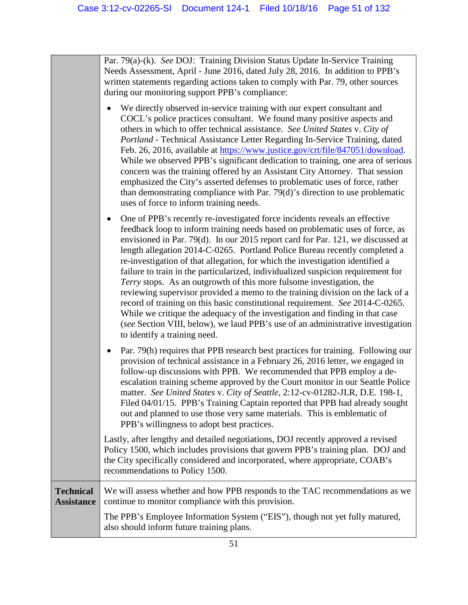Par. 79(a)-(k). *See* DOJ: Training Division Status Update In-Service Training Needs Assessment, April - June 2016, dated July 28, 2016. In addition to PPB's written statements regarding actions taken to comply with Par. 79, other sources during our monitoring support PPB's compliance:

- We directly observed in-service training with our expert consultant and COCL's police practices consultant. We found many positive aspects and others in which to offer technical assistance. *See United States* v. *City of Portland* - Technical Assistance Letter Regarding In-Service Training, dated Feb. 26, 2016, available at [https://www.justice.gov/crt/file/847051/download.](https://www.justice.gov/crt/file/847051/download) While we observed PPB's significant dedication to training, one area of serious concern was the training offered by an Assistant City Attorney. That session emphasized the City's asserted defenses to problematic uses of force, rather than demonstrating compliance with Par. 79(d)'s direction to use problematic uses of force to inform training needs.
- One of PPB's recently re-investigated force incidents reveals an effective feedback loop to inform training needs based on problematic uses of force, as envisioned in Par. 79(d). In our 2015 report card for Par. 121, we discussed at length allegation 2014-C-0265. Portland Police Bureau recently completed a re-investigation of that allegation, for which the investigation identified a failure to train in the particularized, individualized suspicion requirement for *Terry* stops. As an outgrowth of this more fulsome investigation, the reviewing supervisor provided a memo to the training division on the lack of a record of training on this basic constitutional requirement. *See* 2014-C-0265. While we critique the adequacy of the investigation and finding in that case (*see* Section VIII, below), we laud PPB's use of an administrative investigation to identify a training need.
- Par. 79(h) requires that PPB research best practices for training. Following our provision of technical assistance in a February 26, 2016 letter, we engaged in follow-up discussions with PPB. We recommended that PPB employ a deescalation training scheme approved by the Court monitor in our Seattle Police matter. *See United States* v. *City of Seattle*, 2:12-cv-01282-JLR, D.E. 198-1, Filed 04/01/15. PPB's Training Captain reported that PPB had already sought out and planned to use those very same materials. This is emblematic of PPB's willingness to adopt best practices.

Lastly, after lengthy and detailed negotiations, DOJ recently approved a revised Policy 1500, which includes provisions that govern PPB's training plan. DOJ and the City specifically considered and incorporated, where appropriate, COAB's recommendations to Policy 1500.

#### **Technical Assistance** We will assess whether and how PPB responds to the TAC recommendations as we continue to monitor compliance with this provision. The PPB's Employee Information System ("EIS"), though not yet fully matured, also should inform future training plans.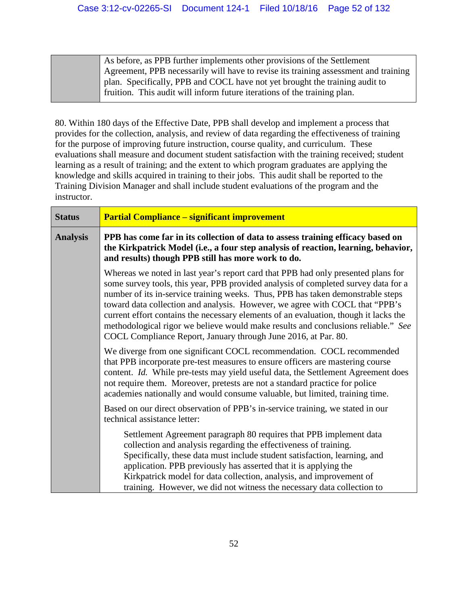As before, as PPB further implements other provisions of the Settlement Agreement, PPB necessarily will have to revise its training assessment and training plan. Specifically, PPB and COCL have not yet brought the training audit to fruition. This audit will inform future iterations of the training plan.

80. Within 180 days of the Effective Date, PPB shall develop and implement a process that provides for the collection, analysis, and review of data regarding the effectiveness of training for the purpose of improving future instruction, course quality, and curriculum. These evaluations shall measure and document student satisfaction with the training received; student learning as a result of training; and the extent to which program graduates are applying the knowledge and skills acquired in training to their jobs. This audit shall be reported to the Training Division Manager and shall include student evaluations of the program and the instructor.

| <b>Status</b>   | <b>Partial Compliance – significant improvement</b>                                                                                                                                                                                                                                                                                                                                                                                                                                                                                                                                       |
|-----------------|-------------------------------------------------------------------------------------------------------------------------------------------------------------------------------------------------------------------------------------------------------------------------------------------------------------------------------------------------------------------------------------------------------------------------------------------------------------------------------------------------------------------------------------------------------------------------------------------|
| <b>Analysis</b> | PPB has come far in its collection of data to assess training efficacy based on<br>the Kirkpatrick Model (i.e., a four step analysis of reaction, learning, behavior,<br>and results) though PPB still has more work to do.                                                                                                                                                                                                                                                                                                                                                               |
|                 | Whereas we noted in last year's report card that PPB had only presented plans for<br>some survey tools, this year, PPB provided analysis of completed survey data for a<br>number of its in-service training weeks. Thus, PPB has taken demonstrable steps<br>toward data collection and analysis. However, we agree with COCL that "PPB's<br>current effort contains the necessary elements of an evaluation, though it lacks the<br>methodological rigor we believe would make results and conclusions reliable." See<br>COCL Compliance Report, January through June 2016, at Par. 80. |
|                 | We diverge from one significant COCL recommendation. COCL recommended<br>that PPB incorporate pre-test measures to ensure officers are mastering course<br>content. Id. While pre-tests may yield useful data, the Settlement Agreement does<br>not require them. Moreover, pretests are not a standard practice for police<br>academies nationally and would consume valuable, but limited, training time.                                                                                                                                                                               |
|                 | Based on our direct observation of PPB's in-service training, we stated in our<br>technical assistance letter:                                                                                                                                                                                                                                                                                                                                                                                                                                                                            |
|                 | Settlement Agreement paragraph 80 requires that PPB implement data<br>collection and analysis regarding the effectiveness of training.<br>Specifically, these data must include student satisfaction, learning, and<br>application. PPB previously has asserted that it is applying the<br>Kirkpatrick model for data collection, analysis, and improvement of<br>training. However, we did not witness the necessary data collection to                                                                                                                                                  |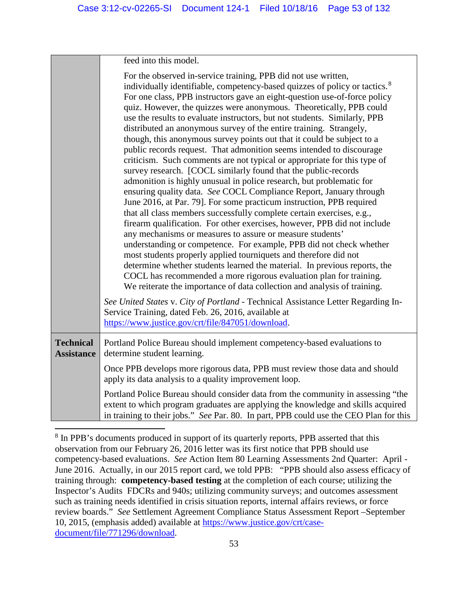|                                       | feed into this model.                                                                                                                                                                                                                                                                                                                                                                                                                                                                                                                                                                                                                                                                                                                                                                                                                                                                                                                                                                                                                                                                                                                                                                                                                                                                                                                                                                                                                                                                                                                                                                                                                                                  |
|---------------------------------------|------------------------------------------------------------------------------------------------------------------------------------------------------------------------------------------------------------------------------------------------------------------------------------------------------------------------------------------------------------------------------------------------------------------------------------------------------------------------------------------------------------------------------------------------------------------------------------------------------------------------------------------------------------------------------------------------------------------------------------------------------------------------------------------------------------------------------------------------------------------------------------------------------------------------------------------------------------------------------------------------------------------------------------------------------------------------------------------------------------------------------------------------------------------------------------------------------------------------------------------------------------------------------------------------------------------------------------------------------------------------------------------------------------------------------------------------------------------------------------------------------------------------------------------------------------------------------------------------------------------------------------------------------------------------|
|                                       | For the observed in-service training, PPB did not use written,<br>individually identifiable, competency-based quizzes of policy or tactics. <sup>8</sup><br>For one class, PPB instructors gave an eight-question use-of-force policy<br>quiz. However, the quizzes were anonymous. Theoretically, PPB could<br>use the results to evaluate instructors, but not students. Similarly, PPB<br>distributed an anonymous survey of the entire training. Strangely,<br>though, this anonymous survey points out that it could be subject to a<br>public records request. That admonition seems intended to discourage<br>criticism. Such comments are not typical or appropriate for this type of<br>survey research. [COCL similarly found that the public-records<br>admonition is highly unusual in police research, but problematic for<br>ensuring quality data. See COCL Compliance Report, January through<br>June 2016, at Par. 79]. For some practicum instruction, PPB required<br>that all class members successfully complete certain exercises, e.g.,<br>firearm qualification. For other exercises, however, PPB did not include<br>any mechanisms or measures to assure or measure students'<br>understanding or competence. For example, PPB did not check whether<br>most students properly applied tourniquets and therefore did not<br>determine whether students learned the material. In previous reports, the<br>COCL has recommended a more rigorous evaluation plan for training.<br>We reiterate the importance of data collection and analysis of training.<br>See United States v. City of Portland - Technical Assistance Letter Regarding In- |
|                                       | Service Training, dated Feb. 26, 2016, available at<br>https://www.justice.gov/crt/file/847051/download.                                                                                                                                                                                                                                                                                                                                                                                                                                                                                                                                                                                                                                                                                                                                                                                                                                                                                                                                                                                                                                                                                                                                                                                                                                                                                                                                                                                                                                                                                                                                                               |
| <b>Technical</b><br><b>Assistance</b> | Portland Police Bureau should implement competency-based evaluations to<br>determine student learning.                                                                                                                                                                                                                                                                                                                                                                                                                                                                                                                                                                                                                                                                                                                                                                                                                                                                                                                                                                                                                                                                                                                                                                                                                                                                                                                                                                                                                                                                                                                                                                 |
|                                       | Once PPB develops more rigorous data, PPB must review those data and should<br>apply its data analysis to a quality improvement loop.                                                                                                                                                                                                                                                                                                                                                                                                                                                                                                                                                                                                                                                                                                                                                                                                                                                                                                                                                                                                                                                                                                                                                                                                                                                                                                                                                                                                                                                                                                                                  |
|                                       | Portland Police Bureau should consider data from the community in assessing "the<br>extent to which program graduates are applying the knowledge and skills acquired<br>in training to their jobs." See Par. 80. In part, PPB could use the CEO Plan for this                                                                                                                                                                                                                                                                                                                                                                                                                                                                                                                                                                                                                                                                                                                                                                                                                                                                                                                                                                                                                                                                                                                                                                                                                                                                                                                                                                                                          |

<span id="page-52-0"></span><sup>&</sup>lt;sup>8</sup> In PPB's documents produced in support of its quarterly reports, PPB asserted that this observation from our February 26, 2016 letter was its first notice that PPB should use competency-based evaluations. *See* Action Item 80 Learning Assessments 2nd Quarter: April - June 2016. Actually, in our 2015 report card, we told PPB: "PPB should also assess efficacy of training through: **competency-based testing** at the completion of each course; utilizing the Inspector's Audits FDCRs and 940s; utilizing community surveys; and outcomes assessment such as training needs identified in crisis situation reports, internal affairs reviews, or force review boards." *See* Settlement Agreement Compliance Status Assessment Report –September 10, 2015, (emphasis added) available at [https://www.justice.gov/crt/case](https://www.justice.gov/crt/case-document/file/771296/download)[document/file/771296/download.](https://www.justice.gov/crt/case-document/file/771296/download)

 $\overline{a}$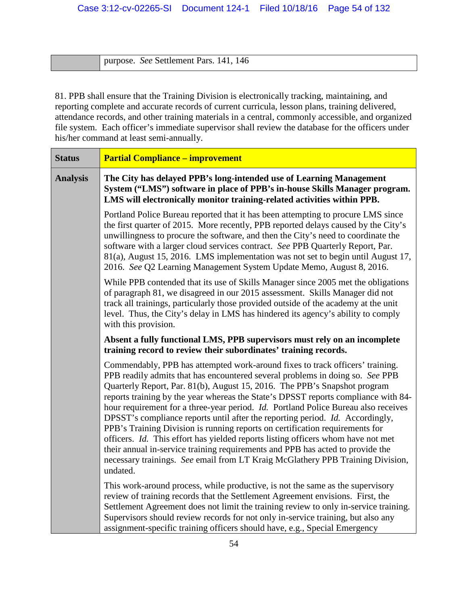purpose. *See* Settlement Pars. 141, 146

81. PPB shall ensure that the Training Division is electronically tracking, maintaining, and reporting complete and accurate records of current curricula, lesson plans, training delivered, attendance records, and other training materials in a central, commonly accessible, and organized file system. Each officer's immediate supervisor shall review the database for the officers under his/her command at least semi-annually.

| <b>Status</b>   | <b>Partial Compliance - improvement</b>                                                                                                                                                                                                                                                                                                                                                                                                                                                                                                                                                                                                                                                                                                                                                                                                                      |
|-----------------|--------------------------------------------------------------------------------------------------------------------------------------------------------------------------------------------------------------------------------------------------------------------------------------------------------------------------------------------------------------------------------------------------------------------------------------------------------------------------------------------------------------------------------------------------------------------------------------------------------------------------------------------------------------------------------------------------------------------------------------------------------------------------------------------------------------------------------------------------------------|
| <b>Analysis</b> | The City has delayed PPB's long-intended use of Learning Management<br>System ("LMS") software in place of PPB's in-house Skills Manager program.<br>LMS will electronically monitor training-related activities within PPB.                                                                                                                                                                                                                                                                                                                                                                                                                                                                                                                                                                                                                                 |
|                 | Portland Police Bureau reported that it has been attempting to procure LMS since<br>the first quarter of 2015. More recently, PPB reported delays caused by the City's<br>unwillingness to procure the software, and then the City's need to coordinate the<br>software with a larger cloud services contract. See PPB Quarterly Report, Par.<br>81(a), August 15, 2016. LMS implementation was not set to begin until August 17,<br>2016. See Q2 Learning Management System Update Memo, August 8, 2016.                                                                                                                                                                                                                                                                                                                                                    |
|                 | While PPB contended that its use of Skills Manager since 2005 met the obligations<br>of paragraph 81, we disagreed in our 2015 assessment. Skills Manager did not<br>track all trainings, particularly those provided outside of the academy at the unit<br>level. Thus, the City's delay in LMS has hindered its agency's ability to comply<br>with this provision.                                                                                                                                                                                                                                                                                                                                                                                                                                                                                         |
|                 | Absent a fully functional LMS, PPB supervisors must rely on an incomplete<br>training record to review their subordinates' training records.                                                                                                                                                                                                                                                                                                                                                                                                                                                                                                                                                                                                                                                                                                                 |
|                 | Commendably, PPB has attempted work-around fixes to track officers' training.<br>PPB readily admits that has encountered several problems in doing so. See PPB<br>Quarterly Report, Par. 81(b), August 15, 2016. The PPB's Snapshot program<br>reports training by the year whereas the State's DPSST reports compliance with 84-<br>hour requirement for a three-year period. Id. Portland Police Bureau also receives<br>DPSST's compliance reports until after the reporting period. Id. Accordingly,<br>PPB's Training Division is running reports on certification requirements for<br>officers. Id. This effort has yielded reports listing officers whom have not met<br>their annual in-service training requirements and PPB has acted to provide the<br>necessary trainings. See email from LT Kraig McGlathery PPB Training Division,<br>undated. |
|                 | This work-around process, while productive, is not the same as the supervisory<br>review of training records that the Settlement Agreement envisions. First, the<br>Settlement Agreement does not limit the training review to only in-service training.<br>Supervisors should review records for not only in-service training, but also any<br>assignment-specific training officers should have, e.g., Special Emergency                                                                                                                                                                                                                                                                                                                                                                                                                                   |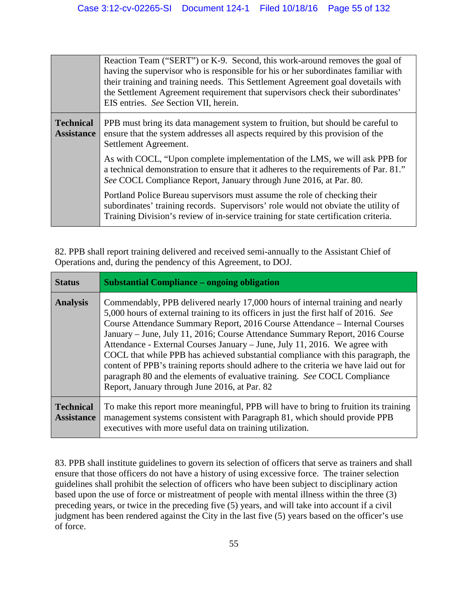|                                       | Reaction Team ("SERT") or K-9. Second, this work-around removes the goal of<br>having the supervisor who is responsible for his or her subordinates familiar with<br>their training and training needs. This Settlement Agreement goal dovetails with<br>the Settlement Agreement requirement that supervisors check their subordinates'<br>EIS entries. See Section VII, herein. |
|---------------------------------------|-----------------------------------------------------------------------------------------------------------------------------------------------------------------------------------------------------------------------------------------------------------------------------------------------------------------------------------------------------------------------------------|
| <b>Technical</b><br><b>Assistance</b> | PPB must bring its data management system to fruition, but should be careful to<br>ensure that the system addresses all aspects required by this provision of the<br>Settlement Agreement.                                                                                                                                                                                        |
|                                       | As with COCL, "Upon complete implementation of the LMS, we will ask PPB for<br>a technical demonstration to ensure that it adheres to the requirements of Par. 81."<br>See COCL Compliance Report, January through June 2016, at Par. 80.                                                                                                                                         |
|                                       | Portland Police Bureau supervisors must assume the role of checking their<br>subordinates' training records. Supervisors' role would not obviate the utility of<br>Training Division's review of in-service training for state certification criteria.                                                                                                                            |

82. PPB shall report training delivered and received semi-annually to the Assistant Chief of Operations and, during the pendency of this Agreement, to DOJ.

| <b>Status</b>                         | <b>Substantial Compliance – ongoing obligation</b>                                                                                                                                                                                                                                                                                                                                                                                                                                                                                                                                                                                                                                                                            |
|---------------------------------------|-------------------------------------------------------------------------------------------------------------------------------------------------------------------------------------------------------------------------------------------------------------------------------------------------------------------------------------------------------------------------------------------------------------------------------------------------------------------------------------------------------------------------------------------------------------------------------------------------------------------------------------------------------------------------------------------------------------------------------|
| <b>Analysis</b>                       | Commendably, PPB delivered nearly 17,000 hours of internal training and nearly<br>5,000 hours of external training to its officers in just the first half of 2016. See<br>Course Attendance Summary Report, 2016 Course Attendance - Internal Courses<br>January – June, July 11, 2016; Course Attendance Summary Report, 2016 Course<br>Attendance - External Courses January - June, July 11, 2016. We agree with<br>COCL that while PPB has achieved substantial compliance with this paragraph, the<br>content of PPB's training reports should adhere to the criteria we have laid out for<br>paragraph 80 and the elements of evaluative training. See COCL Compliance<br>Report, January through June 2016, at Par. 82 |
| <b>Technical</b><br><b>Assistance</b> | To make this report more meaningful, PPB will have to bring to fruition its training<br>management systems consistent with Paragraph 81, which should provide PPB<br>executives with more useful data on training utilization.                                                                                                                                                                                                                                                                                                                                                                                                                                                                                                |

83. PPB shall institute guidelines to govern its selection of officers that serve as trainers and shall ensure that those officers do not have a history of using excessive force. The trainer selection guidelines shall prohibit the selection of officers who have been subject to disciplinary action based upon the use of force or mistreatment of people with mental illness within the three (3) preceding years, or twice in the preceding five (5) years, and will take into account if a civil judgment has been rendered against the City in the last five (5) years based on the officer's use of force.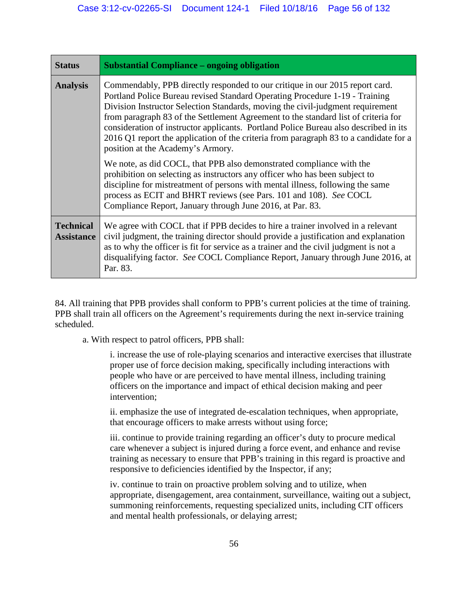| <b>Status</b>                         | <b>Substantial Compliance – ongoing obligation</b>                                                                                                                                                                                                                                                                                                                                                                                                                                                                                                        |
|---------------------------------------|-----------------------------------------------------------------------------------------------------------------------------------------------------------------------------------------------------------------------------------------------------------------------------------------------------------------------------------------------------------------------------------------------------------------------------------------------------------------------------------------------------------------------------------------------------------|
| <b>Analysis</b>                       | Commendably, PPB directly responded to our critique in our 2015 report card.<br>Portland Police Bureau revised Standard Operating Procedure 1-19 - Training<br>Division Instructor Selection Standards, moving the civil-judgment requirement<br>from paragraph 83 of the Settlement Agreement to the standard list of criteria for<br>consideration of instructor applicants. Portland Police Bureau also described in its<br>2016 Q1 report the application of the criteria from paragraph 83 to a candidate for a<br>position at the Academy's Armory. |
|                                       | We note, as did COCL, that PPB also demonstrated compliance with the<br>prohibition on selecting as instructors any officer who has been subject to<br>discipline for mistreatment of persons with mental illness, following the same<br>process as ECIT and BHRT reviews (see Pars. 101 and 108). See COCL<br>Compliance Report, January through June 2016, at Par. 83.                                                                                                                                                                                  |
| <b>Technical</b><br><b>Assistance</b> | We agree with COCL that if PPB decides to hire a trainer involved in a relevant<br>civil judgment, the training director should provide a justification and explanation<br>as to why the officer is fit for service as a trainer and the civil judgment is not a<br>disqualifying factor. See COCL Compliance Report, January through June 2016, at<br>Par. 83.                                                                                                                                                                                           |

84. All training that PPB provides shall conform to PPB's current policies at the time of training. PPB shall train all officers on the Agreement's requirements during the next in-service training scheduled.

a. With respect to patrol officers, PPB shall:

i. increase the use of role-playing scenarios and interactive exercises that illustrate proper use of force decision making, specifically including interactions with people who have or are perceived to have mental illness, including training officers on the importance and impact of ethical decision making and peer intervention;

ii. emphasize the use of integrated de-escalation techniques, when appropriate, that encourage officers to make arrests without using force;

iii. continue to provide training regarding an officer's duty to procure medical care whenever a subject is injured during a force event, and enhance and revise training as necessary to ensure that PPB's training in this regard is proactive and responsive to deficiencies identified by the Inspector, if any;

iv. continue to train on proactive problem solving and to utilize, when appropriate, disengagement, area containment, surveillance, waiting out a subject, summoning reinforcements, requesting specialized units, including CIT officers and mental health professionals, or delaying arrest;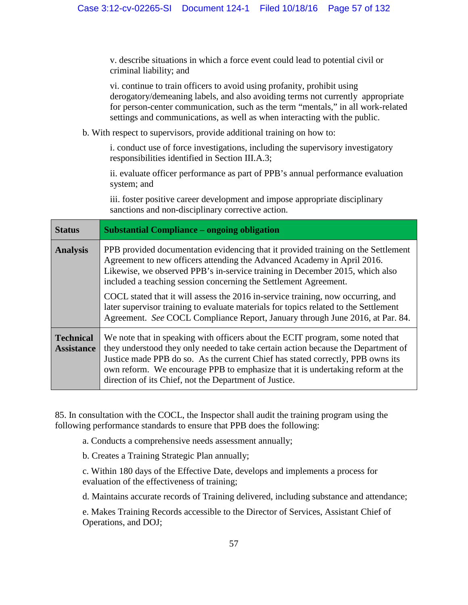v. describe situations in which a force event could lead to potential civil or criminal liability; and

vi. continue to train officers to avoid using profanity, prohibit using derogatory/demeaning labels, and also avoiding terms not currently appropriate for person-center communication, such as the term "mentals," in all work-related settings and communications, as well as when interacting with the public.

b. With respect to supervisors, provide additional training on how to:

i. conduct use of force investigations, including the supervisory investigatory responsibilities identified in Section III.A.3;

ii. evaluate officer performance as part of PPB's annual performance evaluation system; and

iii. foster positive career development and impose appropriate disciplinary sanctions and non-disciplinary corrective action.

| <b>Status</b>                         | <b>Substantial Compliance – ongoing obligation</b>                                                                                                                                                                                                                                                                                                                                                 |
|---------------------------------------|----------------------------------------------------------------------------------------------------------------------------------------------------------------------------------------------------------------------------------------------------------------------------------------------------------------------------------------------------------------------------------------------------|
| <b>Analysis</b>                       | PPB provided documentation evidencing that it provided training on the Settlement<br>Agreement to new officers attending the Advanced Academy in April 2016.<br>Likewise, we observed PPB's in-service training in December 2015, which also<br>included a teaching session concerning the Settlement Agreement.                                                                                   |
|                                       | COCL stated that it will assess the 2016 in-service training, now occurring, and<br>later supervisor training to evaluate materials for topics related to the Settlement<br>Agreement. See COCL Compliance Report, January through June 2016, at Par. 84.                                                                                                                                          |
| <b>Technical</b><br><b>Assistance</b> | We note that in speaking with officers about the ECIT program, some noted that<br>they understood they only needed to take certain action because the Department of<br>Justice made PPB do so. As the current Chief has stated correctly, PPB owns its<br>own reform. We encourage PPB to emphasize that it is undertaking reform at the<br>direction of its Chief, not the Department of Justice. |

85. In consultation with the COCL, the Inspector shall audit the training program using the following performance standards to ensure that PPB does the following:

a. Conducts a comprehensive needs assessment annually;

b. Creates a Training Strategic Plan annually;

c. Within 180 days of the Effective Date, develops and implements a process for evaluation of the effectiveness of training;

d. Maintains accurate records of Training delivered, including substance and attendance;

e. Makes Training Records accessible to the Director of Services, Assistant Chief of Operations, and DOJ;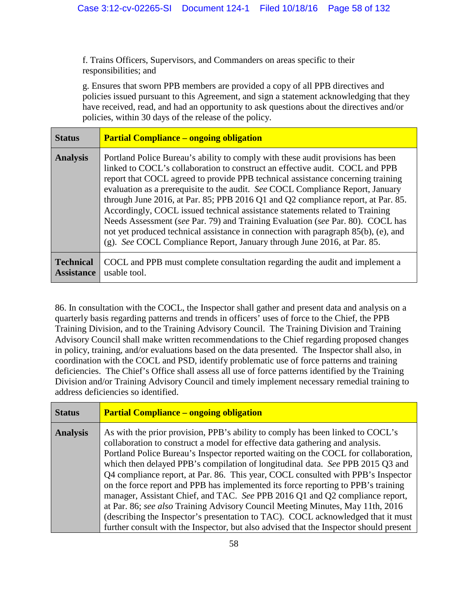f. Trains Officers, Supervisors, and Commanders on areas specific to their responsibilities; and

g. Ensures that sworn PPB members are provided a copy of all PPB directives and policies issued pursuant to this Agreement, and sign a statement acknowledging that they have received, read, and had an opportunity to ask questions about the directives and/or policies, within 30 days of the release of the policy.

| <b>Status</b>                         | <b>Partial Compliance – ongoing obligation</b>                                                                                                                                                                                                                                                                                                                                                                                                                                                                                                                                                                                                                                                                                                              |
|---------------------------------------|-------------------------------------------------------------------------------------------------------------------------------------------------------------------------------------------------------------------------------------------------------------------------------------------------------------------------------------------------------------------------------------------------------------------------------------------------------------------------------------------------------------------------------------------------------------------------------------------------------------------------------------------------------------------------------------------------------------------------------------------------------------|
| <b>Analysis</b>                       | Portland Police Bureau's ability to comply with these audit provisions has been<br>linked to COCL's collaboration to construct an effective audit. COCL and PPB<br>report that COCL agreed to provide PPB technical assistance concerning training<br>evaluation as a prerequisite to the audit. See COCL Compliance Report, January<br>through June 2016, at Par. 85; PPB 2016 Q1 and Q2 compliance report, at Par. 85.<br>Accordingly, COCL issued technical assistance statements related to Training<br>Needs Assessment (see Par. 79) and Training Evaluation (see Par. 80). COCL has<br>not yet produced technical assistance in connection with paragraph 85(b), (e), and<br>(g). See COCL Compliance Report, January through June 2016, at Par. 85. |
| <b>Technical</b><br><b>Assistance</b> | COCL and PPB must complete consultation regarding the audit and implement a<br>usable tool.                                                                                                                                                                                                                                                                                                                                                                                                                                                                                                                                                                                                                                                                 |

86. In consultation with the COCL, the Inspector shall gather and present data and analysis on a quarterly basis regarding patterns and trends in officers' uses of force to the Chief, the PPB Training Division, and to the Training Advisory Council. The Training Division and Training Advisory Council shall make written recommendations to the Chief regarding proposed changes in policy, training, and/or evaluations based on the data presented. The Inspector shall also, in coordination with the COCL and PSD, identify problematic use of force patterns and training deficiencies. The Chief's Office shall assess all use of force patterns identified by the Training Division and/or Training Advisory Council and timely implement necessary remedial training to address deficiencies so identified.

| <b>Status</b>   |
|-----------------|
| <b>Analysis</b> |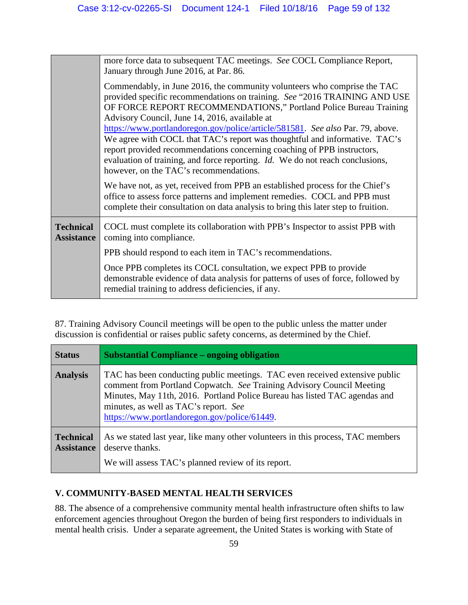|                                       | more force data to subsequent TAC meetings. See COCL Compliance Report,<br>January through June 2016, at Par. 86.                                                                                                                                                                                                                                                                                                                                                                                                                                                                                                                                        |
|---------------------------------------|----------------------------------------------------------------------------------------------------------------------------------------------------------------------------------------------------------------------------------------------------------------------------------------------------------------------------------------------------------------------------------------------------------------------------------------------------------------------------------------------------------------------------------------------------------------------------------------------------------------------------------------------------------|
|                                       | Commendably, in June 2016, the community volunteers who comprise the TAC<br>provided specific recommendations on training. See "2016 TRAINING AND USE<br>OF FORCE REPORT RECOMMENDATIONS," Portland Police Bureau Training<br>Advisory Council, June 14, 2016, available at<br>https://www.portlandoregon.gov/police/article/581581. See also Par. 79, above.<br>We agree with COCL that TAC's report was thoughtful and informative. TAC's<br>report provided recommendations concerning coaching of PPB instructors,<br>evaluation of training, and force reporting. <i>Id.</i> We do not reach conclusions,<br>however, on the TAC's recommendations. |
|                                       | We have not, as yet, received from PPB an established process for the Chief's<br>office to assess force patterns and implement remedies. COCL and PPB must<br>complete their consultation on data analysis to bring this later step to fruition.                                                                                                                                                                                                                                                                                                                                                                                                         |
| <b>Technical</b><br><b>Assistance</b> | COCL must complete its collaboration with PPB's Inspector to assist PPB with<br>coming into compliance.                                                                                                                                                                                                                                                                                                                                                                                                                                                                                                                                                  |
|                                       | PPB should respond to each item in TAC's recommendations.                                                                                                                                                                                                                                                                                                                                                                                                                                                                                                                                                                                                |
|                                       | Once PPB completes its COCL consultation, we expect PPB to provide<br>demonstrable evidence of data analysis for patterns of uses of force, followed by<br>remedial training to address deficiencies, if any.                                                                                                                                                                                                                                                                                                                                                                                                                                            |

87. Training Advisory Council meetings will be open to the public unless the matter under discussion is confidential or raises public safety concerns, as determined by the Chief.

| <b>Status</b>                         | <b>Substantial Compliance – ongoing obligation</b>                                                                                                                                                                                                                                                                          |
|---------------------------------------|-----------------------------------------------------------------------------------------------------------------------------------------------------------------------------------------------------------------------------------------------------------------------------------------------------------------------------|
| <b>Analysis</b>                       | TAC has been conducting public meetings. TAC even received extensive public<br>comment from Portland Copwatch. See Training Advisory Council Meeting<br>Minutes, May 11th, 2016. Portland Police Bureau has listed TAC agendas and<br>minutes, as well as TAC's report. See<br>https://www.portlandoregon.gov/police/61449. |
| <b>Technical</b><br><b>Assistance</b> | As we stated last year, like many other volunteers in this process, TAC members<br>deserve thanks.<br>We will assess TAC's planned review of its report.                                                                                                                                                                    |

## **V. COMMUNITY-BASED MENTAL HEALTH SERVICES**

88. The absence of a comprehensive community mental health infrastructure often shifts to law enforcement agencies throughout Oregon the burden of being first responders to individuals in mental health crisis. Under a separate agreement, the United States is working with State of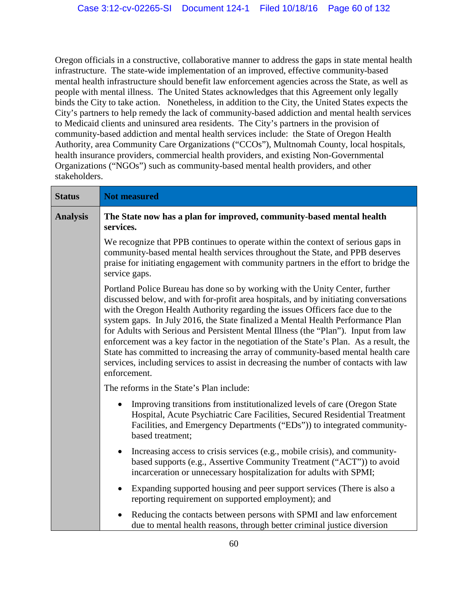Oregon officials in a constructive, collaborative manner to address the gaps in state mental health infrastructure. The state-wide implementation of an improved, effective community-based mental health infrastructure should benefit law enforcement agencies across the State, as well as people with mental illness. The United States acknowledges that this Agreement only legally binds the City to take action. Nonetheless, in addition to the City, the United States expects the City's partners to help remedy the lack of community-based addiction and mental health services to Medicaid clients and uninsured area residents. The City's partners in the provision of community-based addiction and mental health services include: the State of Oregon Health Authority, area Community Care Organizations ("CCOs"), Multnomah County, local hospitals, health insurance providers, commercial health providers, and existing Non-Governmental Organizations ("NGOs") such as community-based mental health providers, and other stakeholders.

| <b>Status</b>   | <b>Not measured</b>                                                                                                                                                                                                                                                                                                                                                                                                                                                                                                                                                                                                                                                                                                   |
|-----------------|-----------------------------------------------------------------------------------------------------------------------------------------------------------------------------------------------------------------------------------------------------------------------------------------------------------------------------------------------------------------------------------------------------------------------------------------------------------------------------------------------------------------------------------------------------------------------------------------------------------------------------------------------------------------------------------------------------------------------|
| <b>Analysis</b> | The State now has a plan for improved, community-based mental health<br>services.                                                                                                                                                                                                                                                                                                                                                                                                                                                                                                                                                                                                                                     |
|                 | We recognize that PPB continues to operate within the context of serious gaps in<br>community-based mental health services throughout the State, and PPB deserves<br>praise for initiating engagement with community partners in the effort to bridge the<br>service gaps.                                                                                                                                                                                                                                                                                                                                                                                                                                            |
|                 | Portland Police Bureau has done so by working with the Unity Center, further<br>discussed below, and with for-profit area hospitals, and by initiating conversations<br>with the Oregon Health Authority regarding the issues Officers face due to the<br>system gaps. In July 2016, the State finalized a Mental Health Performance Plan<br>for Adults with Serious and Persistent Mental Illness (the "Plan"). Input from law<br>enforcement was a key factor in the negotiation of the State's Plan. As a result, the<br>State has committed to increasing the array of community-based mental health care<br>services, including services to assist in decreasing the number of contacts with law<br>enforcement. |
|                 | The reforms in the State's Plan include:                                                                                                                                                                                                                                                                                                                                                                                                                                                                                                                                                                                                                                                                              |
|                 | Improving transitions from institutionalized levels of care (Oregon State)<br>Hospital, Acute Psychiatric Care Facilities, Secured Residential Treatment<br>Facilities, and Emergency Departments ("EDs")) to integrated community-<br>based treatment;                                                                                                                                                                                                                                                                                                                                                                                                                                                               |
|                 | Increasing access to crisis services (e.g., mobile crisis), and community-<br>$\bullet$<br>based supports (e.g., Assertive Community Treatment ("ACT")) to avoid<br>incarceration or unnecessary hospitalization for adults with SPMI;                                                                                                                                                                                                                                                                                                                                                                                                                                                                                |
|                 | Expanding supported housing and peer support services (There is also a<br>reporting requirement on supported employment); and                                                                                                                                                                                                                                                                                                                                                                                                                                                                                                                                                                                         |
|                 | Reducing the contacts between persons with SPMI and law enforcement<br>due to mental health reasons, through better criminal justice diversion                                                                                                                                                                                                                                                                                                                                                                                                                                                                                                                                                                        |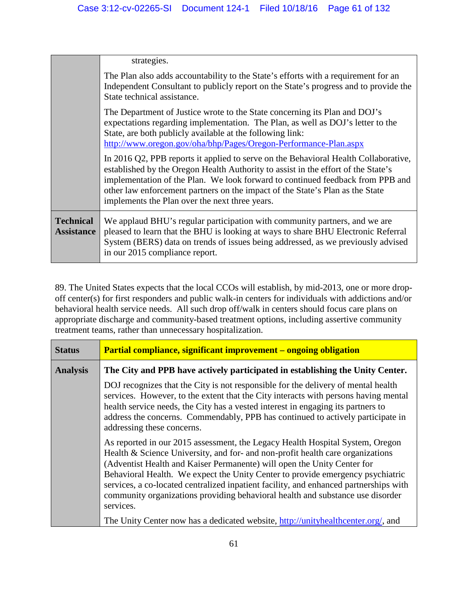|                                       | strategies.                                                                                                                                                                                                                                                                                                                                                                                   |
|---------------------------------------|-----------------------------------------------------------------------------------------------------------------------------------------------------------------------------------------------------------------------------------------------------------------------------------------------------------------------------------------------------------------------------------------------|
|                                       | The Plan also adds accountability to the State's efforts with a requirement for an<br>Independent Consultant to publicly report on the State's progress and to provide the<br>State technical assistance.                                                                                                                                                                                     |
|                                       | The Department of Justice wrote to the State concerning its Plan and DOJ's<br>expectations regarding implementation. The Plan, as well as DOJ's letter to the<br>State, are both publicly available at the following link:<br>http://www.oregon.gov/oha/bhp/Pages/Oregon-Performance-Plan.aspx                                                                                                |
|                                       | In 2016 Q2, PPB reports it applied to serve on the Behavioral Health Collaborative,<br>established by the Oregon Health Authority to assist in the effort of the State's<br>implementation of the Plan. We look forward to continued feedback from PPB and<br>other law enforcement partners on the impact of the State's Plan as the State<br>implements the Plan over the next three years. |
| <b>Technical</b><br><b>Assistance</b> | We applaud BHU's regular participation with community partners, and we are<br>pleased to learn that the BHU is looking at ways to share BHU Electronic Referral<br>System (BERS) data on trends of issues being addressed, as we previously advised<br>in our 2015 compliance report.                                                                                                         |

89. The United States expects that the local CCOs will establish, by mid-2013, one or more dropoff center(s) for first responders and public walk-in centers for individuals with addictions and/or behavioral health service needs. All such drop off/walk in centers should focus care plans on appropriate discharge and community-based treatment options, including assertive community treatment teams, rather than unnecessary hospitalization.

| <b>Status</b>   | <b>Partial compliance, significant improvement – ongoing obligation</b>                                                                                                                                                                                                                                                                                                                                                                                                                                              |
|-----------------|----------------------------------------------------------------------------------------------------------------------------------------------------------------------------------------------------------------------------------------------------------------------------------------------------------------------------------------------------------------------------------------------------------------------------------------------------------------------------------------------------------------------|
| <b>Analysis</b> | The City and PPB have actively participated in establishing the Unity Center.                                                                                                                                                                                                                                                                                                                                                                                                                                        |
|                 | DOJ recognizes that the City is not responsible for the delivery of mental health<br>services. However, to the extent that the City interacts with persons having mental<br>health service needs, the City has a vested interest in engaging its partners to<br>address the concerns. Commendably, PPB has continued to actively participate in<br>addressing these concerns.                                                                                                                                        |
|                 | As reported in our 2015 assessment, the Legacy Health Hospital System, Oregon<br>Health & Science University, and for- and non-profit health care organizations<br>(Adventist Health and Kaiser Permanente) will open the Unity Center for<br>Behavioral Health. We expect the Unity Center to provide emergency psychiatric<br>services, a co-located centralized inpatient facility, and enhanced partnerships with<br>community organizations providing behavioral health and substance use disorder<br>services. |
|                 | The Unity Center now has a dedicated website, http://unityhealthcenter.org/, and                                                                                                                                                                                                                                                                                                                                                                                                                                     |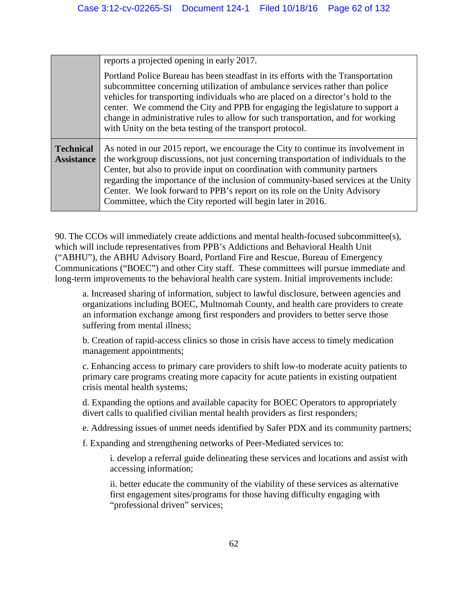|                                       | reports a projected opening in early 2017.<br>Portland Police Bureau has been steadfast in its efforts with the Transportation<br>subcommittee concerning utilization of ambulance services rather than police<br>vehicles for transporting individuals who are placed on a director's hold to the<br>center. We commend the City and PPB for engaging the legislature to support a                                                                                                      |
|---------------------------------------|------------------------------------------------------------------------------------------------------------------------------------------------------------------------------------------------------------------------------------------------------------------------------------------------------------------------------------------------------------------------------------------------------------------------------------------------------------------------------------------|
|                                       | change in administrative rules to allow for such transportation, and for working                                                                                                                                                                                                                                                                                                                                                                                                         |
|                                       | with Unity on the beta testing of the transport protocol.                                                                                                                                                                                                                                                                                                                                                                                                                                |
| <b>Technical</b><br><b>Assistance</b> | As noted in our 2015 report, we encourage the City to continue its involvement in<br>the workgroup discussions, not just concerning transportation of individuals to the<br>Center, but also to provide input on coordination with community partners<br>regarding the importance of the inclusion of community-based services at the Unity<br>Center. We look forward to PPB's report on its role on the Unity Advisory<br>Committee, which the City reported will begin later in 2016. |

90. The CCOs will immediately create addictions and mental health-focused subcommittee(s), which will include representatives from PPB's Addictions and Behavioral Health Unit ("ABHU"), the ABHU Advisory Board, Portland Fire and Rescue, Bureau of Emergency Communications ("BOEC") and other City staff. These committees will pursue immediate and long-term improvements to the behavioral health care system. Initial improvements include:

a. Increased sharing of information, subject to lawful disclosure, between agencies and organizations including BOEC, Multnomah County, and health care providers to create an information exchange among first responders and providers to better serve those suffering from mental illness;

b. Creation of rapid-access clinics so those in crisis have access to timely medication management appointments;

c. Enhancing access to primary care providers to shift low-to moderate acuity patients to primary care programs creating more capacity for acute patients in existing outpatient crisis mental health systems;

d. Expanding the options and available capacity for BOEC Operators to appropriately divert calls to qualified civilian mental health providers as first responders;

e. Addressing issues of unmet needs identified by Safer PDX and its community partners;

f. Expanding and strengthening networks of Peer-Mediated services to:

i. develop a referral guide delineating these services and locations and assist with accessing information;

ii. better educate the community of the viability of these services as alternative first engagement sites/programs for those having difficulty engaging with "professional driven" services;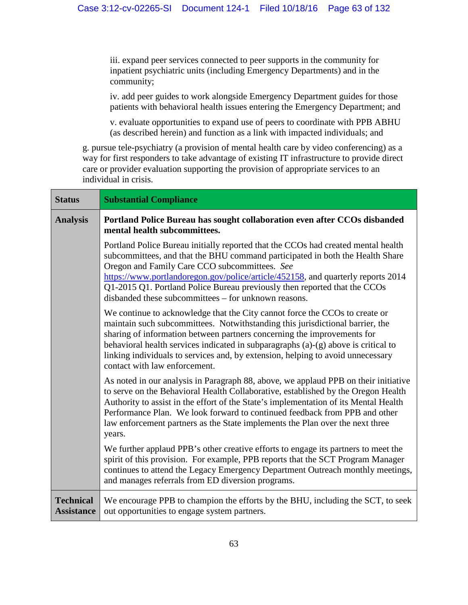iii. expand peer services connected to peer supports in the community for inpatient psychiatric units (including Emergency Departments) and in the community;

iv. add peer guides to work alongside Emergency Department guides for those patients with behavioral health issues entering the Emergency Department; and

v. evaluate opportunities to expand use of peers to coordinate with PPB ABHU (as described herein) and function as a link with impacted individuals; and

g. pursue tele-psychiatry (a provision of mental health care by video conferencing) as a way for first responders to take advantage of existing IT infrastructure to provide direct care or provider evaluation supporting the provision of appropriate services to an individual in crisis.

| <b>Status</b>                         | <b>Substantial Compliance</b>                                                                                                                                                                                                                                                                                                                                                                                                                     |
|---------------------------------------|---------------------------------------------------------------------------------------------------------------------------------------------------------------------------------------------------------------------------------------------------------------------------------------------------------------------------------------------------------------------------------------------------------------------------------------------------|
| <b>Analysis</b>                       | Portland Police Bureau has sought collaboration even after CCOs disbanded<br>mental health subcommittees.                                                                                                                                                                                                                                                                                                                                         |
|                                       | Portland Police Bureau initially reported that the CCOs had created mental health<br>subcommittees, and that the BHU command participated in both the Health Share<br>Oregon and Family Care CCO subcommittees. See<br>https://www.portlandoregon.gov/police/article/452158, and quarterly reports 2014<br>Q1-2015 Q1. Portland Police Bureau previously then reported that the CCOs<br>disbanded these subcommittees – for unknown reasons.      |
|                                       | We continue to acknowledge that the City cannot force the CCOs to create or<br>maintain such subcommittees. Notwithstanding this jurisdictional barrier, the<br>sharing of information between partners concerning the improvements for<br>behavioral health services indicated in subparagraphs (a)-(g) above is critical to<br>linking individuals to services and, by extension, helping to avoid unnecessary<br>contact with law enforcement. |
|                                       | As noted in our analysis in Paragraph 88, above, we applaud PPB on their initiative<br>to serve on the Behavioral Health Collaborative, established by the Oregon Health<br>Authority to assist in the effort of the State's implementation of its Mental Health<br>Performance Plan. We look forward to continued feedback from PPB and other<br>law enforcement partners as the State implements the Plan over the next three<br>years.         |
|                                       | We further applaud PPB's other creative efforts to engage its partners to meet the<br>spirit of this provision. For example, PPB reports that the SCT Program Manager<br>continues to attend the Legacy Emergency Department Outreach monthly meetings,<br>and manages referrals from ED diversion programs.                                                                                                                                      |
| <b>Technical</b><br><b>Assistance</b> | We encourage PPB to champion the efforts by the BHU, including the SCT, to seek<br>out opportunities to engage system partners.                                                                                                                                                                                                                                                                                                                   |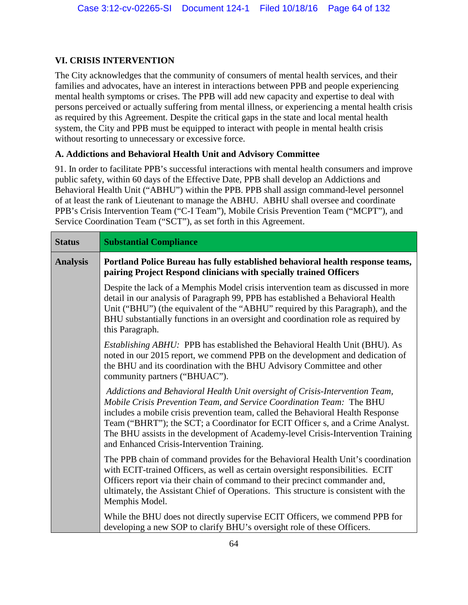#### **VI. CRISIS INTERVENTION**

The City acknowledges that the community of consumers of mental health services, and their families and advocates, have an interest in interactions between PPB and people experiencing mental health symptoms or crises. The PPB will add new capacity and expertise to deal with persons perceived or actually suffering from mental illness, or experiencing a mental health crisis as required by this Agreement. Despite the critical gaps in the state and local mental health system, the City and PPB must be equipped to interact with people in mental health crisis without resorting to unnecessary or excessive force.

#### **A. Addictions and Behavioral Health Unit and Advisory Committee**

91. In order to facilitate PPB's successful interactions with mental health consumers and improve public safety, within 60 days of the Effective Date, PPB shall develop an Addictions and Behavioral Health Unit ("ABHU") within the PPB. PPB shall assign command-level personnel of at least the rank of Lieutenant to manage the ABHU. ABHU shall oversee and coordinate PPB's Crisis Intervention Team ("C-I Team"), Mobile Crisis Prevention Team ("MCPT"), and Service Coordination Team ("SCT"), as set forth in this Agreement.

| <b>Status</b>   | <b>Substantial Compliance</b>                                                                                                                                                                                                                                                                                                                                                                                                                                |
|-----------------|--------------------------------------------------------------------------------------------------------------------------------------------------------------------------------------------------------------------------------------------------------------------------------------------------------------------------------------------------------------------------------------------------------------------------------------------------------------|
| <b>Analysis</b> | Portland Police Bureau has fully established behavioral health response teams,<br>pairing Project Respond clinicians with specially trained Officers                                                                                                                                                                                                                                                                                                         |
|                 | Despite the lack of a Memphis Model crisis intervention team as discussed in more<br>detail in our analysis of Paragraph 99, PPB has established a Behavioral Health<br>Unit ("BHU") (the equivalent of the "ABHU" required by this Paragraph), and the<br>BHU substantially functions in an oversight and coordination role as required by<br>this Paragraph.                                                                                               |
|                 | <i>Establishing ABHU</i> : PPB has established the Behavioral Health Unit (BHU). As<br>noted in our 2015 report, we commend PPB on the development and dedication of<br>the BHU and its coordination with the BHU Advisory Committee and other<br>community partners ("BHUAC").                                                                                                                                                                              |
|                 | Addictions and Behavioral Health Unit oversight of Crisis-Intervention Team,<br>Mobile Crisis Prevention Team, and Service Coordination Team: The BHU<br>includes a mobile crisis prevention team, called the Behavioral Health Response<br>Team ("BHRT"); the SCT; a Coordinator for ECIT Officer s, and a Crime Analyst.<br>The BHU assists in the development of Academy-level Crisis-Intervention Training<br>and Enhanced Crisis-Intervention Training. |
|                 | The PPB chain of command provides for the Behavioral Health Unit's coordination<br>with ECIT-trained Officers, as well as certain oversight responsibilities. ECIT<br>Officers report via their chain of command to their precinct commander and,<br>ultimately, the Assistant Chief of Operations. This structure is consistent with the<br>Memphis Model.                                                                                                  |
|                 | While the BHU does not directly supervise ECIT Officers, we commend PPB for<br>developing a new SOP to clarify BHU's oversight role of these Officers.                                                                                                                                                                                                                                                                                                       |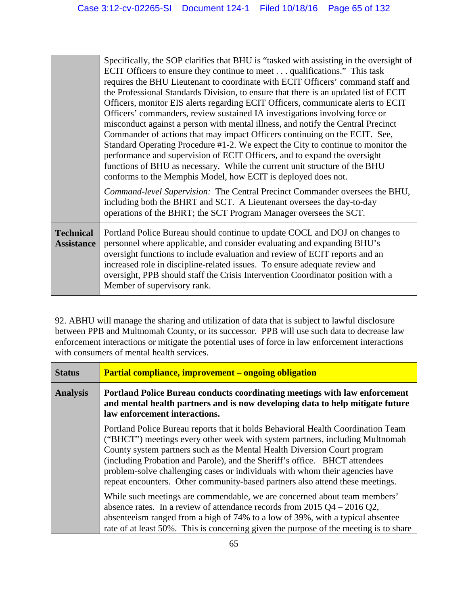|                                       | Specifically, the SOP clarifies that BHU is "tasked with assisting in the oversight of                                                                                                                                                                                                                                                                                                                 |
|---------------------------------------|--------------------------------------------------------------------------------------------------------------------------------------------------------------------------------------------------------------------------------------------------------------------------------------------------------------------------------------------------------------------------------------------------------|
|                                       | ECIT Officers to ensure they continue to meet qualifications." This task                                                                                                                                                                                                                                                                                                                               |
|                                       | requires the BHU Lieutenant to coordinate with ECIT Officers' command staff and                                                                                                                                                                                                                                                                                                                        |
|                                       | the Professional Standards Division, to ensure that there is an updated list of ECIT                                                                                                                                                                                                                                                                                                                   |
|                                       | Officers, monitor EIS alerts regarding ECIT Officers, communicate alerts to ECIT                                                                                                                                                                                                                                                                                                                       |
|                                       | Officers' commanders, review sustained IA investigations involving force or                                                                                                                                                                                                                                                                                                                            |
|                                       | misconduct against a person with mental illness, and notify the Central Precinct                                                                                                                                                                                                                                                                                                                       |
|                                       | Commander of actions that may impact Officers continuing on the ECIT. See,                                                                                                                                                                                                                                                                                                                             |
|                                       | Standard Operating Procedure #1-2. We expect the City to continue to monitor the                                                                                                                                                                                                                                                                                                                       |
|                                       | performance and supervision of ECIT Officers, and to expand the oversight                                                                                                                                                                                                                                                                                                                              |
|                                       | functions of BHU as necessary. While the current unit structure of the BHU                                                                                                                                                                                                                                                                                                                             |
|                                       | conforms to the Memphis Model, how ECIT is deployed does not.                                                                                                                                                                                                                                                                                                                                          |
|                                       | Command-level Supervision: The Central Precinct Commander oversees the BHU,<br>including both the BHRT and SCT. A Lieutenant oversees the day-to-day<br>operations of the BHRT; the SCT Program Manager oversees the SCT.                                                                                                                                                                              |
| <b>Technical</b><br><b>Assistance</b> | Portland Police Bureau should continue to update COCL and DOJ on changes to<br>personnel where applicable, and consider evaluating and expanding BHU's<br>oversight functions to include evaluation and review of ECIT reports and an<br>increased role in discipline-related issues. To ensure adequate review and<br>oversight, PPB should staff the Crisis Intervention Coordinator position with a |
|                                       | Member of supervisory rank.                                                                                                                                                                                                                                                                                                                                                                            |

92. ABHU will manage the sharing and utilization of data that is subject to lawful disclosure between PPB and Multnomah County, or its successor. PPB will use such data to decrease law enforcement interactions or mitigate the potential uses of force in law enforcement interactions with consumers of mental health services.

| <b>Status</b>   | <b>Partial compliance, improvement – ongoing obligation</b>                                                                                                                                                                                                                                                                                                                                                                                                                                 |
|-----------------|---------------------------------------------------------------------------------------------------------------------------------------------------------------------------------------------------------------------------------------------------------------------------------------------------------------------------------------------------------------------------------------------------------------------------------------------------------------------------------------------|
| <b>Analysis</b> | <b>Portland Police Bureau conducts coordinating meetings with law enforcement</b><br>and mental health partners and is now developing data to help mitigate future<br>law enforcement interactions.                                                                                                                                                                                                                                                                                         |
|                 | Portland Police Bureau reports that it holds Behavioral Health Coordination Team<br>("BHCT") meetings every other week with system partners, including Multnomah<br>County system partners such as the Mental Health Diversion Court program<br>(including Probation and Parole), and the Sheriff's office. BHCT attendees<br>problem-solve challenging cases or individuals with whom their agencies have<br>repeat encounters. Other community-based partners also attend these meetings. |
|                 | While such meetings are commendable, we are concerned about team members'<br>absence rates. In a review of attendance records from $2015 \text{ Q}4 - 2016 \text{ Q}2$ ,<br>absenteeism ranged from a high of 74% to a low of 39%, with a typical absentee<br>rate of at least 50%. This is concerning given the purpose of the meeting is to share                                                                                                                                         |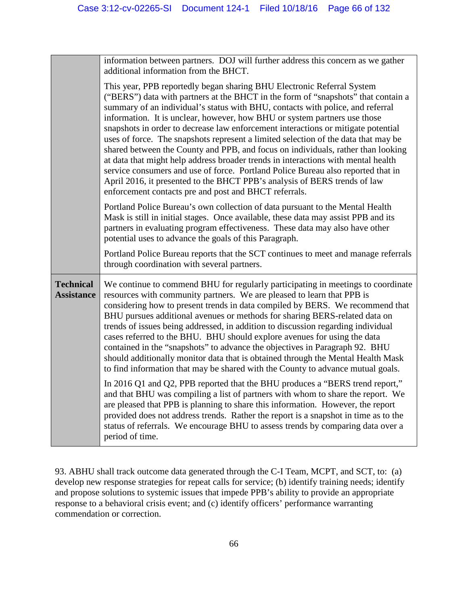| information between partners. DOJ will further address this concern as we gather<br>additional information from the BHCT.                                                                                                                                                                                                                                                                                                                                                                                                                                                                                                                                                                                                                                                                                                                                                                                |
|----------------------------------------------------------------------------------------------------------------------------------------------------------------------------------------------------------------------------------------------------------------------------------------------------------------------------------------------------------------------------------------------------------------------------------------------------------------------------------------------------------------------------------------------------------------------------------------------------------------------------------------------------------------------------------------------------------------------------------------------------------------------------------------------------------------------------------------------------------------------------------------------------------|
| This year, PPB reportedly began sharing BHU Electronic Referral System<br>("BERS") data with partners at the BHCT in the form of "snapshots" that contain a<br>summary of an individual's status with BHU, contacts with police, and referral<br>information. It is unclear, however, how BHU or system partners use those<br>snapshots in order to decrease law enforcement interactions or mitigate potential<br>uses of force. The snapshots represent a limited selection of the data that may be<br>shared between the County and PPB, and focus on individuals, rather than looking<br>at data that might help address broader trends in interactions with mental health<br>service consumers and use of force. Portland Police Bureau also reported that in<br>April 2016, it presented to the BHCT PPB's analysis of BERS trends of law<br>enforcement contacts pre and post and BHCT referrals. |
| Portland Police Bureau's own collection of data pursuant to the Mental Health<br>Mask is still in initial stages. Once available, these data may assist PPB and its<br>partners in evaluating program effectiveness. These data may also have other<br>potential uses to advance the goals of this Paragraph.                                                                                                                                                                                                                                                                                                                                                                                                                                                                                                                                                                                            |
| Portland Police Bureau reports that the SCT continues to meet and manage referrals<br>through coordination with several partners.                                                                                                                                                                                                                                                                                                                                                                                                                                                                                                                                                                                                                                                                                                                                                                        |
| We continue to commend BHU for regularly participating in meetings to coordinate<br>resources with community partners. We are pleased to learn that PPB is<br>considering how to present trends in data compiled by BERS. We recommend that<br>BHU pursues additional avenues or methods for sharing BERS-related data on<br>trends of issues being addressed, in addition to discussion regarding individual<br>cases referred to the BHU. BHU should explore avenues for using the data<br>contained in the "snapshots" to advance the objectives in Paragraph 92. BHU<br>should additionally monitor data that is obtained through the Mental Health Mask<br>to find information that may be shared with the County to advance mutual goals.                                                                                                                                                          |
| In 2016 Q1 and Q2, PPB reported that the BHU produces a "BERS trend report,"<br>and that BHU was compiling a list of partners with whom to share the report. We<br>are pleased that PPB is planning to share this information. However, the report<br>provided does not address trends. Rather the report is a snapshot in time as to the<br>status of referrals. We encourage BHU to assess trends by comparing data over a<br>period of time.                                                                                                                                                                                                                                                                                                                                                                                                                                                          |
|                                                                                                                                                                                                                                                                                                                                                                                                                                                                                                                                                                                                                                                                                                                                                                                                                                                                                                          |

93. ABHU shall track outcome data generated through the C-I Team, MCPT, and SCT, to: (a) develop new response strategies for repeat calls for service; (b) identify training needs; identify and propose solutions to systemic issues that impede PPB's ability to provide an appropriate response to a behavioral crisis event; and (c) identify officers' performance warranting commendation or correction.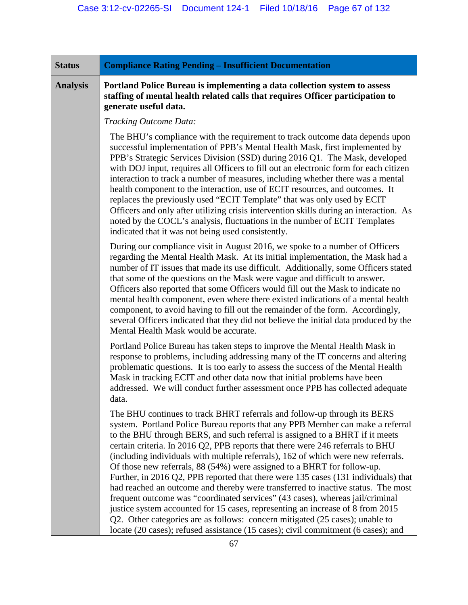| <b>Analysis</b> | Portland Police Bureau is implementing a data collection system to assess<br>staffing of mental health related calls that requires Officer participation to                                                                                                                                                                                                                                                                                                                                                                                                                                                                                                                                                                                                                                                                                                                                                                                                                                                    |
|-----------------|----------------------------------------------------------------------------------------------------------------------------------------------------------------------------------------------------------------------------------------------------------------------------------------------------------------------------------------------------------------------------------------------------------------------------------------------------------------------------------------------------------------------------------------------------------------------------------------------------------------------------------------------------------------------------------------------------------------------------------------------------------------------------------------------------------------------------------------------------------------------------------------------------------------------------------------------------------------------------------------------------------------|
|                 | generate useful data.                                                                                                                                                                                                                                                                                                                                                                                                                                                                                                                                                                                                                                                                                                                                                                                                                                                                                                                                                                                          |
|                 | Tracking Outcome Data:                                                                                                                                                                                                                                                                                                                                                                                                                                                                                                                                                                                                                                                                                                                                                                                                                                                                                                                                                                                         |
|                 | The BHU's compliance with the requirement to track outcome data depends upon<br>successful implementation of PPB's Mental Health Mask, first implemented by<br>PPB's Strategic Services Division (SSD) during 2016 Q1. The Mask, developed<br>with DOJ input, requires all Officers to fill out an electronic form for each citizen<br>interaction to track a number of measures, including whether there was a mental<br>health component to the interaction, use of ECIT resources, and outcomes. It<br>replaces the previously used "ECIT Template" that was only used by ECIT<br>Officers and only after utilizing crisis intervention skills during an interaction. As<br>noted by the COCL's analysis, fluctuations in the number of ECIT Templates<br>indicated that it was not being used consistently.                                                                                                                                                                                                |
|                 | During our compliance visit in August 2016, we spoke to a number of Officers<br>regarding the Mental Health Mask. At its initial implementation, the Mask had a<br>number of IT issues that made its use difficult. Additionally, some Officers stated<br>that some of the questions on the Mask were vague and difficult to answer.<br>Officers also reported that some Officers would fill out the Mask to indicate no<br>mental health component, even where there existed indications of a mental health<br>component, to avoid having to fill out the remainder of the form. Accordingly,<br>several Officers indicated that they did not believe the initial data produced by the<br>Mental Health Mask would be accurate.                                                                                                                                                                                                                                                                               |
|                 | Portland Police Bureau has taken steps to improve the Mental Health Mask in<br>response to problems, including addressing many of the IT concerns and altering<br>problematic questions. It is too early to assess the success of the Mental Health<br>Mask in tracking ECIT and other data now that initial problems have been<br>addressed. We will conduct further assessment once PPB has collected adequate<br>data.                                                                                                                                                                                                                                                                                                                                                                                                                                                                                                                                                                                      |
|                 | The BHU continues to track BHRT referrals and follow-up through its BERS<br>system. Portland Police Bureau reports that any PPB Member can make a referral<br>to the BHU through BERS, and such referral is assigned to a BHRT if it meets<br>certain criteria. In 2016 Q2, PPB reports that there were 246 referrals to BHU<br>(including individuals with multiple referrals), 162 of which were new referrals.<br>Of those new referrals, 88 (54%) were assigned to a BHRT for follow-up.<br>Further, in 2016 Q2, PPB reported that there were 135 cases (131 individuals) that<br>had reached an outcome and thereby were transferred to inactive status. The most<br>frequent outcome was "coordinated services" (43 cases), whereas jail/criminal<br>justice system accounted for 15 cases, representing an increase of 8 from 2015<br>Q2. Other categories are as follows: concern mitigated (25 cases); unable to<br>locate (20 cases); refused assistance (15 cases); civil commitment (6 cases); and |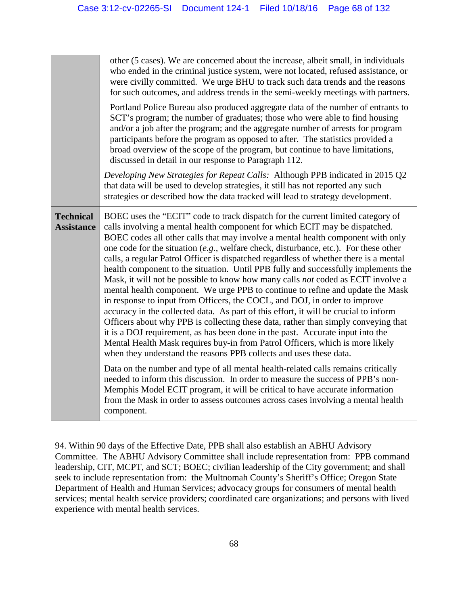|                                       | other (5 cases). We are concerned about the increase, albeit small, in individuals<br>who ended in the criminal justice system, were not located, refused assistance, or<br>were civilly committed. We urge BHU to track such data trends and the reasons<br>for such outcomes, and address trends in the semi-weekly meetings with partners.<br>Portland Police Bureau also produced aggregate data of the number of entrants to<br>SCT's program; the number of graduates; those who were able to find housing<br>and/or a job after the program; and the aggregate number of arrests for program<br>participants before the program as opposed to after. The statistics provided a<br>broad overview of the scope of the program, but continue to have limitations,<br>discussed in detail in our response to Paragraph 112.                                                                                                                                                                                                                                                                                                                                                                                                                                                                                                                                                                                                                                                                                                                                 |
|---------------------------------------|-----------------------------------------------------------------------------------------------------------------------------------------------------------------------------------------------------------------------------------------------------------------------------------------------------------------------------------------------------------------------------------------------------------------------------------------------------------------------------------------------------------------------------------------------------------------------------------------------------------------------------------------------------------------------------------------------------------------------------------------------------------------------------------------------------------------------------------------------------------------------------------------------------------------------------------------------------------------------------------------------------------------------------------------------------------------------------------------------------------------------------------------------------------------------------------------------------------------------------------------------------------------------------------------------------------------------------------------------------------------------------------------------------------------------------------------------------------------------------------------------------------------------------------------------------------------|
|                                       | Developing New Strategies for Repeat Calls: Although PPB indicated in 2015 Q2<br>that data will be used to develop strategies, it still has not reported any such<br>strategies or described how the data tracked will lead to strategy development.                                                                                                                                                                                                                                                                                                                                                                                                                                                                                                                                                                                                                                                                                                                                                                                                                                                                                                                                                                                                                                                                                                                                                                                                                                                                                                            |
| <b>Technical</b><br><b>Assistance</b> | BOEC uses the "ECIT" code to track dispatch for the current limited category of<br>calls involving a mental health component for which ECIT may be dispatched.<br>BOEC codes all other calls that may involve a mental health component with only<br>one code for the situation $(e.g.,$ welfare check, disturbance, etc.). For these other<br>calls, a regular Patrol Officer is dispatched regardless of whether there is a mental<br>health component to the situation. Until PPB fully and successfully implements the<br>Mask, it will not be possible to know how many calls not coded as ECIT involve a<br>mental health component. We urge PPB to continue to refine and update the Mask<br>in response to input from Officers, the COCL, and DOJ, in order to improve<br>accuracy in the collected data. As part of this effort, it will be crucial to inform<br>Officers about why PPB is collecting these data, rather than simply conveying that<br>it is a DOJ requirement, as has been done in the past. Accurate input into the<br>Mental Health Mask requires buy-in from Patrol Officers, which is more likely<br>when they understand the reasons PPB collects and uses these data.<br>Data on the number and type of all mental health-related calls remains critically<br>needed to inform this discussion. In order to measure the success of PPB's non-<br>Memphis Model ECIT program, it will be critical to have accurate information<br>from the Mask in order to assess outcomes across cases involving a mental health<br>component. |

94. Within 90 days of the Effective Date, PPB shall also establish an ABHU Advisory Committee. The ABHU Advisory Committee shall include representation from: PPB command leadership, CIT, MCPT, and SCT; BOEC; civilian leadership of the City government; and shall seek to include representation from: the Multnomah County's Sheriff's Office; Oregon State Department of Health and Human Services; advocacy groups for consumers of mental health services; mental health service providers; coordinated care organizations; and persons with lived experience with mental health services.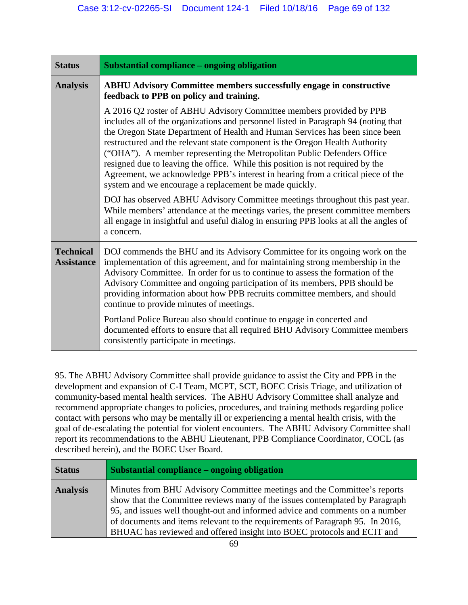| <b>Status</b>                         | Substantial compliance – ongoing obligation                                                                                                                                                                                                                                                                                                                                                                                                                                                                                                                                                                                                                                                                                                                                                                                                                                                                     |
|---------------------------------------|-----------------------------------------------------------------------------------------------------------------------------------------------------------------------------------------------------------------------------------------------------------------------------------------------------------------------------------------------------------------------------------------------------------------------------------------------------------------------------------------------------------------------------------------------------------------------------------------------------------------------------------------------------------------------------------------------------------------------------------------------------------------------------------------------------------------------------------------------------------------------------------------------------------------|
| <b>Analysis</b>                       | <b>ABHU Advisory Committee members successfully engage in constructive</b><br>feedback to PPB on policy and training.                                                                                                                                                                                                                                                                                                                                                                                                                                                                                                                                                                                                                                                                                                                                                                                           |
|                                       | A 2016 Q2 roster of ABHU Advisory Committee members provided by PPB<br>includes all of the organizations and personnel listed in Paragraph 94 (noting that<br>the Oregon State Department of Health and Human Services has been since been<br>restructured and the relevant state component is the Oregon Health Authority<br>("OHA"). A member representing the Metropolitan Public Defenders Office<br>resigned due to leaving the office. While this position is not required by the<br>Agreement, we acknowledge PPB's interest in hearing from a critical piece of the<br>system and we encourage a replacement be made quickly.<br>DOJ has observed ABHU Advisory Committee meetings throughout this past year.<br>While members' attendance at the meetings varies, the present committee members<br>all engage in insightful and useful dialog in ensuring PPB looks at all the angles of<br>a concern. |
| <b>Technical</b><br><b>Assistance</b> | DOJ commends the BHU and its Advisory Committee for its ongoing work on the<br>implementation of this agreement, and for maintaining strong membership in the<br>Advisory Committee. In order for us to continue to assess the formation of the<br>Advisory Committee and ongoing participation of its members, PPB should be<br>providing information about how PPB recruits committee members, and should<br>continue to provide minutes of meetings.<br>Portland Police Bureau also should continue to engage in concerted and<br>documented efforts to ensure that all required BHU Advisory Committee members<br>consistently participate in meetings.                                                                                                                                                                                                                                                     |

95. The ABHU Advisory Committee shall provide guidance to assist the City and PPB in the development and expansion of C-I Team, MCPT, SCT, BOEC Crisis Triage, and utilization of community-based mental health services. The ABHU Advisory Committee shall analyze and recommend appropriate changes to policies, procedures, and training methods regarding police contact with persons who may be mentally ill or experiencing a mental health crisis, with the goal of de-escalating the potential for violent encounters. The ABHU Advisory Committee shall report its recommendations to the ABHU Lieutenant, PPB Compliance Coordinator, COCL (as described herein), and the BOEC User Board.

| <b>Status</b>   | Substantial compliance – ongoing obligation                                                                                                                                                                                                                                                                                                                                                          |
|-----------------|------------------------------------------------------------------------------------------------------------------------------------------------------------------------------------------------------------------------------------------------------------------------------------------------------------------------------------------------------------------------------------------------------|
| <b>Analysis</b> | Minutes from BHU Advisory Committee meetings and the Committee's reports<br>show that the Committee reviews many of the issues contemplated by Paragraph<br>95, and issues well thought-out and informed advice and comments on a number<br>of documents and items relevant to the requirements of Paragraph 95. In 2016,<br>BHUAC has reviewed and offered insight into BOEC protocols and ECIT and |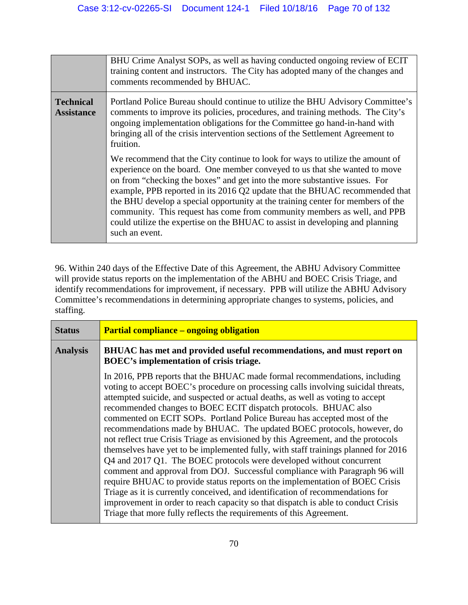|                                       | BHU Crime Analyst SOPs, as well as having conducted ongoing review of ECIT<br>training content and instructors. The City has adopted many of the changes and<br>comments recommended by BHUAC.                                                                                                                                                                                                                                                                                                                                                                                                                                                                                                                                                                                                                                                                                                                                              |
|---------------------------------------|---------------------------------------------------------------------------------------------------------------------------------------------------------------------------------------------------------------------------------------------------------------------------------------------------------------------------------------------------------------------------------------------------------------------------------------------------------------------------------------------------------------------------------------------------------------------------------------------------------------------------------------------------------------------------------------------------------------------------------------------------------------------------------------------------------------------------------------------------------------------------------------------------------------------------------------------|
| <b>Technical</b><br><b>Assistance</b> | Portland Police Bureau should continue to utilize the BHU Advisory Committee's<br>comments to improve its policies, procedures, and training methods. The City's<br>ongoing implementation obligations for the Committee go hand-in-hand with<br>bringing all of the crisis intervention sections of the Settlement Agreement to<br>fruition.<br>We recommend that the City continue to look for ways to utilize the amount of<br>experience on the board. One member conveyed to us that she wanted to move<br>on from "checking the boxes" and get into the more substantive issues. For<br>example, PPB reported in its 2016 Q2 update that the BHUAC recommended that<br>the BHU develop a special opportunity at the training center for members of the<br>community. This request has come from community members as well, and PPB<br>could utilize the expertise on the BHUAC to assist in developing and planning<br>such an event. |

96. Within 240 days of the Effective Date of this Agreement, the ABHU Advisory Committee will provide status reports on the implementation of the ABHU and BOEC Crisis Triage, and identify recommendations for improvement, if necessary. PPB will utilize the ABHU Advisory Committee's recommendations in determining appropriate changes to systems, policies, and staffing.

| <b>Status</b>   | <b>Partial compliance – ongoing obligation</b>                                                                                                                                                                                                                                                                                                                                                                                                                                                                                                                                                                                                                                                                                                                                                                                                                                                                                                                                                                                                                                                                                            |
|-----------------|-------------------------------------------------------------------------------------------------------------------------------------------------------------------------------------------------------------------------------------------------------------------------------------------------------------------------------------------------------------------------------------------------------------------------------------------------------------------------------------------------------------------------------------------------------------------------------------------------------------------------------------------------------------------------------------------------------------------------------------------------------------------------------------------------------------------------------------------------------------------------------------------------------------------------------------------------------------------------------------------------------------------------------------------------------------------------------------------------------------------------------------------|
| <b>Analysis</b> | <b>BHUAC</b> has met and provided useful recommendations, and must report on<br>BOEC's implementation of crisis triage.                                                                                                                                                                                                                                                                                                                                                                                                                                                                                                                                                                                                                                                                                                                                                                                                                                                                                                                                                                                                                   |
|                 | In 2016, PPB reports that the BHUAC made formal recommendations, including<br>voting to accept BOEC's procedure on processing calls involving suicidal threats,<br>attempted suicide, and suspected or actual deaths, as well as voting to accept<br>recommended changes to BOEC ECIT dispatch protocols. BHUAC also<br>commented on ECIT SOPs. Portland Police Bureau has accepted most of the<br>recommendations made by BHUAC. The updated BOEC protocols, however, do<br>not reflect true Crisis Triage as envisioned by this Agreement, and the protocols<br>themselves have yet to be implemented fully, with staff trainings planned for 2016<br>Q4 and 2017 Q1. The BOEC protocols were developed without concurrent<br>comment and approval from DOJ. Successful compliance with Paragraph 96 will<br>require BHUAC to provide status reports on the implementation of BOEC Crisis<br>Triage as it is currently conceived, and identification of recommendations for<br>improvement in order to reach capacity so that dispatch is able to conduct Crisis<br>Triage that more fully reflects the requirements of this Agreement. |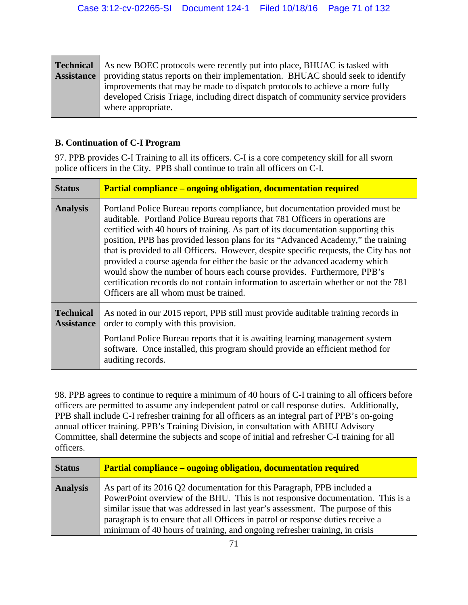| <b>Technical</b>  | As new BOEC protocols were recently put into place, BHUAC is tasked with          |
|-------------------|-----------------------------------------------------------------------------------|
| <b>Assistance</b> | providing status reports on their implementation. BHUAC should seek to identify   |
|                   | improvements that may be made to dispatch protocols to achieve a more fully       |
|                   | developed Crisis Triage, including direct dispatch of community service providers |
|                   | where appropriate.                                                                |

## **B. Continuation of C-I Program**

97. PPB provides C-I Training to all its officers. C-I is a core competency skill for all sworn police officers in the City. PPB shall continue to train all officers on C-I.

| <b>Status</b>                         | <b>Partial compliance – ongoing obligation, documentation required</b>                                                                                                                                                                                                                                                                                                                                                                                                                                                                                                                                                                                                                                                        |
|---------------------------------------|-------------------------------------------------------------------------------------------------------------------------------------------------------------------------------------------------------------------------------------------------------------------------------------------------------------------------------------------------------------------------------------------------------------------------------------------------------------------------------------------------------------------------------------------------------------------------------------------------------------------------------------------------------------------------------------------------------------------------------|
| <b>Analysis</b>                       | Portland Police Bureau reports compliance, but documentation provided must be<br>auditable. Portland Police Bureau reports that 781 Officers in operations are<br>certified with 40 hours of training. As part of its documentation supporting this<br>position, PPB has provided lesson plans for its "Advanced Academy," the training<br>that is provided to all Officers. However, despite specific requests, the City has not<br>provided a course agenda for either the basic or the advanced academy which<br>would show the number of hours each course provides. Furthermore, PPB's<br>certification records do not contain information to ascertain whether or not the 781<br>Officers are all whom must be trained. |
| <b>Technical</b><br><b>Assistance</b> | As noted in our 2015 report, PPB still must provide auditable training records in<br>order to comply with this provision.                                                                                                                                                                                                                                                                                                                                                                                                                                                                                                                                                                                                     |
|                                       | Portland Police Bureau reports that it is awaiting learning management system<br>software. Once installed, this program should provide an efficient method for<br>auditing records.                                                                                                                                                                                                                                                                                                                                                                                                                                                                                                                                           |

98. PPB agrees to continue to require a minimum of 40 hours of C-I training to all officers before officers are permitted to assume any independent patrol or call response duties. Additionally, PPB shall include C-I refresher training for all officers as an integral part of PPB's on-going annual officer training. PPB's Training Division, in consultation with ABHU Advisory Committee, shall determine the subjects and scope of initial and refresher C-I training for all officers.

| <b>Status</b>   | <b>Partial compliance – ongoing obligation, documentation required</b>                                                                                                                                                                                                                                                                                                                                         |
|-----------------|----------------------------------------------------------------------------------------------------------------------------------------------------------------------------------------------------------------------------------------------------------------------------------------------------------------------------------------------------------------------------------------------------------------|
| <b>Analysis</b> | As part of its 2016 Q2 documentation for this Paragraph, PPB included a<br>PowerPoint overview of the BHU. This is not responsive documentation. This is a<br>similar issue that was addressed in last year's assessment. The purpose of this<br>paragraph is to ensure that all Officers in patrol or response duties receive a<br>minimum of 40 hours of training, and ongoing refresher training, in crisis |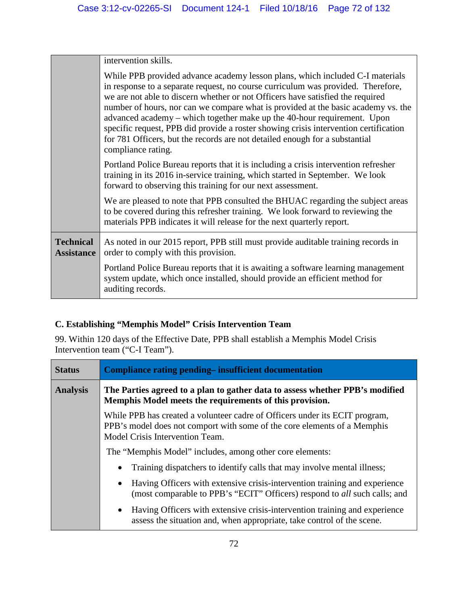|                                       | intervention skills.                                                                                                                                                                                                                                                                                                                                                                                                                                                                                                                                                                                             |
|---------------------------------------|------------------------------------------------------------------------------------------------------------------------------------------------------------------------------------------------------------------------------------------------------------------------------------------------------------------------------------------------------------------------------------------------------------------------------------------------------------------------------------------------------------------------------------------------------------------------------------------------------------------|
|                                       | While PPB provided advance academy lesson plans, which included C-I materials<br>in response to a separate request, no course curriculum was provided. Therefore,<br>we are not able to discern whether or not Officers have satisfied the required<br>number of hours, nor can we compare what is provided at the basic academy vs. the<br>advanced academy – which together make up the 40-hour requirement. Upon<br>specific request, PPB did provide a roster showing crisis intervention certification<br>for 781 Officers, but the records are not detailed enough for a substantial<br>compliance rating. |
|                                       | Portland Police Bureau reports that it is including a crisis intervention refresher<br>training in its 2016 in-service training, which started in September. We look<br>forward to observing this training for our next assessment.                                                                                                                                                                                                                                                                                                                                                                              |
|                                       | We are pleased to note that PPB consulted the BHUAC regarding the subject areas<br>to be covered during this refresher training. We look forward to reviewing the<br>materials PPB indicates it will release for the next quarterly report.                                                                                                                                                                                                                                                                                                                                                                      |
| <b>Technical</b><br><b>Assistance</b> | As noted in our 2015 report, PPB still must provide auditable training records in<br>order to comply with this provision.                                                                                                                                                                                                                                                                                                                                                                                                                                                                                        |
|                                       | Portland Police Bureau reports that it is awaiting a software learning management<br>system update, which once installed, should provide an efficient method for<br>auditing records.                                                                                                                                                                                                                                                                                                                                                                                                                            |

## **C. Establishing "Memphis Model" Crisis Intervention Team**

99. Within 120 days of the Effective Date, PPB shall establish a Memphis Model Crisis Intervention team ("C-I Team").

| <b>Status</b>   | Compliance rating pending-insufficient documentation                                                                                                                                       |
|-----------------|--------------------------------------------------------------------------------------------------------------------------------------------------------------------------------------------|
| <b>Analysis</b> | The Parties agreed to a plan to gather data to assess whether PPB's modified<br>Memphis Model meets the requirements of this provision.                                                    |
|                 | While PPB has created a volunteer cadre of Officers under its ECIT program,<br>PPB's model does not comport with some of the core elements of a Memphis<br>Model Crisis Intervention Team. |
|                 | The "Memphis Model" includes, among other core elements:                                                                                                                                   |
|                 | Training dispatchers to identify calls that may involve mental illness;                                                                                                                    |
|                 | Having Officers with extensive crisis-intervention training and experience<br>$\bullet$<br>(most comparable to PPB's "ECIT" Officers) respond to all such calls; and                       |
|                 | Having Officers with extensive crisis-intervention training and experience<br>$\bullet$<br>assess the situation and, when appropriate, take control of the scene.                          |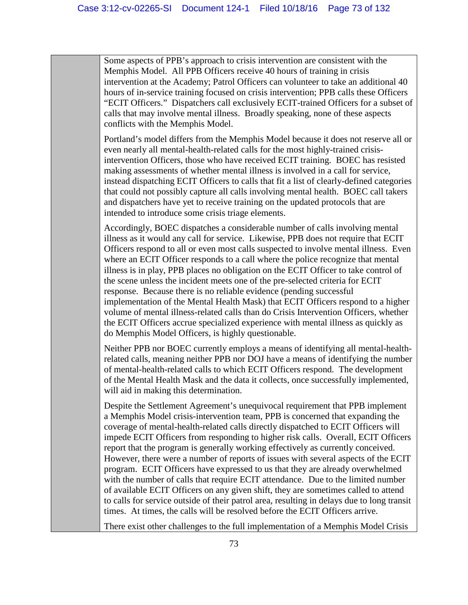Some aspects of PPB's approach to crisis intervention are consistent with the Memphis Model. All PPB Officers receive 40 hours of training in crisis intervention at the Academy; Patrol Officers can volunteer to take an additional 40 hours of in-service training focused on crisis intervention; PPB calls these Officers "ECIT Officers." Dispatchers call exclusively ECIT-trained Officers for a subset of calls that may involve mental illness. Broadly speaking, none of these aspects conflicts with the Memphis Model.

Portland's model differs from the Memphis Model because it does not reserve all or even nearly all mental-health-related calls for the most highly-trained crisisintervention Officers, those who have received ECIT training. BOEC has resisted making assessments of whether mental illness is involved in a call for service, instead dispatching ECIT Officers to calls that fit a list of clearly-defined categories that could not possibly capture all calls involving mental health. BOEC call takers and dispatchers have yet to receive training on the updated protocols that are intended to introduce some crisis triage elements.

Accordingly, BOEC dispatches a considerable number of calls involving mental illness as it would any call for service. Likewise, PPB does not require that ECIT Officers respond to all or even most calls suspected to involve mental illness. Even where an ECIT Officer responds to a call where the police recognize that mental illness is in play, PPB places no obligation on the ECIT Officer to take control of the scene unless the incident meets one of the pre-selected criteria for ECIT response. Because there is no reliable evidence (pending successful implementation of the Mental Health Mask) that ECIT Officers respond to a higher volume of mental illness-related calls than do Crisis Intervention Officers, whether the ECIT Officers accrue specialized experience with mental illness as quickly as do Memphis Model Officers, is highly questionable.

Neither PPB nor BOEC currently employs a means of identifying all mental-healthrelated calls, meaning neither PPB nor DOJ have a means of identifying the number of mental-health-related calls to which ECIT Officers respond. The development of the Mental Health Mask and the data it collects, once successfully implemented, will aid in making this determination.

Despite the Settlement Agreement's unequivocal requirement that PPB implement a Memphis Model crisis-intervention team, PPB is concerned that expanding the coverage of mental-health-related calls directly dispatched to ECIT Officers will impede ECIT Officers from responding to higher risk calls. Overall, ECIT Officers report that the program is generally working effectively as currently conceived. However, there were a number of reports of issues with several aspects of the ECIT program. ECIT Officers have expressed to us that they are already overwhelmed with the number of calls that require ECIT attendance. Due to the limited number of available ECIT Officers on any given shift, they are sometimes called to attend to calls for service outside of their patrol area, resulting in delays due to long transit times. At times, the calls will be resolved before the ECIT Officers arrive.

There exist other challenges to the full implementation of a Memphis Model Crisis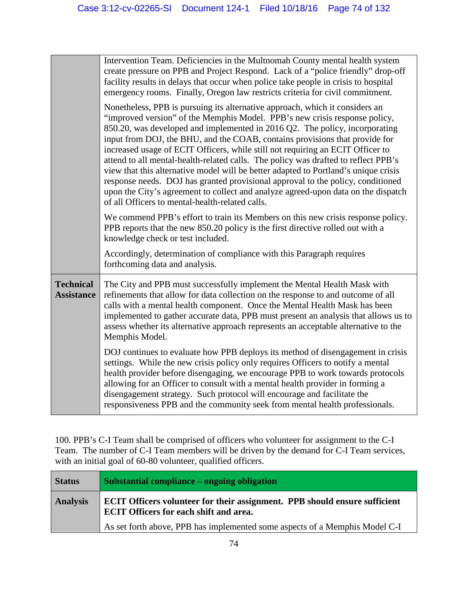|                                       | Intervention Team. Deficiencies in the Multnomah County mental health system<br>create pressure on PPB and Project Respond. Lack of a "police friendly" drop-off<br>facility results in delays that occur when police take people in crisis to hospital<br>emergency rooms. Finally, Oregon law restricts criteria for civil commitment.                                                                                                                                                                                                                                                                                                                                                                                                                                                                           |
|---------------------------------------|--------------------------------------------------------------------------------------------------------------------------------------------------------------------------------------------------------------------------------------------------------------------------------------------------------------------------------------------------------------------------------------------------------------------------------------------------------------------------------------------------------------------------------------------------------------------------------------------------------------------------------------------------------------------------------------------------------------------------------------------------------------------------------------------------------------------|
|                                       | Nonetheless, PPB is pursuing its alternative approach, which it considers an<br>"improved version" of the Memphis Model. PPB's new crisis response policy,<br>850.20, was developed and implemented in 2016 Q2. The policy, incorporating<br>input from DOJ, the BHU, and the COAB, contains provisions that provide for<br>increased usage of ECIT Officers, while still not requiring an ECIT Officer to<br>attend to all mental-health-related calls. The policy was drafted to reflect PPB's<br>view that this alternative model will be better adapted to Portland's unique crisis<br>response needs. DOJ has granted provisional approval to the policy, conditioned<br>upon the City's agreement to collect and analyze agreed-upon data on the dispatch<br>of all Officers to mental-health-related calls. |
|                                       | We commend PPB's effort to train its Members on this new crisis response policy.<br>PPB reports that the new 850.20 policy is the first directive rolled out with a<br>knowledge check or test included.                                                                                                                                                                                                                                                                                                                                                                                                                                                                                                                                                                                                           |
|                                       | Accordingly, determination of compliance with this Paragraph requires<br>forthcoming data and analysis.                                                                                                                                                                                                                                                                                                                                                                                                                                                                                                                                                                                                                                                                                                            |
| <b>Technical</b><br><b>Assistance</b> | The City and PPB must successfully implement the Mental Health Mask with<br>refinements that allow for data collection on the response to and outcome of all<br>calls with a mental health component. Once the Mental Health Mask has been<br>implemented to gather accurate data, PPB must present an analysis that allows us to<br>assess whether its alternative approach represents an acceptable alternative to the<br>Memphis Model.                                                                                                                                                                                                                                                                                                                                                                         |
|                                       | DOJ continues to evaluate how PPB deploys its method of disengagement in crisis<br>settings. While the new crisis policy only requires Officers to notify a mental<br>health provider before disengaging, we encourage PPB to work towards protocols<br>allowing for an Officer to consult with a mental health provider in forming a<br>disengagement strategy. Such protocol will encourage and facilitate the<br>responsiveness PPB and the community seek from mental health professionals.                                                                                                                                                                                                                                                                                                                    |

100. PPB's C-I Team shall be comprised of officers who volunteer for assignment to the C-I Team. The number of C-I Team members will be driven by the demand for C-I Team services, with an initial goal of 60-80 volunteer, qualified officers.

| <b>Status</b>   | <b>Substantial compliance – ongoing obligation</b>                                                                          |
|-----------------|-----------------------------------------------------------------------------------------------------------------------------|
| <b>Analysis</b> | ECIT Officers volunteer for their assignment. PPB should ensure sufficient<br><b>ECIT Officers for each shift and area.</b> |
|                 | As set forth above, PPB has implemented some aspects of a Memphis Model C-I                                                 |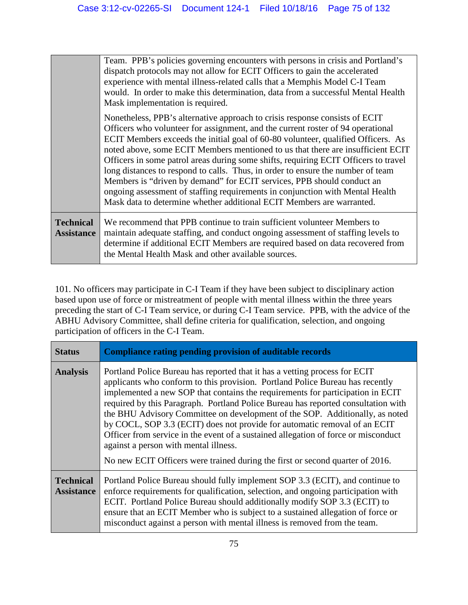|                                       | Team. PPB's policies governing encounters with persons in crisis and Portland's<br>dispatch protocols may not allow for ECIT Officers to gain the accelerated<br>experience with mental illness-related calls that a Memphis Model C-I Team<br>would. In order to make this determination, data from a successful Mental Health<br>Mask implementation is required.                                                                                                                                                                                                                                                                                                                                                                                 |
|---------------------------------------|-----------------------------------------------------------------------------------------------------------------------------------------------------------------------------------------------------------------------------------------------------------------------------------------------------------------------------------------------------------------------------------------------------------------------------------------------------------------------------------------------------------------------------------------------------------------------------------------------------------------------------------------------------------------------------------------------------------------------------------------------------|
|                                       | Nonetheless, PPB's alternative approach to crisis response consists of ECIT<br>Officers who volunteer for assignment, and the current roster of 94 operational<br>ECIT Members exceeds the initial goal of 60-80 volunteer, qualified Officers. As<br>noted above, some ECIT Members mentioned to us that there are insufficient ECIT<br>Officers in some patrol areas during some shifts, requiring ECIT Officers to travel<br>long distances to respond to calls. Thus, in order to ensure the number of team<br>Members is "driven by demand" for ECIT services, PPB should conduct an<br>ongoing assessment of staffing requirements in conjunction with Mental Health<br>Mask data to determine whether additional ECIT Members are warranted. |
| <b>Technical</b><br><b>Assistance</b> | We recommend that PPB continue to train sufficient volunteer Members to<br>maintain adequate staffing, and conduct ongoing assessment of staffing levels to<br>determine if additional ECIT Members are required based on data recovered from<br>the Mental Health Mask and other available sources.                                                                                                                                                                                                                                                                                                                                                                                                                                                |

101. No officers may participate in C-I Team if they have been subject to disciplinary action based upon use of force or mistreatment of people with mental illness within the three years preceding the start of C-I Team service, or during C-I Team service. PPB, with the advice of the ABHU Advisory Committee, shall define criteria for qualification, selection, and ongoing participation of officers in the C-I Team.

| <b>Status</b>                         | Compliance rating pending provision of auditable records                                                                                                                                                                                                                                                                                                                                                                                                                                                                                                                                                                                                                                                        |
|---------------------------------------|-----------------------------------------------------------------------------------------------------------------------------------------------------------------------------------------------------------------------------------------------------------------------------------------------------------------------------------------------------------------------------------------------------------------------------------------------------------------------------------------------------------------------------------------------------------------------------------------------------------------------------------------------------------------------------------------------------------------|
| <b>Analysis</b>                       | Portland Police Bureau has reported that it has a vetting process for ECIT<br>applicants who conform to this provision. Portland Police Bureau has recently<br>implemented a new SOP that contains the requirements for participation in ECIT<br>required by this Paragraph. Portland Police Bureau has reported consultation with<br>the BHU Advisory Committee on development of the SOP. Additionally, as noted<br>by COCL, SOP 3.3 (ECIT) does not provide for automatic removal of an ECIT<br>Officer from service in the event of a sustained allegation of force or misconduct<br>against a person with mental illness.<br>No new ECIT Officers were trained during the first or second quarter of 2016. |
| <b>Technical</b><br><b>Assistance</b> | Portland Police Bureau should fully implement SOP 3.3 (ECIT), and continue to<br>enforce requirements for qualification, selection, and ongoing participation with<br>ECIT. Portland Police Bureau should additionally modify SOP 3.3 (ECIT) to<br>ensure that an ECIT Member who is subject to a sustained allegation of force or<br>misconduct against a person with mental illness is removed from the team.                                                                                                                                                                                                                                                                                                 |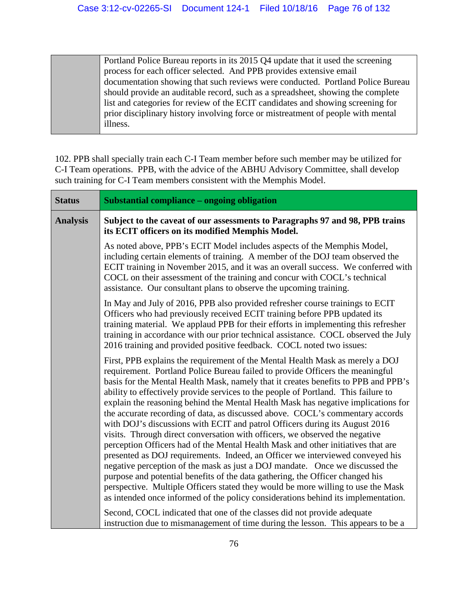Portland Police Bureau reports in its 2015 Q4 update that it used the screening process for each officer selected. And PPB provides extensive email documentation showing that such reviews were conducted. Portland Police Bureau should provide an auditable record, such as a spreadsheet, showing the complete list and categories for review of the ECIT candidates and showing screening for prior disciplinary history involving force or mistreatment of people with mental illness.

102. PPB shall specially train each C-I Team member before such member may be utilized for C-I Team operations. PPB, with the advice of the ABHU Advisory Committee, shall develop such training for C-I Team members consistent with the Memphis Model.

| <b>Status</b>   | <b>Substantial compliance – ongoing obligation</b>                                                                                                                                                                                                                                                                                                                                                                                                                                                                                                                                                                                                                                                                                                                                                                                                                                                                                                                                                                                                                                                                                                                                            |
|-----------------|-----------------------------------------------------------------------------------------------------------------------------------------------------------------------------------------------------------------------------------------------------------------------------------------------------------------------------------------------------------------------------------------------------------------------------------------------------------------------------------------------------------------------------------------------------------------------------------------------------------------------------------------------------------------------------------------------------------------------------------------------------------------------------------------------------------------------------------------------------------------------------------------------------------------------------------------------------------------------------------------------------------------------------------------------------------------------------------------------------------------------------------------------------------------------------------------------|
| <b>Analysis</b> | Subject to the caveat of our assessments to Paragraphs 97 and 98, PPB trains<br>its ECIT officers on its modified Memphis Model.                                                                                                                                                                                                                                                                                                                                                                                                                                                                                                                                                                                                                                                                                                                                                                                                                                                                                                                                                                                                                                                              |
|                 | As noted above, PPB's ECIT Model includes aspects of the Memphis Model,<br>including certain elements of training. A member of the DOJ team observed the<br>ECIT training in November 2015, and it was an overall success. We conferred with<br>COCL on their assessment of the training and concur with COCL's technical<br>assistance. Our consultant plans to observe the upcoming training.                                                                                                                                                                                                                                                                                                                                                                                                                                                                                                                                                                                                                                                                                                                                                                                               |
|                 | In May and July of 2016, PPB also provided refresher course trainings to ECIT<br>Officers who had previously received ECIT training before PPB updated its<br>training material. We applaud PPB for their efforts in implementing this refresher<br>training in accordance with our prior technical assistance. COCL observed the July<br>2016 training and provided positive feedback. COCL noted two issues:                                                                                                                                                                                                                                                                                                                                                                                                                                                                                                                                                                                                                                                                                                                                                                                |
|                 | First, PPB explains the requirement of the Mental Health Mask as merely a DOJ<br>requirement. Portland Police Bureau failed to provide Officers the meaningful<br>basis for the Mental Health Mask, namely that it creates benefits to PPB and PPB's<br>ability to effectively provide services to the people of Portland. This failure to<br>explain the reasoning behind the Mental Health Mask has negative implications for<br>the accurate recording of data, as discussed above. COCL's commentary accords<br>with DOJ's discussions with ECIT and patrol Officers during its August 2016<br>visits. Through direct conversation with officers, we observed the negative<br>perception Officers had of the Mental Health Mask and other initiatives that are<br>presented as DOJ requirements. Indeed, an Officer we interviewed conveyed his<br>negative perception of the mask as just a DOJ mandate. Once we discussed the<br>purpose and potential benefits of the data gathering, the Officer changed his<br>perspective. Multiple Officers stated they would be more willing to use the Mask<br>as intended once informed of the policy considerations behind its implementation. |
|                 | Second, COCL indicated that one of the classes did not provide adequate<br>instruction due to mismanagement of time during the lesson. This appears to be a                                                                                                                                                                                                                                                                                                                                                                                                                                                                                                                                                                                                                                                                                                                                                                                                                                                                                                                                                                                                                                   |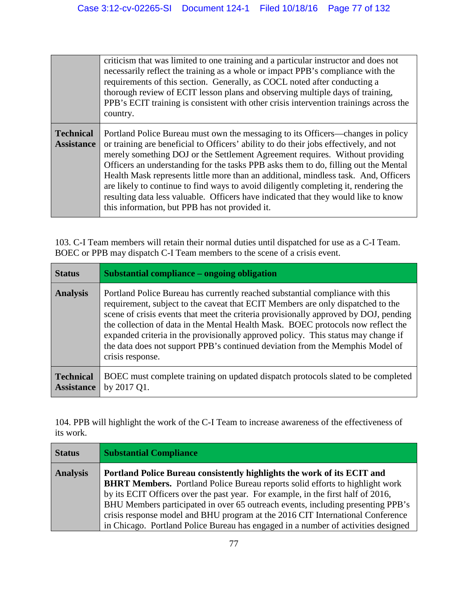|                                       | criticism that was limited to one training and a particular instructor and does not<br>necessarily reflect the training as a whole or impact PPB's compliance with the<br>requirements of this section. Generally, as COCL noted after conducting a<br>thorough review of ECIT lesson plans and observing multiple days of training,<br>PPB's ECIT training is consistent with other crisis intervention trainings across the<br>country.                                                                                                                                                                                                                              |
|---------------------------------------|------------------------------------------------------------------------------------------------------------------------------------------------------------------------------------------------------------------------------------------------------------------------------------------------------------------------------------------------------------------------------------------------------------------------------------------------------------------------------------------------------------------------------------------------------------------------------------------------------------------------------------------------------------------------|
| <b>Technical</b><br><b>Assistance</b> | Portland Police Bureau must own the messaging to its Officers—changes in policy<br>or training are beneficial to Officers' ability to do their jobs effectively, and not<br>merely something DOJ or the Settlement Agreement requires. Without providing<br>Officers an understanding for the tasks PPB asks them to do, filling out the Mental<br>Health Mask represents little more than an additional, mindless task. And, Officers<br>are likely to continue to find ways to avoid diligently completing it, rendering the<br>resulting data less valuable. Officers have indicated that they would like to know<br>this information, but PPB has not provided it. |

103. C-I Team members will retain their normal duties until dispatched for use as a C-I Team. BOEC or PPB may dispatch C-I Team members to the scene of a crisis event.

| <b>Status</b>                         | Substantial compliance – ongoing obligation                                                                                                                                                                                                                                                                                                                                                                                                                                                                                            |
|---------------------------------------|----------------------------------------------------------------------------------------------------------------------------------------------------------------------------------------------------------------------------------------------------------------------------------------------------------------------------------------------------------------------------------------------------------------------------------------------------------------------------------------------------------------------------------------|
| <b>Analysis</b>                       | Portland Police Bureau has currently reached substantial compliance with this<br>requirement, subject to the caveat that ECIT Members are only dispatched to the<br>scene of crisis events that meet the criteria provisionally approved by DOJ, pending<br>the collection of data in the Mental Health Mask. BOEC protocols now reflect the<br>expanded criteria in the provisionally approved policy. This status may change if<br>the data does not support PPB's continued deviation from the Memphis Model of<br>crisis response. |
| <b>Technical</b><br><b>Assistance</b> | BOEC must complete training on updated dispatch protocols slated to be completed<br>by 2017 Q1.                                                                                                                                                                                                                                                                                                                                                                                                                                        |

104. PPB will highlight the work of the C-I Team to increase awareness of the effectiveness of its work.

| <b>Status</b>   | <b>Substantial Compliance</b>                                                                                                                                                                                                                                                                                                                                                                                                                                                                                |
|-----------------|--------------------------------------------------------------------------------------------------------------------------------------------------------------------------------------------------------------------------------------------------------------------------------------------------------------------------------------------------------------------------------------------------------------------------------------------------------------------------------------------------------------|
| <b>Analysis</b> | Portland Police Bureau consistently highlights the work of its ECIT and<br><b>BHRT Members.</b> Portland Police Bureau reports solid efforts to highlight work<br>by its ECIT Officers over the past year. For example, in the first half of 2016,<br>BHU Members participated in over 65 outreach events, including presenting PPB's<br>crisis response model and BHU program at the 2016 CIT International Conference<br>in Chicago. Portland Police Bureau has engaged in a number of activities designed |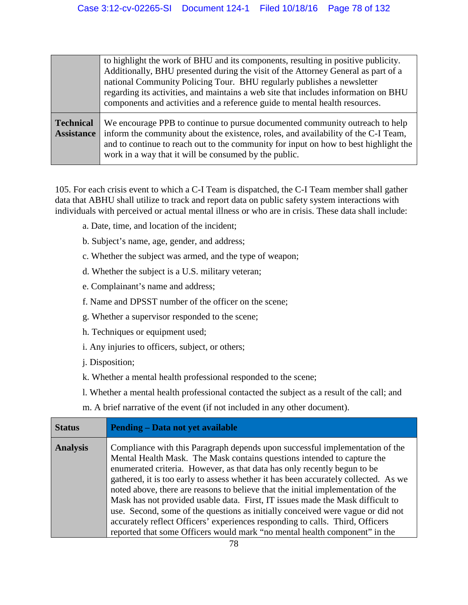|                                       | to highlight the work of BHU and its components, resulting in positive publicity.<br>Additionally, BHU presented during the visit of the Attorney General as part of a<br>national Community Policing Tour. BHU regularly publishes a newsletter<br>regarding its activities, and maintains a web site that includes information on BHU<br>components and activities and a reference guide to mental health resources. |
|---------------------------------------|------------------------------------------------------------------------------------------------------------------------------------------------------------------------------------------------------------------------------------------------------------------------------------------------------------------------------------------------------------------------------------------------------------------------|
| <b>Technical</b><br><b>Assistance</b> | We encourage PPB to continue to pursue documented community outreach to help<br>inform the community about the existence, roles, and availability of the C-I Team,<br>and to continue to reach out to the community for input on how to best highlight the<br>work in a way that it will be consumed by the public.                                                                                                    |

105. For each crisis event to which a C-I Team is dispatched, the C-I Team member shall gather data that ABHU shall utilize to track and report data on public safety system interactions with individuals with perceived or actual mental illness or who are in crisis. These data shall include:

- a. Date, time, and location of the incident;
- b. Subject's name, age, gender, and address;
- c. Whether the subject was armed, and the type of weapon;
- d. Whether the subject is a U.S. military veteran;
- e. Complainant's name and address;
- f. Name and DPSST number of the officer on the scene;
- g. Whether a supervisor responded to the scene;
- h. Techniques or equipment used;
- i. Any injuries to officers, subject, or others;
- j. Disposition;
- k. Whether a mental health professional responded to the scene;
- l. Whether a mental health professional contacted the subject as a result of the call; and
- m. A brief narrative of the event (if not included in any other document).

| <b>Status</b>   | <b>Pending – Data not yet available</b>                                                                                                                                                                                                                                                                                                                                                                                                                                                                                                                                                                                                                                                                                                            |
|-----------------|----------------------------------------------------------------------------------------------------------------------------------------------------------------------------------------------------------------------------------------------------------------------------------------------------------------------------------------------------------------------------------------------------------------------------------------------------------------------------------------------------------------------------------------------------------------------------------------------------------------------------------------------------------------------------------------------------------------------------------------------------|
| <b>Analysis</b> | Compliance with this Paragraph depends upon successful implementation of the<br>Mental Health Mask. The Mask contains questions intended to capture the<br>enumerated criteria. However, as that data has only recently begun to be<br>gathered, it is too early to assess whether it has been accurately collected. As we<br>noted above, there are reasons to believe that the initial implementation of the<br>Mask has not provided usable data. First, IT issues made the Mask difficult to<br>use. Second, some of the questions as initially conceived were vague or did not<br>accurately reflect Officers' experiences responding to calls. Third, Officers<br>reported that some Officers would mark "no mental health component" in the |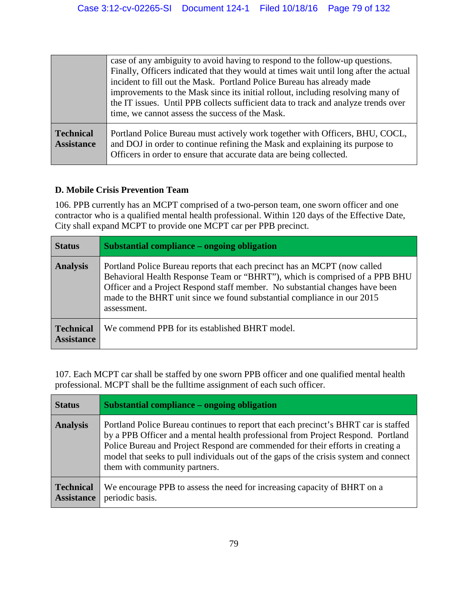|                                       | case of any ambiguity to avoid having to respond to the follow-up questions.<br>Finally, Officers indicated that they would at times wait until long after the actual<br>incident to fill out the Mask. Portland Police Bureau has already made<br>improvements to the Mask since its initial rollout, including resolving many of<br>the IT issues. Until PPB collects sufficient data to track and analyze trends over<br>time, we cannot assess the success of the Mask. |
|---------------------------------------|-----------------------------------------------------------------------------------------------------------------------------------------------------------------------------------------------------------------------------------------------------------------------------------------------------------------------------------------------------------------------------------------------------------------------------------------------------------------------------|
| <b>Technical</b><br><b>Assistance</b> | Portland Police Bureau must actively work together with Officers, BHU, COCL,<br>and DOJ in order to continue refining the Mask and explaining its purpose to<br>Officers in order to ensure that accurate data are being collected.                                                                                                                                                                                                                                         |

### **D. Mobile Crisis Prevention Team**

106. PPB currently has an MCPT comprised of a two-person team, one sworn officer and one contractor who is a qualified mental health professional. Within 120 days of the Effective Date, City shall expand MCPT to provide one MCPT car per PPB precinct.

| <b>Status</b>                         | Substantial compliance – ongoing obligation                                                                                                                                                                                                                                                                                        |
|---------------------------------------|------------------------------------------------------------------------------------------------------------------------------------------------------------------------------------------------------------------------------------------------------------------------------------------------------------------------------------|
| <b>Analysis</b>                       | Portland Police Bureau reports that each precinct has an MCPT (now called<br>Behavioral Health Response Team or "BHRT"), which is comprised of a PPB BHU<br>Officer and a Project Respond staff member. No substantial changes have been<br>made to the BHRT unit since we found substantial compliance in our 2015<br>assessment. |
| <b>Technical</b><br><b>Assistance</b> | We commend PPB for its established BHRT model.                                                                                                                                                                                                                                                                                     |

107. Each MCPT car shall be staffed by one sworn PPB officer and one qualified mental health professional. MCPT shall be the fulltime assignment of each such officer.

| <b>Status</b>                         | Substantial compliance – ongoing obligation                                                                                                                                                                                                                                                                                                                                          |
|---------------------------------------|--------------------------------------------------------------------------------------------------------------------------------------------------------------------------------------------------------------------------------------------------------------------------------------------------------------------------------------------------------------------------------------|
| <b>Analysis</b>                       | Portland Police Bureau continues to report that each precinct's BHRT car is staffed<br>by a PPB Officer and a mental health professional from Project Respond. Portland<br>Police Bureau and Project Respond are commended for their efforts in creating a<br>model that seeks to pull individuals out of the gaps of the crisis system and connect<br>them with community partners. |
| <b>Technical</b><br><b>Assistance</b> | We encourage PPB to assess the need for increasing capacity of BHRT on a<br>periodic basis.                                                                                                                                                                                                                                                                                          |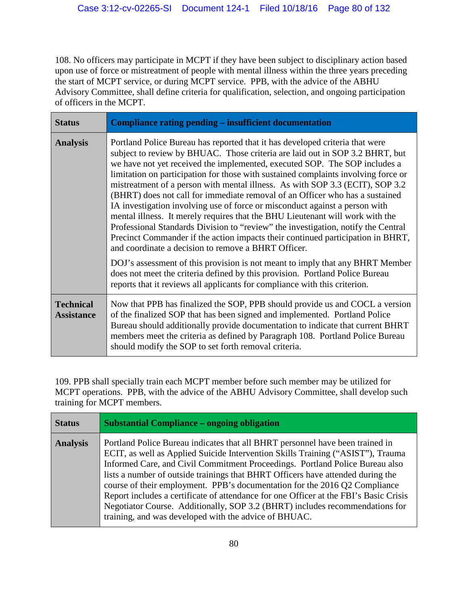108. No officers may participate in MCPT if they have been subject to disciplinary action based upon use of force or mistreatment of people with mental illness within the three years preceding the start of MCPT service, or during MCPT service. PPB, with the advice of the ABHU Advisory Committee, shall define criteria for qualification, selection, and ongoing participation of officers in the MCPT.

| <b>Status</b>                         | Compliance rating pending – insufficient documentation                                                                                                                                                                                                                                                                                                                                                                                                                                                                                                                                                                                                                                                                                                                                                                                                                                           |
|---------------------------------------|--------------------------------------------------------------------------------------------------------------------------------------------------------------------------------------------------------------------------------------------------------------------------------------------------------------------------------------------------------------------------------------------------------------------------------------------------------------------------------------------------------------------------------------------------------------------------------------------------------------------------------------------------------------------------------------------------------------------------------------------------------------------------------------------------------------------------------------------------------------------------------------------------|
| <b>Analysis</b>                       | Portland Police Bureau has reported that it has developed criteria that were<br>subject to review by BHUAC. Those criteria are laid out in SOP 3.2 BHRT, but<br>we have not yet received the implemented, executed SOP. The SOP includes a<br>limitation on participation for those with sustained complaints involving force or<br>mistreatment of a person with mental illness. As with SOP 3.3 (ECIT), SOP 3.2<br>(BHRT) does not call for immediate removal of an Officer who has a sustained<br>IA investigation involving use of force or misconduct against a person with<br>mental illness. It merely requires that the BHU Lieutenant will work with the<br>Professional Standards Division to "review" the investigation, notify the Central<br>Precinct Commander if the action impacts their continued participation in BHRT,<br>and coordinate a decision to remove a BHRT Officer. |
|                                       | DOJ's assessment of this provision is not meant to imply that any BHRT Member<br>does not meet the criteria defined by this provision. Portland Police Bureau<br>reports that it reviews all applicants for compliance with this criterion.                                                                                                                                                                                                                                                                                                                                                                                                                                                                                                                                                                                                                                                      |
| <b>Technical</b><br><b>Assistance</b> | Now that PPB has finalized the SOP, PPB should provide us and COCL a version<br>of the finalized SOP that has been signed and implemented. Portland Police<br>Bureau should additionally provide documentation to indicate that current BHRT<br>members meet the criteria as defined by Paragraph 108. Portland Police Bureau<br>should modify the SOP to set forth removal criteria.                                                                                                                                                                                                                                                                                                                                                                                                                                                                                                            |

109. PPB shall specially train each MCPT member before such member may be utilized for MCPT operations. PPB, with the advice of the ABHU Advisory Committee, shall develop such training for MCPT members.

| <b>Status</b>   | <b>Substantial Compliance – ongoing obligation</b>                                                                                                                                                                                                                                                                                                                                                                                                                                                                                                                                                                                                  |
|-----------------|-----------------------------------------------------------------------------------------------------------------------------------------------------------------------------------------------------------------------------------------------------------------------------------------------------------------------------------------------------------------------------------------------------------------------------------------------------------------------------------------------------------------------------------------------------------------------------------------------------------------------------------------------------|
| <b>Analysis</b> | Portland Police Bureau indicates that all BHRT personnel have been trained in<br>ECIT, as well as Applied Suicide Intervention Skills Training ("ASIST"), Trauma<br>Informed Care, and Civil Commitment Proceedings. Portland Police Bureau also<br>lists a number of outside trainings that BHRT Officers have attended during the<br>course of their employment. PPB's documentation for the 2016 Q2 Compliance<br>Report includes a certificate of attendance for one Officer at the FBI's Basic Crisis<br>Negotiator Course. Additionally, SOP 3.2 (BHRT) includes recommendations for<br>training, and was developed with the advice of BHUAC. |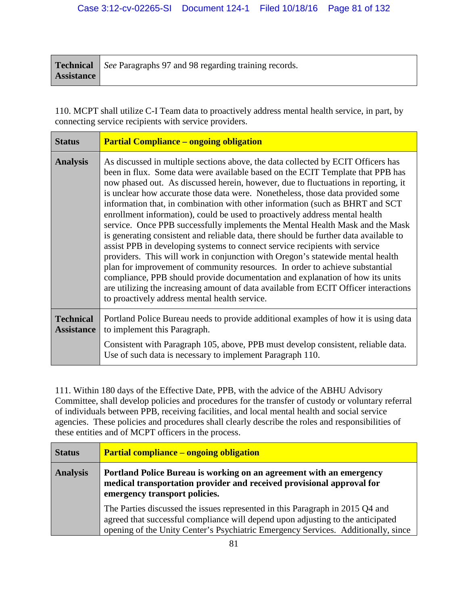|                   | <b>Technical</b> See Paragraphs 97 and 98 regarding training records. |
|-------------------|-----------------------------------------------------------------------|
| <b>Assistance</b> |                                                                       |

110. MCPT shall utilize C-I Team data to proactively address mental health service, in part, by connecting service recipients with service providers.

| <b>Status</b>                         | <b>Partial Compliance – ongoing obligation</b>                                                                                                                                                                                                                                                                                                                                                                                                                                                                                                                                                                                                                                                                                                                                                                                                                                                                                                                                                                                                                                                                                                                   |
|---------------------------------------|------------------------------------------------------------------------------------------------------------------------------------------------------------------------------------------------------------------------------------------------------------------------------------------------------------------------------------------------------------------------------------------------------------------------------------------------------------------------------------------------------------------------------------------------------------------------------------------------------------------------------------------------------------------------------------------------------------------------------------------------------------------------------------------------------------------------------------------------------------------------------------------------------------------------------------------------------------------------------------------------------------------------------------------------------------------------------------------------------------------------------------------------------------------|
| <b>Analysis</b>                       | As discussed in multiple sections above, the data collected by ECIT Officers has<br>been in flux. Some data were available based on the ECIT Template that PPB has<br>now phased out. As discussed herein, however, due to fluctuations in reporting, it<br>is unclear how accurate those data were. Nonetheless, those data provided some<br>information that, in combination with other information (such as BHRT and SCT)<br>enrollment information), could be used to proactively address mental health<br>service. Once PPB successfully implements the Mental Health Mask and the Mask<br>is generating consistent and reliable data, there should be further data available to<br>assist PPB in developing systems to connect service recipients with service<br>providers. This will work in conjunction with Oregon's statewide mental health<br>plan for improvement of community resources. In order to achieve substantial<br>compliance, PPB should provide documentation and explanation of how its units<br>are utilizing the increasing amount of data available from ECIT Officer interactions<br>to proactively address mental health service. |
| <b>Technical</b><br><b>Assistance</b> | Portland Police Bureau needs to provide additional examples of how it is using data<br>to implement this Paragraph.                                                                                                                                                                                                                                                                                                                                                                                                                                                                                                                                                                                                                                                                                                                                                                                                                                                                                                                                                                                                                                              |
|                                       | Consistent with Paragraph 105, above, PPB must develop consistent, reliable data.<br>Use of such data is necessary to implement Paragraph 110.                                                                                                                                                                                                                                                                                                                                                                                                                                                                                                                                                                                                                                                                                                                                                                                                                                                                                                                                                                                                                   |

111. Within 180 days of the Effective Date, PPB, with the advice of the ABHU Advisory Committee, shall develop policies and procedures for the transfer of custody or voluntary referral of individuals between PPB, receiving facilities, and local mental health and social service agencies. These policies and procedures shall clearly describe the roles and responsibilities of these entities and of MCPT officers in the process.

| <b>Status</b>   | <b>Partial compliance – ongoing obligation</b>                                                                                                                                                                                                        |
|-----------------|-------------------------------------------------------------------------------------------------------------------------------------------------------------------------------------------------------------------------------------------------------|
| <b>Analysis</b> | Portland Police Bureau is working on an agreement with an emergency<br>medical transportation provider and received provisional approval for<br>emergency transport policies.                                                                         |
|                 | The Parties discussed the issues represented in this Paragraph in 2015 Q4 and<br>agreed that successful compliance will depend upon adjusting to the anticipated<br>opening of the Unity Center's Psychiatric Emergency Services. Additionally, since |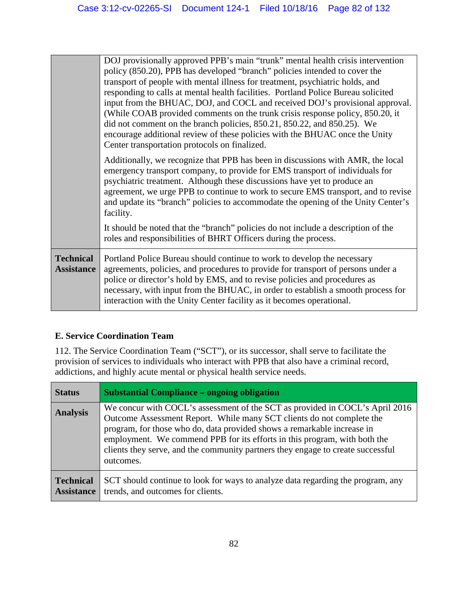|                                       | DOJ provisionally approved PPB's main "trunk" mental health crisis intervention<br>policy (850.20), PPB has developed "branch" policies intended to cover the<br>transport of people with mental illness for treatment, psychiatric holds, and<br>responding to calls at mental health facilities. Portland Police Bureau solicited<br>input from the BHUAC, DOJ, and COCL and received DOJ's provisional approval.<br>(While COAB provided comments on the trunk crisis response policy, 850.20, it<br>did not comment on the branch policies, 850.21, 850.22, and 850.25). We<br>encourage additional review of these policies with the BHUAC once the Unity<br>Center transportation protocols on finalized. |
|---------------------------------------|-----------------------------------------------------------------------------------------------------------------------------------------------------------------------------------------------------------------------------------------------------------------------------------------------------------------------------------------------------------------------------------------------------------------------------------------------------------------------------------------------------------------------------------------------------------------------------------------------------------------------------------------------------------------------------------------------------------------|
|                                       | Additionally, we recognize that PPB has been in discussions with AMR, the local<br>emergency transport company, to provide for EMS transport of individuals for<br>psychiatric treatment. Although these discussions have yet to produce an<br>agreement, we urge PPB to continue to work to secure EMS transport, and to revise<br>and update its "branch" policies to accommodate the opening of the Unity Center's<br>facility.                                                                                                                                                                                                                                                                              |
|                                       | It should be noted that the "branch" policies do not include a description of the<br>roles and responsibilities of BHRT Officers during the process.                                                                                                                                                                                                                                                                                                                                                                                                                                                                                                                                                            |
| <b>Technical</b><br><b>Assistance</b> | Portland Police Bureau should continue to work to develop the necessary<br>agreements, policies, and procedures to provide for transport of persons under a<br>police or director's hold by EMS, and to revise policies and procedures as<br>necessary, with input from the BHUAC, in order to establish a smooth process for<br>interaction with the Unity Center facility as it becomes operational.                                                                                                                                                                                                                                                                                                          |

# **E. Service Coordination Team**

112. The Service Coordination Team ("SCT"), or its successor, shall serve to facilitate the provision of services to individuals who interact with PPB that also have a criminal record, addictions, and highly acute mental or physical health service needs.

| <b>Status</b>                         | <b>Substantial Compliance – ongoing obligation</b>                                                                                                                                                                                                                                                                                                                                                            |
|---------------------------------------|---------------------------------------------------------------------------------------------------------------------------------------------------------------------------------------------------------------------------------------------------------------------------------------------------------------------------------------------------------------------------------------------------------------|
| <b>Analysis</b>                       | We concur with COCL's assessment of the SCT as provided in COCL's April 2016<br>Outcome Assessment Report. While many SCT clients do not complete the<br>program, for those who do, data provided shows a remarkable increase in<br>employment. We commend PPB for its efforts in this program, with both the<br>clients they serve, and the community partners they engage to create successful<br>outcomes. |
| <b>Technical</b><br><b>Assistance</b> | SCT should continue to look for ways to analyze data regarding the program, any<br>trends, and outcomes for clients.                                                                                                                                                                                                                                                                                          |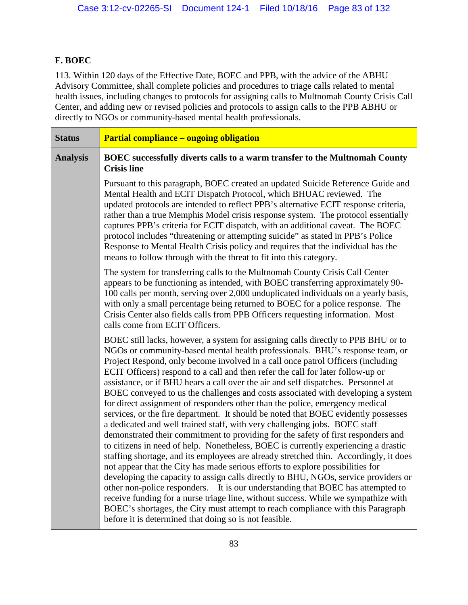# **F. BOEC**

113. Within 120 days of the Effective Date, BOEC and PPB, with the advice of the ABHU Advisory Committee, shall complete policies and procedures to triage calls related to mental health issues, including changes to protocols for assigning calls to Multnomah County Crisis Call Center, and adding new or revised policies and protocols to assign calls to the PPB ABHU or directly to NGOs or community-based mental health professionals.

| <b>Status</b>   | <b>Partial compliance - ongoing obligation</b>                                                                                                                                                                                                                                                                                                                                                                                                                                                                                                                                                                                                                                                                                                                                                                                                                                                                                                                                                                                                                                                                                                                                                                                                                                                                                                                                                                                                                                                                                          |
|-----------------|-----------------------------------------------------------------------------------------------------------------------------------------------------------------------------------------------------------------------------------------------------------------------------------------------------------------------------------------------------------------------------------------------------------------------------------------------------------------------------------------------------------------------------------------------------------------------------------------------------------------------------------------------------------------------------------------------------------------------------------------------------------------------------------------------------------------------------------------------------------------------------------------------------------------------------------------------------------------------------------------------------------------------------------------------------------------------------------------------------------------------------------------------------------------------------------------------------------------------------------------------------------------------------------------------------------------------------------------------------------------------------------------------------------------------------------------------------------------------------------------------------------------------------------------|
| <b>Analysis</b> | BOEC successfully diverts calls to a warm transfer to the Multnomah County<br><b>Crisis line</b>                                                                                                                                                                                                                                                                                                                                                                                                                                                                                                                                                                                                                                                                                                                                                                                                                                                                                                                                                                                                                                                                                                                                                                                                                                                                                                                                                                                                                                        |
|                 | Pursuant to this paragraph, BOEC created an updated Suicide Reference Guide and<br>Mental Health and ECIT Dispatch Protocol, which BHUAC reviewed. The<br>updated protocols are intended to reflect PPB's alternative ECIT response criteria,<br>rather than a true Memphis Model crisis response system. The protocol essentially<br>captures PPB's criteria for ECIT dispatch, with an additional caveat. The BOEC<br>protocol includes "threatening or attempting suicide" as stated in PPB's Police<br>Response to Mental Health Crisis policy and requires that the individual has the<br>means to follow through with the threat to fit into this category.                                                                                                                                                                                                                                                                                                                                                                                                                                                                                                                                                                                                                                                                                                                                                                                                                                                                       |
|                 | The system for transferring calls to the Multnomah County Crisis Call Center<br>appears to be functioning as intended, with BOEC transferring approximately 90-<br>100 calls per month, serving over 2,000 unduplicated individuals on a yearly basis,<br>with only a small percentage being returned to BOEC for a police response. The<br>Crisis Center also fields calls from PPB Officers requesting information. Most<br>calls come from ECIT Officers.                                                                                                                                                                                                                                                                                                                                                                                                                                                                                                                                                                                                                                                                                                                                                                                                                                                                                                                                                                                                                                                                            |
|                 | BOEC still lacks, however, a system for assigning calls directly to PPB BHU or to<br>NGOs or community-based mental health professionals. BHU's response team, or<br>Project Respond, only become involved in a call once patrol Officers (including<br>ECIT Officers) respond to a call and then refer the call for later follow-up or<br>assistance, or if BHU hears a call over the air and self dispatches. Personnel at<br>BOEC conveyed to us the challenges and costs associated with developing a system<br>for direct assignment of responders other than the police, emergency medical<br>services, or the fire department. It should be noted that BOEC evidently possesses<br>a dedicated and well trained staff, with very challenging jobs. BOEC staff<br>demonstrated their commitment to providing for the safety of first responders and<br>to citizens in need of help. Nonetheless, BOEC is currently experiencing a drastic<br>staffing shortage, and its employees are already stretched thin. Accordingly, it does<br>not appear that the City has made serious efforts to explore possibilities for<br>developing the capacity to assign calls directly to BHU, NGOs, service providers or<br>other non-police responders. It is our understanding that BOEC has attempted to<br>receive funding for a nurse triage line, without success. While we sympathize with<br>BOEC's shortages, the City must attempt to reach compliance with this Paragraph<br>before it is determined that doing so is not feasible. |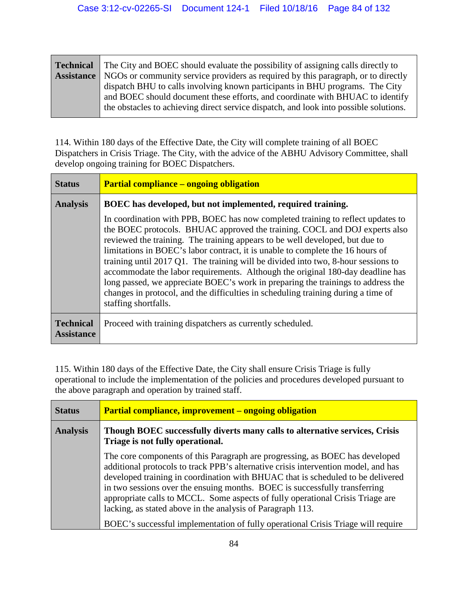| <b>Technical</b> The City and BOEC should evaluate the possibility of assigning calls directly to   |
|-----------------------------------------------------------------------------------------------------|
| <b>Assistance</b> NGOs or community service providers as required by this paragraph, or to directly |
| dispatch BHU to calls involving known participants in BHU programs. The City                        |
| and BOEC should document these efforts, and coordinate with BHUAC to identify                       |
| the obstacles to achieving direct service dispatch, and look into possible solutions.               |

114. Within 180 days of the Effective Date, the City will complete training of all BOEC Dispatchers in Crisis Triage. The City, with the advice of the ABHU Advisory Committee, shall develop ongoing training for BOEC Dispatchers.

| <b>Status</b>                         | <b>Partial compliance – ongoing obligation</b>                                                                                                                                                                                                                                                                                                                                                                                                                                                                                                                                                                                                                                                          |
|---------------------------------------|---------------------------------------------------------------------------------------------------------------------------------------------------------------------------------------------------------------------------------------------------------------------------------------------------------------------------------------------------------------------------------------------------------------------------------------------------------------------------------------------------------------------------------------------------------------------------------------------------------------------------------------------------------------------------------------------------------|
| <b>Analysis</b>                       | BOEC has developed, but not implemented, required training.                                                                                                                                                                                                                                                                                                                                                                                                                                                                                                                                                                                                                                             |
|                                       | In coordination with PPB, BOEC has now completed training to reflect updates to<br>the BOEC protocols. BHUAC approved the training. COCL and DOJ experts also<br>reviewed the training. The training appears to be well developed, but due to<br>limitations in BOEC's labor contract, it is unable to complete the 16 hours of<br>training until 2017 Q1. The training will be divided into two, 8-hour sessions to<br>accommodate the labor requirements. Although the original 180-day deadline has<br>long passed, we appreciate BOEC's work in preparing the trainings to address the<br>changes in protocol, and the difficulties in scheduling training during a time of<br>staffing shortfalls. |
| <b>Technical</b><br><b>Assistance</b> | Proceed with training dispatchers as currently scheduled.                                                                                                                                                                                                                                                                                                                                                                                                                                                                                                                                                                                                                                               |

115. Within 180 days of the Effective Date, the City shall ensure Crisis Triage is fully operational to include the implementation of the policies and procedures developed pursuant to the above paragraph and operation by trained staff.

| <b>Status</b>   | <b>Partial compliance, improvement – ongoing obligation</b>                                                                                                                                                                                                                                                                                                                                                                                                                                                                                                             |
|-----------------|-------------------------------------------------------------------------------------------------------------------------------------------------------------------------------------------------------------------------------------------------------------------------------------------------------------------------------------------------------------------------------------------------------------------------------------------------------------------------------------------------------------------------------------------------------------------------|
| <b>Analysis</b> | Though BOEC successfully diverts many calls to alternative services, Crisis<br>Triage is not fully operational.                                                                                                                                                                                                                                                                                                                                                                                                                                                         |
|                 | The core components of this Paragraph are progressing, as BOEC has developed<br>additional protocols to track PPB's alternative crisis intervention model, and has<br>developed training in coordination with BHUAC that is scheduled to be delivered<br>in two sessions over the ensuing months. BOEC is successfully transferring<br>appropriate calls to MCCL. Some aspects of fully operational Crisis Triage are<br>lacking, as stated above in the analysis of Paragraph 113.<br>BOEC's successful implementation of fully operational Crisis Triage will require |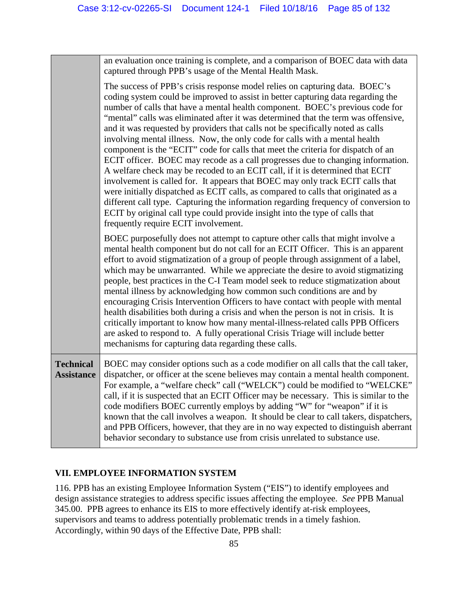|                                       | an evaluation once training is complete, and a comparison of BOEC data with data<br>captured through PPB's usage of the Mental Health Mask.                                                                                                                                                                                                                                                                                                                                                                                                                                                                                                                                                                                                                                                                                                                                                                                                                                                                                                                                                                                                             |
|---------------------------------------|---------------------------------------------------------------------------------------------------------------------------------------------------------------------------------------------------------------------------------------------------------------------------------------------------------------------------------------------------------------------------------------------------------------------------------------------------------------------------------------------------------------------------------------------------------------------------------------------------------------------------------------------------------------------------------------------------------------------------------------------------------------------------------------------------------------------------------------------------------------------------------------------------------------------------------------------------------------------------------------------------------------------------------------------------------------------------------------------------------------------------------------------------------|
|                                       | The success of PPB's crisis response model relies on capturing data. BOEC's<br>coding system could be improved to assist in better capturing data regarding the<br>number of calls that have a mental health component. BOEC's previous code for<br>"mental" calls was eliminated after it was determined that the term was offensive,<br>and it was requested by providers that calls not be specifically noted as calls<br>involving mental illness. Now, the only code for calls with a mental health<br>component is the "ECIT" code for calls that meet the criteria for dispatch of an<br>ECIT officer. BOEC may recode as a call progresses due to changing information.<br>A welfare check may be recoded to an ECIT call, if it is determined that ECIT<br>involvement is called for. It appears that BOEC may only track ECIT calls that<br>were initially dispatched as ECIT calls, as compared to calls that originated as a<br>different call type. Capturing the information regarding frequency of conversion to<br>ECIT by original call type could provide insight into the type of calls that<br>frequently require ECIT involvement. |
|                                       | BOEC purposefully does not attempt to capture other calls that might involve a<br>mental health component but do not call for an ECIT Officer. This is an apparent<br>effort to avoid stigmatization of a group of people through assignment of a label,<br>which may be unwarranted. While we appreciate the desire to avoid stigmatizing<br>people, best practices in the C-I Team model seek to reduce stigmatization about<br>mental illness by acknowledging how common such conditions are and by<br>encouraging Crisis Intervention Officers to have contact with people with mental<br>health disabilities both during a crisis and when the person is not in crisis. It is<br>critically important to know how many mental-illness-related calls PPB Officers<br>are asked to respond to. A fully operational Crisis Triage will include better<br>mechanisms for capturing data regarding these calls.                                                                                                                                                                                                                                        |
| <b>Technical</b><br><b>Assistance</b> | BOEC may consider options such as a code modifier on all calls that the call taker,<br>dispatcher, or officer at the scene believes may contain a mental health component.<br>For example, a "welfare check" call ("WELCK") could be modified to "WELCKE"<br>call, if it is suspected that an ECIT Officer may be necessary. This is similar to the<br>code modifiers BOEC currently employs by adding "W" for "weapon" if it is<br>known that the call involves a weapon. It should be clear to call takers, dispatchers,<br>and PPB Officers, however, that they are in no way expected to distinguish aberrant<br>behavior secondary to substance use from crisis unrelated to substance use.                                                                                                                                                                                                                                                                                                                                                                                                                                                        |

# **VII. EMPLOYEE INFORMATION SYSTEM**

116. PPB has an existing Employee Information System ("EIS") to identify employees and design assistance strategies to address specific issues affecting the employee. *See* PPB Manual 345.00. PPB agrees to enhance its EIS to more effectively identify at-risk employees, supervisors and teams to address potentially problematic trends in a timely fashion. Accordingly, within 90 days of the Effective Date, PPB shall: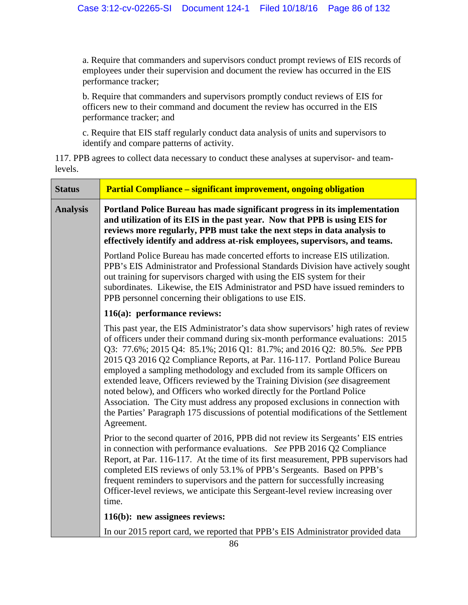a. Require that commanders and supervisors conduct prompt reviews of EIS records of employees under their supervision and document the review has occurred in the EIS performance tracker;

b. Require that commanders and supervisors promptly conduct reviews of EIS for officers new to their command and document the review has occurred in the EIS performance tracker; and

c. Require that EIS staff regularly conduct data analysis of units and supervisors to identify and compare patterns of activity.

117. PPB agrees to collect data necessary to conduct these analyses at supervisor- and teamlevels.

| <b>Status</b>   | <b>Partial Compliance – significant improvement, ongoing obligation</b>                                                                                                                                                                                                                                                                                                                                                                                                                                                                                                                                                                                                                                                                                    |
|-----------------|------------------------------------------------------------------------------------------------------------------------------------------------------------------------------------------------------------------------------------------------------------------------------------------------------------------------------------------------------------------------------------------------------------------------------------------------------------------------------------------------------------------------------------------------------------------------------------------------------------------------------------------------------------------------------------------------------------------------------------------------------------|
| <b>Analysis</b> | Portland Police Bureau has made significant progress in its implementation<br>and utilization of its EIS in the past year. Now that PPB is using EIS for<br>reviews more regularly, PPB must take the next steps in data analysis to<br>effectively identify and address at-risk employees, supervisors, and teams.                                                                                                                                                                                                                                                                                                                                                                                                                                        |
|                 | Portland Police Bureau has made concerted efforts to increase EIS utilization.<br>PPB's EIS Administrator and Professional Standards Division have actively sought<br>out training for supervisors charged with using the EIS system for their<br>subordinates. Likewise, the EIS Administrator and PSD have issued reminders to<br>PPB personnel concerning their obligations to use EIS.                                                                                                                                                                                                                                                                                                                                                                 |
|                 | 116(a): performance reviews:                                                                                                                                                                                                                                                                                                                                                                                                                                                                                                                                                                                                                                                                                                                               |
|                 | This past year, the EIS Administrator's data show supervisors' high rates of review<br>of officers under their command during six-month performance evaluations: 2015<br>Q3: 77.6%; 2015 Q4: 85.1%; 2016 Q1: 81.7%; and 2016 Q2: 80.5%. See PPB<br>2015 Q3 2016 Q2 Compliance Reports, at Par. 116-117. Portland Police Bureau<br>employed a sampling methodology and excluded from its sample Officers on<br>extended leave, Officers reviewed by the Training Division (see disagreement<br>noted below), and Officers who worked directly for the Portland Police<br>Association. The City must address any proposed exclusions in connection with<br>the Parties' Paragraph 175 discussions of potential modifications of the Settlement<br>Agreement. |
|                 | Prior to the second quarter of 2016, PPB did not review its Sergeants' EIS entries<br>in connection with performance evaluations. See PPB 2016 Q2 Compliance<br>Report, at Par. 116-117. At the time of its first measurement, PPB supervisors had<br>completed EIS reviews of only 53.1% of PPB's Sergeants. Based on PPB's<br>frequent reminders to supervisors and the pattern for successfully increasing<br>Officer-level reviews, we anticipate this Sergeant-level review increasing over<br>time.                                                                                                                                                                                                                                                  |
|                 | 116(b): new assignees reviews:                                                                                                                                                                                                                                                                                                                                                                                                                                                                                                                                                                                                                                                                                                                             |
|                 | In our 2015 report card, we reported that PPB's EIS Administrator provided data                                                                                                                                                                                                                                                                                                                                                                                                                                                                                                                                                                                                                                                                            |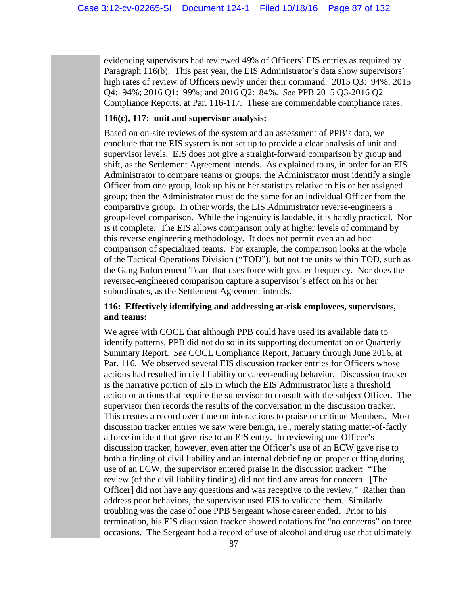evidencing supervisors had reviewed 49% of Officers' EIS entries as required by Paragraph 116(b). This past year, the EIS Administrator's data show supervisors' high rates of review of Officers newly under their command: 2015 Q3: 94%; 2015 Q4: 94%; 2016 Q1: 99%; and 2016 Q2: 84%. *See* PPB 2015 Q3-2016 Q2 Compliance Reports, at Par. 116-117. These are commendable compliance rates.

### **116(c), 117: unit and supervisor analysis:**

Based on on-site reviews of the system and an assessment of PPB's data, we conclude that the EIS system is not set up to provide a clear analysis of unit and supervisor levels. EIS does not give a straight-forward comparison by group and shift, as the Settlement Agreement intends. As explained to us, in order for an EIS Administrator to compare teams or groups, the Administrator must identify a single Officer from one group, look up his or her statistics relative to his or her assigned group; then the Administrator must do the same for an individual Officer from the comparative group. In other words, the EIS Administrator reverse-engineers a group-level comparison. While the ingenuity is laudable, it is hardly practical. Nor is it complete. The EIS allows comparison only at higher levels of command by this reverse engineering methodology. It does not permit even an ad hoc comparison of specialized teams. For example, the comparison looks at the whole of the Tactical Operations Division ("TOD"), but not the units within TOD, such as the Gang Enforcement Team that uses force with greater frequency. Nor does the reversed-engineered comparison capture a supervisor's effect on his or her subordinates, as the Settlement Agreement intends.

### **116: Effectively identifying and addressing at-risk employees, supervisors, and teams:**

We agree with COCL that although PPB could have used its available data to identify patterns, PPB did not do so in its supporting documentation or Quarterly Summary Report. *See* COCL Compliance Report, January through June 2016, at Par. 116. We observed several EIS discussion tracker entries for Officers whose actions had resulted in civil liability or career-ending behavior. Discussion tracker is the narrative portion of EIS in which the EIS Administrator lists a threshold action or actions that require the supervisor to consult with the subject Officer. The supervisor then records the results of the conversation in the discussion tracker. This creates a record over time on interactions to praise or critique Members. Most discussion tracker entries we saw were benign, i.e., merely stating matter-of-factly a force incident that gave rise to an EIS entry. In reviewing one Officer's discussion tracker, however, even after the Officer's use of an ECW gave rise to both a finding of civil liability and an internal debriefing on proper cuffing during use of an ECW, the supervisor entered praise in the discussion tracker: "The review (of the civil liability finding) did not find any areas for concern. [The Officer] did not have any questions and was receptive to the review." Rather than address poor behaviors, the supervisor used EIS to validate them. Similarly troubling was the case of one PPB Sergeant whose career ended. Prior to his termination, his EIS discussion tracker showed notations for "no concerns" on three occasions. The Sergeant had a record of use of alcohol and drug use that ultimately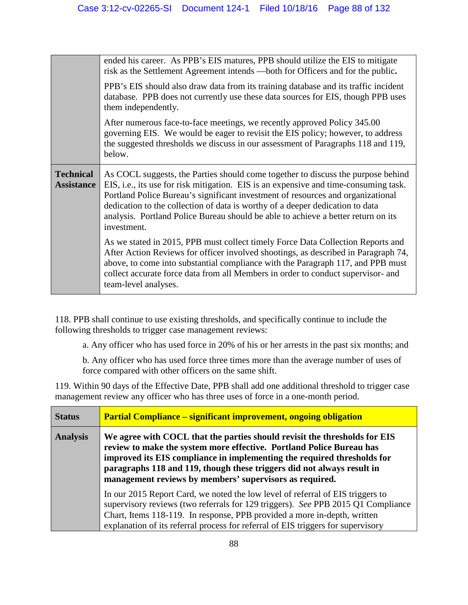|                                       | ended his career. As PPB's EIS matures, PPB should utilize the EIS to mitigate<br>risk as the Settlement Agreement intends —both for Officers and for the public.                                                                                                                                                                                                                                                                                |
|---------------------------------------|--------------------------------------------------------------------------------------------------------------------------------------------------------------------------------------------------------------------------------------------------------------------------------------------------------------------------------------------------------------------------------------------------------------------------------------------------|
|                                       | PPB's EIS should also draw data from its training database and its traffic incident<br>database. PPB does not currently use these data sources for EIS, though PPB uses<br>them independently.                                                                                                                                                                                                                                                   |
|                                       | After numerous face-to-face meetings, we recently approved Policy 345.00<br>governing EIS. We would be eager to revisit the EIS policy; however, to address<br>the suggested thresholds we discuss in our assessment of Paragraphs 118 and 119,<br>below.                                                                                                                                                                                        |
| <b>Technical</b><br><b>Assistance</b> | As COCL suggests, the Parties should come together to discuss the purpose behind<br>EIS, i.e., its use for risk mitigation. EIS is an expensive and time-consuming task.<br>Portland Police Bureau's significant investment of resources and organizational<br>dedication to the collection of data is worthy of a deeper dedication to data<br>analysis. Portland Police Bureau should be able to achieve a better return on its<br>investment. |
|                                       | As we stated in 2015, PPB must collect timely Force Data Collection Reports and<br>After Action Reviews for officer involved shootings, as described in Paragraph 74,<br>above, to come into substantial compliance with the Paragraph 117, and PPB must<br>collect accurate force data from all Members in order to conduct supervisor- and                                                                                                     |

118. PPB shall continue to use existing thresholds, and specifically continue to include the following thresholds to trigger case management reviews:

a. Any officer who has used force in 20% of his or her arrests in the past six months; and

b. Any officer who has used force three times more than the average number of uses of force compared with other officers on the same shift.

119. Within 90 days of the Effective Date, PPB shall add one additional threshold to trigger case management review any officer who has three uses of force in a one-month period.

| <b>Status</b>   | <b>Partial Compliance – significant improvement, ongoing obligation</b>                                                                                                                                                                                                                                                                                           |
|-----------------|-------------------------------------------------------------------------------------------------------------------------------------------------------------------------------------------------------------------------------------------------------------------------------------------------------------------------------------------------------------------|
| <b>Analysis</b> | We agree with COCL that the parties should revisit the thresholds for EIS<br>review to make the system more effective. Portland Police Bureau has<br>improved its EIS compliance in implementing the required thresholds for<br>paragraphs 118 and 119, though these triggers did not always result in<br>management reviews by members' supervisors as required. |
|                 | In our 2015 Report Card, we noted the low level of referral of EIS triggers to<br>supervisory reviews (two referrals for 129 triggers). See PPB 2015 Q1 Compliance<br>Chart, Items 118-119. In response, PPB provided a more in-depth, written<br>explanation of its referral process for referral of EIS triggers for supervisory                                |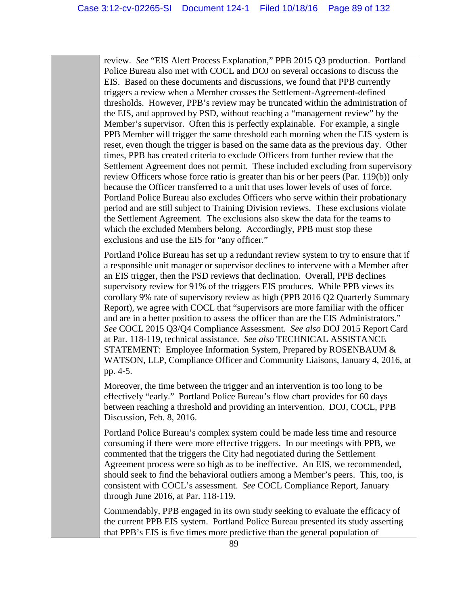review. *See* "EIS Alert Process Explanation," PPB 2015 Q3 production. Portland Police Bureau also met with COCL and DOJ on several occasions to discuss the EIS. Based on these documents and discussions, we found that PPB currently triggers a review when a Member crosses the Settlement-Agreement-defined thresholds. However, PPB's review may be truncated within the administration of the EIS, and approved by PSD, without reaching a "management review" by the Member's supervisor. Often this is perfectly explainable. For example, a single PPB Member will trigger the same threshold each morning when the EIS system is reset, even though the trigger is based on the same data as the previous day. Other times, PPB has created criteria to exclude Officers from further review that the Settlement Agreement does not permit. These included excluding from supervisory review Officers whose force ratio is greater than his or her peers (Par. 119(b)) only because the Officer transferred to a unit that uses lower levels of uses of force. Portland Police Bureau also excludes Officers who serve within their probationary period and are still subject to Training Division reviews. These exclusions violate the Settlement Agreement. The exclusions also skew the data for the teams to which the excluded Members belong. Accordingly, PPB must stop these exclusions and use the EIS for "any officer."

Portland Police Bureau has set up a redundant review system to try to ensure that if a responsible unit manager or supervisor declines to intervene with a Member after an EIS trigger, then the PSD reviews that declination. Overall, PPB declines supervisory review for 91% of the triggers EIS produces. While PPB views its corollary 9% rate of supervisory review as high (PPB 2016 Q2 Quarterly Summary Report), we agree with COCL that "supervisors are more familiar with the officer and are in a better position to assess the officer than are the EIS Administrators." *See* COCL 2015 Q3/Q4 Compliance Assessment. *See also* DOJ 2015 Report Card at Par. 118-119, technical assistance. *See also* TECHNICAL ASSISTANCE STATEMENT: Employee Information System, Prepared by ROSENBAUM & WATSON, LLP, Compliance Officer and Community Liaisons, January 4, 2016, at pp. 4-5.

Moreover, the time between the trigger and an intervention is too long to be effectively "early." Portland Police Bureau's flow chart provides for 60 days between reaching a threshold and providing an intervention. DOJ, COCL, PPB Discussion, Feb. 8, 2016.

Portland Police Bureau's complex system could be made less time and resource consuming if there were more effective triggers. In our meetings with PPB, we commented that the triggers the City had negotiated during the Settlement Agreement process were so high as to be ineffective. An EIS, we recommended, should seek to find the behavioral outliers among a Member's peers. This, too, is consistent with COCL's assessment. *See* COCL Compliance Report, January through June 2016, at Par. 118-119.

Commendably, PPB engaged in its own study seeking to evaluate the efficacy of the current PPB EIS system. Portland Police Bureau presented its study asserting that PPB's EIS is five times more predictive than the general population of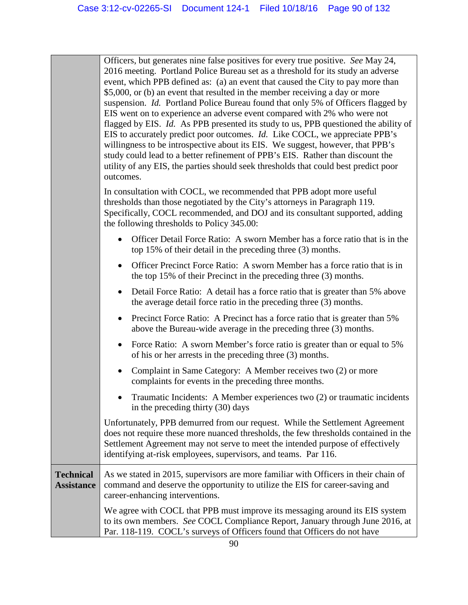|                                       | Officers, but generates nine false positives for every true positive. See May 24,<br>2016 meeting. Portland Police Bureau set as a threshold for its study an adverse<br>event, which PPB defined as: (a) an event that caused the City to pay more than<br>\$5,000, or (b) an event that resulted in the member receiving a day or more<br>suspension. Id. Portland Police Bureau found that only 5% of Officers flagged by<br>EIS went on to experience an adverse event compared with 2% who were not<br>flagged by EIS. Id. As PPB presented its study to us, PPB questioned the ability of<br>EIS to accurately predict poor outcomes. Id. Like COCL, we appreciate PPB's<br>willingness to be introspective about its EIS. We suggest, however, that PPB's<br>study could lead to a better refinement of PPB's EIS. Rather than discount the<br>utility of any EIS, the parties should seek thresholds that could best predict poor<br>outcomes. |
|---------------------------------------|--------------------------------------------------------------------------------------------------------------------------------------------------------------------------------------------------------------------------------------------------------------------------------------------------------------------------------------------------------------------------------------------------------------------------------------------------------------------------------------------------------------------------------------------------------------------------------------------------------------------------------------------------------------------------------------------------------------------------------------------------------------------------------------------------------------------------------------------------------------------------------------------------------------------------------------------------------|
|                                       | In consultation with COCL, we recommended that PPB adopt more useful<br>thresholds than those negotiated by the City's attorneys in Paragraph 119.<br>Specifically, COCL recommended, and DOJ and its consultant supported, adding<br>the following thresholds to Policy 345.00:                                                                                                                                                                                                                                                                                                                                                                                                                                                                                                                                                                                                                                                                       |
|                                       | Officer Detail Force Ratio: A sworn Member has a force ratio that is in the<br>top 15% of their detail in the preceding three $(3)$ months.                                                                                                                                                                                                                                                                                                                                                                                                                                                                                                                                                                                                                                                                                                                                                                                                            |
|                                       | Officer Precinct Force Ratio: A sworn Member has a force ratio that is in<br>$\bullet$<br>the top 15% of their Precinct in the preceding three (3) months.                                                                                                                                                                                                                                                                                                                                                                                                                                                                                                                                                                                                                                                                                                                                                                                             |
|                                       | Detail Force Ratio: A detail has a force ratio that is greater than 5% above<br>$\bullet$<br>the average detail force ratio in the preceding three (3) months.                                                                                                                                                                                                                                                                                                                                                                                                                                                                                                                                                                                                                                                                                                                                                                                         |
|                                       | Precinct Force Ratio: A Precinct has a force ratio that is greater than 5%<br>$\bullet$<br>above the Bureau-wide average in the preceding three (3) months.                                                                                                                                                                                                                                                                                                                                                                                                                                                                                                                                                                                                                                                                                                                                                                                            |
|                                       | Force Ratio: A sworn Member's force ratio is greater than or equal to 5%<br>$\bullet$<br>of his or her arrests in the preceding three (3) months.                                                                                                                                                                                                                                                                                                                                                                                                                                                                                                                                                                                                                                                                                                                                                                                                      |
|                                       | Complaint in Same Category: A Member receives two (2) or more<br>$\bullet$<br>complaints for events in the preceding three months.                                                                                                                                                                                                                                                                                                                                                                                                                                                                                                                                                                                                                                                                                                                                                                                                                     |
|                                       | Traumatic Incidents: A Member experiences two (2) or traumatic incidents<br>in the preceding thirty (30) days                                                                                                                                                                                                                                                                                                                                                                                                                                                                                                                                                                                                                                                                                                                                                                                                                                          |
|                                       | Unfortunately, PPB demurred from our request. While the Settlement Agreement<br>does not require these more nuanced thresholds, the few thresholds contained in the<br>Settlement Agreement may not serve to meet the intended purpose of effectively<br>identifying at-risk employees, supervisors, and teams. Par 116.                                                                                                                                                                                                                                                                                                                                                                                                                                                                                                                                                                                                                               |
| <b>Technical</b><br><b>Assistance</b> | As we stated in 2015, supervisors are more familiar with Officers in their chain of<br>command and deserve the opportunity to utilize the EIS for career-saving and<br>career-enhancing interventions.                                                                                                                                                                                                                                                                                                                                                                                                                                                                                                                                                                                                                                                                                                                                                 |
|                                       | We agree with COCL that PPB must improve its messaging around its EIS system<br>to its own members. See COCL Compliance Report, January through June 2016, at<br>Par. 118-119. COCL's surveys of Officers found that Officers do not have                                                                                                                                                                                                                                                                                                                                                                                                                                                                                                                                                                                                                                                                                                              |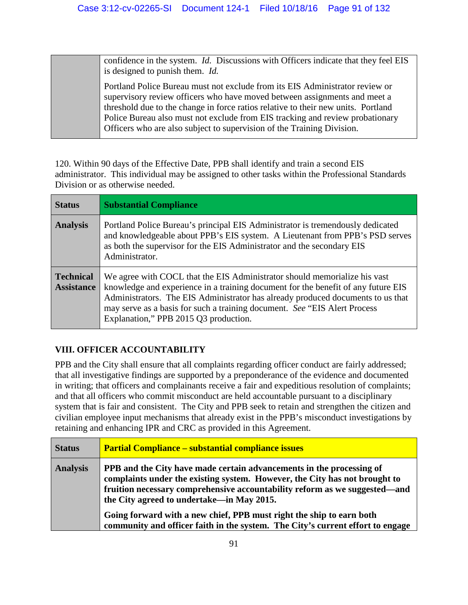confidence in the system. *Id.* Discussions with Officers indicate that they feel EIS is designed to punish them. *Id.*

Portland Police Bureau must not exclude from its EIS Administrator review or supervisory review officers who have moved between assignments and meet a threshold due to the change in force ratios relative to their new units. Portland Police Bureau also must not exclude from EIS tracking and review probationary Officers who are also subject to supervision of the Training Division.

120. Within 90 days of the Effective Date, PPB shall identify and train a second EIS administrator. This individual may be assigned to other tasks within the Professional Standards Division or as otherwise needed.

| <b>Status</b>                         | <b>Substantial Compliance</b>                                                                                                                                                                                                                                                                                                                                            |
|---------------------------------------|--------------------------------------------------------------------------------------------------------------------------------------------------------------------------------------------------------------------------------------------------------------------------------------------------------------------------------------------------------------------------|
| <b>Analysis</b>                       | Portland Police Bureau's principal EIS Administrator is tremendously dedicated<br>and knowledgeable about PPB's EIS system. A Lieutenant from PPB's PSD serves<br>as both the supervisor for the EIS Administrator and the secondary EIS<br>Administrator.                                                                                                               |
| <b>Technical</b><br><b>Assistance</b> | We agree with COCL that the EIS Administrator should memorialize his vast<br>knowledge and experience in a training document for the benefit of any future EIS<br>Administrators. The EIS Administrator has already produced documents to us that<br>may serve as a basis for such a training document. See "EIS Alert Process"<br>Explanation," PPB 2015 Q3 production. |

# **VIII. OFFICER ACCOUNTABILITY**

PPB and the City shall ensure that all complaints regarding officer conduct are fairly addressed; that all investigative findings are supported by a preponderance of the evidence and documented in writing; that officers and complainants receive a fair and expeditious resolution of complaints; and that all officers who commit misconduct are held accountable pursuant to a disciplinary system that is fair and consistent. The City and PPB seek to retain and strengthen the citizen and civilian employee input mechanisms that already exist in the PPB's misconduct investigations by retaining and enhancing IPR and CRC as provided in this Agreement.

| <b>Status</b>   | <b>Partial Compliance – substantial compliance issues</b>                                                                                                                                                                                                                                                                                                                                                                               |
|-----------------|-----------------------------------------------------------------------------------------------------------------------------------------------------------------------------------------------------------------------------------------------------------------------------------------------------------------------------------------------------------------------------------------------------------------------------------------|
| <b>Analysis</b> | PPB and the City have made certain advancements in the processing of<br>complaints under the existing system. However, the City has not brought to<br>fruition necessary comprehensive accountability reform as we suggested—and<br>the City agreed to undertake—in May 2015.<br>Going forward with a new chief, PPB must right the ship to earn both<br>community and officer faith in the system. The City's current effort to engage |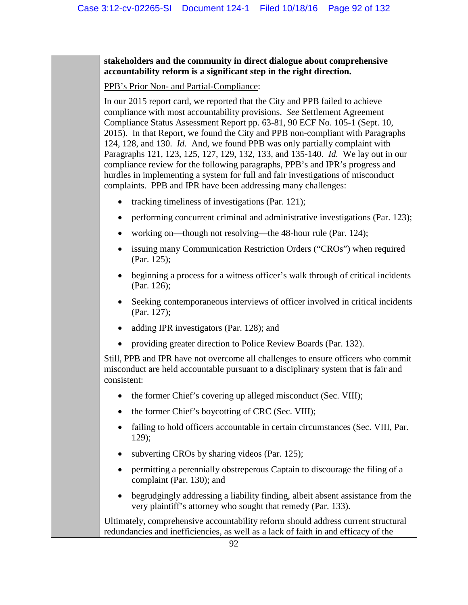**stakeholders and the community in direct dialogue about comprehensive accountability reform is a significant step in the right direction.** 

PPB's Prior Non- and Partial-Compliance:

In our 2015 report card, we reported that the City and PPB failed to achieve compliance with most accountability provisions. *See* Settlement Agreement Compliance Status Assessment Report pp. 63-81, 90 ECF No. 105-1 (Sept. 10, 2015). In that Report, we found the City and PPB non-compliant with Paragraphs 124, 128, and 130. *Id.* And, we found PPB was only partially complaint with Paragraphs 121, 123, 125, 127, 129, 132, 133, and 135-140. *Id.* We lay out in our compliance review for the following paragraphs, PPB's and IPR's progress and hurdles in implementing a system for full and fair investigations of misconduct complaints. PPB and IPR have been addressing many challenges:

- tracking timeliness of investigations (Par. 121);
- performing concurrent criminal and administrative investigations (Par. 123);
- working on—though not resolving—the 48-hour rule (Par. 124);
- issuing many Communication Restriction Orders ("CROs") when required (Par. 125);
- beginning a process for a witness officer's walk through of critical incidents (Par. 126);
- Seeking contemporaneous interviews of officer involved in critical incidents (Par. 127);
- adding IPR investigators (Par. 128); and
- providing greater direction to Police Review Boards (Par. 132).

Still, PPB and IPR have not overcome all challenges to ensure officers who commit misconduct are held accountable pursuant to a disciplinary system that is fair and consistent:

- the former Chief's covering up alleged misconduct (Sec. VIII);
- the former Chief's boycotting of CRC (Sec. VIII);
- failing to hold officers accountable in certain circumstances (Sec. VIII, Par. 129);
- subverting CROs by sharing videos (Par. 125);
- permitting a perennially obstreperous Captain to discourage the filing of a complaint (Par. 130); and
- begrudgingly addressing a liability finding, albeit absent assistance from the very plaintiff's attorney who sought that remedy (Par. 133).

Ultimately, comprehensive accountability reform should address current structural redundancies and inefficiencies, as well as a lack of faith in and efficacy of the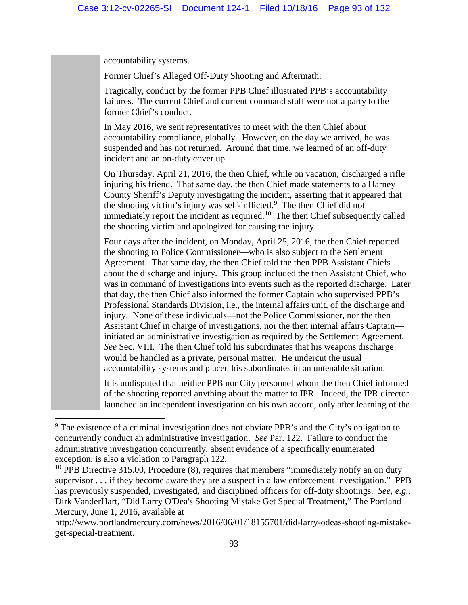accountability systems. Former Chief's Alleged Off-Duty Shooting and Aftermath: Tragically, conduct by the former PPB Chief illustrated PPB's accountability failures. The current Chief and current command staff were not a party to the former Chief's conduct. In May 2016, we sent representatives to meet with the then Chief about accountability compliance, globally. However, on the day we arrived, he was suspended and has not returned. Around that time, we learned of an off-duty incident and an on-duty cover up. On Thursday, April 21, 2016, the then Chief, while on vacation, discharged a rifle injuring his friend. That same day, the then Chief made statements to a Harney County Sheriff's Deputy investigating the incident, asserting that it appeared that the shooting victim's injury was self-inflicted.<sup>[9](#page-92-0)</sup> The then Chief did not immediately report the incident as required.<sup>10</sup> The then Chief subsequently called the shooting victim and apologized for causing the injury. Four days after the incident, on Monday, April 25, 2016, the then Chief reported the shooting to Police Commissioner—who is also subject to the Settlement Agreement. That same day, the then Chief told the then PPB Assistant Chiefs about the discharge and injury. This group included the then Assistant Chief, who was in command of investigations into events such as the reported discharge. Later that day, the then Chief also informed the former Captain who supervised PPB's Professional Standards Division, i.e., the internal affairs unit, of the discharge and injury. None of these individuals—not the Police Commissioner, nor the then Assistant Chief in charge of investigations, nor the then internal affairs Captain initiated an administrative investigation as required by the Settlement Agreement. *See* Sec. VIII. The then Chief told his subordinates that his weapons discharge would be handled as a private, personal matter. He undercut the usual accountability systems and placed his subordinates in an untenable situation. It is undisputed that neither PPB nor City personnel whom the then Chief informed of the shooting reported anything about the matter to IPR. Indeed, the IPR director

l

launched an independent investigation on his own accord, only after learning of the

<span id="page-92-0"></span><sup>&</sup>lt;sup>9</sup> The existence of a criminal investigation does not obviate PPB's and the City's obligation to concurrently conduct an administrative investigation. *See* Par. 122. Failure to conduct the administrative investigation concurrently, absent evidence of a specifically enumerated exception, is also a violation to Paragraph 122.

<span id="page-92-1"></span><sup>&</sup>lt;sup>10</sup> PPB Directive 315.00, Procedure  $(8)$ , requires that members "immediately notify an on duty supervisor . . . if they become aware they are a suspect in a law enforcement investigation." PPB has previously suspended, investigated, and disciplined officers for off-duty shootings. *See, e.g.*, Dirk VanderHart, "Did Larry O'Dea's Shooting Mistake Get Special Treatment," The Portland Mercury, June 1, 2016, available at

http://www.portlandmercury.com/news/2016/06/01/18155701/did-larry-odeas-shooting-mistakeget-special-treatment.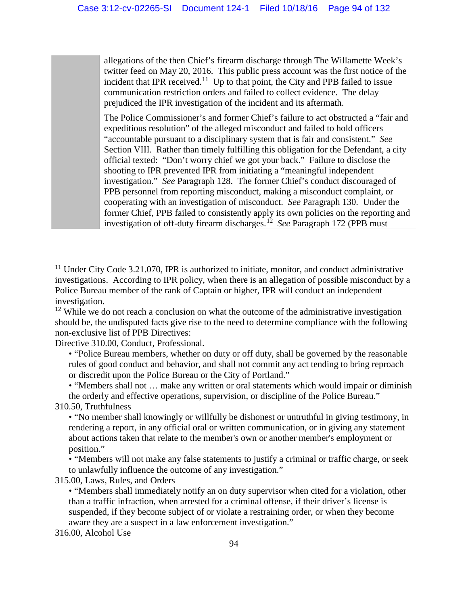allegations of the then Chief's firearm discharge through The Willamette Week's twitter feed on May 20, 2016. This public press account was the first notice of the incident that IPR received.<sup>11</sup> Up to that point, the City and PPB failed to issue communication restriction orders and failed to collect evidence. The delay prejudiced the IPR investigation of the incident and its aftermath.

The Police Commissioner's and former Chief's failure to act obstructed a "fair and expeditious resolution" of the alleged misconduct and failed to hold officers "accountable pursuant to a disciplinary system that is fair and consistent." *See* Section VIII. Rather than timely fulfilling this obligation for the Defendant, a city official texted: "Don't worry chief we got your back." Failure to disclose the shooting to IPR prevented IPR from initiating a "meaningful independent investigation." *See* Paragraph 128. The former Chief's conduct discouraged of PPB personnel from reporting misconduct, making a misconduct complaint, or cooperating with an investigation of misconduct. *See* Paragraph 130. Under the former Chief, PPB failed to consistently apply its own policies on the reporting and investigation of off-duty firearm discharges.[12](#page-93-1) *See* Paragraph 172 (PPB must

Directive 310.00, Conduct, Professional.

• "Members shall not … make any written or oral statements which would impair or diminish the orderly and effective operations, supervision, or discipline of the Police Bureau."

310.50, Truthfulness

l

• "Members will not make any false statements to justify a criminal or traffic charge, or seek to unlawfully influence the outcome of any investigation."

315.00, Laws, Rules, and Orders

<span id="page-93-0"></span> $11$  Under City Code 3.21.070, IPR is authorized to initiate, monitor, and conduct administrative investigations. According to IPR policy, when there is an allegation of possible misconduct by a Police Bureau member of the rank of Captain or higher, IPR will conduct an independent investigation.

<span id="page-93-1"></span> $12$  While we do not reach a conclusion on what the outcome of the administrative investigation should be, the undisputed facts give rise to the need to determine compliance with the following non-exclusive list of PPB Directives:

<sup>• &</sup>quot;Police Bureau members, whether on duty or off duty, shall be governed by the reasonable rules of good conduct and behavior, and shall not commit any act tending to bring reproach or discredit upon the Police Bureau or the City of Portland."

<sup>• &</sup>quot;No member shall knowingly or willfully be dishonest or untruthful in giving testimony, in rendering a report, in any official oral or written communication, or in giving any statement about actions taken that relate to the member's own or another member's employment or position."

<sup>• &</sup>quot;Members shall immediately notify an on duty supervisor when cited for a violation, other than a traffic infraction, when arrested for a criminal offense, if their driver's license is suspended, if they become subject of or violate a restraining order, or when they become aware they are a suspect in a law enforcement investigation."

<sup>316.00,</sup> Alcohol Use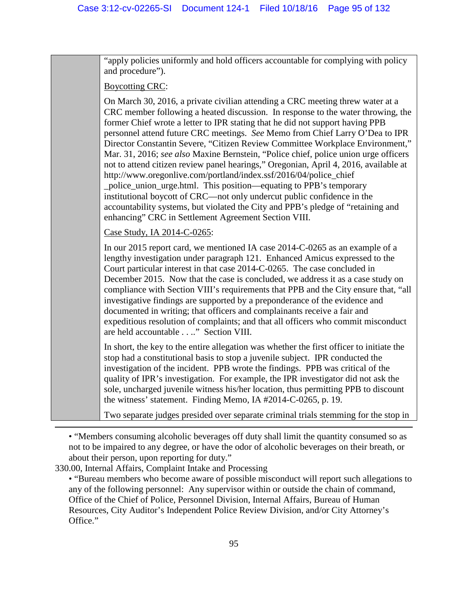"apply policies uniformly and hold officers accountable for complying with policy and procedure").

Boycotting CRC:

On March 30, 2016, a private civilian attending a CRC meeting threw water at a CRC member following a heated discussion. In response to the water throwing, the former Chief wrote a letter to IPR stating that he did not support having PPB personnel attend future CRC meetings. *See* Memo from Chief Larry O'Dea to IPR Director Constantin Severe, "Citizen Review Committee Workplace Environment," Mar. 31, 2016; *see also* Maxine Bernstein, "Police chief, police union urge officers not to attend citizen review panel hearings," Oregonian, April 4, 2016, available at http://www.oregonlive.com/portland/index.ssf/2016/04/police\_chief \_police\_union\_urge.html. This position—equating to PPB's temporary institutional boycott of CRC—not only undercut public confidence in the accountability systems, but violated the City and PPB's pledge of "retaining and

enhancing" CRC in Settlement Agreement Section VIII.

Case Study, IA 2014-C-0265:

In our 2015 report card, we mentioned IA case 2014-C-0265 as an example of a lengthy investigation under paragraph 121. Enhanced Amicus expressed to the Court particular interest in that case 2014-C-0265. The case concluded in December 2015. Now that the case is concluded, we address it as a case study on compliance with Section VIII's requirements that PPB and the City ensure that, "all investigative findings are supported by a preponderance of the evidence and documented in writing; that officers and complainants receive a fair and expeditious resolution of complaints; and that all officers who commit misconduct are held accountable . . .." Section VIII.

In short, the key to the entire allegation was whether the first officer to initiate the stop had a constitutional basis to stop a juvenile subject. IPR conducted the investigation of the incident. PPB wrote the findings. PPB was critical of the quality of IPR's investigation. For example, the IPR investigator did not ask the sole, uncharged juvenile witness his/her location, thus permitting PPB to discount the witness' statement. Finding Memo, IA #2014-C-0265, p. 19.

Two separate judges presided over separate criminal trials stemming for the stop in

330.00, Internal Affairs, Complaint Intake and Processing

l

<sup>• &</sup>quot;Members consuming alcoholic beverages off duty shall limit the quantity consumed so as not to be impaired to any degree, or have the odor of alcoholic beverages on their breath, or about their person, upon reporting for duty."

<sup>• &</sup>quot;Bureau members who become aware of possible misconduct will report such allegations to any of the following personnel: Any supervisor within or outside the chain of command, Office of the Chief of Police, Personnel Division, Internal Affairs, Bureau of Human Resources, City Auditor's Independent Police Review Division, and/or City Attorney's Office."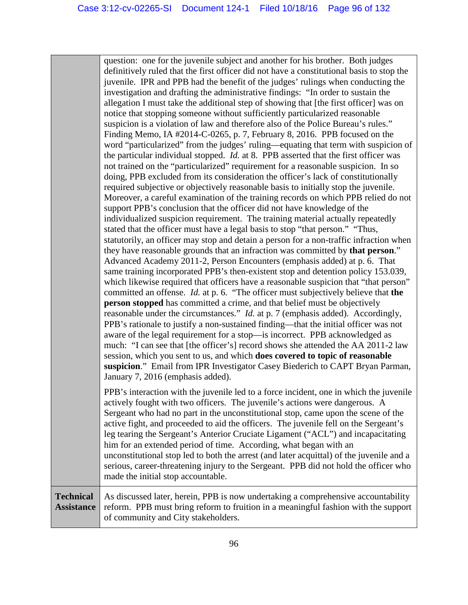question: one for the juvenile subject and another for his brother. Both judges definitively ruled that the first officer did not have a constitutional basis to stop the juvenile. IPR and PPB had the benefit of the judges' rulings when conducting the investigation and drafting the administrative findings: "In order to sustain the allegation I must take the additional step of showing that [the first officer] was on notice that stopping someone without sufficiently particularized reasonable suspicion is a violation of law and therefore also of the Police Bureau's rules." Finding Memo, IA #2014-C-0265, p. 7, February 8, 2016. PPB focused on the word "particularized" from the judges' ruling—equating that term with suspicion of the particular individual stopped. *Id.* at 8. PPB asserted that the first officer was not trained on the "particularized" requirement for a reasonable suspicion. In so doing, PPB excluded from its consideration the officer's lack of constitutionally required subjective or objectively reasonable basis to initially stop the juvenile. Moreover, a careful examination of the training records on which PPB relied do not support PPB's conclusion that the officer did not have knowledge of the individualized suspicion requirement. The training material actually repeatedly stated that the officer must have a legal basis to stop "that person." "Thus, statutorily, an officer may stop and detain a person for a non-traffic infraction when they have reasonable grounds that an infraction was committed by **that person**." Advanced Academy 2011-2, Person Encounters (emphasis added) at p. 6. That same training incorporated PPB's then-existent stop and detention policy 153.039, which likewise required that officers have a reasonable suspicion that "that person" committed an offense. *Id.* at p. 6. "The officer must subjectively believe that **the person stopped** has committed a crime, and that belief must be objectively reasonable under the circumstances." *Id.* at p. 7 (emphasis added). Accordingly, PPB's rationale to justify a non-sustained finding—that the initial officer was not aware of the legal requirement for a stop—is incorrect. PPB acknowledged as much: "I can see that [the officer's] record shows she attended the AA 2011-2 law session, which you sent to us, and which **does covered to topic of reasonable suspicion**." Email from IPR Investigator Casey Biederich to CAPT Bryan Parman, January 7, 2016 (emphasis added). PPB's interaction with the juvenile led to a force incident, one in which the juvenile actively fought with two officers. The juvenile's actions were dangerous. A Sergeant who had no part in the unconstitutional stop, came upon the scene of the active fight, and proceeded to aid the officers. The juvenile fell on the Sergeant's leg tearing the Sergeant's Anterior Cruciate Ligament ("ACL") and incapacitating him for an extended period of time. According, what began with an

unconstitutional stop led to both the arrest (and later acquittal) of the juvenile and a serious, career-threatening injury to the Sergeant. PPB did not hold the officer who made the initial stop accountable.

#### **Technical Assistance** As discussed later, herein, PPB is now undertaking a comprehensive accountability reform. PPB must bring reform to fruition in a meaningful fashion with the support of community and City stakeholders.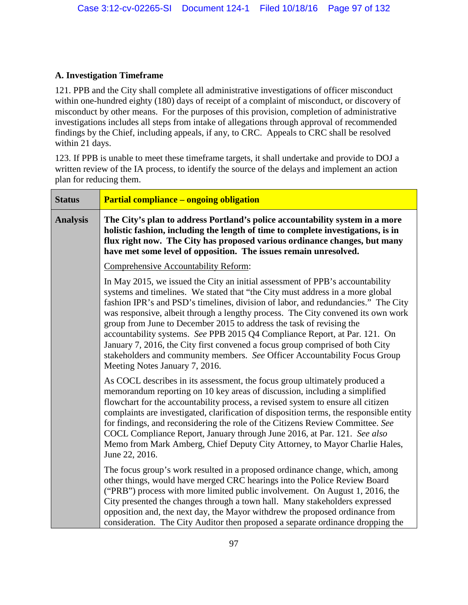### **A. Investigation Timeframe**

121. PPB and the City shall complete all administrative investigations of officer misconduct within one-hundred eighty (180) days of receipt of a complaint of misconduct, or discovery of misconduct by other means. For the purposes of this provision, completion of administrative investigations includes all steps from intake of allegations through approval of recommended findings by the Chief, including appeals, if any, to CRC. Appeals to CRC shall be resolved within 21 days.

123. If PPB is unable to meet these timeframe targets, it shall undertake and provide to DOJ a written review of the IA process, to identify the source of the delays and implement an action plan for reducing them.

| <b>Status</b>   | <b>Partial compliance – ongoing obligation</b>                                                                                                                                                                                                                                                                                                                                                                                                                                                                                                                                                                                                                                                  |
|-----------------|-------------------------------------------------------------------------------------------------------------------------------------------------------------------------------------------------------------------------------------------------------------------------------------------------------------------------------------------------------------------------------------------------------------------------------------------------------------------------------------------------------------------------------------------------------------------------------------------------------------------------------------------------------------------------------------------------|
| <b>Analysis</b> | The City's plan to address Portland's police accountability system in a more<br>holistic fashion, including the length of time to complete investigations, is in<br>flux right now. The City has proposed various ordinance changes, but many<br>have met some level of opposition. The issues remain unresolved.                                                                                                                                                                                                                                                                                                                                                                               |
|                 | <b>Comprehensive Accountability Reform:</b>                                                                                                                                                                                                                                                                                                                                                                                                                                                                                                                                                                                                                                                     |
|                 | In May 2015, we issued the City an initial assessment of PPB's accountability<br>systems and timelines. We stated that "the City must address in a more global"<br>fashion IPR's and PSD's timelines, division of labor, and redundancies." The City<br>was responsive, albeit through a lengthy process. The City convened its own work<br>group from June to December 2015 to address the task of revising the<br>accountability systems. See PPB 2015 Q4 Compliance Report, at Par. 121. On<br>January 7, 2016, the City first convened a focus group comprised of both City<br>stakeholders and community members. See Officer Accountability Focus Group<br>Meeting Notes January 7, 2016. |
|                 | As COCL describes in its assessment, the focus group ultimately produced a<br>memorandum reporting on 10 key areas of discussion, including a simplified<br>flowchart for the accountability process, a revised system to ensure all citizen<br>complaints are investigated, clarification of disposition terms, the responsible entity<br>for findings, and reconsidering the role of the Citizens Review Committee. See<br>COCL Compliance Report, January through June 2016, at Par. 121. See also<br>Memo from Mark Amberg, Chief Deputy City Attorney, to Mayor Charlie Hales,<br>June 22, 2016.                                                                                           |
|                 | The focus group's work resulted in a proposed ordinance change, which, among<br>other things, would have merged CRC hearings into the Police Review Board<br>("PRB") process with more limited public involvement. On August 1, 2016, the<br>City presented the changes through a town hall. Many stakeholders expressed<br>opposition and, the next day, the Mayor withdrew the proposed ordinance from<br>consideration. The City Auditor then proposed a separate ordinance dropping the                                                                                                                                                                                                     |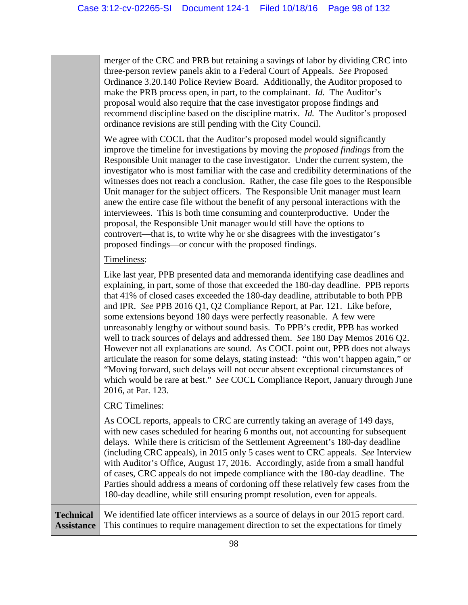merger of the CRC and PRB but retaining a savings of labor by dividing CRC into three-person review panels akin to a Federal Court of Appeals. *See* Proposed Ordinance 3.20.140 Police Review Board. Additionally, the Auditor proposed to make the PRB process open, in part, to the complainant. *Id.* The Auditor's proposal would also require that the case investigator propose findings and recommend discipline based on the discipline matrix. *Id.* The Auditor's proposed ordinance revisions are still pending with the City Council.

We agree with COCL that the Auditor's proposed model would significantly improve the timeline for investigations by moving the *proposed findings* from the Responsible Unit manager to the case investigator. Under the current system, the investigator who is most familiar with the case and credibility determinations of the witnesses does not reach a conclusion. Rather, the case file goes to the Responsible Unit manager for the subject officers. The Responsible Unit manager must learn anew the entire case file without the benefit of any personal interactions with the interviewees. This is both time consuming and counterproductive. Under the proposal, the Responsible Unit manager would still have the options to controvert—that is, to write why he or she disagrees with the investigator's proposed findings—or concur with the proposed findings.

### Timeliness:

Like last year, PPB presented data and memoranda identifying case deadlines and explaining, in part, some of those that exceeded the 180-day deadline. PPB reports that 41% of closed cases exceeded the 180-day deadline, attributable to both PPB and IPR. *See* PPB 2016 Q1, Q2 Compliance Report, at Par. 121. Like before, some extensions beyond 180 days were perfectly reasonable. A few were unreasonably lengthy or without sound basis. To PPB's credit, PPB has worked well to track sources of delays and addressed them. *See* 180 Day Memos 2016 Q2. However not all explanations are sound. As COCL point out, PPB does not always articulate the reason for some delays, stating instead: "this won't happen again," or "Moving forward, such delays will not occur absent exceptional circumstances of which would be rare at best." *See* COCL Compliance Report, January through June 2016, at Par. 123.

### CRC Timelines:

As COCL reports, appeals to CRC are currently taking an average of 149 days, with new cases scheduled for hearing 6 months out, not accounting for subsequent delays. While there is criticism of the Settlement Agreement's 180-day deadline (including CRC appeals), in 2015 only 5 cases went to CRC appeals. *See* Interview with Auditor's Office, August 17, 2016. Accordingly, aside from a small handful of cases, CRC appeals do not impede compliance with the 180-day deadline. The Parties should address a means of cordoning off these relatively few cases from the 180-day deadline, while still ensuring prompt resolution, even for appeals.

**Technical Assistance**

We identified late officer interviews as a source of delays in our 2015 report card. This continues to require management direction to set the expectations for timely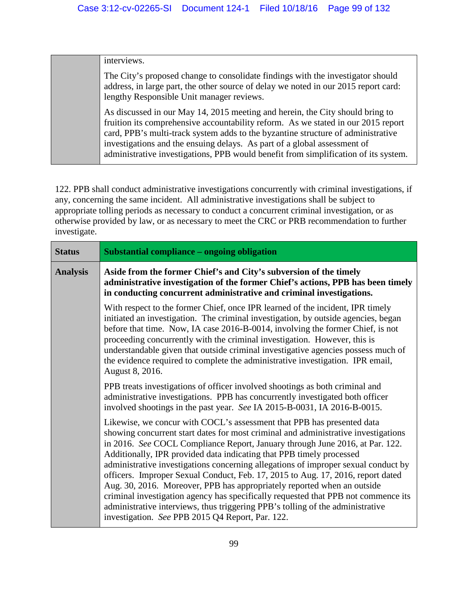interviews.

The City's proposed change to consolidate findings with the investigator should address, in large part, the other source of delay we noted in our 2015 report card: lengthy Responsible Unit manager reviews.

As discussed in our May 14, 2015 meeting and herein, the City should bring to fruition its comprehensive accountability reform. As we stated in our 2015 report card, PPB's multi-track system adds to the byzantine structure of administrative investigations and the ensuing delays. As part of a global assessment of administrative investigations, PPB would benefit from simplification of its system.

122. PPB shall conduct administrative investigations concurrently with criminal investigations, if any, concerning the same incident. All administrative investigations shall be subject to appropriate tolling periods as necessary to conduct a concurrent criminal investigation, or as otherwise provided by law, or as necessary to meet the CRC or PRB recommendation to further investigate.

| <b>Status</b>   | <b>Substantial compliance - ongoing obligation</b>                                                                                                                                                                                                                                                                                                                                                                                                                                                                                                                                                                                                                                                                                                                                                   |
|-----------------|------------------------------------------------------------------------------------------------------------------------------------------------------------------------------------------------------------------------------------------------------------------------------------------------------------------------------------------------------------------------------------------------------------------------------------------------------------------------------------------------------------------------------------------------------------------------------------------------------------------------------------------------------------------------------------------------------------------------------------------------------------------------------------------------------|
| <b>Analysis</b> | Aside from the former Chief's and City's subversion of the timely<br>administrative investigation of the former Chief's actions, PPB has been timely<br>in conducting concurrent administrative and criminal investigations.                                                                                                                                                                                                                                                                                                                                                                                                                                                                                                                                                                         |
|                 | With respect to the former Chief, once IPR learned of the incident, IPR timely<br>initiated an investigation. The criminal investigation, by outside agencies, began<br>before that time. Now, IA case 2016-B-0014, involving the former Chief, is not<br>proceeding concurrently with the criminal investigation. However, this is<br>understandable given that outside criminal investigative agencies possess much of<br>the evidence required to complete the administrative investigation. IPR email,<br>August 8, 2016.                                                                                                                                                                                                                                                                        |
|                 | PPB treats investigations of officer involved shootings as both criminal and<br>administrative investigations. PPB has concurrently investigated both officer<br>involved shootings in the past year. See IA 2015-B-0031, IA 2016-B-0015.                                                                                                                                                                                                                                                                                                                                                                                                                                                                                                                                                            |
|                 | Likewise, we concur with COCL's assessment that PPB has presented data<br>showing concurrent start dates for most criminal and administrative investigations<br>in 2016. See COCL Compliance Report, January through June 2016, at Par. 122.<br>Additionally, IPR provided data indicating that PPB timely processed<br>administrative investigations concerning allegations of improper sexual conduct by<br>officers. Improper Sexual Conduct, Feb. 17, 2015 to Aug. 17, 2016, report dated<br>Aug. 30, 2016. Moreover, PPB has appropriately reported when an outside<br>criminal investigation agency has specifically requested that PPB not commence its<br>administrative interviews, thus triggering PPB's tolling of the administrative<br>investigation. See PPB 2015 Q4 Report, Par. 122. |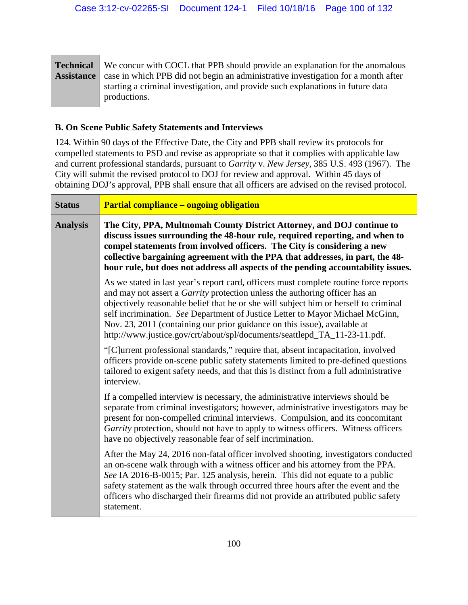|                   | <b>Technical</b> We concur with COCL that PPB should provide an explanation for the anomalous   |
|-------------------|-------------------------------------------------------------------------------------------------|
| <b>Assistance</b> | case in which PPB did not begin an administrative investigation for a month after               |
|                   | starting a criminal investigation, and provide such explanations in future data<br>productions. |

### **B. On Scene Public Safety Statements and Interviews**

124. Within 90 days of the Effective Date, the City and PPB shall review its protocols for compelled statements to PSD and revise as appropriate so that it complies with applicable law and current professional standards, pursuant to *Garrity* v. *New Jersey*, 385 U.S. 493 (1967). The City will submit the revised protocol to DOJ for review and approval. Within 45 days of obtaining DOJ's approval, PPB shall ensure that all officers are advised on the revised protocol.

| <b>Status</b>   | <b>Partial compliance – ongoing obligation</b>                                                                                                                                                                                                                                                                                                                                                                                                                                                                 |
|-----------------|----------------------------------------------------------------------------------------------------------------------------------------------------------------------------------------------------------------------------------------------------------------------------------------------------------------------------------------------------------------------------------------------------------------------------------------------------------------------------------------------------------------|
| <b>Analysis</b> | The City, PPA, Multnomah County District Attorney, and DOJ continue to<br>discuss issues surrounding the 48-hour rule, required reporting, and when to<br>compel statements from involved officers. The City is considering a new<br>collective bargaining agreement with the PPA that addresses, in part, the 48-<br>hour rule, but does not address all aspects of the pending accountability issues.                                                                                                        |
|                 | As we stated in last year's report card, officers must complete routine force reports<br>and may not assert a <i>Garrity</i> protection unless the authoring officer has an<br>objectively reasonable belief that he or she will subject him or herself to criminal<br>self incrimination. See Department of Justice Letter to Mayor Michael McGinn,<br>Nov. 23, 2011 (containing our prior guidance on this issue), available at<br>http://www.justice.gov/crt/about/spl/documents/seattlepd_TA_11-23-11.pdf. |
|                 | "[C]urrent professional standards," require that, absent incapacitation, involved<br>officers provide on-scene public safety statements limited to pre-defined questions<br>tailored to exigent safety needs, and that this is distinct from a full administrative<br>interview.                                                                                                                                                                                                                               |
|                 | If a compelled interview is necessary, the administrative interviews should be<br>separate from criminal investigators; however, administrative investigators may be<br>present for non-compelled criminal interviews. Compulsion, and its concomitant<br>Garrity protection, should not have to apply to witness officers. Witness officers<br>have no objectively reasonable fear of self incrimination.                                                                                                     |
|                 | After the May 24, 2016 non-fatal officer involved shooting, investigators conducted<br>an on-scene walk through with a witness officer and his attorney from the PPA.<br>See IA 2016-B-0015; Par. 125 analysis, herein. This did not equate to a public<br>safety statement as the walk through occurred three hours after the event and the<br>officers who discharged their firearms did not provide an attributed public safety<br>statement.                                                               |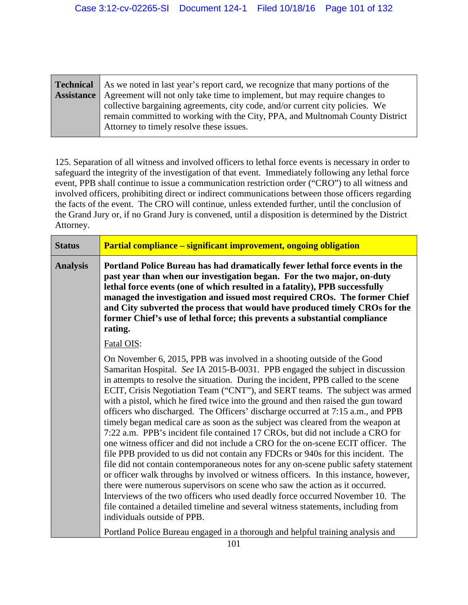| <b>Technical</b> As we noted in last year's report card, we recognize that many portions of the |
|-------------------------------------------------------------------------------------------------|
| <b>Assistance</b>   Agreement will not only take time to implement, but may require changes to  |
| collective bargaining agreements, city code, and/or current city policies. We                   |
| remain committed to working with the City, PPA, and Multnomah County District                   |
| Attorney to timely resolve these issues.                                                        |

125. Separation of all witness and involved officers to lethal force events is necessary in order to safeguard the integrity of the investigation of that event. Immediately following any lethal force event, PPB shall continue to issue a communication restriction order ("CRO") to all witness and involved officers, prohibiting direct or indirect communications between those officers regarding the facts of the event. The CRO will continue, unless extended further, until the conclusion of the Grand Jury or, if no Grand Jury is convened, until a disposition is determined by the District Attorney.

| <b>Status</b>   | Partial compliance – significant improvement, ongoing obligation                                                                                                                                                                                                                                                                                                                                                                                                                                                                                                                                                                                                                                                                                                                                                                                                                                                                                                                                                                                                                                                                                                                                                                                                                                                                                                                                                         |
|-----------------|--------------------------------------------------------------------------------------------------------------------------------------------------------------------------------------------------------------------------------------------------------------------------------------------------------------------------------------------------------------------------------------------------------------------------------------------------------------------------------------------------------------------------------------------------------------------------------------------------------------------------------------------------------------------------------------------------------------------------------------------------------------------------------------------------------------------------------------------------------------------------------------------------------------------------------------------------------------------------------------------------------------------------------------------------------------------------------------------------------------------------------------------------------------------------------------------------------------------------------------------------------------------------------------------------------------------------------------------------------------------------------------------------------------------------|
| <b>Analysis</b> | Portland Police Bureau has had dramatically fewer lethal force events in the<br>past year than when our investigation began. For the two major, on-duty<br>lethal force events (one of which resulted in a fatality), PPB successfully<br>managed the investigation and issued most required CROs. The former Chief<br>and City subverted the process that would have produced timely CROs for the<br>former Chief's use of lethal force; this prevents a substantial compliance<br>rating.                                                                                                                                                                                                                                                                                                                                                                                                                                                                                                                                                                                                                                                                                                                                                                                                                                                                                                                              |
|                 | Fatal OIS:<br>On November 6, 2015, PPB was involved in a shooting outside of the Good<br>Samaritan Hospital. See IA 2015-B-0031. PPB engaged the subject in discussion<br>in attempts to resolve the situation. During the incident, PPB called to the scene<br>ECIT, Crisis Negotiation Team ("CNT"), and SERT teams. The subject was armed<br>with a pistol, which he fired twice into the ground and then raised the gun toward<br>officers who discharged. The Officers' discharge occurred at 7:15 a.m., and PPB<br>timely began medical care as soon as the subject was cleared from the weapon at<br>7:22 a.m. PPB's incident file contained 17 CROs, but did not include a CRO for<br>one witness officer and did not include a CRO for the on-scene ECIT officer. The<br>file PPB provided to us did not contain any FDCRs or 940s for this incident. The<br>file did not contain contemporaneous notes for any on-scene public safety statement<br>or officer walk throughs by involved or witness officers. In this instance, however,<br>there were numerous supervisors on scene who saw the action as it occurred.<br>Interviews of the two officers who used deadly force occurred November 10. The<br>file contained a detailed timeline and several witness statements, including from<br>individuals outside of PPB.<br>Portland Police Bureau engaged in a thorough and helpful training analysis and |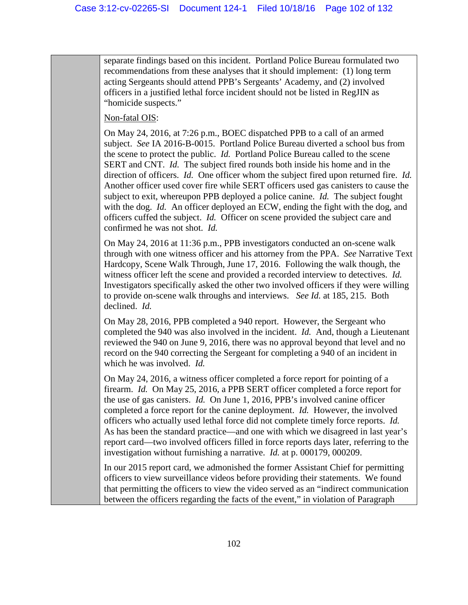separate findings based on this incident. Portland Police Bureau formulated two recommendations from these analyses that it should implement: (1) long term acting Sergeants should attend PPB's Sergeants' Academy, and (2) involved officers in a justified lethal force incident should not be listed in RegJIN as "homicide suspects."

### Non-fatal OIS:

On May 24, 2016, at 7:26 p.m., BOEC dispatched PPB to a call of an armed subject. *See* IA 2016-B-0015. Portland Police Bureau diverted a school bus from the scene to protect the public. *Id.* Portland Police Bureau called to the scene SERT and CNT. *Id.* The subject fired rounds both inside his home and in the direction of officers. *Id.* One officer whom the subject fired upon returned fire. *Id.* Another officer used cover fire while SERT officers used gas canisters to cause the subject to exit, whereupon PPB deployed a police canine. *Id.* The subject fought with the dog. *Id.* An officer deployed an ECW, ending the fight with the dog, and officers cuffed the subject. *Id.* Officer on scene provided the subject care and confirmed he was not shot. *Id.*

On May 24, 2016 at 11:36 p.m., PPB investigators conducted an on-scene walk through with one witness officer and his attorney from the PPA. *See* Narrative Text Hardcopy, Scene Walk Through, June 17, 2016. Following the walk though, the witness officer left the scene and provided a recorded interview to detectives. *Id.* Investigators specifically asked the other two involved officers if they were willing to provide on-scene walk throughs and interviews. *See Id.* at 185, 215. Both declined. *Id.*

On May 28, 2016, PPB completed a 940 report. However, the Sergeant who completed the 940 was also involved in the incident. *Id.* And, though a Lieutenant reviewed the 940 on June 9, 2016, there was no approval beyond that level and no record on the 940 correcting the Sergeant for completing a 940 of an incident in which he was involved. *Id.*

On May 24, 2016, a witness officer completed a force report for pointing of a firearm. *Id.* On May 25, 2016, a PPB SERT officer completed a force report for the use of gas canisters. *Id.* On June 1, 2016, PPB's involved canine officer completed a force report for the canine deployment. *Id.* However, the involved officers who actually used lethal force did not complete timely force reports. *Id.* As has been the standard practice—and one with which we disagreed in last year's report card—two involved officers filled in force reports days later, referring to the investigation without furnishing a narrative. *Id.* at p. 000179, 000209.

In our 2015 report card, we admonished the former Assistant Chief for permitting officers to view surveillance videos before providing their statements. We found that permitting the officers to view the video served as an "indirect communication between the officers regarding the facts of the event," in violation of Paragraph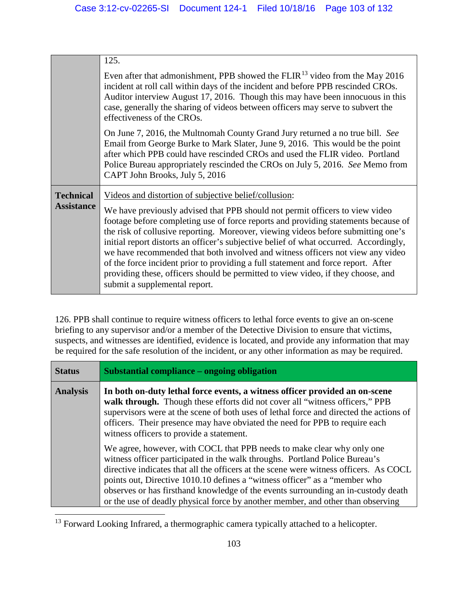|                                       | 125.<br>Even after that admonishment, PPB showed the FLIR <sup>13</sup> video from the May 2016<br>incident at roll call within days of the incident and before PPB rescinded CROs.<br>Auditor interview August 17, 2016. Though this may have been innocuous in this<br>case, generally the sharing of videos between officers may serve to subvert the<br>effectiveness of the CROs.                                                                                                                                                                                                                                                                                                                |
|---------------------------------------|-------------------------------------------------------------------------------------------------------------------------------------------------------------------------------------------------------------------------------------------------------------------------------------------------------------------------------------------------------------------------------------------------------------------------------------------------------------------------------------------------------------------------------------------------------------------------------------------------------------------------------------------------------------------------------------------------------|
|                                       | On June 7, 2016, the Multnomah County Grand Jury returned a no true bill. See<br>Email from George Burke to Mark Slater, June 9, 2016. This would be the point<br>after which PPB could have rescinded CROs and used the FLIR video. Portland<br>Police Bureau appropriately rescinded the CROs on July 5, 2016. See Memo from<br>CAPT John Brooks, July 5, 2016                                                                                                                                                                                                                                                                                                                                      |
| <b>Technical</b><br><b>Assistance</b> | Videos and distortion of subjective belief/collusion:<br>We have previously advised that PPB should not permit officers to view video<br>footage before completing use of force reports and providing statements because of<br>the risk of collusive reporting. Moreover, viewing videos before submitting one's<br>initial report distorts an officer's subjective belief of what occurred. Accordingly,<br>we have recommended that both involved and witness officers not view any video<br>of the force incident prior to providing a full statement and force report. After<br>providing these, officers should be permitted to view video, if they choose, and<br>submit a supplemental report. |

126. PPB shall continue to require witness officers to lethal force events to give an on-scene briefing to any supervisor and/or a member of the Detective Division to ensure that victims, suspects, and witnesses are identified, evidence is located, and provide any information that may be required for the safe resolution of the incident, or any other information as may be required.

| <b>Status</b>   | Substantial compliance – ongoing obligation                                                                                                                                                                                                                                                                                                                                                                                                                                                          |
|-----------------|------------------------------------------------------------------------------------------------------------------------------------------------------------------------------------------------------------------------------------------------------------------------------------------------------------------------------------------------------------------------------------------------------------------------------------------------------------------------------------------------------|
| <b>Analysis</b> | In both on-duty lethal force events, a witness officer provided an on-scene<br>walk through. Though these efforts did not cover all "witness officers," PPB<br>supervisors were at the scene of both uses of lethal force and directed the actions of<br>officers. Their presence may have obviated the need for PPB to require each<br>witness officers to provide a statement.                                                                                                                     |
|                 | We agree, however, with COCL that PPB needs to make clear why only one<br>witness officer participated in the walk throughs. Portland Police Bureau's<br>directive indicates that all the officers at the scene were witness officers. As COCL<br>points out, Directive 1010.10 defines a "witness officer" as a "member who<br>observes or has firsthand knowledge of the events surrounding an in-custody death<br>or the use of deadly physical force by another member, and other than observing |

<span id="page-102-0"></span><sup>&</sup>lt;sup>13</sup> Forward Looking Infrared, a thermographic camera typically attached to a helicopter.

 $\overline{a}$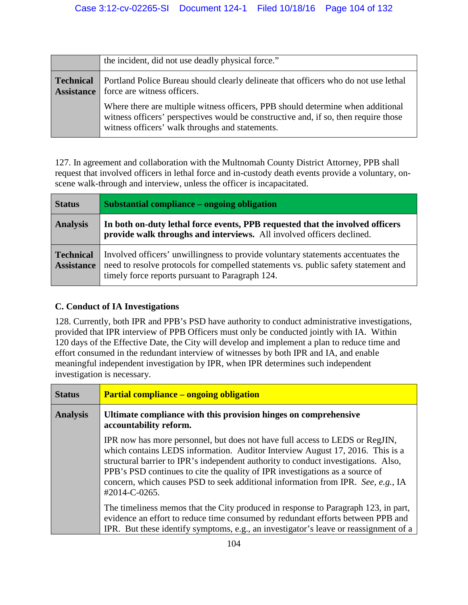|                                       | the incident, did not use deadly physical force."                                                                                                                                                                         |
|---------------------------------------|---------------------------------------------------------------------------------------------------------------------------------------------------------------------------------------------------------------------------|
| <b>Technical</b><br><b>Assistance</b> | Portland Police Bureau should clearly delineate that officers who do not use lethal<br>force are witness officers.                                                                                                        |
|                                       | Where there are multiple witness officers, PPB should determine when additional<br>witness officers' perspectives would be constructive and, if so, then require those<br>witness officers' walk throughs and statements. |

127. In agreement and collaboration with the Multnomah County District Attorney, PPB shall request that involved officers in lethal force and in-custody death events provide a voluntary, onscene walk-through and interview, unless the officer is incapacitated.

| <b>Status</b>                         | Substantial compliance – ongoing obligation                                                                                                                                                                               |
|---------------------------------------|---------------------------------------------------------------------------------------------------------------------------------------------------------------------------------------------------------------------------|
| <b>Analysis</b>                       | In both on-duty lethal force events, PPB requested that the involved officers<br>provide walk throughs and interviews. All involved officers declined.                                                                    |
| <b>Technical</b><br><b>Assistance</b> | Involved officers' unwillingness to provide voluntary statements accentuates the<br>need to resolve protocols for compelled statements vs. public safety statement and<br>timely force reports pursuant to Paragraph 124. |

# **C. Conduct of IA Investigations**

128. Currently, both IPR and PPB's PSD have authority to conduct administrative investigations, provided that IPR interview of PPB Officers must only be conducted jointly with IA. Within 120 days of the Effective Date, the City will develop and implement a plan to reduce time and effort consumed in the redundant interview of witnesses by both IPR and IA, and enable meaningful independent investigation by IPR, when IPR determines such independent investigation is necessary.

| <b>Status</b>   | <b>Partial compliance – ongoing obligation</b>                                                                                                                                                                                                                                                                                                                                                                                           |
|-----------------|------------------------------------------------------------------------------------------------------------------------------------------------------------------------------------------------------------------------------------------------------------------------------------------------------------------------------------------------------------------------------------------------------------------------------------------|
| <b>Analysis</b> | Ultimate compliance with this provision hinges on comprehensive<br>accountability reform.                                                                                                                                                                                                                                                                                                                                                |
|                 | IPR now has more personnel, but does not have full access to LEDS or RegJIN,<br>which contains LEDS information. Auditor Interview August 17, 2016. This is a<br>structural barrier to IPR's independent authority to conduct investigations. Also,<br>PPB's PSD continues to cite the quality of IPR investigations as a source of<br>concern, which causes PSD to seek additional information from IPR. See, e.g., IA<br>#2014-C-0265. |
|                 | The timeliness memos that the City produced in response to Paragraph 123, in part,<br>evidence an effort to reduce time consumed by redundant efforts between PPB and<br>IPR. But these identify symptoms, e.g., an investigator's leave or reassignment of a                                                                                                                                                                            |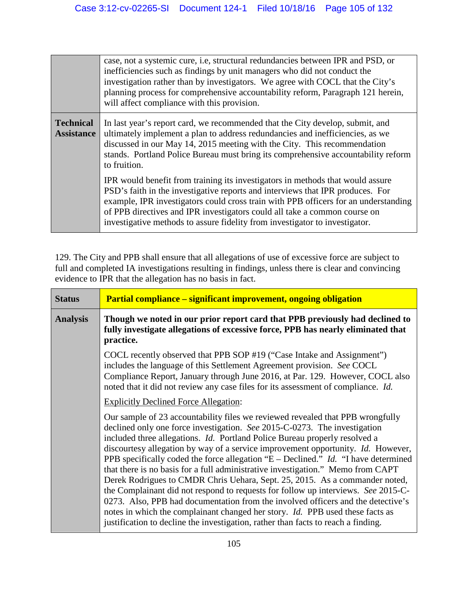|                                       | case, not a systemic cure, i.e., structural redundancies between IPR and PSD, or<br>inefficiencies such as findings by unit managers who did not conduct the<br>investigation rather than by investigators. We agree with COCL that the City's<br>planning process for comprehensive accountability reform, Paragraph 121 herein,<br>will affect compliance with this provision.                                    |
|---------------------------------------|---------------------------------------------------------------------------------------------------------------------------------------------------------------------------------------------------------------------------------------------------------------------------------------------------------------------------------------------------------------------------------------------------------------------|
| <b>Technical</b><br><b>Assistance</b> | In last year's report card, we recommended that the City develop, submit, and<br>ultimately implement a plan to address redundancies and inefficiencies, as we<br>discussed in our May 14, 2015 meeting with the City. This recommendation<br>stands. Portland Police Bureau must bring its comprehensive accountability reform<br>to fruition.                                                                     |
|                                       | IPR would benefit from training its investigators in methods that would assure<br>PSD's faith in the investigative reports and interviews that IPR produces. For<br>example, IPR investigators could cross train with PPB officers for an understanding<br>of PPB directives and IPR investigators could all take a common course on<br>investigative methods to assure fidelity from investigator to investigator. |

129. The City and PPB shall ensure that all allegations of use of excessive force are subject to full and completed IA investigations resulting in findings, unless there is clear and convincing evidence to IPR that the allegation has no basis in fact.

| <b>Status</b>   | <b>Partial compliance – significant improvement, ongoing obligation</b>                                                                                                                                                                                                                                                                                                                                                                                                                                                                                                                                                                                                                                                                                                                                                                                                                                                                            |
|-----------------|----------------------------------------------------------------------------------------------------------------------------------------------------------------------------------------------------------------------------------------------------------------------------------------------------------------------------------------------------------------------------------------------------------------------------------------------------------------------------------------------------------------------------------------------------------------------------------------------------------------------------------------------------------------------------------------------------------------------------------------------------------------------------------------------------------------------------------------------------------------------------------------------------------------------------------------------------|
| <b>Analysis</b> | Though we noted in our prior report card that PPB previously had declined to<br>fully investigate allegations of excessive force, PPB has nearly eliminated that<br>practice.                                                                                                                                                                                                                                                                                                                                                                                                                                                                                                                                                                                                                                                                                                                                                                      |
|                 | COCL recently observed that PPB SOP #19 ("Case Intake and Assignment")<br>includes the language of this Settlement Agreement provision. See COCL<br>Compliance Report, January through June 2016, at Par. 129. However, COCL also<br>noted that it did not review any case files for its assessment of compliance. Id.                                                                                                                                                                                                                                                                                                                                                                                                                                                                                                                                                                                                                             |
|                 | <b>Explicitly Declined Force Allegation:</b>                                                                                                                                                                                                                                                                                                                                                                                                                                                                                                                                                                                                                                                                                                                                                                                                                                                                                                       |
|                 | Our sample of 23 accountability files we reviewed revealed that PPB wrongfully<br>declined only one force investigation. See 2015-C-0273. The investigation<br>included three allegations. <i>Id.</i> Portland Police Bureau properly resolved a<br>discourtesy allegation by way of a service improvement opportunity. Id. However,<br>PPB specifically coded the force allegation "E – Declined." <i>Id.</i> "I have determined<br>that there is no basis for a full administrative investigation." Memo from CAPT<br>Derek Rodrigues to CMDR Chris Uehara, Sept. 25, 2015. As a commander noted,<br>the Complainant did not respond to requests for follow up interviews. See 2015-C-<br>0273. Also, PPB had documentation from the involved officers and the detective's<br>notes in which the complainant changed her story. Id. PPB used these facts as<br>justification to decline the investigation, rather than facts to reach a finding. |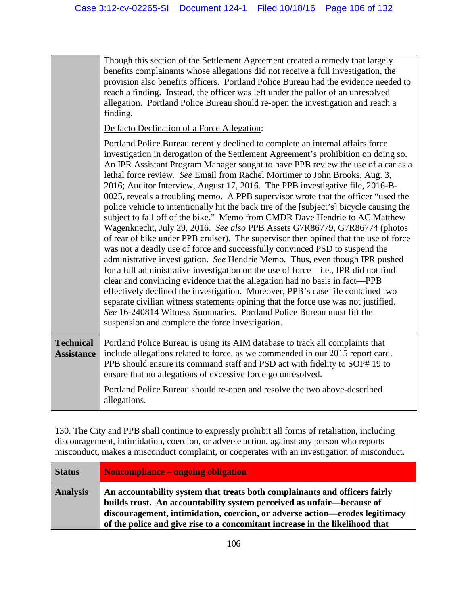Though this section of the Settlement Agreement created a remedy that largely benefits complainants whose allegations did not receive a full investigation, the provision also benefits officers. Portland Police Bureau had the evidence needed to reach a finding. Instead, the officer was left under the pallor of an unresolved allegation. Portland Police Bureau should re-open the investigation and reach a finding.

De facto Declination of a Force Allegation:

Portland Police Bureau recently declined to complete an internal affairs force investigation in derogation of the Settlement Agreement's prohibition on doing so. An IPR Assistant Program Manager sought to have PPB review the use of a car as a lethal force review. *See* Email from Rachel Mortimer to John Brooks, Aug. 3, 2016; Auditor Interview, August 17, 2016. The PPB investigative file, 2016-B-0025, reveals a troubling memo. A PPB supervisor wrote that the officer "used the police vehicle to intentionally hit the back tire of the [subject's] bicycle causing the subject to fall off of the bike." Memo from CMDR Dave Hendrie to AC Matthew Wagenknecht, July 29, 2016. *See also* PPB Assets G7R86779, G7R86774 (photos of rear of bike under PPB cruiser). The supervisor then opined that the use of force was not a deadly use of force and successfully convinced PSD to suspend the administrative investigation. *See* Hendrie Memo. Thus, even though IPR pushed for a full administrative investigation on the use of force—i.e., IPR did not find clear and convincing evidence that the allegation had no basis in fact—PPB effectively declined the investigation. Moreover, PPB's case file contained two separate civilian witness statements opining that the force use was not justified. *See* 16-240814 Witness Summaries. Portland Police Bureau must lift the suspension and complete the force investigation. **Technical Assistance** Portland Police Bureau is using its AIM database to track all complaints that include allegations related to force, as we commended in our 2015 report card. PPB should ensure its command staff and PSD act with fidelity to SOP# 19 to ensure that no allegations of excessive force go unresolved.

> Portland Police Bureau should re-open and resolve the two above-described allegations.

130. The City and PPB shall continue to expressly prohibit all forms of retaliation, including discouragement, intimidation, coercion, or adverse action, against any person who reports misconduct, makes a misconduct complaint, or cooperates with an investigation of misconduct.

| <b>Status</b>   | Noncompliance – ongoing obligation                                                                                                                                                                                                                                                                                 |
|-----------------|--------------------------------------------------------------------------------------------------------------------------------------------------------------------------------------------------------------------------------------------------------------------------------------------------------------------|
| <b>Analysis</b> | An accountability system that treats both complainants and officers fairly<br>builds trust. An accountability system perceived as unfair—because of<br>discouragement, intimidation, coercion, or adverse action—erodes legitimacy<br>of the police and give rise to a concomitant increase in the likelihood that |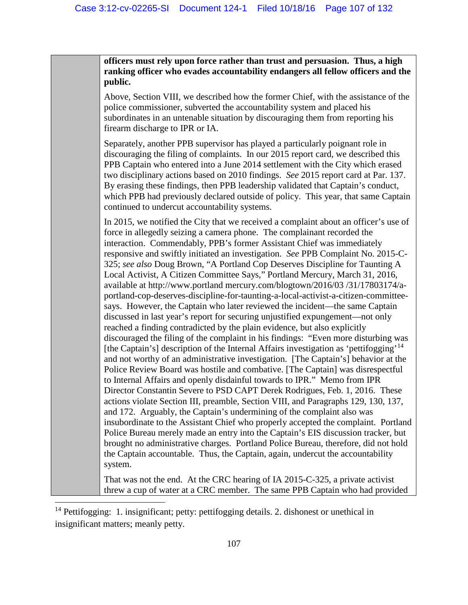**officers must rely upon force rather than trust and persuasion. Thus, a high ranking officer who evades accountability endangers all fellow officers and the public.** 

Above, Section VIII, we described how the former Chief, with the assistance of the police commissioner, subverted the accountability system and placed his subordinates in an untenable situation by discouraging them from reporting his firearm discharge to IPR or IA.

Separately, another PPB supervisor has played a particularly poignant role in discouraging the filing of complaints. In our 2015 report card, we described this PPB Captain who entered into a June 2014 settlement with the City which erased two disciplinary actions based on 2010 findings. *See* 2015 report card at Par. 137. By erasing these findings, then PPB leadership validated that Captain's conduct, which PPB had previously declared outside of policy. This year, that same Captain continued to undercut accountability systems.

In 2015, we notified the City that we received a complaint about an officer's use of force in allegedly seizing a camera phone. The complainant recorded the interaction. Commendably, PPB's former Assistant Chief was immediately responsive and swiftly initiated an investigation. *See* PPB Complaint No. 2015-C-325; *see also* Doug Brown, "A Portland Cop Deserves Discipline for Taunting A Local Activist, A Citizen Committee Says," Portland Mercury, March 31, 2016, available at http://www.portland mercury.com/blogtown/2016/03 /31/17803174/aportland-cop-deserves-discipline-for-taunting-a-local-activist-a-citizen-committeesays. However, the Captain who later reviewed the incident—the same Captain discussed in last year's report for securing unjustified expungement—not only reached a finding contradicted by the plain evidence, but also explicitly discouraged the filing of the complaint in his findings: "Even more disturbing was [the Captain's] description of the Internal Affairs investigation as 'pettifogging'<sup>[14](#page-106-0)</sup> and not worthy of an administrative investigation. [The Captain's] behavior at the Police Review Board was hostile and combative. [The Captain] was disrespectful to Internal Affairs and openly disdainful towards to IPR." Memo from IPR Director Constantin Severe to PSD CAPT Derek Rodrigues, Feb. 1, 2016. These actions violate Section III, preamble, Section VIII, and Paragraphs 129, 130, 137, and 172. Arguably, the Captain's undermining of the complaint also was insubordinate to the Assistant Chief who properly accepted the complaint. Portland Police Bureau merely made an entry into the Captain's EIS discussion tracker, but brought no administrative charges. Portland Police Bureau, therefore, did not hold the Captain accountable. Thus, the Captain, again, undercut the accountability system.

That was not the end. At the CRC hearing of IA 2015-C-325, a private activist threw a cup of water at a CRC member. The same PPB Captain who had provided

 $\overline{\phantom{a}}$ 

<span id="page-106-0"></span><sup>&</sup>lt;sup>14</sup> Pettifogging: 1. insignificant; petty: pettifogging details. 2. dishonest or unethical in insignificant matters; meanly petty.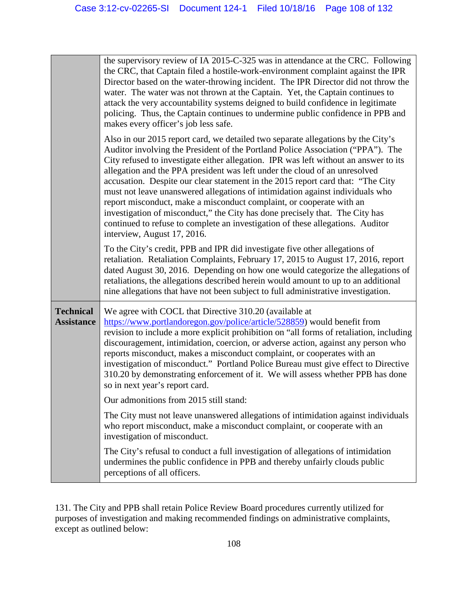|                                       | the supervisory review of IA 2015-C-325 was in attendance at the CRC. Following<br>the CRC, that Captain filed a hostile-work-environment complaint against the IPR<br>Director based on the water-throwing incident. The IPR Director did not throw the<br>water. The water was not thrown at the Captain. Yet, the Captain continues to<br>attack the very accountability systems deigned to build confidence in legitimate<br>policing. Thus, the Captain continues to undermine public confidence in PPB and<br>makes every officer's job less safe.                                                                                                                                                                                                                               |
|---------------------------------------|----------------------------------------------------------------------------------------------------------------------------------------------------------------------------------------------------------------------------------------------------------------------------------------------------------------------------------------------------------------------------------------------------------------------------------------------------------------------------------------------------------------------------------------------------------------------------------------------------------------------------------------------------------------------------------------------------------------------------------------------------------------------------------------|
|                                       | Also in our 2015 report card, we detailed two separate allegations by the City's<br>Auditor involving the President of the Portland Police Association ("PPA"). The<br>City refused to investigate either allegation. IPR was left without an answer to its<br>allegation and the PPA president was left under the cloud of an unresolved<br>accusation. Despite our clear statement in the 2015 report card that: "The City<br>must not leave unanswered allegations of intimidation against individuals who<br>report misconduct, make a misconduct complaint, or cooperate with an<br>investigation of misconduct," the City has done precisely that. The City has<br>continued to refuse to complete an investigation of these allegations. Auditor<br>interview, August 17, 2016. |
|                                       | To the City's credit, PPB and IPR did investigate five other allegations of<br>retaliation. Retaliation Complaints, February 17, 2015 to August 17, 2016, report<br>dated August 30, 2016. Depending on how one would categorize the allegations of<br>retaliations, the allegations described herein would amount to up to an additional<br>nine allegations that have not been subject to full administrative investigation.                                                                                                                                                                                                                                                                                                                                                         |
| <b>Technical</b><br><b>Assistance</b> | We agree with COCL that Directive 310.20 (available at<br>https://www.portlandoregon.gov/police/article/528859) would benefit from<br>revision to include a more explicit prohibition on "all forms of retaliation, including<br>discouragement, intimidation, coercion, or adverse action, against any person who<br>reports misconduct, makes a misconduct complaint, or cooperates with an<br>investigation of misconduct." Portland Police Bureau must give effect to Directive<br>310.20 by demonstrating enforcement of it. We will assess whether PPB has done<br>so in next year's report card.                                                                                                                                                                                |
|                                       | Our admonitions from 2015 still stand:                                                                                                                                                                                                                                                                                                                                                                                                                                                                                                                                                                                                                                                                                                                                                 |
|                                       | The City must not leave unanswered allegations of intimidation against individuals<br>who report misconduct, make a misconduct complaint, or cooperate with an<br>investigation of misconduct.                                                                                                                                                                                                                                                                                                                                                                                                                                                                                                                                                                                         |
|                                       | The City's refusal to conduct a full investigation of allegations of intimidation<br>undermines the public confidence in PPB and thereby unfairly clouds public<br>perceptions of all officers.                                                                                                                                                                                                                                                                                                                                                                                                                                                                                                                                                                                        |

131. The City and PPB shall retain Police Review Board procedures currently utilized for purposes of investigation and making recommended findings on administrative complaints, except as outlined below: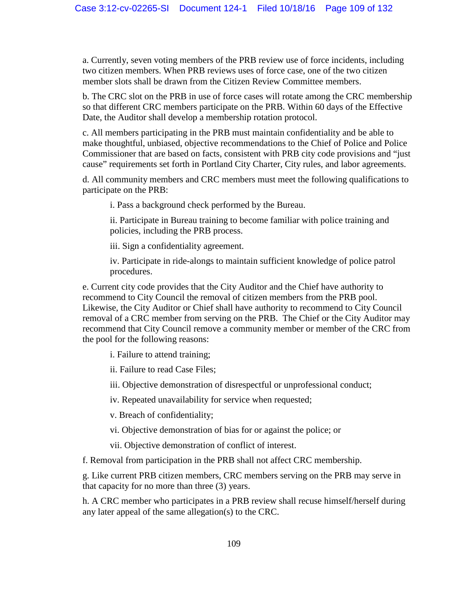a. Currently, seven voting members of the PRB review use of force incidents, including two citizen members. When PRB reviews uses of force case, one of the two citizen member slots shall be drawn from the Citizen Review Committee members.

b. The CRC slot on the PRB in use of force cases will rotate among the CRC membership so that different CRC members participate on the PRB. Within 60 days of the Effective Date, the Auditor shall develop a membership rotation protocol.

c. All members participating in the PRB must maintain confidentiality and be able to make thoughtful, unbiased, objective recommendations to the Chief of Police and Police Commissioner that are based on facts, consistent with PRB city code provisions and "just cause" requirements set forth in Portland City Charter, City rules, and labor agreements.

d. All community members and CRC members must meet the following qualifications to participate on the PRB:

i. Pass a background check performed by the Bureau.

ii. Participate in Bureau training to become familiar with police training and policies, including the PRB process.

iii. Sign a confidentiality agreement.

iv. Participate in ride-alongs to maintain sufficient knowledge of police patrol procedures.

e. Current city code provides that the City Auditor and the Chief have authority to recommend to City Council the removal of citizen members from the PRB pool. Likewise, the City Auditor or Chief shall have authority to recommend to City Council removal of a CRC member from serving on the PRB. The Chief or the City Auditor may recommend that City Council remove a community member or member of the CRC from the pool for the following reasons:

i. Failure to attend training;

ii. Failure to read Case Files;

iii. Objective demonstration of disrespectful or unprofessional conduct;

iv. Repeated unavailability for service when requested;

v. Breach of confidentiality;

vi. Objective demonstration of bias for or against the police; or

vii. Objective demonstration of conflict of interest.

f. Removal from participation in the PRB shall not affect CRC membership.

g. Like current PRB citizen members, CRC members serving on the PRB may serve in that capacity for no more than three (3) years.

h. A CRC member who participates in a PRB review shall recuse himself/herself during any later appeal of the same allegation(s) to the CRC.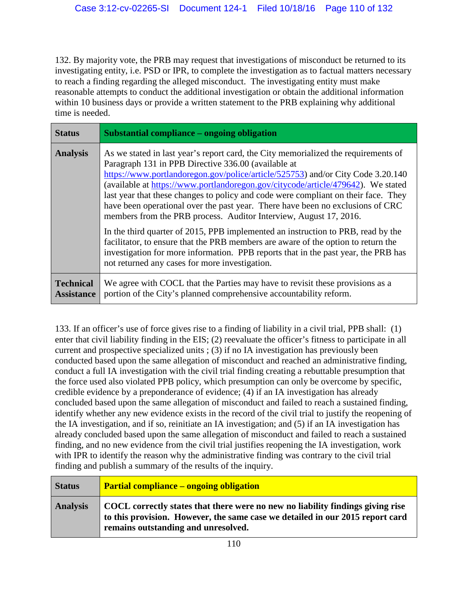132. By majority vote, the PRB may request that investigations of misconduct be returned to its investigating entity, i.e. PSD or IPR, to complete the investigation as to factual matters necessary to reach a finding regarding the alleged misconduct. The investigating entity must make reasonable attempts to conduct the additional investigation or obtain the additional information within 10 business days or provide a written statement to the PRB explaining why additional time is needed.

| <b>Status</b>                         | Substantial compliance – ongoing obligation                                                                                                                                                                                                                                                                                                                                                                                                                                                                                                                                                                                                                                                                                                                                                                                  |
|---------------------------------------|------------------------------------------------------------------------------------------------------------------------------------------------------------------------------------------------------------------------------------------------------------------------------------------------------------------------------------------------------------------------------------------------------------------------------------------------------------------------------------------------------------------------------------------------------------------------------------------------------------------------------------------------------------------------------------------------------------------------------------------------------------------------------------------------------------------------------|
| <b>Analysis</b>                       | As we stated in last year's report card, the City memorialized the requirements of<br>Paragraph 131 in PPB Directive 336.00 (available at<br>https://www.portlandoregon.gov/police/article/525753) and/or City Code 3.20.140<br>(available at https://www.portlandoregon.gov/citycode/article/479642). We stated<br>last year that these changes to policy and code were compliant on their face. They<br>have been operational over the past year. There have been no exclusions of CRC<br>members from the PRB process. Auditor Interview, August 17, 2016.<br>In the third quarter of 2015, PPB implemented an instruction to PRB, read by the<br>facilitator, to ensure that the PRB members are aware of the option to return the<br>investigation for more information. PPB reports that in the past year, the PRB has |
|                                       | not returned any cases for more investigation.                                                                                                                                                                                                                                                                                                                                                                                                                                                                                                                                                                                                                                                                                                                                                                               |
| <b>Technical</b><br><b>Assistance</b> | We agree with COCL that the Parties may have to revisit these provisions as a<br>portion of the City's planned comprehensive accountability reform.                                                                                                                                                                                                                                                                                                                                                                                                                                                                                                                                                                                                                                                                          |

133. If an officer's use of force gives rise to a finding of liability in a civil trial, PPB shall: (1) enter that civil liability finding in the EIS; (2) reevaluate the officer's fitness to participate in all current and prospective specialized units ; (3) if no IA investigation has previously been conducted based upon the same allegation of misconduct and reached an administrative finding, conduct a full IA investigation with the civil trial finding creating a rebuttable presumption that the force used also violated PPB policy, which presumption can only be overcome by specific, credible evidence by a preponderance of evidence; (4) if an IA investigation has already concluded based upon the same allegation of misconduct and failed to reach a sustained finding, identify whether any new evidence exists in the record of the civil trial to justify the reopening of the IA investigation, and if so, reinitiate an IA investigation; and (5) if an IA investigation has already concluded based upon the same allegation of misconduct and failed to reach a sustained finding, and no new evidence from the civil trial justifies reopening the IA investigation, work with IPR to identify the reason why the administrative finding was contrary to the civil trial finding and publish a summary of the results of the inquiry.

| <b>Status</b>   | <b>Partial compliance – ongoing obligation</b>                                                                                                                                                         |
|-----------------|--------------------------------------------------------------------------------------------------------------------------------------------------------------------------------------------------------|
| <b>Analysis</b> | COCL correctly states that there were no new no liability findings giving rise<br>to this provision. However, the same case we detailed in our 2015 report card<br>remains outstanding and unresolved. |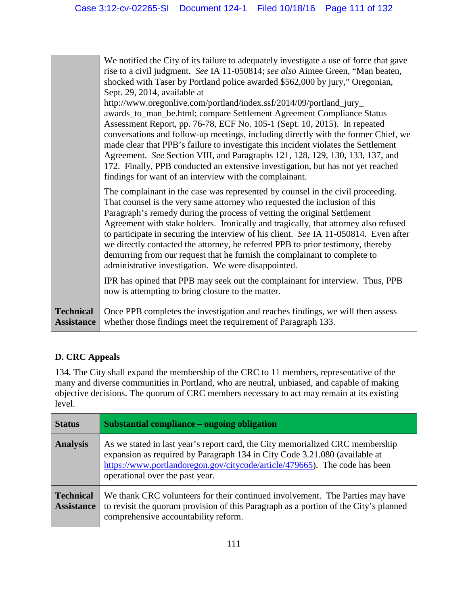|                                       | We notified the City of its failure to adequately investigate a use of force that gave<br>rise to a civil judgment. See IA 11-050814; see also Aimee Green, "Man beaten,<br>shocked with Taser by Portland police awarded \$562,000 by jury," Oregonian,<br>Sept. 29, 2014, available at<br>http://www.oregonlive.com/portland/index.ssf/2014/09/portland_jury_<br>awards_to_man_be.html; compare Settlement Agreement Compliance Status<br>Assessment Report, pp. 76-78, ECF No. 105-1 (Sept. 10, 2015). In repeated<br>conversations and follow-up meetings, including directly with the former Chief, we<br>made clear that PPB's failure to investigate this incident violates the Settlement<br>Agreement. See Section VIII, and Paragraphs 121, 128, 129, 130, 133, 137, and<br>172. Finally, PPB conducted an extensive investigation, but has not yet reached<br>findings for want of an interview with the complainant. |
|---------------------------------------|----------------------------------------------------------------------------------------------------------------------------------------------------------------------------------------------------------------------------------------------------------------------------------------------------------------------------------------------------------------------------------------------------------------------------------------------------------------------------------------------------------------------------------------------------------------------------------------------------------------------------------------------------------------------------------------------------------------------------------------------------------------------------------------------------------------------------------------------------------------------------------------------------------------------------------|
|                                       | The complainant in the case was represented by counsel in the civil proceeding.<br>That counsel is the very same attorney who requested the inclusion of this<br>Paragraph's remedy during the process of vetting the original Settlement<br>Agreement with stake holders. Ironically and tragically, that attorney also refused<br>to participate in securing the interview of his client. See IA 11-050814. Even after<br>we directly contacted the attorney, he referred PPB to prior testimony, thereby<br>demurring from our request that he furnish the complainant to complete to<br>administrative investigation. We were disappointed.<br>IPR has opined that PPB may seek out the complainant for interview. Thus, PPB<br>now is attempting to bring closure to the matter.                                                                                                                                            |
| <b>Technical</b><br><b>Assistance</b> | Once PPB completes the investigation and reaches findings, we will then assess<br>whether those findings meet the requirement of Paragraph 133.                                                                                                                                                                                                                                                                                                                                                                                                                                                                                                                                                                                                                                                                                                                                                                                  |

# **D. CRC Appeals**

134. The City shall expand the membership of the CRC to 11 members, representative of the many and diverse communities in Portland, who are neutral, unbiased, and capable of making objective decisions. The quorum of CRC members necessary to act may remain at its existing level.

| <b>Status</b>                         | Substantial compliance – ongoing obligation                                                                                                                                                                                                                                  |
|---------------------------------------|------------------------------------------------------------------------------------------------------------------------------------------------------------------------------------------------------------------------------------------------------------------------------|
| <b>Analysis</b>                       | As we stated in last year's report card, the City memorialized CRC membership<br>expansion as required by Paragraph 134 in City Code 3.21.080 (available at<br>https://www.portlandoregon.gov/citycode/article/479665). The code has been<br>operational over the past year. |
| <b>Technical</b><br><b>Assistance</b> | We thank CRC volunteers for their continued involvement. The Parties may have<br>to revisit the quorum provision of this Paragraph as a portion of the City's planned<br>comprehensive accountability reform.                                                                |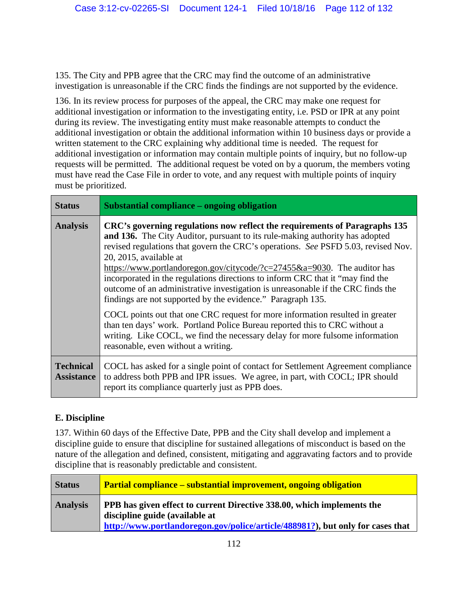135. The City and PPB agree that the CRC may find the outcome of an administrative investigation is unreasonable if the CRC finds the findings are not supported by the evidence.

136. In its review process for purposes of the appeal, the CRC may make one request for additional investigation or information to the investigating entity, i.e. PSD or IPR at any point during its review. The investigating entity must make reasonable attempts to conduct the additional investigation or obtain the additional information within 10 business days or provide a written statement to the CRC explaining why additional time is needed. The request for additional investigation or information may contain multiple points of inquiry, but no follow-up requests will be permitted. The additional request be voted on by a quorum, the members voting must have read the Case File in order to vote, and any request with multiple points of inquiry must be prioritized.

| <b>Status</b>                         | Substantial compliance – ongoing obligation                                                                                                                                                                                                                                                                                                                                                                                                                                                                                                                                               |
|---------------------------------------|-------------------------------------------------------------------------------------------------------------------------------------------------------------------------------------------------------------------------------------------------------------------------------------------------------------------------------------------------------------------------------------------------------------------------------------------------------------------------------------------------------------------------------------------------------------------------------------------|
| <b>Analysis</b>                       | CRC's governing regulations now reflect the requirements of Paragraphs 135<br>and 136. The City Auditor, pursuant to its rule-making authority has adopted<br>revised regulations that govern the CRC's operations. See PSFD 5.03, revised Nov.<br>20, 2015, available at<br>https://www.portlandoregon.gov/citycode/?c=27455&a=9030. The auditor has<br>incorporated in the regulations directions to inform CRC that it "may find the<br>outcome of an administrative investigation is unreasonable if the CRC finds the<br>findings are not supported by the evidence." Paragraph 135. |
|                                       | COCL points out that one CRC request for more information resulted in greater<br>than ten days' work. Portland Police Bureau reported this to CRC without a<br>writing. Like COCL, we find the necessary delay for more fulsome information<br>reasonable, even without a writing.                                                                                                                                                                                                                                                                                                        |
| <b>Technical</b><br><b>Assistance</b> | COCL has asked for a single point of contact for Settlement Agreement compliance<br>to address both PPB and IPR issues. We agree, in part, with COCL; IPR should<br>report its compliance quarterly just as PPB does.                                                                                                                                                                                                                                                                                                                                                                     |

## **E. Discipline**

137. Within 60 days of the Effective Date, PPB and the City shall develop and implement a discipline guide to ensure that discipline for sustained allegations of misconduct is based on the nature of the allegation and defined, consistent, mitigating and aggravating factors and to provide discipline that is reasonably predictable and consistent.

| <b>Status</b>   | <b>Partial compliance – substantial improvement, ongoing obligation</b>                                                                                                                    |
|-----------------|--------------------------------------------------------------------------------------------------------------------------------------------------------------------------------------------|
| <b>Analysis</b> | PPB has given effect to current Directive 338.00, which implements the<br>discipline guide (available at<br>http://www.portlandoregon.gov/police/article/488981?), but only for cases that |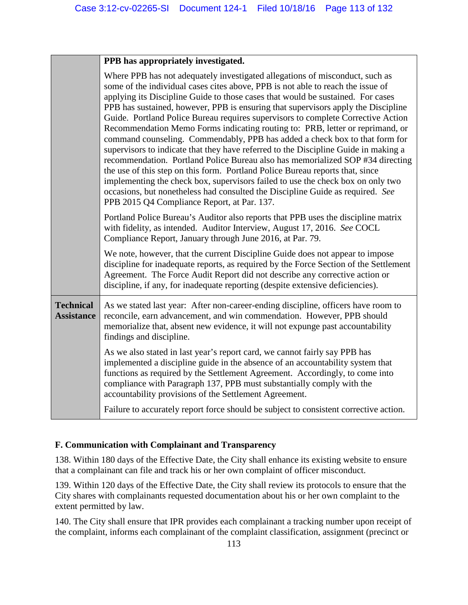## **PPB has appropriately investigated.**

|                                       | Where PPB has not adequately investigated allegations of misconduct, such as<br>some of the individual cases cites above, PPB is not able to reach the issue of<br>applying its Discipline Guide to those cases that would be sustained. For cases<br>PPB has sustained, however, PPB is ensuring that supervisors apply the Discipline<br>Guide. Portland Police Bureau requires supervisors to complete Corrective Action<br>Recommendation Memo Forms indicating routing to: PRB, letter or reprimand, or<br>command counseling. Commendably, PPB has added a check box to that form for<br>supervisors to indicate that they have referred to the Discipline Guide in making a<br>recommendation. Portland Police Bureau also has memorialized SOP #34 directing<br>the use of this step on this form. Portland Police Bureau reports that, since<br>implementing the check box, supervisors failed to use the check box on only two<br>occasions, but nonetheless had consulted the Discipline Guide as required. See<br>PPB 2015 Q4 Compliance Report, at Par. 137. |
|---------------------------------------|---------------------------------------------------------------------------------------------------------------------------------------------------------------------------------------------------------------------------------------------------------------------------------------------------------------------------------------------------------------------------------------------------------------------------------------------------------------------------------------------------------------------------------------------------------------------------------------------------------------------------------------------------------------------------------------------------------------------------------------------------------------------------------------------------------------------------------------------------------------------------------------------------------------------------------------------------------------------------------------------------------------------------------------------------------------------------|
|                                       | Portland Police Bureau's Auditor also reports that PPB uses the discipline matrix<br>with fidelity, as intended. Auditor Interview, August 17, 2016. See COCL<br>Compliance Report, January through June 2016, at Par. 79.                                                                                                                                                                                                                                                                                                                                                                                                                                                                                                                                                                                                                                                                                                                                                                                                                                                |
|                                       | We note, however, that the current Discipline Guide does not appear to impose<br>discipline for inadequate reports, as required by the Force Section of the Settlement<br>Agreement. The Force Audit Report did not describe any corrective action or<br>discipline, if any, for inadequate reporting (despite extensive deficiencies).                                                                                                                                                                                                                                                                                                                                                                                                                                                                                                                                                                                                                                                                                                                                   |
| <b>Technical</b><br><b>Assistance</b> | As we stated last year: After non-career-ending discipline, officers have room to<br>reconcile, earn advancement, and win commendation. However, PPB should<br>memorialize that, absent new evidence, it will not expunge past accountability<br>findings and discipline.                                                                                                                                                                                                                                                                                                                                                                                                                                                                                                                                                                                                                                                                                                                                                                                                 |
|                                       | As we also stated in last year's report card, we cannot fairly say PPB has<br>implemented a discipline guide in the absence of an accountability system that<br>functions as required by the Settlement Agreement. Accordingly, to come into<br>compliance with Paragraph 137, PPB must substantially comply with the<br>accountability provisions of the Settlement Agreement.                                                                                                                                                                                                                                                                                                                                                                                                                                                                                                                                                                                                                                                                                           |
|                                       | Failure to accurately report force should be subject to consistent corrective action.                                                                                                                                                                                                                                                                                                                                                                                                                                                                                                                                                                                                                                                                                                                                                                                                                                                                                                                                                                                     |

#### **F. Communication with Complainant and Transparency**

138. Within 180 days of the Effective Date, the City shall enhance its existing website to ensure that a complainant can file and track his or her own complaint of officer misconduct.

139. Within 120 days of the Effective Date, the City shall review its protocols to ensure that the City shares with complainants requested documentation about his or her own complaint to the extent permitted by law.

140. The City shall ensure that IPR provides each complainant a tracking number upon receipt of the complaint, informs each complainant of the complaint classification, assignment (precinct or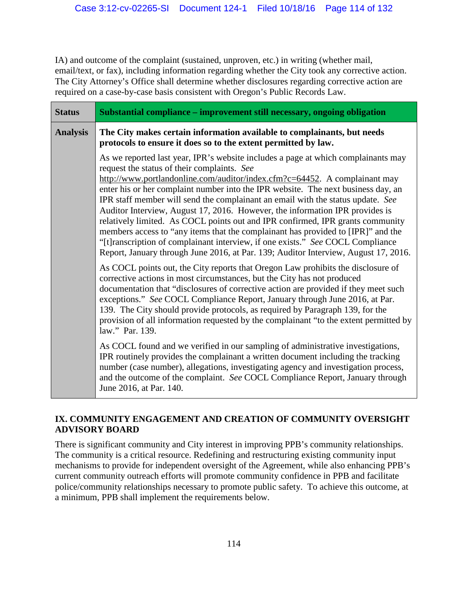IA) and outcome of the complaint (sustained, unproven, etc.) in writing (whether mail, email/text, or fax), including information regarding whether the City took any corrective action. The City Attorney's Office shall determine whether disclosures regarding corrective action are required on a case-by-case basis consistent with Oregon's Public Records Law.

| <b>Status</b>   | Substantial compliance - improvement still necessary, ongoing obligation                                                                                                                                                                                                                                                                                                                                                                                                                                                                                                                                                                                                                                                                                                                                               |
|-----------------|------------------------------------------------------------------------------------------------------------------------------------------------------------------------------------------------------------------------------------------------------------------------------------------------------------------------------------------------------------------------------------------------------------------------------------------------------------------------------------------------------------------------------------------------------------------------------------------------------------------------------------------------------------------------------------------------------------------------------------------------------------------------------------------------------------------------|
| <b>Analysis</b> | The City makes certain information available to complainants, but needs<br>protocols to ensure it does so to the extent permitted by law.                                                                                                                                                                                                                                                                                                                                                                                                                                                                                                                                                                                                                                                                              |
|                 | As we reported last year, IPR's website includes a page at which complainants may<br>request the status of their complaints. See<br>http://www.portlandonline.com/auditor/index.cfm?c=64452. A complainant may<br>enter his or her complaint number into the IPR website. The next business day, an<br>IPR staff member will send the complainant an email with the status update. See<br>Auditor Interview, August 17, 2016. However, the information IPR provides is<br>relatively limited. As COCL points out and IPR confirmed, IPR grants community<br>members access to "any items that the complainant has provided to [IPR]" and the<br>"[t] ranscription of complainant interview, if one exists." See COCL Compliance<br>Report, January through June 2016, at Par. 139; Auditor Interview, August 17, 2016. |
|                 | As COCL points out, the City reports that Oregon Law prohibits the disclosure of<br>corrective actions in most circumstances, but the City has not produced<br>documentation that "disclosures of corrective action are provided if they meet such<br>exceptions." See COCL Compliance Report, January through June 2016, at Par.<br>139. The City should provide protocols, as required by Paragraph 139, for the<br>provision of all information requested by the complainant "to the extent permitted by<br>law." Par. 139.                                                                                                                                                                                                                                                                                         |
|                 | As COCL found and we verified in our sampling of administrative investigations,<br>IPR routinely provides the complainant a written document including the tracking<br>number (case number), allegations, investigating agency and investigation process,<br>and the outcome of the complaint. See COCL Compliance Report, January through<br>June 2016, at Par. 140.                                                                                                                                                                                                                                                                                                                                                                                                                                                  |

### **IX. COMMUNITY ENGAGEMENT AND CREATION OF COMMUNITY OVERSIGHT ADVISORY BOARD**

There is significant community and City interest in improving PPB's community relationships. The community is a critical resource. Redefining and restructuring existing community input mechanisms to provide for independent oversight of the Agreement, while also enhancing PPB's current community outreach efforts will promote community confidence in PPB and facilitate police/community relationships necessary to promote public safety. To achieve this outcome, at a minimum, PPB shall implement the requirements below.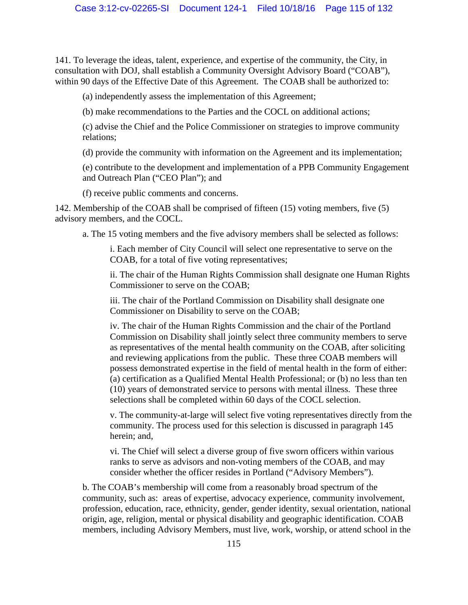141. To leverage the ideas, talent, experience, and expertise of the community, the City, in consultation with DOJ, shall establish a Community Oversight Advisory Board ("COAB"), within 90 days of the Effective Date of this Agreement. The COAB shall be authorized to:

(a) independently assess the implementation of this Agreement;

(b) make recommendations to the Parties and the COCL on additional actions;

(c) advise the Chief and the Police Commissioner on strategies to improve community relations;

(d) provide the community with information on the Agreement and its implementation;

(e) contribute to the development and implementation of a PPB Community Engagement and Outreach Plan ("CEO Plan"); and

(f) receive public comments and concerns.

142. Membership of the COAB shall be comprised of fifteen (15) voting members, five (5) advisory members, and the COCL.

a. The 15 voting members and the five advisory members shall be selected as follows:

i. Each member of City Council will select one representative to serve on the COAB, for a total of five voting representatives;

ii. The chair of the Human Rights Commission shall designate one Human Rights Commissioner to serve on the COAB;

iii. The chair of the Portland Commission on Disability shall designate one Commissioner on Disability to serve on the COAB;

iv. The chair of the Human Rights Commission and the chair of the Portland Commission on Disability shall jointly select three community members to serve as representatives of the mental health community on the COAB, after soliciting and reviewing applications from the public. These three COAB members will possess demonstrated expertise in the field of mental health in the form of either: (a) certification as a Qualified Mental Health Professional; or (b) no less than ten (10) years of demonstrated service to persons with mental illness. These three selections shall be completed within 60 days of the COCL selection.

v. The community-at-large will select five voting representatives directly from the community. The process used for this selection is discussed in paragraph 145 herein; and,

vi. The Chief will select a diverse group of five sworn officers within various ranks to serve as advisors and non-voting members of the COAB, and may consider whether the officer resides in Portland ("Advisory Members").

b. The COAB's membership will come from a reasonably broad spectrum of the community, such as: areas of expertise, advocacy experience, community involvement, profession, education, race, ethnicity, gender, gender identity, sexual orientation, national origin, age, religion, mental or physical disability and geographic identification. COAB members, including Advisory Members, must live, work, worship, or attend school in the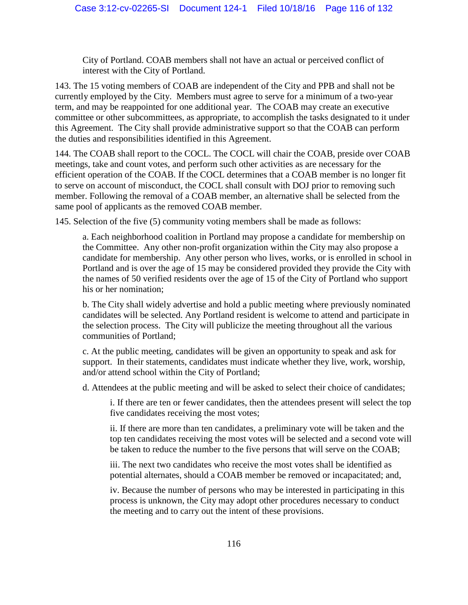City of Portland. COAB members shall not have an actual or perceived conflict of interest with the City of Portland.

143. The 15 voting members of COAB are independent of the City and PPB and shall not be currently employed by the City. Members must agree to serve for a minimum of a two-year term, and may be reappointed for one additional year. The COAB may create an executive committee or other subcommittees, as appropriate, to accomplish the tasks designated to it under this Agreement. The City shall provide administrative support so that the COAB can perform the duties and responsibilities identified in this Agreement.

144. The COAB shall report to the COCL. The COCL will chair the COAB, preside over COAB meetings, take and count votes, and perform such other activities as are necessary for the efficient operation of the COAB. If the COCL determines that a COAB member is no longer fit to serve on account of misconduct, the COCL shall consult with DOJ prior to removing such member. Following the removal of a COAB member, an alternative shall be selected from the same pool of applicants as the removed COAB member.

145. Selection of the five (5) community voting members shall be made as follows:

a. Each neighborhood coalition in Portland may propose a candidate for membership on the Committee. Any other non-profit organization within the City may also propose a candidate for membership. Any other person who lives, works, or is enrolled in school in Portland and is over the age of 15 may be considered provided they provide the City with the names of 50 verified residents over the age of 15 of the City of Portland who support his or her nomination;

b. The City shall widely advertise and hold a public meeting where previously nominated candidates will be selected. Any Portland resident is welcome to attend and participate in the selection process. The City will publicize the meeting throughout all the various communities of Portland;

c. At the public meeting, candidates will be given an opportunity to speak and ask for support. In their statements, candidates must indicate whether they live, work, worship, and/or attend school within the City of Portland;

d. Attendees at the public meeting and will be asked to select their choice of candidates;

i. If there are ten or fewer candidates, then the attendees present will select the top five candidates receiving the most votes;

ii. If there are more than ten candidates, a preliminary vote will be taken and the top ten candidates receiving the most votes will be selected and a second vote will be taken to reduce the number to the five persons that will serve on the COAB;

iii. The next two candidates who receive the most votes shall be identified as potential alternates, should a COAB member be removed or incapacitated; and,

iv. Because the number of persons who may be interested in participating in this process is unknown, the City may adopt other procedures necessary to conduct the meeting and to carry out the intent of these provisions.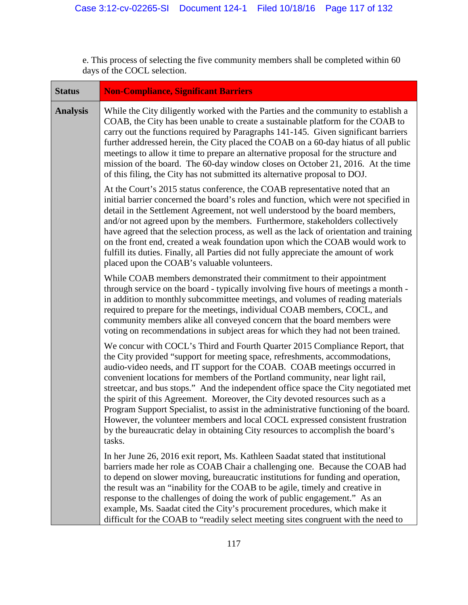e. This process of selecting the five community members shall be completed within 60 days of the COCL selection.

| <b>Status</b>   | <b>Non-Compliance, Significant Barriers</b>                                                                                                                                                                                                                                                                                                                                                                                                                                                                                                                                                                                                                                                                                                                            |
|-----------------|------------------------------------------------------------------------------------------------------------------------------------------------------------------------------------------------------------------------------------------------------------------------------------------------------------------------------------------------------------------------------------------------------------------------------------------------------------------------------------------------------------------------------------------------------------------------------------------------------------------------------------------------------------------------------------------------------------------------------------------------------------------------|
| <b>Analysis</b> | While the City diligently worked with the Parties and the community to establish a<br>COAB, the City has been unable to create a sustainable platform for the COAB to<br>carry out the functions required by Paragraphs 141-145. Given significant barriers<br>further addressed herein, the City placed the COAB on a 60-day hiatus of all public<br>meetings to allow it time to prepare an alternative proposal for the structure and<br>mission of the board. The 60-day window closes on October 21, 2016. At the time<br>of this filing, the City has not submitted its alternative proposal to DOJ.                                                                                                                                                             |
|                 | At the Court's 2015 status conference, the COAB representative noted that an<br>initial barrier concerned the board's roles and function, which were not specified in<br>detail in the Settlement Agreement, not well understood by the board members,<br>and/or not agreed upon by the members. Furthermore, stakeholders collectively<br>have agreed that the selection process, as well as the lack of orientation and training<br>on the front end, created a weak foundation upon which the COAB would work to<br>fulfill its duties. Finally, all Parties did not fully appreciate the amount of work<br>placed upon the COAB's valuable volunteers.                                                                                                             |
|                 | While COAB members demonstrated their commitment to their appointment<br>through service on the board - typically involving five hours of meetings a month -<br>in addition to monthly subcommittee meetings, and volumes of reading materials<br>required to prepare for the meetings, individual COAB members, COCL, and<br>community members alike all conveyed concern that the board members were<br>voting on recommendations in subject areas for which they had not been trained.                                                                                                                                                                                                                                                                              |
|                 | We concur with COCL's Third and Fourth Quarter 2015 Compliance Report, that<br>the City provided "support for meeting space, refreshments, accommodations,<br>audio-video needs, and IT support for the COAB. COAB meetings occurred in<br>convenient locations for members of the Portland community, near light rail,<br>streetcar, and bus stops." And the independent office space the City negotiated met<br>the spirit of this Agreement. Moreover, the City devoted resources such as a<br>Program Support Specialist, to assist in the administrative functioning of the board.<br>However, the volunteer members and local COCL expressed consistent frustration<br>by the bureaucratic delay in obtaining City resources to accomplish the board's<br>tasks. |
|                 | In her June 26, 2016 exit report, Ms. Kathleen Saadat stated that institutional<br>barriers made her role as COAB Chair a challenging one. Because the COAB had<br>to depend on slower moving, bureaucratic institutions for funding and operation,<br>the result was an "inability for the COAB to be agile, timely and creative in<br>response to the challenges of doing the work of public engagement." As an<br>example, Ms. Saadat cited the City's procurement procedures, which make it<br>difficult for the COAB to "readily select meeting sites congruent with the need to                                                                                                                                                                                  |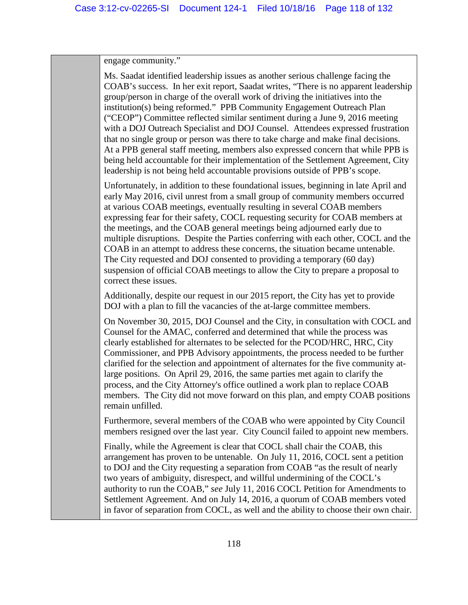engage community."

Ms. Saadat identified leadership issues as another serious challenge facing the COAB's success. In her exit report, Saadat writes, "There is no apparent leadership group/person in charge of the overall work of driving the initiatives into the institution(s) being reformed." PPB Community Engagement Outreach Plan ("CEOP") Committee reflected similar sentiment during a June 9, 2016 meeting with a DOJ Outreach Specialist and DOJ Counsel. Attendees expressed frustration that no single group or person was there to take charge and make final decisions. At a PPB general staff meeting, members also expressed concern that while PPB is being held accountable for their implementation of the Settlement Agreement, City leadership is not being held accountable provisions outside of PPB's scope. Unfortunately, in addition to these foundational issues, beginning in late April and early May 2016, civil unrest from a small group of community members occurred at various COAB meetings, eventually resulting in several COAB members expressing fear for their safety, COCL requesting security for COAB members at the meetings, and the COAB general meetings being adjourned early due to multiple disruptions. Despite the Parties conferring with each other, COCL and the COAB in an attempt to address these concerns, the situation became untenable. The City requested and DOJ consented to providing a temporary (60 day) suspension of official COAB meetings to allow the City to prepare a proposal to correct these issues. Additionally, despite our request in our 2015 report, the City has yet to provide DOJ with a plan to fill the vacancies of the at-large committee members. On November 30, 2015, DOJ Counsel and the City, in consultation with COCL and Counsel for the AMAC, conferred and determined that while the process was

clearly established for alternates to be selected for the PCOD/HRC, HRC, City Commissioner, and PPB Advisory appointments, the process needed to be further clarified for the selection and appointment of alternates for the five community atlarge positions. On April 29, 2016, the same parties met again to clarify the process, and the City Attorney's office outlined a work plan to replace COAB members. The City did not move forward on this plan, and empty COAB positions remain unfilled.

Furthermore, several members of the COAB who were appointed by City Council members resigned over the last year. City Council failed to appoint new members.

Finally, while the Agreement is clear that COCL shall chair the COAB, this arrangement has proven to be untenable. On July 11, 2016, COCL sent a petition to DOJ and the City requesting a separation from COAB "as the result of nearly two years of ambiguity, disrespect, and willful undermining of the COCL's authority to run the COAB," *see* July 11, 2016 COCL Petition for Amendments to Settlement Agreement. And on July 14, 2016, a quorum of COAB members voted in favor of separation from COCL, as well and the ability to choose their own chair.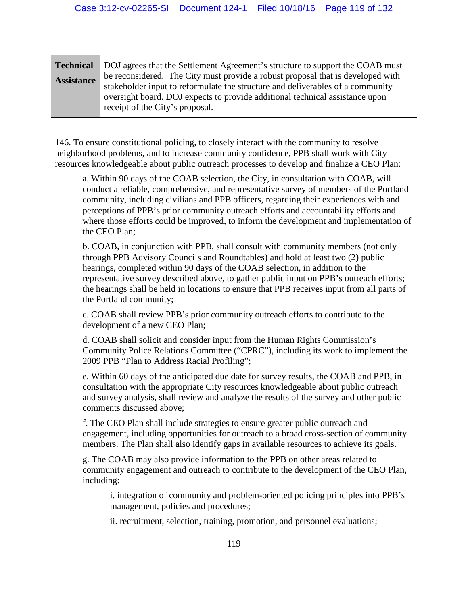|                   | <b>Technical</b> DOJ agrees that the Settlement Agreement's structure to support the COAB must                                                                 |
|-------------------|----------------------------------------------------------------------------------------------------------------------------------------------------------------|
| <b>Assistance</b> | be reconsidered. The City must provide a robust proposal that is developed with                                                                                |
|                   | stakeholder input to reformulate the structure and deliverables of a community<br>oversight board. DOJ expects to provide additional technical assistance upon |
|                   | receipt of the City's proposal.                                                                                                                                |

146. To ensure constitutional policing, to closely interact with the community to resolve neighborhood problems, and to increase community confidence, PPB shall work with City resources knowledgeable about public outreach processes to develop and finalize a CEO Plan:

a. Within 90 days of the COAB selection, the City, in consultation with COAB, will conduct a reliable, comprehensive, and representative survey of members of the Portland community, including civilians and PPB officers, regarding their experiences with and perceptions of PPB's prior community outreach efforts and accountability efforts and where those efforts could be improved, to inform the development and implementation of the CEO Plan;

b. COAB, in conjunction with PPB, shall consult with community members (not only through PPB Advisory Councils and Roundtables) and hold at least two (2) public hearings, completed within 90 days of the COAB selection, in addition to the representative survey described above, to gather public input on PPB's outreach efforts; the hearings shall be held in locations to ensure that PPB receives input from all parts of the Portland community;

c. COAB shall review PPB's prior community outreach efforts to contribute to the development of a new CEO Plan;

d. COAB shall solicit and consider input from the Human Rights Commission's Community Police Relations Committee ("CPRC"), including its work to implement the 2009 PPB "Plan to Address Racial Profiling";

e. Within 60 days of the anticipated due date for survey results, the COAB and PPB, in consultation with the appropriate City resources knowledgeable about public outreach and survey analysis, shall review and analyze the results of the survey and other public comments discussed above;

f. The CEO Plan shall include strategies to ensure greater public outreach and engagement, including opportunities for outreach to a broad cross-section of community members. The Plan shall also identify gaps in available resources to achieve its goals.

g. The COAB may also provide information to the PPB on other areas related to community engagement and outreach to contribute to the development of the CEO Plan, including:

i. integration of community and problem-oriented policing principles into PPB's management, policies and procedures;

ii. recruitment, selection, training, promotion, and personnel evaluations;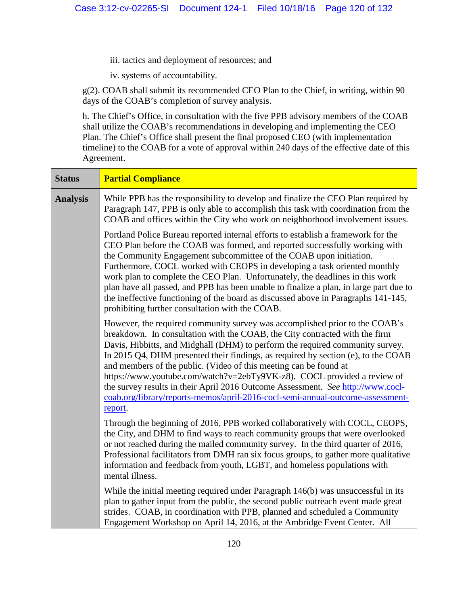- iii. tactics and deployment of resources; and
- iv. systems of accountability.

g(2). COAB shall submit its recommended CEO Plan to the Chief, in writing, within 90 days of the COAB's completion of survey analysis.

h. The Chief's Office, in consultation with the five PPB advisory members of the COAB shall utilize the COAB's recommendations in developing and implementing the CEO Plan. The Chief's Office shall present the final proposed CEO (with implementation timeline) to the COAB for a vote of approval within 240 days of the effective date of this Agreement.

| <b>Status</b>   | <b>Partial Compliance</b>                                                                                                                                                                                                                                                                                                                                                                                                                                                                                                                                                                                                                                        |
|-----------------|------------------------------------------------------------------------------------------------------------------------------------------------------------------------------------------------------------------------------------------------------------------------------------------------------------------------------------------------------------------------------------------------------------------------------------------------------------------------------------------------------------------------------------------------------------------------------------------------------------------------------------------------------------------|
| <b>Analysis</b> | While PPB has the responsibility to develop and finalize the CEO Plan required by<br>Paragraph 147, PPB is only able to accomplish this task with coordination from the<br>COAB and offices within the City who work on neighborhood involvement issues.                                                                                                                                                                                                                                                                                                                                                                                                         |
|                 | Portland Police Bureau reported internal efforts to establish a framework for the<br>CEO Plan before the COAB was formed, and reported successfully working with<br>the Community Engagement subcommittee of the COAB upon initiation.<br>Furthermore, COCL worked with CEOPS in developing a task oriented monthly<br>work plan to complete the CEO Plan. Unfortunately, the deadlines in this work<br>plan have all passed, and PPB has been unable to finalize a plan, in large part due to<br>the ineffective functioning of the board as discussed above in Paragraphs 141-145,<br>prohibiting further consultation with the COAB.                          |
|                 | However, the required community survey was accomplished prior to the COAB's<br>breakdown. In consultation with the COAB, the City contracted with the firm<br>Davis, Hibbitts, and Midghall (DHM) to perform the required community survey.<br>In 2015 Q4, DHM presented their findings, as required by section (e), to the COAB<br>and members of the public. (Video of this meeting can be found at<br>https://www.youtube.com/watch?v=2ebTy9VK-z8). COCL provided a review of<br>the survey results in their April 2016 Outcome Assessment. See http://www.cocl-<br>coab.org/library/reports-memos/april-2016-cocl-semi-annual-outcome-assessment-<br>report. |
|                 | Through the beginning of 2016, PPB worked collaboratively with COCL, CEOPS,<br>the City, and DHM to find ways to reach community groups that were overlooked<br>or not reached during the mailed community survey. In the third quarter of 2016,<br>Professional facilitators from DMH ran six focus groups, to gather more qualitative<br>information and feedback from youth, LGBT, and homeless populations with<br>mental illness.                                                                                                                                                                                                                           |
|                 | While the initial meeting required under Paragraph 146(b) was unsuccessful in its<br>plan to gather input from the public, the second public outreach event made great<br>strides. COAB, in coordination with PPB, planned and scheduled a Community<br>Engagement Workshop on April 14, 2016, at the Ambridge Event Center. All                                                                                                                                                                                                                                                                                                                                 |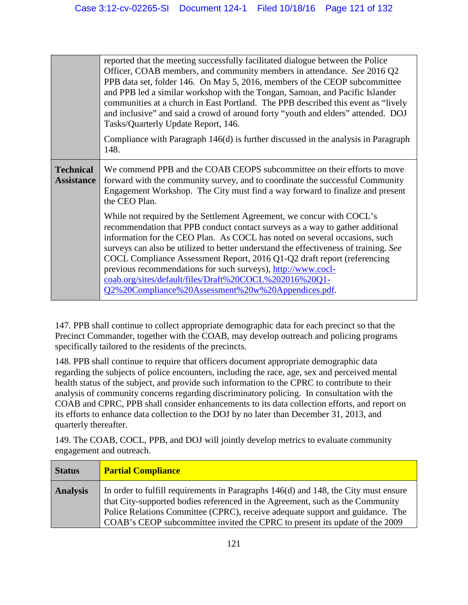|                                       | reported that the meeting successfully facilitated dialogue between the Police<br>Officer, COAB members, and community members in attendance. See 2016 Q2                                                                                                                                                                                                                                                                                                               |
|---------------------------------------|-------------------------------------------------------------------------------------------------------------------------------------------------------------------------------------------------------------------------------------------------------------------------------------------------------------------------------------------------------------------------------------------------------------------------------------------------------------------------|
|                                       | PPB data set, folder 146. On May 5, 2016, members of the CEOP subcommittee<br>and PPB led a similar workshop with the Tongan, Samoan, and Pacific Islander<br>communities at a church in East Portland. The PPB described this event as "lively"<br>and inclusive" and said a crowd of around forty "youth and elders" attended. DOJ<br>Tasks/Quarterly Update Report, 146.                                                                                             |
|                                       | Compliance with Paragraph $146(d)$ is further discussed in the analysis in Paragraph<br>148.                                                                                                                                                                                                                                                                                                                                                                            |
| <b>Technical</b><br><b>Assistance</b> | We commend PPB and the COAB CEOPS subcommittee on their efforts to move<br>forward with the community survey, and to coordinate the successful Community<br>Engagement Workshop. The City must find a way forward to finalize and present<br>the CEO Plan.                                                                                                                                                                                                              |
|                                       | While not required by the Settlement Agreement, we concur with COCL's<br>recommendation that PPB conduct contact surveys as a way to gather additional<br>information for the CEO Plan. As COCL has noted on several occasions, such<br>surveys can also be utilized to better understand the effectiveness of training. See<br>COCL Compliance Assessment Report, 2016 Q1-Q2 draft report (referencing<br>previous recommendations for such surveys), http://www.cocl- |
|                                       | coab.org/sites/default/files/Draft%20COCL%202016%20Q1-<br>Q2%20Compliance%20Assessment%20w%20Appendices.pdf.                                                                                                                                                                                                                                                                                                                                                            |

147. PPB shall continue to collect appropriate demographic data for each precinct so that the Precinct Commander, together with the COAB, may develop outreach and policing programs specifically tailored to the residents of the precincts.

148. PPB shall continue to require that officers document appropriate demographic data regarding the subjects of police encounters, including the race, age, sex and perceived mental health status of the subject, and provide such information to the CPRC to contribute to their analysis of community concerns regarding discriminatory policing. In consultation with the COAB and CPRC, PPB shall consider enhancements to its data collection efforts, and report on its efforts to enhance data collection to the DOJ by no later than December 31, 2013, and quarterly thereafter.

149. The COAB, COCL, PPB, and DOJ will jointly develop metrics to evaluate community engagement and outreach.

| <b>Status</b>   | <b>Partial Compliance</b>                                                                                                                                                                                                                                                                                                                 |
|-----------------|-------------------------------------------------------------------------------------------------------------------------------------------------------------------------------------------------------------------------------------------------------------------------------------------------------------------------------------------|
| <b>Analysis</b> | In order to fulfill requirements in Paragraphs $146(d)$ and $148$ , the City must ensure<br>that City-supported bodies referenced in the Agreement, such as the Community<br>Police Relations Committee (CPRC), receive adequate support and guidance. The<br>COAB's CEOP subcommittee invited the CPRC to present its update of the 2009 |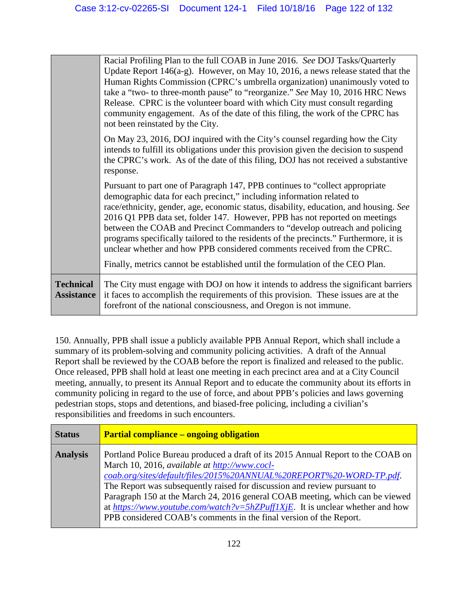|                                       | Racial Profiling Plan to the full COAB in June 2016. See DOJ Tasks/Quarterly<br>Update Report $146(a-g)$ . However, on May 10, 2016, a news release stated that the<br>Human Rights Commission (CPRC's umbrella organization) unanimously voted to<br>take a "two- to three-month pause" to "reorganize." See May 10, 2016 HRC News<br>Release. CPRC is the volunteer board with which City must consult regarding<br>community engagement. As of the date of this filing, the work of the CPRC has<br>not been reinstated by the City.                                                                                                                           |
|---------------------------------------|-------------------------------------------------------------------------------------------------------------------------------------------------------------------------------------------------------------------------------------------------------------------------------------------------------------------------------------------------------------------------------------------------------------------------------------------------------------------------------------------------------------------------------------------------------------------------------------------------------------------------------------------------------------------|
|                                       | On May 23, 2016, DOJ inquired with the City's counsel regarding how the City<br>intends to fulfill its obligations under this provision given the decision to suspend<br>the CPRC's work. As of the date of this filing, DOJ has not received a substantive<br>response.                                                                                                                                                                                                                                                                                                                                                                                          |
|                                       | Pursuant to part one of Paragraph 147, PPB continues to "collect appropriate"<br>demographic data for each precinct," including information related to<br>race/ethnicity, gender, age, economic status, disability, education, and housing. See<br>2016 Q1 PPB data set, folder 147. However, PPB has not reported on meetings<br>between the COAB and Precinct Commanders to "develop outreach and policing<br>programs specifically tailored to the residents of the precincts." Furthermore, it is<br>unclear whether and how PPB considered comments received from the CPRC.<br>Finally, metrics cannot be established until the formulation of the CEO Plan. |
| <b>Technical</b><br><b>Assistance</b> | The City must engage with DOJ on how it intends to address the significant barriers<br>it faces to accomplish the requirements of this provision. These issues are at the<br>forefront of the national consciousness, and Oregon is not immune.                                                                                                                                                                                                                                                                                                                                                                                                                   |

150. Annually, PPB shall issue a publicly available PPB Annual Report, which shall include a summary of its problem-solving and community policing activities. A draft of the Annual Report shall be reviewed by the COAB before the report is finalized and released to the public. Once released, PPB shall hold at least one meeting in each precinct area and at a City Council meeting, annually, to present its Annual Report and to educate the community about its efforts in community policing in regard to the use of force, and about PPB's policies and laws governing pedestrian stops, stops and detentions, and biased-free policing, including a civilian's responsibilities and freedoms in such encounters.

| <b>Status</b>   | <b>Partial compliance – ongoing obligation</b>                                                                                                                                                                                                                                                                                                                                                                                                                                                                               |
|-----------------|------------------------------------------------------------------------------------------------------------------------------------------------------------------------------------------------------------------------------------------------------------------------------------------------------------------------------------------------------------------------------------------------------------------------------------------------------------------------------------------------------------------------------|
| <b>Analysis</b> | Portland Police Bureau produced a draft of its 2015 Annual Report to the COAB on<br>March 10, 2016, available at http://www.cocl-<br>coab.org/sites/default/files/2015%20ANNUAL%20REPORT%20-WORD-TP.pdf.<br>The Report was subsequently raised for discussion and review pursuant to<br>Paragraph 150 at the March 24, 2016 general COAB meeting, which can be viewed<br>at https://www.youtube.com/watch?v=5hZPuff1XjE. It is unclear whether and how<br>PPB considered COAB's comments in the final version of the Report. |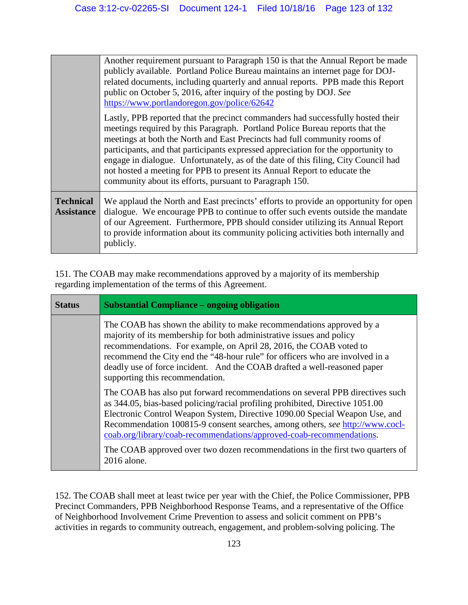|                                       | Another requirement pursuant to Paragraph 150 is that the Annual Report be made<br>publicly available. Portland Police Bureau maintains an internet page for DOJ-<br>related documents, including quarterly and annual reports. PPB made this Report<br>public on October 5, 2016, after inquiry of the posting by DOJ. See<br>https://www.portlandoregon.gov/police/62642                                                                                                                                                                                     |
|---------------------------------------|----------------------------------------------------------------------------------------------------------------------------------------------------------------------------------------------------------------------------------------------------------------------------------------------------------------------------------------------------------------------------------------------------------------------------------------------------------------------------------------------------------------------------------------------------------------|
|                                       | Lastly, PPB reported that the precinct commanders had successfully hosted their<br>meetings required by this Paragraph. Portland Police Bureau reports that the<br>meetings at both the North and East Precincts had full community rooms of<br>participants, and that participants expressed appreciation for the opportunity to<br>engage in dialogue. Unfortunately, as of the date of this filing, City Council had<br>not hosted a meeting for PPB to present its Annual Report to educate the<br>community about its efforts, pursuant to Paragraph 150. |
| <b>Technical</b><br><b>Assistance</b> | We applaud the North and East precincts' efforts to provide an opportunity for open<br>dialogue. We encourage PPB to continue to offer such events outside the mandate<br>of our Agreement. Furthermore, PPB should consider utilizing its Annual Report<br>to provide information about its community policing activities both internally and<br>publicly.                                                                                                                                                                                                    |

151. The COAB may make recommendations approved by a majority of its membership regarding implementation of the terms of this Agreement.

| <b>Status</b> | <b>Substantial Compliance – ongoing obligation</b>                                                                                                                                                                                                                                                                                                                                                                                                                                                   |
|---------------|------------------------------------------------------------------------------------------------------------------------------------------------------------------------------------------------------------------------------------------------------------------------------------------------------------------------------------------------------------------------------------------------------------------------------------------------------------------------------------------------------|
|               | The COAB has shown the ability to make recommendations approved by a<br>majority of its membership for both administrative issues and policy<br>recommendations. For example, on April 28, 2016, the COAB voted to<br>recommend the City end the "48-hour rule" for officers who are involved in a<br>deadly use of force incident. And the COAB drafted a well-reasoned paper<br>supporting this recommendation.                                                                                    |
|               | The COAB has also put forward recommendations on several PPB directives such<br>as 344.05, bias-based policing/racial profiling prohibited, Directive 1051.00<br>Electronic Control Weapon System, Directive 1090.00 Special Weapon Use, and<br>Recommendation 100815-9 consent searches, among others, see http://www.cocl-<br>coab.org/library/coab-recommendations/approved-coab-recommendations.<br>The COAB approved over two dozen recommendations in the first two quarters of<br>2016 alone. |

152. The COAB shall meet at least twice per year with the Chief, the Police Commissioner, PPB Precinct Commanders, PPB Neighborhood Response Teams, and a representative of the Office of Neighborhood Involvement Crime Prevention to assess and solicit comment on PPB's activities in regards to community outreach, engagement, and problem-solving policing. The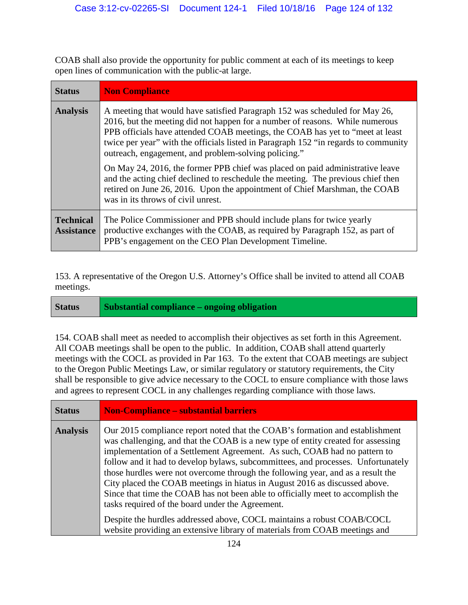COAB shall also provide the opportunity for public comment at each of its meetings to keep open lines of communication with the public-at large.

| <b>Status</b>                         | <b>Non Compliance</b>                                                                                                                                                                                                                                                                                                                                                                        |
|---------------------------------------|----------------------------------------------------------------------------------------------------------------------------------------------------------------------------------------------------------------------------------------------------------------------------------------------------------------------------------------------------------------------------------------------|
| <b>Analysis</b>                       | A meeting that would have satisfied Paragraph 152 was scheduled for May 26,<br>2016, but the meeting did not happen for a number of reasons. While numerous<br>PPB officials have attended COAB meetings, the COAB has yet to "meet at least"<br>twice per year" with the officials listed in Paragraph 152 "in regards to community<br>outreach, engagement, and problem-solving policing." |
|                                       | On May 24, 2016, the former PPB chief was placed on paid administrative leave<br>and the acting chief declined to reschedule the meeting. The previous chief then<br>retired on June 26, 2016. Upon the appointment of Chief Marshman, the COAB<br>was in its throws of civil unrest.                                                                                                        |
| <b>Technical</b><br><b>Assistance</b> | The Police Commissioner and PPB should include plans for twice yearly<br>productive exchanges with the COAB, as required by Paragraph 152, as part of<br>PPB's engagement on the CEO Plan Development Timeline.                                                                                                                                                                              |

153. A representative of the Oregon U.S. Attorney's Office shall be invited to attend all COAB meetings.

**Status Substantial compliance – ongoing obligation** 

154. COAB shall meet as needed to accomplish their objectives as set forth in this Agreement. All COAB meetings shall be open to the public. In addition, COAB shall attend quarterly meetings with the COCL as provided in Par 163. To the extent that COAB meetings are subject to the Oregon Public Meetings Law, or similar regulatory or statutory requirements, the City shall be responsible to give advice necessary to the COCL to ensure compliance with those laws and agrees to represent COCL in any challenges regarding compliance with those laws.

| <b>Status</b>   | <b>Non-Compliance – substantial barriers</b>                                                                                                                                                                                                                                                                                                                                                                                                                                                                                                                                                                                              |
|-----------------|-------------------------------------------------------------------------------------------------------------------------------------------------------------------------------------------------------------------------------------------------------------------------------------------------------------------------------------------------------------------------------------------------------------------------------------------------------------------------------------------------------------------------------------------------------------------------------------------------------------------------------------------|
| <b>Analysis</b> | Our 2015 compliance report noted that the COAB's formation and establishment<br>was challenging, and that the COAB is a new type of entity created for assessing<br>implementation of a Settlement Agreement. As such, COAB had no pattern to<br>follow and it had to develop bylaws, subcommittees, and processes. Unfortunately<br>those hurdles were not overcome through the following year, and as a result the<br>City placed the COAB meetings in hiatus in August 2016 as discussed above.<br>Since that time the COAB has not been able to officially meet to accomplish the<br>tasks required of the board under the Agreement. |
|                 | Despite the hurdles addressed above, COCL maintains a robust COAB/COCL<br>website providing an extensive library of materials from COAB meetings and                                                                                                                                                                                                                                                                                                                                                                                                                                                                                      |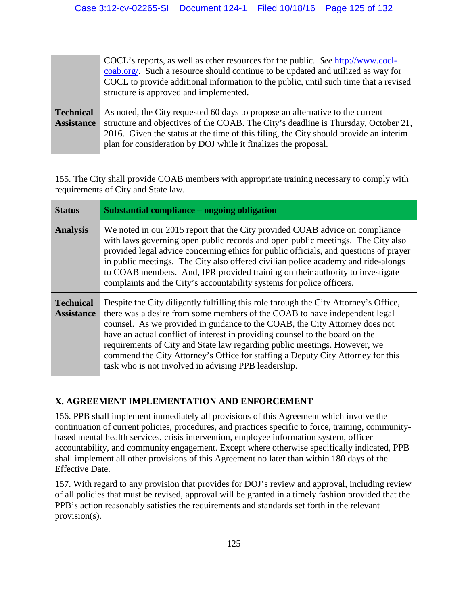|                                | COCL's reports, as well as other resources for the public. See http://www.cocl-<br>coab.org/. Such a resource should continue to be updated and utilized as way for<br>COCL to provide additional information to the public, until such time that a revised<br>structure is approved and implemented.                          |
|--------------------------------|--------------------------------------------------------------------------------------------------------------------------------------------------------------------------------------------------------------------------------------------------------------------------------------------------------------------------------|
| Technical<br><b>Assistance</b> | As noted, the City requested 60 days to propose an alternative to the current<br>structure and objectives of the COAB. The City's deadline is Thursday, October 21,<br>2016. Given the status at the time of this filing, the City should provide an interim<br>plan for consideration by DOJ while it finalizes the proposal. |

155. The City shall provide COAB members with appropriate training necessary to comply with requirements of City and State law.

| <b>Status</b>                         | Substantial compliance – ongoing obligation                                                                                                                                                                                                                                                                                                                                                                                                                                                                                                               |
|---------------------------------------|-----------------------------------------------------------------------------------------------------------------------------------------------------------------------------------------------------------------------------------------------------------------------------------------------------------------------------------------------------------------------------------------------------------------------------------------------------------------------------------------------------------------------------------------------------------|
| <b>Analysis</b>                       | We noted in our 2015 report that the City provided COAB advice on compliance<br>with laws governing open public records and open public meetings. The City also<br>provided legal advice concerning ethics for public officials, and questions of prayer<br>in public meetings. The City also offered civilian police academy and ride-alongs<br>to COAB members. And, IPR provided training on their authority to investigate<br>complaints and the City's accountability systems for police officers.                                                   |
| <b>Technical</b><br><b>Assistance</b> | Despite the City diligently fulfilling this role through the City Attorney's Office,<br>there was a desire from some members of the COAB to have independent legal<br>counsel. As we provided in guidance to the COAB, the City Attorney does not<br>have an actual conflict of interest in providing counsel to the board on the<br>requirements of City and State law regarding public meetings. However, we<br>commend the City Attorney's Office for staffing a Deputy City Attorney for this<br>task who is not involved in advising PPB leadership. |

# **X. AGREEMENT IMPLEMENTATION AND ENFORCEMENT**

156. PPB shall implement immediately all provisions of this Agreement which involve the continuation of current policies, procedures, and practices specific to force, training, communitybased mental health services, crisis intervention, employee information system, officer accountability, and community engagement. Except where otherwise specifically indicated, PPB shall implement all other provisions of this Agreement no later than within 180 days of the Effective Date.

157. With regard to any provision that provides for DOJ's review and approval, including review of all policies that must be revised, approval will be granted in a timely fashion provided that the PPB's action reasonably satisfies the requirements and standards set forth in the relevant provision(s).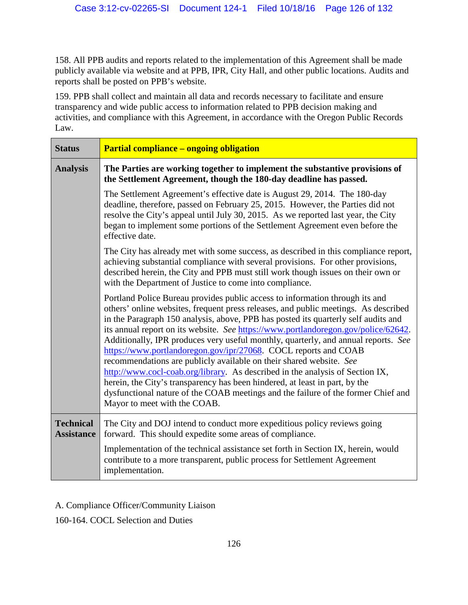158. All PPB audits and reports related to the implementation of this Agreement shall be made publicly available via website and at PPB, IPR, City Hall, and other public locations. Audits and reports shall be posted on PPB's website.

159. PPB shall collect and maintain all data and records necessary to facilitate and ensure transparency and wide public access to information related to PPB decision making and activities, and compliance with this Agreement, in accordance with the Oregon Public Records Law.

| <b>Status</b>                         | <b>Partial compliance – ongoing obligation</b>                                                                                                                                                                                                                                                                                                                                                                                                                                                                                                                                                                                                                                                                                                                                                                                                                       |
|---------------------------------------|----------------------------------------------------------------------------------------------------------------------------------------------------------------------------------------------------------------------------------------------------------------------------------------------------------------------------------------------------------------------------------------------------------------------------------------------------------------------------------------------------------------------------------------------------------------------------------------------------------------------------------------------------------------------------------------------------------------------------------------------------------------------------------------------------------------------------------------------------------------------|
| <b>Analysis</b>                       | The Parties are working together to implement the substantive provisions of<br>the Settlement Agreement, though the 180-day deadline has passed.                                                                                                                                                                                                                                                                                                                                                                                                                                                                                                                                                                                                                                                                                                                     |
|                                       | The Settlement Agreement's effective date is August 29, 2014. The 180-day<br>deadline, therefore, passed on February 25, 2015. However, the Parties did not<br>resolve the City's appeal until July 30, 2015. As we reported last year, the City<br>began to implement some portions of the Settlement Agreement even before the<br>effective date.                                                                                                                                                                                                                                                                                                                                                                                                                                                                                                                  |
|                                       | The City has already met with some success, as described in this compliance report,<br>achieving substantial compliance with several provisions. For other provisions,<br>described herein, the City and PPB must still work though issues on their own or<br>with the Department of Justice to come into compliance.                                                                                                                                                                                                                                                                                                                                                                                                                                                                                                                                                |
|                                       | Portland Police Bureau provides public access to information through its and<br>others' online websites, frequent press releases, and public meetings. As described<br>in the Paragraph 150 analysis, above, PPB has posted its quarterly self audits and<br>its annual report on its website. See https://www.portlandoregon.gov/police/62642.<br>Additionally, IPR produces very useful monthly, quarterly, and annual reports. See<br>https://www.portlandoregon.gov/ipr/27068. COCL reports and COAB<br>recommendations are publicly available on their shared website. See<br>http://www.cocl-coab.org/library. As described in the analysis of Section IX,<br>herein, the City's transparency has been hindered, at least in part, by the<br>dysfunctional nature of the COAB meetings and the failure of the former Chief and<br>Mayor to meet with the COAB. |
| <b>Technical</b><br><b>Assistance</b> | The City and DOJ intend to conduct more expeditious policy reviews going<br>forward. This should expedite some areas of compliance.                                                                                                                                                                                                                                                                                                                                                                                                                                                                                                                                                                                                                                                                                                                                  |
|                                       | Implementation of the technical assistance set forth in Section IX, herein, would<br>contribute to a more transparent, public process for Settlement Agreement<br>implementation.                                                                                                                                                                                                                                                                                                                                                                                                                                                                                                                                                                                                                                                                                    |

## A. Compliance Officer/Community Liaison

160-164. COCL Selection and Duties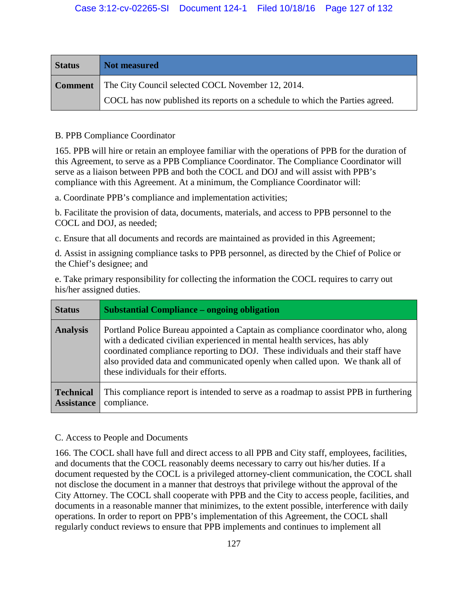| <b>Status</b> | Not measured                                                                  |
|---------------|-------------------------------------------------------------------------------|
|               | <b>Comment</b> The City Council selected COCL November 12, 2014.              |
|               | COCL has now published its reports on a schedule to which the Parties agreed. |

#### B. PPB Compliance Coordinator

165. PPB will hire or retain an employee familiar with the operations of PPB for the duration of this Agreement, to serve as a PPB Compliance Coordinator. The Compliance Coordinator will serve as a liaison between PPB and both the COCL and DOJ and will assist with PPB's compliance with this Agreement. At a minimum, the Compliance Coordinator will:

a. Coordinate PPB's compliance and implementation activities;

b. Facilitate the provision of data, documents, materials, and access to PPB personnel to the COCL and DOJ, as needed;

c. Ensure that all documents and records are maintained as provided in this Agreement;

d. Assist in assigning compliance tasks to PPB personnel, as directed by the Chief of Police or the Chief's designee; and

e. Take primary responsibility for collecting the information the COCL requires to carry out his/her assigned duties.

| <b>Status</b>                         | <b>Substantial Compliance – ongoing obligation</b>                                                                                                                                                                                                                                                                                                                      |
|---------------------------------------|-------------------------------------------------------------------------------------------------------------------------------------------------------------------------------------------------------------------------------------------------------------------------------------------------------------------------------------------------------------------------|
| <b>Analysis</b>                       | Portland Police Bureau appointed a Captain as compliance coordinator who, along<br>with a dedicated civilian experienced in mental health services, has ably<br>coordinated compliance reporting to DOJ. These individuals and their staff have<br>also provided data and communicated openly when called upon. We thank all of<br>these individuals for their efforts. |
| <b>Technical</b><br><b>Assistance</b> | This compliance report is intended to serve as a roadmap to assist PPB in furthering<br>compliance.                                                                                                                                                                                                                                                                     |

#### C. Access to People and Documents

166. The COCL shall have full and direct access to all PPB and City staff, employees, facilities, and documents that the COCL reasonably deems necessary to carry out his/her duties. If a document requested by the COCL is a privileged attorney-client communication, the COCL shall not disclose the document in a manner that destroys that privilege without the approval of the City Attorney. The COCL shall cooperate with PPB and the City to access people, facilities, and documents in a reasonable manner that minimizes, to the extent possible, interference with daily operations. In order to report on PPB's implementation of this Agreement, the COCL shall regularly conduct reviews to ensure that PPB implements and continues to implement all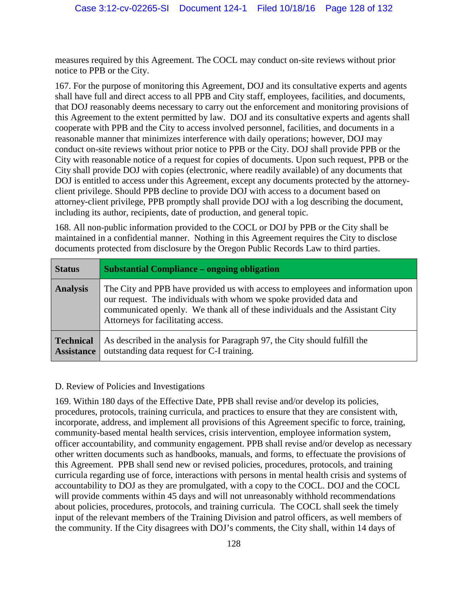measures required by this Agreement. The COCL may conduct on-site reviews without prior notice to PPB or the City.

167. For the purpose of monitoring this Agreement, DOJ and its consultative experts and agents shall have full and direct access to all PPB and City staff, employees, facilities, and documents, that DOJ reasonably deems necessary to carry out the enforcement and monitoring provisions of this Agreement to the extent permitted by law. DOJ and its consultative experts and agents shall cooperate with PPB and the City to access involved personnel, facilities, and documents in a reasonable manner that minimizes interference with daily operations; however, DOJ may conduct on-site reviews without prior notice to PPB or the City. DOJ shall provide PPB or the City with reasonable notice of a request for copies of documents. Upon such request, PPB or the City shall provide DOJ with copies (electronic, where readily available) of any documents that DOJ is entitled to access under this Agreement, except any documents protected by the attorneyclient privilege. Should PPB decline to provide DOJ with access to a document based on attorney-client privilege, PPB promptly shall provide DOJ with a log describing the document, including its author, recipients, date of production, and general topic.

168. All non-public information provided to the COCL or DOJ by PPB or the City shall be maintained in a confidential manner. Nothing in this Agreement requires the City to disclose documents protected from disclosure by the Oregon Public Records Law to third parties.

| <b>Status</b>                         | <b>Substantial Compliance – ongoing obligation</b>                                                                                                                                                                                                                          |
|---------------------------------------|-----------------------------------------------------------------------------------------------------------------------------------------------------------------------------------------------------------------------------------------------------------------------------|
| <b>Analysis</b>                       | The City and PPB have provided us with access to employees and information upon<br>our request. The individuals with whom we spoke provided data and<br>communicated openly. We thank all of these individuals and the Assistant City<br>Attorneys for facilitating access. |
| <b>Technical</b><br><b>Assistance</b> | As described in the analysis for Paragraph 97, the City should fulfill the<br>outstanding data request for C-I training.                                                                                                                                                    |

#### D. Review of Policies and Investigations

169. Within 180 days of the Effective Date, PPB shall revise and/or develop its policies, procedures, protocols, training curricula, and practices to ensure that they are consistent with, incorporate, address, and implement all provisions of this Agreement specific to force, training, community-based mental health services, crisis intervention, employee information system, officer accountability, and community engagement. PPB shall revise and/or develop as necessary other written documents such as handbooks, manuals, and forms, to effectuate the provisions of this Agreement. PPB shall send new or revised policies, procedures, protocols, and training curricula regarding use of force, interactions with persons in mental health crisis and systems of accountability to DOJ as they are promulgated, with a copy to the COCL. DOJ and the COCL will provide comments within 45 days and will not unreasonably withhold recommendations about policies, procedures, protocols, and training curricula. The COCL shall seek the timely input of the relevant members of the Training Division and patrol officers, as well members of the community. If the City disagrees with DOJ's comments, the City shall, within 14 days of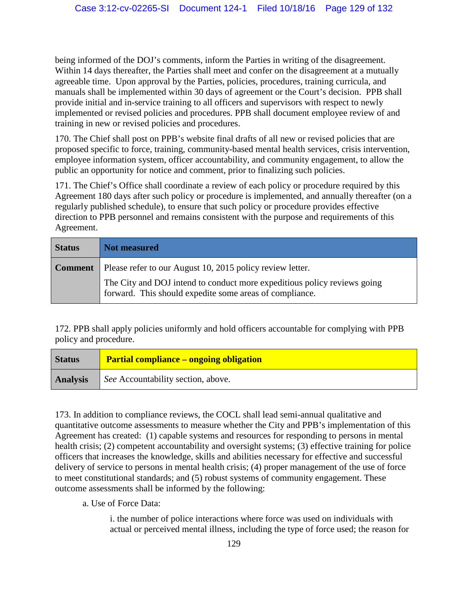being informed of the DOJ's comments, inform the Parties in writing of the disagreement. Within 14 days thereafter, the Parties shall meet and confer on the disagreement at a mutually agreeable time. Upon approval by the Parties, policies, procedures, training curricula, and manuals shall be implemented within 30 days of agreement or the Court's decision. PPB shall provide initial and in-service training to all officers and supervisors with respect to newly implemented or revised policies and procedures. PPB shall document employee review of and training in new or revised policies and procedures.

170. The Chief shall post on PPB's website final drafts of all new or revised policies that are proposed specific to force, training, community-based mental health services, crisis intervention, employee information system, officer accountability, and community engagement, to allow the public an opportunity for notice and comment, prior to finalizing such policies.

171. The Chief's Office shall coordinate a review of each policy or procedure required by this Agreement 180 days after such policy or procedure is implemented, and annually thereafter (on a regularly published schedule), to ensure that such policy or procedure provides effective direction to PPB personnel and remains consistent with the purpose and requirements of this Agreement.

| <b>Status</b>  | Not measured                                                                                                                        |
|----------------|-------------------------------------------------------------------------------------------------------------------------------------|
| <b>Comment</b> | Please refer to our August 10, 2015 policy review letter.                                                                           |
|                | The City and DOJ intend to conduct more expeditious policy reviews going<br>forward. This should expedite some areas of compliance. |

172. PPB shall apply policies uniformly and hold officers accountable for complying with PPB policy and procedure.

| <b>Status</b> | <b>Partial compliance – ongoing obligation</b>     |
|---------------|----------------------------------------------------|
|               | <b>Analysis</b> See Accountability section, above. |

173. In addition to compliance reviews, the COCL shall lead semi-annual qualitative and quantitative outcome assessments to measure whether the City and PPB's implementation of this Agreement has created: (1) capable systems and resources for responding to persons in mental health crisis; (2) competent accountability and oversight systems; (3) effective training for police officers that increases the knowledge, skills and abilities necessary for effective and successful delivery of service to persons in mental health crisis; (4) proper management of the use of force to meet constitutional standards; and (5) robust systems of community engagement. These outcome assessments shall be informed by the following:

a. Use of Force Data:

i. the number of police interactions where force was used on individuals with actual or perceived mental illness, including the type of force used; the reason for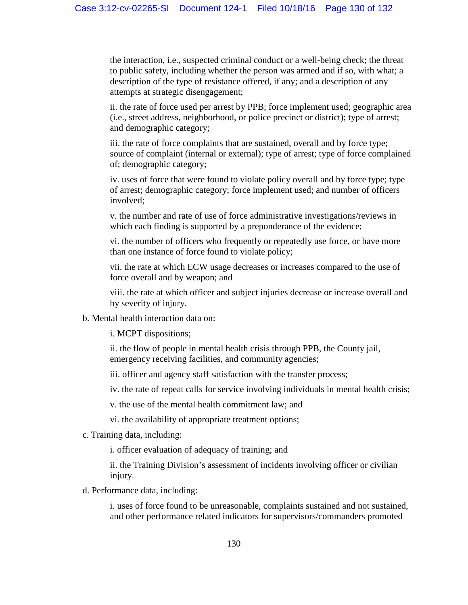the interaction, i.e., suspected criminal conduct or a well-being check; the threat to public safety, including whether the person was armed and if so, with what; a description of the type of resistance offered, if any; and a description of any attempts at strategic disengagement;

ii. the rate of force used per arrest by PPB; force implement used; geographic area (i.e., street address, neighborhood, or police precinct or district); type of arrest; and demographic category;

iii. the rate of force complaints that are sustained, overall and by force type; source of complaint (internal or external); type of arrest; type of force complained of; demographic category;

iv. uses of force that were found to violate policy overall and by force type; type of arrest; demographic category; force implement used; and number of officers involved;

v. the number and rate of use of force administrative investigations/reviews in which each finding is supported by a preponderance of the evidence;

vi. the number of officers who frequently or repeatedly use force, or have more than one instance of force found to violate policy;

vii. the rate at which ECW usage decreases or increases compared to the use of force overall and by weapon; and

viii. the rate at which officer and subject injuries decrease or increase overall and by severity of injury.

b. Mental health interaction data on:

i. MCPT dispositions;

ii. the flow of people in mental health crisis through PPB, the County jail, emergency receiving facilities, and community agencies;

iii. officer and agency staff satisfaction with the transfer process;

iv. the rate of repeat calls for service involving individuals in mental health crisis;

v. the use of the mental health commitment law; and

vi. the availability of appropriate treatment options;

c. Training data, including:

i. officer evaluation of adequacy of training; and

ii. the Training Division's assessment of incidents involving officer or civilian injury.

d. Performance data, including:

i. uses of force found to be unreasonable, complaints sustained and not sustained, and other performance related indicators for supervisors/commanders promoted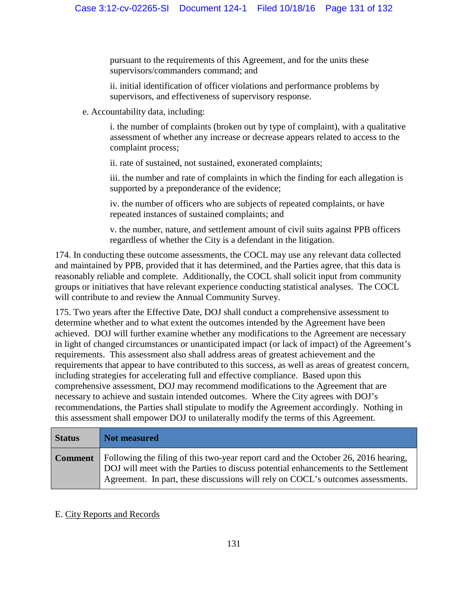pursuant to the requirements of this Agreement, and for the units these supervisors/commanders command; and

ii. initial identification of officer violations and performance problems by supervisors, and effectiveness of supervisory response.

e. Accountability data, including:

i. the number of complaints (broken out by type of complaint), with a qualitative assessment of whether any increase or decrease appears related to access to the complaint process;

ii. rate of sustained, not sustained, exonerated complaints;

iii. the number and rate of complaints in which the finding for each allegation is supported by a preponderance of the evidence;

iv. the number of officers who are subjects of repeated complaints, or have repeated instances of sustained complaints; and

v. the number, nature, and settlement amount of civil suits against PPB officers regardless of whether the City is a defendant in the litigation.

174. In conducting these outcome assessments, the COCL may use any relevant data collected and maintained by PPB, provided that it has determined, and the Parties agree, that this data is reasonably reliable and complete. Additionally, the COCL shall solicit input from community groups or initiatives that have relevant experience conducting statistical analyses. The COCL will contribute to and review the Annual Community Survey.

175. Two years after the Effective Date, DOJ shall conduct a comprehensive assessment to determine whether and to what extent the outcomes intended by the Agreement have been achieved. DOJ will further examine whether any modifications to the Agreement are necessary in light of changed circumstances or unanticipated impact (or lack of impact) of the Agreement's requirements. This assessment also shall address areas of greatest achievement and the requirements that appear to have contributed to this success, as well as areas of greatest concern, including strategies for accelerating full and effective compliance. Based upon this comprehensive assessment, DOJ may recommend modifications to the Agreement that are necessary to achieve and sustain intended outcomes. Where the City agrees with DOJ's recommendations, the Parties shall stipulate to modify the Agreement accordingly. Nothing in this assessment shall empower DOJ to unilaterally modify the terms of this Agreement.

| <b>Status</b>  | Not measured                                                                                                                                                                                                                                                 |
|----------------|--------------------------------------------------------------------------------------------------------------------------------------------------------------------------------------------------------------------------------------------------------------|
| <b>Comment</b> | Following the filing of this two-year report card and the October 26, 2016 hearing,<br>DOJ will meet with the Parties to discuss potential enhancements to the Settlement<br>Agreement. In part, these discussions will rely on COCL's outcomes assessments. |

## E. City Reports and Records